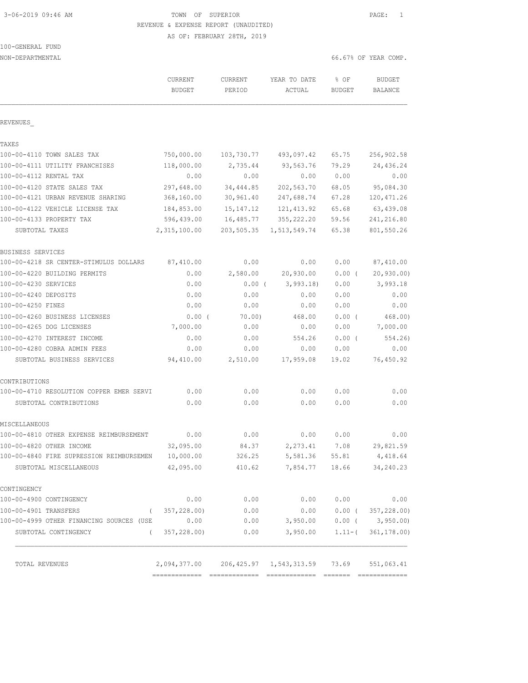3-06-2019 09:46 AM TOWN OF SUPERIOR PAGE: 1 REVENUE & EXPENSE REPORT (UNAUDITED)

AS OF: FEBRUARY 28TH, 2019

# 100-GENERAL FUND

| NON-DEPARTMENTAL                         |                          |                   |                                            |                       | 66.67% OF YEAR COMP.            |
|------------------------------------------|--------------------------|-------------------|--------------------------------------------|-----------------------|---------------------------------|
|                                          | CURRENT<br><b>BUDGET</b> | CURRENT<br>PERIOD | YEAR TO DATE<br>ACTUAL                     | % OF<br><b>BUDGET</b> | <b>BUDGET</b><br><b>BALANCE</b> |
| REVENUES                                 |                          |                   |                                            |                       |                                 |
| TAXES                                    |                          |                   |                                            |                       |                                 |
| 100-00-4110 TOWN SALES TAX               | 750,000.00               | 103,730.77        | 493,097.42                                 | 65.75                 | 256,902.58                      |
| 100-00-4111 UTILITY FRANCHISES           | 118,000.00               | 2,735.44          | 93,563.76                                  | 79.29                 | 24,436.24                       |
| 100-00-4112 RENTAL TAX                   | 0.00                     | 0.00              | 0.00                                       | 0.00                  | 0.00                            |
| 100-00-4120 STATE SALES TAX              | 297,648.00               | 34,444.85         | 202,563.70                                 | 68.05                 | 95,084.30                       |
| 100-00-4121 URBAN REVENUE SHARING        | 368,160.00               | 30,961.40         | 247,688.74                                 | 67.28                 | 120, 471.26                     |
| 100-00-4122 VEHICLE LICENSE TAX          | 184,853.00               | 15, 147. 12       | 121, 413.92                                | 65.68                 | 63,439.08                       |
| 100-00-4133 PROPERTY TAX                 | 596,439.00               | 16,485.77         | 355, 222.20                                | 59.56                 | 241,216.80                      |
| SUBTOTAL TAXES                           | 2,315,100.00             | 203,505.35        | 1,513,549.74                               | 65.38                 | 801,550.26                      |
| BUSINESS SERVICES                        |                          |                   |                                            |                       |                                 |
| 100-00-4218 SR CENTER-STIMULUS DOLLARS   | 87,410.00                | 0.00              | 0.00                                       | 0.00                  | 87,410.00                       |
| 100-00-4220 BUILDING PERMITS             | 0.00                     | 2,580.00          | 20,930.00                                  | $0.00$ (              | 20, 930.00                      |
| 100-00-4230 SERVICES                     | 0.00                     | $0.00$ (          | 3,993.18                                   | 0.00                  | 3,993.18                        |
| 100-00-4240 DEPOSITS                     | 0.00                     | 0.00              | 0.00                                       | 0.00                  | 0.00                            |
| 100-00-4250 FINES                        | 0.00                     | 0.00              | 0.00                                       | 0.00                  | 0.00                            |
| 100-00-4260 BUSINESS LICENSES            | $0.00$ (                 | 70.00)            | 468.00                                     | $0.00$ (              | 468.00)                         |
| 100-00-4265 DOG LICENSES                 | 7,000.00                 | 0.00              | 0.00                                       | 0.00                  | 7,000.00                        |
| 100-00-4270 INTEREST INCOME              | 0.00                     | 0.00              | 554.26                                     | $0.00$ (              | 554.26)                         |
| 100-00-4280 COBRA ADMIN FEES             | 0.00                     | 0.00              | 0.00                                       | 0.00                  | 0.00                            |
| SUBTOTAL BUSINESS SERVICES               | 94,410.00                | 2,510.00          | 17,959.08                                  | 19.02                 | 76,450.92                       |
| CONTRIBUTIONS                            |                          |                   |                                            |                       |                                 |
| 100-00-4710 RESOLUTION COPPER EMER SERVI | 0.00                     | 0.00              | 0.00                                       | 0.00                  | 0.00                            |
| SUBTOTAL CONTRIBUTIONS                   | 0.00                     | 0.00              | 0.00                                       | 0.00                  | 0.00                            |
| MISCELLANEOUS                            |                          |                   |                                            |                       |                                 |
| 100-00-4810 OTHER EXPENSE REIMBURSEMENT  | 0.00                     | 0.00              | 0.00                                       | 0.00                  | 0.00                            |
| 100-00-4820 OTHER INCOME                 | 32,095.00                | 84.37             | 2,273.41 7.08                              |                       | 29,821.59                       |
| 100-00-4840 FIRE SUPRESSION REIMBURSEMEN | 10,000.00                | 326.25            | 5,581.36                                   | 55.81                 | 4,418.64                        |
| SUBTOTAL MISCELLANEOUS                   | 42,095.00                | 410.62            | 7,854.77                                   | 18.66                 | 34,240.23                       |
| CONTINGENCY                              |                          |                   |                                            |                       |                                 |
| 100-00-4900 CONTINGENCY                  | 0.00                     | 0.00              | 0.00                                       | 0.00                  | 0.00                            |
| 100-00-4901 TRANSFERS<br>$\left($        | 357,228.00)              | 0.00              | 0.00                                       | $0.00$ (              | 357,228.00)                     |
| 100-00-4999 OTHER FINANCING SOURCES (USE | 0.00                     | 0.00              | 3,950.00                                   |                       | $0.00$ ( 3,950.00)              |
| SUBTOTAL CONTINGENCY<br>$\left($         | 357,228.00)              | 0.00              | 3,950.00                                   | $1.11-$ (             | 361, 178.00                     |
| TOTAL REVENUES                           |                          |                   | 2,094,377.00 206,425.97 1,543,313.59 73.69 |                       | 551,063.41                      |
|                                          |                          |                   |                                            |                       |                                 |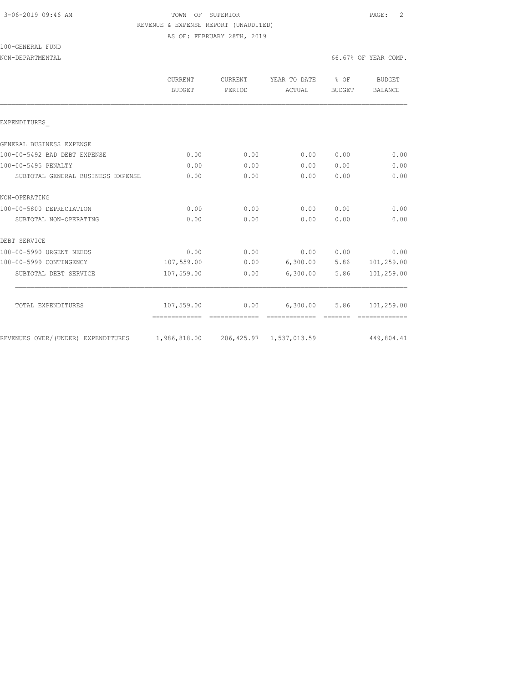## 3-06-2019 09:46 AM TOWN OF SUPERIOR PAGE: 2 REVENUE & EXPENSE REPORT (UNAUDITED) AS OF: FEBRUARY 28TH, 2019

# 100-GENERAL FUND

## NON-DEPARTMENTAL 66.67% OF YEAR COMP.

|                                    | CURRENT<br>BUDGET                    | <b>CURRENT</b><br>PERIOD | YEAR TO DATE<br>ACTUAL    | $8$ OF<br><b>BUDGET</b> | BUDGET<br>BALANCE        |
|------------------------------------|--------------------------------------|--------------------------|---------------------------|-------------------------|--------------------------|
| EXPENDITURES                       |                                      |                          |                           |                         |                          |
| GENERAL BUSINESS EXPENSE           |                                      |                          |                           |                         |                          |
| 100-00-5492 BAD DEBT EXPENSE       | 0.00                                 | 0.00                     | 0.00                      | 0.00                    | 0.00                     |
| 100-00-5495 PENALTY                | 0.00                                 | 0.00                     | 0.00                      | 0.00                    | 0.00                     |
| SUBTOTAL GENERAL BUSINESS EXPENSE  | 0.00                                 | 0.00                     | 0.00                      | 0.00                    | 0.00                     |
| NON-OPERATING                      |                                      |                          |                           |                         |                          |
| 100-00-5800 DEPRECIATION           | 0.00                                 | 0.00                     | 0.00                      | 0.00                    | 0.00                     |
| SUBTOTAL NON-OPERATING             | 0.00                                 | 0.00                     | 0.00                      | 0.00                    | 0.00                     |
| DEBT SERVICE                       |                                      |                          |                           |                         |                          |
| 100-00-5990 URGENT NEEDS           | 0.00                                 | 0.00                     | 0.00                      | 0.00                    | 0.00                     |
| 100-00-5999 CONTINGENCY            | 107,559.00                           | 0.00                     |                           |                         | 6,300.00 5.86 101,259.00 |
| SUBTOTAL DEBT SERVICE              | 107,559.00                           | 0.00                     | 6,300.00                  | 5.86                    | 101,259.00               |
|                                    |                                      |                          |                           |                         |                          |
| TOTAL EXPENDITURES                 | 107,559.00<br>-------------          | 0.00<br>=============    | 6,300.00<br>============= | 5.86<br>--------        | 101,259.00               |
| REVENUES OVER/(UNDER) EXPENDITURES | 1,986,818.00 206,425.97 1,537,013.59 |                          |                           |                         | 449,804.41               |
|                                    |                                      |                          |                           |                         |                          |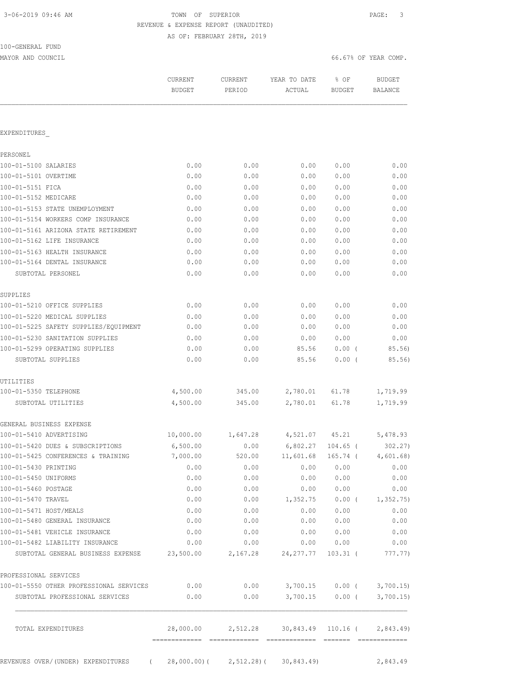100-GENERAL FUND

TOWN OF SUPERIOR **Example 2019** PAGE: 3 REVENUE & EXPENSE REPORT (UNAUDITED) AS OF: FEBRUARY 28TH, 2019

| MAYOR AND COUNCIL                                    |                                    |                   |                                                 | 66.67% OF YEAR COMP. |                                 |  |  |
|------------------------------------------------------|------------------------------------|-------------------|-------------------------------------------------|----------------------|---------------------------------|--|--|
|                                                      | CURRENT<br><b>BUDGET</b>           | CURRENT<br>PERIOD | YEAR TO DATE<br>ACTUAL                          | % OF<br>BUDGET       | <b>BUDGET</b><br><b>BALANCE</b> |  |  |
|                                                      |                                    |                   |                                                 |                      |                                 |  |  |
| EXPENDITURES                                         |                                    |                   |                                                 |                      |                                 |  |  |
| PERSONEL                                             |                                    |                   |                                                 |                      |                                 |  |  |
| 100-01-5100 SALARIES                                 | 0.00                               | 0.00              | 0.00                                            | 0.00                 | 0.00                            |  |  |
| 100-01-5101 OVERTIME                                 | 0.00                               | 0.00              | 0.00                                            | 0.00                 | 0.00                            |  |  |
| 100-01-5151 FICA                                     | 0.00                               | 0.00              | 0.00                                            | 0.00                 | 0.00                            |  |  |
| 100-01-5152 MEDICARE                                 | 0.00                               | 0.00              | 0.00                                            | 0.00                 | 0.00                            |  |  |
| 100-01-5153 STATE UNEMPLOYMENT                       | 0.00                               | 0.00              | 0.00                                            | 0.00                 | 0.00                            |  |  |
| 100-01-5154 WORKERS COMP INSURANCE                   | 0.00                               | 0.00              | 0.00                                            | 0.00                 | 0.00                            |  |  |
| 100-01-5161 ARIZONA STATE RETIREMENT                 | 0.00                               | 0.00              | 0.00                                            | 0.00                 | 0.00                            |  |  |
| 100-01-5162 LIFE INSURANCE                           | 0.00                               | 0.00              | 0.00                                            | 0.00                 | 0.00                            |  |  |
| 100-01-5163 HEALTH INSURANCE                         | 0.00                               | 0.00              | 0.00                                            | 0.00                 | 0.00                            |  |  |
| 100-01-5164 DENTAL INSURANCE                         | 0.00                               | 0.00              | 0.00                                            | 0.00                 | 0.00                            |  |  |
| SUBTOTAL PERSONEL                                    | 0.00                               | 0.00              | 0.00                                            | 0.00                 | 0.00                            |  |  |
| SUPPLIES                                             |                                    |                   |                                                 |                      |                                 |  |  |
| 100-01-5210 OFFICE SUPPLIES                          | 0.00                               | 0.00              | 0.00                                            | 0.00                 | 0.00                            |  |  |
| 100-01-5220 MEDICAL SUPPLIES                         | 0.00                               | 0.00              | 0.00                                            | 0.00                 | 0.00                            |  |  |
| 100-01-5225 SAFETY SUPPLIES/EQUIPMENT                | 0.00                               | 0.00              | 0.00                                            | 0.00                 | 0.00                            |  |  |
| 100-01-5230 SANITATION SUPPLIES                      | 0.00                               | 0.00              | 0.00                                            | 0.00                 | 0.00                            |  |  |
| 100-01-5299 OPERATING SUPPLIES<br>SUBTOTAL SUPPLIES  | 0.00<br>0.00                       | 0.00<br>0.00      | 85.56<br>85.56                                  | $0.00$ (<br>0.00(    | 85.56)<br>85.56)                |  |  |
| UTILITIES                                            |                                    |                   |                                                 |                      |                                 |  |  |
| 100-01-5350 TELEPHONE                                | 4,500.00                           | 345.00            | 2,780.01                                        | 61.78                | 1,719.99                        |  |  |
| SUBTOTAL UTILITIES                                   | 4,500.00                           | 345.00            | 2,780.01                                        | 61.78                | 1,719.99                        |  |  |
| GENERAL BUSINESS EXPENSE                             |                                    |                   |                                                 |                      |                                 |  |  |
| 100-01-5410 ADVERTISING                              | 10,000.00                          | 1,647.28          | 4,521.07                                        | 45.21                | 5,478.93                        |  |  |
| 100-01-5420 DUES & SUBSCRIPTIONS                     | 6,500.00                           | 0.00              | 6,802.27 104.65 (                               |                      | 302.27)                         |  |  |
| 100-01-5425 CONFERENCES & TRAINING                   | 7,000.00                           |                   | 520.00 11,601.68 165.74 ( 4,601.68)             |                      |                                 |  |  |
| 100-01-5430 PRINTING                                 | 0.00                               | 0.00              | 0.00                                            | 0.00                 | 0.00                            |  |  |
| 100-01-5450 UNIFORMS                                 | 0.00                               | 0.00              | 0.00                                            | 0.00                 | 0.00                            |  |  |
| 100-01-5460 POSTAGE                                  | 0.00                               | 0.00              | 0.00                                            | 0.00                 | 0.00                            |  |  |
| 100-01-5470 TRAVEL                                   | 0.00                               | 0.00              | 1,352.75                                        |                      | $0.00$ ( $1,352.75$ )           |  |  |
| 100-01-5471 HOST/MEALS                               | 0.00                               | 0.00              | 0.00                                            | 0.00                 | 0.00                            |  |  |
| 100-01-5480 GENERAL INSURANCE                        | 0.00                               | 0.00              | 0.00                                            | 0.00                 | 0.00                            |  |  |
| 100-01-5481 VEHICLE INSURANCE                        | 0.00                               | 0.00              | 0.00                                            | 0.00                 | 0.00                            |  |  |
| 100-01-5482 LIABILITY INSURANCE                      | 0.00                               | 0.00              |                                                 | 0.00 0.00            | 0.00                            |  |  |
| SUBTOTAL GENERAL BUSINESS EXPENSE 23,500.00 2,167.28 |                                    |                   | 24, 277.77                                      | 103.31 (             | 777.77)                         |  |  |
| PROFESSIONAL SERVICES                                |                                    |                   |                                                 |                      |                                 |  |  |
| 100-01-5550 OTHER PROFESSIONAL SERVICES              | 0.00                               |                   | $0.00$ $3,700.15$ $0.00$ ( $3,700.15$ )         |                      |                                 |  |  |
| SUBTOTAL PROFESSIONAL SERVICES                       | 0.00                               | 0.00              |                                                 | 3,700.15 0.00 (      | 3,700.15                        |  |  |
| TOTAL EXPENDITURES                                   |                                    |                   | 28,000.00 2,512.28 30,843.49 110.16 ( 2,843.49) |                      |                                 |  |  |
| REVENUES OVER/(UNDER) EXPENDITURES                   | (28,000.00) (2,512.28) (30,843.49) |                   |                                                 |                      | 2,843.49                        |  |  |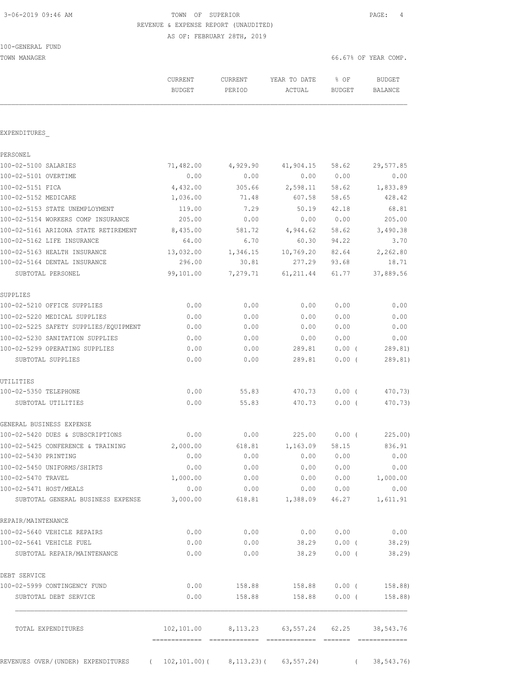100-GENERAL FUND

## 3-06-2019 09:46 AM TOWN OF SUPERIOR PAGE: 4 REVENUE & EXPENSE REPORT (UNAUDITED) AS OF: FEBRUARY 28TH, 2019

| TOWN MANAGER                                                           |                          |                   |                                               | 66.67% OF YEAR COMP.    |                          |  |
|------------------------------------------------------------------------|--------------------------|-------------------|-----------------------------------------------|-------------------------|--------------------------|--|
|                                                                        | CURRENT<br><b>BUDGET</b> | CURRENT<br>PERIOD | YEAR TO DATE<br>ACTUAL                        | $8$ OF<br><b>BUDGET</b> | BUDGET<br><b>BALANCE</b> |  |
|                                                                        |                          |                   |                                               |                         |                          |  |
| EXPENDITURES                                                           |                          |                   |                                               |                         |                          |  |
| PERSONEL                                                               |                          |                   |                                               |                         |                          |  |
| 100-02-5100 SALARIES                                                   | 71,482.00                | 4,929.90          | 41,904.15                                     | 58.62                   | 29,577.85                |  |
| 100-02-5101 OVERTIME                                                   | 0.00                     | 0.00              | 0.00                                          | 0.00                    | 0.00                     |  |
| 100-02-5151 FICA                                                       | 4,432.00                 | 305.66            | 2,598.11                                      | 58.62                   | 1,833.89                 |  |
| 100-02-5152 MEDICARE                                                   | 1,036.00                 | 71.48             | 607.58                                        | 58.65                   | 428.42                   |  |
| 100-02-5153 STATE UNEMPLOYMENT                                         | 119.00                   | 7.29              | 50.19                                         | 42.18                   | 68.81                    |  |
| 100-02-5154 WORKERS COMP INSURANCE                                     | 205.00                   | 0.00              | 0.00                                          | 0.00                    | 205.00                   |  |
| 100-02-5161 ARIZONA STATE RETIREMENT 8,435.00                          |                          | 581.72            | 4,944.62 58.62                                |                         | 3,490.38                 |  |
| 100-02-5162 LIFE INSURANCE                                             | 64.00                    | 6.70              |                                               | 60.30 94.22             | 3.70                     |  |
| 100-02-5163 HEALTH INSURANCE                                           | 13,032.00                | 1,346.15          | 10,769.20 82.64                               |                         | 2,262.80                 |  |
| 100-02-5164 DENTAL INSURANCE                                           | 296.00                   | 30.81             | 277.29                                        | 93.68                   | 18.71                    |  |
| SUBTOTAL PERSONEL                                                      | 99,101.00                | 7,279.71          | 61, 211.44                                    | 61.77                   | 37,889.56                |  |
| SUPPLIES                                                               |                          |                   |                                               |                         |                          |  |
| 100-02-5210 OFFICE SUPPLIES                                            | 0.00                     | 0.00              | 0.00                                          | 0.00                    | 0.00                     |  |
| 100-02-5220 MEDICAL SUPPLIES                                           | 0.00                     | 0.00              | 0.00                                          | 0.00                    | 0.00                     |  |
| 100-02-5225 SAFETY SUPPLIES/EQUIPMENT                                  | 0.00                     | 0.00              | 0.00                                          | 0.00                    | 0.00                     |  |
| 100-02-5230 SANITATION SUPPLIES                                        | 0.00                     | 0.00              | 0.00                                          | 0.00                    | 0.00                     |  |
| 100-02-5299 OPERATING SUPPLIES                                         | 0.00                     | 0.00              | 289.81                                        | $0.00$ (                | 289.81)                  |  |
| SUBTOTAL SUPPLIES                                                      | 0.00                     | 0.00              | 289.81                                        | 0.00(                   | 289.81)                  |  |
| UTILITIES                                                              |                          |                   |                                               |                         |                          |  |
| 100-02-5350 TELEPHONE                                                  | 0.00                     | 55.83             | 470.73                                        | $0.00$ (                | 470.73)                  |  |
| SUBTOTAL UTILITIES                                                     | 0.00                     | 55.83             | 470.73                                        | $0.00$ (                | 470.73)                  |  |
| GENERAL BUSINESS EXPENSE                                               |                          |                   |                                               |                         |                          |  |
| 100-02-5420 DUES & SUBSCRIPTIONS                                       | 0.00                     | 0.00              | 225.00                                        | $0.00$ (                | 225.00)                  |  |
| 100-02-5425 CONFERENCE & TRAINING                                      | 2,000.00                 |                   | 618.81 1,163.09 58.15                         |                         | 836.91                   |  |
| 100-02-5430 PRINTING                                                   | 0.00                     | 0.00              |                                               | 0.00 0.00               | 0.00                     |  |
| 100-02-5450 UNIFORMS/SHIRTS                                            | 0.00                     | 0.00              | 0.00 0.00                                     |                         | 0.00                     |  |
| 100-02-5470 TRAVEL                                                     | 1,000.00                 | 0.00              |                                               |                         | $0.00$ $0.00$ $1,000.00$ |  |
| 100-02-5471 HOST/MEALS                                                 | 0.00                     | 0.00              | 0.00 0.00                                     |                         | 0.00                     |  |
| SUBTOTAL GENERAL BUSINESS EXPENSE 3,000.00 618.81 1,388.09             |                          |                   |                                               | 46.27                   | 1,611.91                 |  |
| REPAIR/MAINTENANCE                                                     |                          |                   |                                               |                         |                          |  |
| 100-02-5640 VEHICLE REPAIRS                                            | 0.00                     | 0.00              |                                               | 0.00 0.00               | 0.00                     |  |
| 100-02-5641 VEHICLE FUEL                                               | 0.00                     | 0.00              | 38.29                                         | $0.00$ (                | 38.29)                   |  |
| SUBTOTAL REPAIR/MAINTENANCE                                            | 0.00                     | 0.00              | 38.29                                         | $0.00$ (                | 38.29)                   |  |
| DEBT SERVICE                                                           |                          |                   |                                               |                         |                          |  |
| 100-02-5999 CONTINGENCY FUND                                           | 0.00                     |                   | 158.88 158.88 0.00 (158.88)                   |                         |                          |  |
| SUBTOTAL DEBT SERVICE                                                  | 0.00                     |                   | 158.88 158.88 0.00 (                          |                         | 158.88)                  |  |
| TOTAL EXPENDITURES                                                     |                          |                   | 102,101.00 8,113.23 63,557.24 62.25 38,543.76 |                         |                          |  |
| REVENUES OVER/(UNDER) EXPENDITURES (102,101.00) (8,113.23) (63,557.24) |                          |                   |                                               |                         | 38,543.76)               |  |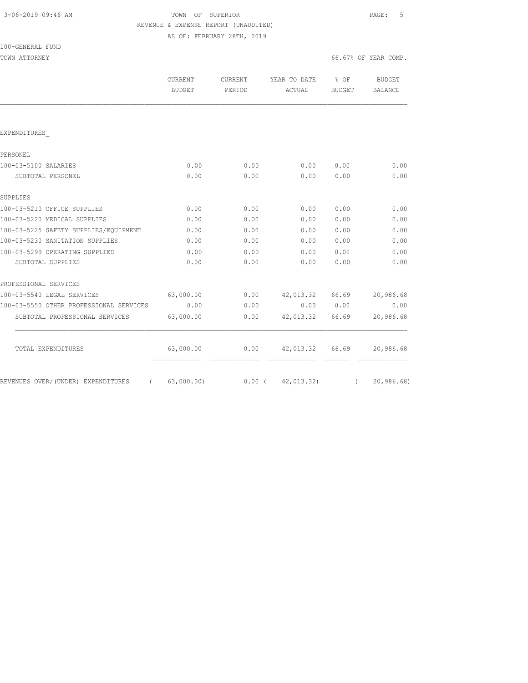|  | 3-06-2019 09:46 AM |  |
|--|--------------------|--|
|  |                    |  |

TOWN OF SUPERIOR **PAGE:** 5 REVENUE & EXPENSE REPORT (UNAUDITED) AS OF: FEBRUARY 28TH, 2019

| 100-GENERAL FUND                               |  |
|------------------------------------------------|--|
| $m \wedge n$ n n $m \wedge n$ n n $n \wedge n$ |  |

TOWN ATTORNEY SERVICES AND TOWN ATTORNEY A SERVICES AND TOWN ATTORNEY.

|                                                | <b>CURRENT</b><br><b>BUDGET</b> | <b>CURRENT</b><br>PERIOD | YEAR TO DATE<br>ACTUAL | % OF<br><b>BUDGET</b> | <b>BUDGET</b><br>BALANCE |
|------------------------------------------------|---------------------------------|--------------------------|------------------------|-----------------------|--------------------------|
|                                                |                                 |                          |                        |                       |                          |
| EXPENDITURES                                   |                                 |                          |                        |                       |                          |
| PERSONEL                                       |                                 |                          |                        |                       |                          |
| 100-03-5100 SALARIES                           | 0.00                            | 0.00                     | 0.00                   | 0.00                  | 0.00                     |
| SUBTOTAL PERSONEL                              | 0.00                            | 0.00                     | 0.00                   | 0.00                  | 0.00                     |
| SUPPLIES                                       |                                 |                          |                        |                       |                          |
| 100-03-5210 OFFICE SUPPLIES                    | 0.00                            | 0.00                     | 0.00                   | 0.00                  | 0.00                     |
| 100-03-5220 MEDICAL SUPPLIES                   | 0.00                            | 0.00                     | 0.00                   | 0.00                  | 0.00                     |
| 100-03-5225 SAFETY SUPPLIES/EOUIPMENT          | 0.00                            | 0.00                     | 0.00                   | 0.00                  | 0.00                     |
| 100-03-5230 SANITATION SUPPLIES                | 0.00                            | 0.00                     | 0.00                   | 0.00                  | 0.00                     |
| 100-03-5299 OPERATING SUPPLIES                 | 0.00                            | 0.00                     | 0.00                   | 0.00                  | 0.00                     |
| SUBTOTAL SUPPLIES                              | 0.00                            | 0.00                     | 0.00                   | 0.00                  | 0.00                     |
| PROFESSIONAL SERVICES                          |                                 |                          |                        |                       |                          |
| 100-03-5540 LEGAL SERVICES                     | 63,000.00                       | 0.00                     | 42,013.32              | 66.69                 | 20,986.68                |
| 100-03-5550 OTHER PROFESSIONAL SERVICES        | 0.00                            | 0.00                     | 0.00                   | 0.00                  | 0.00                     |
| SUBTOTAL PROFESSIONAL SERVICES                 | 63,000.00                       | 0.00                     | 42,013.32              | 66.69                 | 20,986.68                |
| TOTAL EXPENDITURES                             | 63,000.00                       | 0.00                     | 42,013.32              | 66.69                 | 20,986.68                |
|                                                |                                 |                          |                        |                       |                          |
| REVENUES OVER/(UNDER) EXPENDITURES<br>$\left($ | 63,000.00)                      | $0.00$ (                 | 42,013.32)             | $\left($              | 20,986.68                |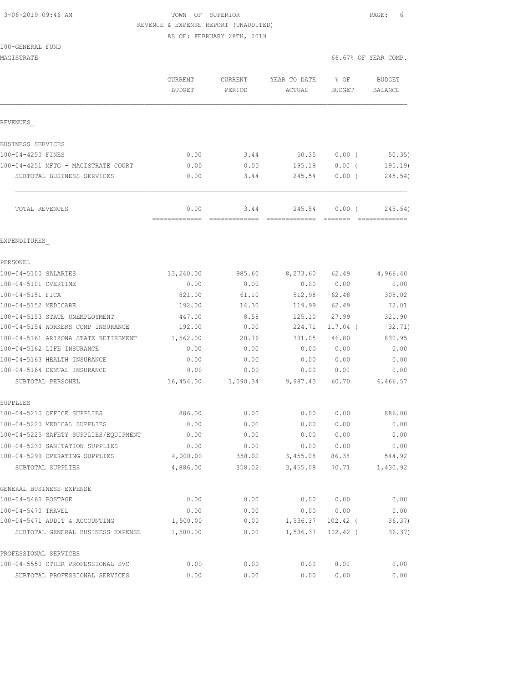# 3-06-2019 09:46 AM TOWN OF SUPERIOR PAGE: 6 REVENUE & EXPENSE REPORT (UNAUDITED)

AS OF: FEBRUARY 28TH, 2019

| MAGISTRATE                                                  |                                 |                       |                         |                       | 66.67% OF YEAR COMP.            |
|-------------------------------------------------------------|---------------------------------|-----------------------|-------------------------|-----------------------|---------------------------------|
|                                                             | <b>CURRENT</b><br><b>BUDGET</b> | CURRENT<br>PERIOD     | YEAR TO DATE<br>ACTUAL  | % OF<br><b>BUDGET</b> | <b>BUDGET</b><br><b>BALANCE</b> |
| REVENUES                                                    |                                 |                       |                         |                       |                                 |
| BUSINESS SERVICES                                           |                                 |                       |                         |                       |                                 |
| 100-04-4250 FINES                                           | 0.00                            | 3.44                  | 50.35                   | $0.00$ (              | 50.35)                          |
| 100-04-4251 MFTG - MAGISTRATE COURT                         | 0.00                            | 0.00                  | 195.19                  | 0.00(                 | 195.19                          |
| SUBTOTAL BUSINESS SERVICES                                  | 0.00                            | 3.44                  | 245.54                  | $0.00$ (              | 245.54)                         |
| TOTAL REVENUES                                              | 0.00<br>=============           | 3.44<br>============= | 245.54<br>============= | $0.00$ (              | 245.54)                         |
| EXPENDITURES                                                |                                 |                       |                         |                       |                                 |
| PERSONEL                                                    |                                 |                       |                         |                       |                                 |
| 100-04-5100 SALARIES                                        | 13,240.00                       | 985.60                | 8,273.60                | 62.49                 | 4,966.40                        |
| 100-04-5101 OVERTIME                                        | 0.00                            | 0.00                  | 0.00                    | 0.00                  | 0.00                            |
| 100-04-5151 FICA                                            | 821.00                          | 61.10                 | 512.98                  | 62.48                 | 308.02                          |
| 100-04-5152 MEDICARE                                        | 192.00                          | 14.30                 | 119.99                  | 62.49                 | 72.01                           |
| 100-04-5153 STATE UNEMPLOYMENT                              | 447.00                          | 8.58                  | 125.10                  | 27.99                 | 321.90                          |
| 100-04-5154 WORKERS COMP INSURANCE                          | 192.00                          | 0.00                  | 224.71                  | 117.04 (              | 32.71)                          |
| 100-04-5161 ARIZONA STATE RETIREMENT                        | 1,562.00                        | 20.76                 | 731.05                  | 46.80                 | 830.95                          |
| 100-04-5162 LIFE INSURANCE                                  | 0.00                            | 0.00                  | 0.00                    | 0.00                  | 0.00                            |
| 100-04-5163 HEALTH INSURANCE                                | 0.00                            | 0.00                  | 0.00                    | 0.00                  | 0.00                            |
| 100-04-5164 DENTAL INSURANCE                                | 0.00                            | 0.00                  | 0.00                    | 0.00                  | 0.00                            |
| SUBTOTAL PERSONEL                                           | 16,454.00                       | 1,090.34              | 9,987.43                | 60.70                 | 6,466.57                        |
| SUPPLIES<br>100-04-5210 OFFICE SUPPLIES                     | 886.00                          | 0.00                  | 0.00                    | 0.00                  | 886.00                          |
| 100-04-5220 MEDICAL SUPPLIES                                | 0.00                            | 0.00                  | 0.00                    | 0.00                  | 0.00                            |
| 100-04-5225 SAFETY SUPPLIES/EQUIPMENT                       | 0.00                            | 0.00                  | 0.00                    | 0.00                  | 0.00                            |
| 100-04-5230 SANITATION SUPPLIES                             | 0.00                            | 0.00                  | 0.00                    | 0.00                  | 0.00                            |
| 100-04-5299 OPERATING SUPPLIES                              | 4,000.00                        | 358.02                | 3,455.08                | 86.38                 | 544.92                          |
| SUBTOTAL SUPPLIES                                           | 4,886.00                        | 358.02                | 3,455.08                | 70.71                 | 1,430.92                        |
| GENERAL BUSINESS EXPENSE                                    |                                 |                       |                         |                       |                                 |
| 100-04-5460 POSTAGE                                         | 0.00                            | 0.00                  | 0.00                    | 0.00                  | 0.00                            |
| 100-04-5470 TRAVEL                                          | 0.00                            | 0.00                  | 0.00                    | 0.00                  | 0.00                            |
| 100-04-5471 AUDIT & ACCOUNTING                              | 1,500.00                        | 0.00                  | 1,536.37                | $102.42$ (            | 36.37)                          |
| SUBTOTAL GENERAL BUSINESS EXPENSE                           | 1,500.00                        | 0.00                  | 1,536.37                | $102.42$ (            | 36.37)                          |
| PROFESSIONAL SERVICES<br>100-04-5550 OTHER PROFESSIONAL SVC | 0.00                            | 0.00                  | 0.00                    | 0.00                  | 0.00                            |
| SUBTOTAL PROFESSIONAL SERVICES                              | 0.00                            | 0.00                  | 0.00                    | 0.00                  | 0.00                            |
|                                                             |                                 |                       |                         |                       |                                 |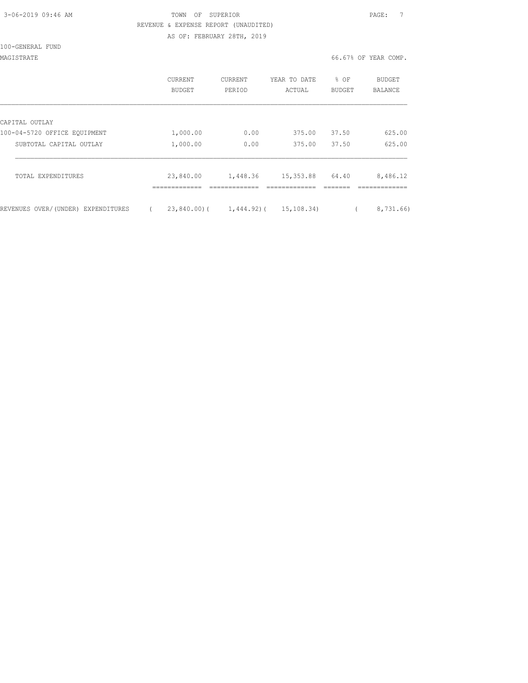| 3-06-2019 09:46 AM |  |
|--------------------|--|

## TOWN OF SUPERIOR **Example 2019** PAGE: 7 REVENUE & EXPENSE REPORT (UNAUDITED) AS OF: FEBRUARY 28TH, 2019

#### 100-GENERAL FUND

## MAGISTRATE 66.67% OF YEAR COMP.

|                                    | <b>CURRENT</b><br>BUDGET | <b>CURRENT</b><br>PERIOD | YEAR TO DATE<br>ACTUAL | % OF<br><b>BUDGET</b> | <b>BUDGET</b><br>BALANCE |
|------------------------------------|--------------------------|--------------------------|------------------------|-----------------------|--------------------------|
| CAPITAL OUTLAY                     |                          |                          |                        |                       |                          |
| 100-04-5720 OFFICE EQUIPMENT       | 1,000.00                 | 0.00                     | 375.00                 | 37.50                 | 625.00                   |
| SUBTOTAL CAPITAL OUTLAY            | 1,000.00                 | 0.00                     | 375.00                 | 37.50                 | 625.00                   |
| TOTAL EXPENDITURES                 | 23,840.00                | 1,448.36                 | 15,353.88              | 64.40                 | 8,486.12                 |
| REVENUES OVER/(UNDER) EXPENDITURES | 23,840.00)(              | 1,444.92)(               | 15,108.34)             |                       | 8,731.66)                |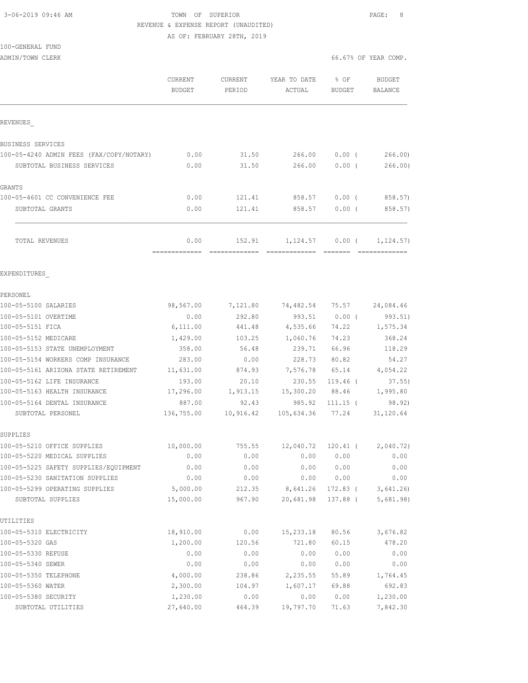100-GENERAL FUND

## 3-06-2019 09:46 AM TOWN OF SUPERIOR PAGE: 8 REVENUE & EXPENSE REPORT (UNAUDITED) AS OF: FEBRUARY 28TH, 2019

ADMIN/TOWN CLERK COMP.

|                                          | CURRENT<br><b>BUDGET</b> | CURRENT<br>PERIOD | YEAR TO DATE<br>ACTUAL | % OF<br><b>BUDGET</b> | <b>BUDGET</b><br><b>BALANCE</b> |
|------------------------------------------|--------------------------|-------------------|------------------------|-----------------------|---------------------------------|
| REVENUES                                 |                          |                   |                        |                       |                                 |
| BUSINESS SERVICES                        |                          |                   |                        |                       |                                 |
| 100-05-4240 ADMIN FEES (FAX/COPY/NOTARY) | 0.00                     | 31.50             | 266.00                 | 0.00(                 | 266.00                          |
| SUBTOTAL BUSINESS SERVICES               | 0.00                     | 31.50             | 266.00                 | 0.00(                 | 266.00                          |
| GRANTS                                   |                          |                   |                        |                       |                                 |
| 100-05-4601 CC CONVENIENCE FEE           | 0.00                     | 121.41            | 858.57                 | $0.00$ (              | 858.57)                         |
| SUBTOTAL GRANTS                          | 0.00                     | 121.41            | 858.57                 | 0.00(                 | 858.57)                         |
| TOTAL REVENUES                           | 0.00                     | 152.91            | 1,124.57               | $0.00$ (              | 1, 124.57)                      |
| EXPENDITURES                             |                          |                   |                        |                       |                                 |
| PERSONEL                                 |                          |                   |                        |                       |                                 |
| 100-05-5100 SALARIES                     | 98,567.00                | 7,121.80          | 74,482.54              | 75.57                 | 24,084.46                       |
| 100-05-5101 OVERTIME                     | 0.00                     | 292.80            | 993.51                 | 0.00(                 | 993.51)                         |
| 100-05-5151 FICA                         | 6,111.00                 | 441.48            | 4,535.66               | 74.22                 | 1,575.34                        |
| 100-05-5152 MEDICARE                     | 1,429.00                 | 103.25            | 1,060.76               | 74.23                 | 368.24                          |
| 100-05-5153 STATE UNEMPLOYMENT           | 358.00                   | 56.48             | 239.71                 | 66.96                 | 118.29                          |
| 100-05-5154 WORKERS COMP INSURANCE       | 283.00                   | 0.00              | 228.73                 | 80.82                 | 54.27                           |
| 100-05-5161 ARIZONA STATE RETIREMENT     | 11,631.00                | 874.93            | 7,576.78               | 65.14                 | 4,054.22                        |
| 100-05-5162 LIFE INSURANCE               | 193.00                   | 20.10             | 230.55                 | $119.46$ (            | 37.55)                          |
| 100-05-5163 HEALTH INSURANCE             | 17,296.00                | 1,913.15          | 15,300.20              | 88.46                 | 1,995.80                        |
| 100-05-5164 DENTAL INSURANCE             | 887.00                   | 92.43             | 985.92                 | $111.15$ (            | 98.92)                          |
| SUBTOTAL PERSONEL                        | 136,755.00               | 10,916.42         | 105,634.36             | 77.24                 | 31,120.64                       |
| SUPPLIES                                 |                          |                   |                        |                       |                                 |
| 100-05-5210 OFFICE SUPPLIES              | 10,000.00                | 755.55            | 12,040.72              | 120.41 (              | 2,040.72)                       |
| 100-05-5220 MEDICAL SUPPLIES             | 0.00                     | 0.00              | 0.00                   | 0.00                  | 0.00                            |
| 100-05-5225 SAFETY SUPPLIES/EQUIPMENT    | 0.00                     | 0.00              | 0.00                   | 0.00                  | 0.00                            |
| 100-05-5230 SANITATION SUPPLIES          | 0.00                     | 0.00              | 0.00                   | 0.00                  | 0.00                            |
| 100-05-5299 OPERATING SUPPLIES           | 5,000.00                 | 212.35            | 8,641.26               | 172.83 (              | 3,641.26                        |
| SUBTOTAL SUPPLIES                        | 15,000.00                | 967.90            | 20,681.98              | 137.88 (              | 5,681.98)                       |
| UTILITIES                                |                          |                   |                        |                       |                                 |
| 100-05-5310 ELECTRICITY                  | 18,910.00                | 0.00              | 15,233.18              | 80.56                 | 3,676.82                        |
| 100-05-5320 GAS                          | 1,200.00                 | 120.56            | 721.80                 | 60.15                 | 478.20                          |
| 100-05-5330 REFUSE                       | 0.00                     | 0.00              | 0.00                   | 0.00                  | 0.00                            |
| 100-05-5340 SEWER                        | 0.00                     | 0.00              | 0.00                   | 0.00                  | 0.00                            |
| 100-05-5350 TELEPHONE                    | 4,000.00                 | 238.86            | 2,235.55               | 55.89                 | 1,764.45                        |
| 100-05-5360 WATER                        | 2,300.00                 | 104.97            | 1,607.17               | 69.88                 | 692.83                          |
| 100-05-5380 SECURITY                     | 1,230.00                 | 0.00              | 0.00                   | 0.00                  | 1,230.00                        |
| SUBTOTAL UTILITIES                       | 27,640.00                | 464.39            | 19,797.70              | 71.63                 | 7,842.30                        |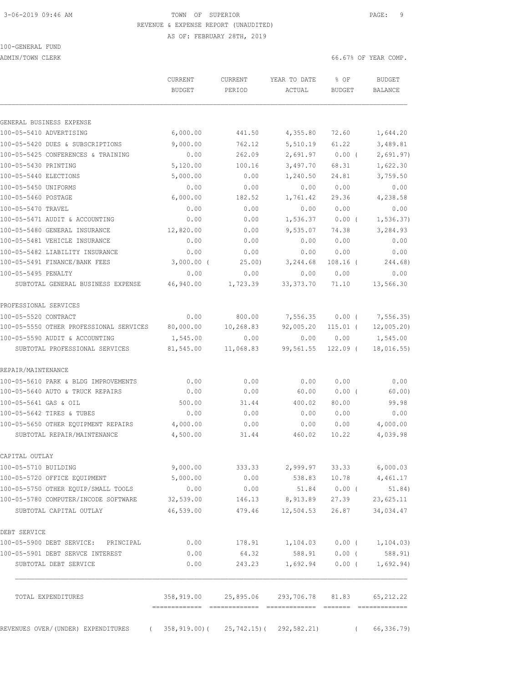# 3-06-2019 09:46 AM TOWN OF SUPERIOR PAGE: 9 REVENUE & EXPENSE REPORT (UNAUDITED)

AS OF: FEBRUARY 28TH, 2019

100-GENERAL FUND

ADMIN/TOWN CLERK 66.67% OF YEAR COMP.

|                                                                          | CURRENT<br><b>BUDGET</b> | CURRENT<br>PERIOD | YEAR TO DATE<br>ACTUAL                              | % OF<br><b>BUDGET</b> | <b>BUDGET</b><br><b>BALANCE</b> |
|--------------------------------------------------------------------------|--------------------------|-------------------|-----------------------------------------------------|-----------------------|---------------------------------|
|                                                                          |                          |                   |                                                     |                       |                                 |
| GENERAL BUSINESS EXPENSE                                                 |                          |                   |                                                     |                       |                                 |
| 100-05-5410 ADVERTISING                                                  | 6,000.00                 | 441.50            | 4,355.80                                            | 72.60                 | 1,644.20                        |
| 100-05-5420 DUES & SUBSCRIPTIONS                                         | 9,000.00                 | 762.12            | 5,510.19                                            | 61.22                 | 3,489.81                        |
| 100-05-5425 CONFERENCES & TRAINING                                       | 0.00                     | 262.09            | 2,691.97                                            | $0.00$ (              | 2,691.97)                       |
| 100-05-5430 PRINTING                                                     | 5,120.00                 | 100.16            | 3,497.70                                            | 68.31                 | 1,622.30                        |
| 100-05-5440 ELECTIONS                                                    | 5,000.00                 | 0.00              | 1,240.50                                            | 24.81                 | 3,759.50                        |
| 100-05-5450 UNIFORMS                                                     | 0.00                     | 0.00              | 0.00                                                | 0.00                  | 0.00                            |
| 100-05-5460 POSTAGE                                                      | 6,000.00                 | 182.52            | 1,761.42                                            | 29.36                 | 4,238.58                        |
| 100-05-5470 TRAVEL                                                       | 0.00                     | 0.00              | 0.00                                                | 0.00                  | 0.00                            |
| 100-05-5471 AUDIT & ACCOUNTING                                           | 0.00                     | 0.00              | 1,536.37                                            | $0.00$ (              | 1, 536.37)                      |
| 100-05-5480 GENERAL INSURANCE                                            | 12,820.00                | 0.00              | 9,535.07                                            | 74.38                 | 3,284.93                        |
| 100-05-5481 VEHICLE INSURANCE                                            | 0.00                     | 0.00              | 0.00                                                | 0.00                  | 0.00                            |
| 100-05-5482 LIABILITY INSURANCE                                          | 0.00                     | 0.00              | 0.00                                                | 0.00                  | 0.00                            |
| 100-05-5491 FINANCE/BANK FEES                                            | $3,000.00$ (             | 25.00             | 3,244.68                                            | $108.16$ (            | 244.68)                         |
| 100-05-5495 PENALTY                                                      | 0.00                     | 0.00              | 0.00                                                | 0.00                  | 0.00                            |
| SUBTOTAL GENERAL BUSINESS EXPENSE                                        | 46,940.00                | 1,723.39          | 33, 373.70                                          | 71.10                 | 13,566.30                       |
| PROFESSIONAL SERVICES                                                    |                          |                   |                                                     |                       |                                 |
| 100-05-5520 CONTRACT                                                     | 0.00                     | 800.00            | 7,556.35                                            | $0.00$ (              | 7,556.35)                       |
| 100-05-5550 OTHER PROFESSIONAL SERVICES                                  | 80,000.00                | 10,268.83         | 92,005.20                                           | $115.01$ (            | 12,005.20                       |
| 100-05-5590 AUDIT & ACCOUNTING                                           | 1,545.00                 | 0.00              | 0.00                                                | 0.00                  | 1,545.00                        |
| SUBTOTAL PROFESSIONAL SERVICES                                           | 81,545.00                | 11,068.83         | 99,561.55                                           | $122.09$ (            | 18,016.55)                      |
| REPAIR/MAINTENANCE                                                       |                          |                   |                                                     |                       |                                 |
| 100-05-5610 PARK & BLDG IMPROVEMENTS                                     | 0.00                     | 0.00              | 0.00                                                | 0.00                  | 0.00                            |
| 100-05-5640 AUTO & TRUCK REPAIRS                                         | 0.00                     | 0.00              | 60.00                                               | $0.00$ (              | 60.00)                          |
| 100-05-5641 GAS & OIL                                                    | 500.00                   | 31.44             | 400.02                                              | 80.00                 | 99.98                           |
| 100-05-5642 TIRES & TUBES                                                | 0.00                     | 0.00              | 0.00                                                | 0.00                  | 0.00                            |
| 100-05-5650 OTHER EQUIPMENT REPAIRS                                      | 4,000.00                 | 0.00              | 0.00                                                | 0.00                  | 4,000.00                        |
| SUBTOTAL REPAIR/MAINTENANCE                                              | 4,500.00                 | 31.44             | 460.02                                              | 10.22                 | 4,039.98                        |
| CAPITAL OUTLAY                                                           |                          |                   |                                                     |                       |                                 |
| 100-05-5710 BUILDING                                                     | 9,000.00                 | 333.33            |                                                     | 2,999.97 33.33        | 6,000.03                        |
| 100-05-5720 OFFICE EQUIPMENT                                             | 5,000.00                 | 0.00              | 538.83                                              |                       | 10.78 4,461.17                  |
| 100-05-5750 OTHER EQUIP/SMALL TOOLS                                      | 0.00                     | 0.00              |                                                     | 51.84 0.00 (          | 51.84)                          |
| 100-05-5780 COMPUTER/INCODE SOFTWARE 32,539.00                           |                          |                   | 146.13 8,913.89 27.39                               |                       | 23,625.11                       |
| SUBTOTAL CAPITAL OUTLAY                                                  |                          | 46,539.00 479.46  | 12,504.53                                           | 26.87                 | 34,034.47                       |
| DEBT SERVICE                                                             |                          |                   |                                                     |                       |                                 |
| 100-05-5900 DEBT SERVICE: PRINCIPAL                                      | 0.00                     |                   | 178.91   1,104.03   0.00   1,104.03)                |                       |                                 |
| 100-05-5901 DEBT SERVCE INTEREST                                         | 0.00                     | 64.32             |                                                     | 588.91 0.00 (         | 588.91)                         |
| SUBTOTAL DEBT SERVICE                                                    | 0.00                     | 243.23            |                                                     |                       | $1,692.94$ 0.00 ( 1,692.94)     |
| TOTAL EXPENDITURES                                                       |                          |                   | 358,919.00  25,895.06  293,706.78  81.83  65,212.22 |                       |                                 |
| REVENUES OVER/(UNDER) EXPENDITURES (358,919.00) (25,742.15) (292,582.21) |                          |                   |                                                     | $\sqrt{2}$            | 66,336.79)                      |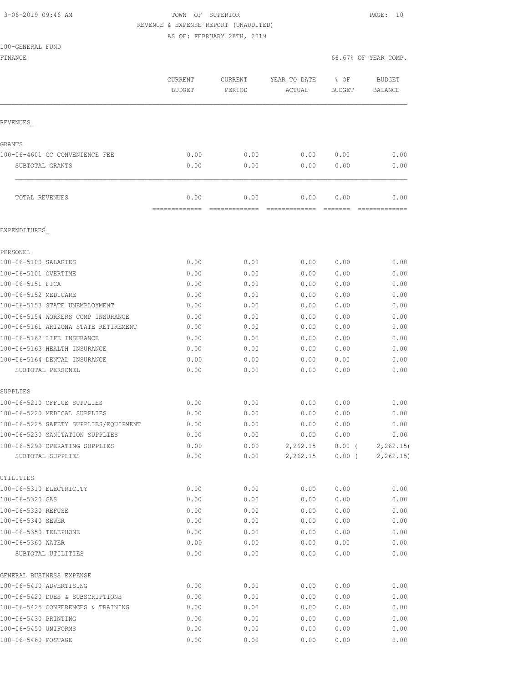# 3-06-2019 09:46 AM TOWN OF SUPERIOR PAGE: 10 REVENUE & EXPENSE REPORT (UNAUDITED)

AS OF: FEBRUARY 28TH, 2019

FINANCE 66.67% OF YEAR COMP.

|                                                   | CURRENT<br><b>BUDGET</b> | CURRENT<br>PERIOD | YEAR TO DATE<br>ACTUAL | % OF<br><b>BUDGET</b> | <b>BUDGET</b><br><b>BALANCE</b> |
|---------------------------------------------------|--------------------------|-------------------|------------------------|-----------------------|---------------------------------|
| <b>REVENUES</b>                                   |                          |                   |                        |                       |                                 |
| <b>GRANTS</b>                                     |                          |                   |                        |                       |                                 |
| 100-06-4601 CC CONVENIENCE FEE                    | 0.00                     | 0.00              | 0.00                   | 0.00                  | 0.00                            |
| SUBTOTAL GRANTS                                   | 0.00                     | 0.00              | 0.00                   | 0.00                  | 0.00                            |
| TOTAL REVENUES                                    | 0.00                     | 0.00              | 0.00                   | 0.00                  | 0.00                            |
| EXPENDITURES                                      |                          |                   |                        |                       |                                 |
| PERSONEL                                          |                          |                   |                        |                       |                                 |
| 100-06-5100 SALARIES                              | 0.00                     | 0.00              | 0.00                   | 0.00                  | 0.00                            |
| 100-06-5101 OVERTIME                              | 0.00                     | 0.00              | 0.00                   | 0.00                  | 0.00                            |
| 100-06-5151 FICA                                  | 0.00                     | 0.00              | 0.00                   | 0.00                  | 0.00                            |
| 100-06-5152 MEDICARE                              | 0.00                     | 0.00              | 0.00                   | 0.00                  | 0.00                            |
| 100-06-5153 STATE UNEMPLOYMENT                    | 0.00                     | 0.00              | 0.00                   | 0.00                  | 0.00                            |
| 100-06-5154 WORKERS COMP INSURANCE                | 0.00                     | 0.00              | 0.00                   | 0.00                  | 0.00                            |
| 100-06-5161 ARIZONA STATE RETIREMENT              | 0.00                     | 0.00              | 0.00                   | 0.00                  | 0.00                            |
| 100-06-5162 LIFE INSURANCE                        | 0.00                     | 0.00              | 0.00                   | 0.00                  | 0.00                            |
| 100-06-5163 HEALTH INSURANCE                      | 0.00                     | 0.00              | 0.00                   | 0.00                  | 0.00                            |
| 100-06-5164 DENTAL INSURANCE<br>SUBTOTAL PERSONEL | 0.00<br>0.00             | 0.00<br>0.00      | 0.00<br>0.00           | 0.00<br>0.00          | 0.00<br>0.00                    |
| SUPPLIES                                          |                          |                   |                        |                       |                                 |
| 100-06-5210 OFFICE SUPPLIES                       | 0.00                     | 0.00              | 0.00                   | 0.00                  | 0.00                            |
| 100-06-5220 MEDICAL SUPPLIES                      | 0.00                     | 0.00              | 0.00                   | 0.00                  | 0.00                            |
| 100-06-5225 SAFETY SUPPLIES/EQUIPMENT             | 0.00                     | 0.00              | 0.00                   | 0.00                  | 0.00                            |
| 100-06-5230 SANITATION SUPPLIES                   | 0.00                     | 0.00              | 0.00                   | 0.00                  | 0.00                            |
| 100-06-5299 OPERATING SUPPLIES                    | 0.00                     | 0.00              | 2,262.15               | 0.00(                 | 2, 262.15                       |
| SUBTOTAL SUPPLIES                                 | 0.00                     | 0.00              | 2,262.15               | $0.00$ (              | 2, 262.15)                      |
| UTILITIES                                         |                          |                   |                        |                       |                                 |
| 100-06-5310 ELECTRICITY<br>100-06-5320 GAS        | 0.00                     | 0.00              | 0.00                   | 0.00                  | 0.00                            |
|                                                   | 0.00                     | 0.00              | 0.00                   | 0.00                  | 0.00                            |
| 100-06-5330 REFUSE<br>100-06-5340 SEWER           | 0.00<br>0.00             | 0.00<br>0.00      | 0.00<br>0.00           | 0.00<br>0.00          | 0.00<br>0.00                    |
| 100-06-5350 TELEPHONE                             | 0.00                     | 0.00              | 0.00                   | 0.00                  | 0.00                            |
| 100-06-5360 WATER                                 | 0.00                     | 0.00              | 0.00                   | 0.00                  | 0.00                            |
| SUBTOTAL UTILITIES                                | 0.00                     | 0.00              | 0.00                   | 0.00                  | 0.00                            |
| GENERAL BUSINESS EXPENSE                          |                          |                   |                        |                       |                                 |
| 100-06-5410 ADVERTISING                           | 0.00                     | 0.00              | 0.00                   | 0.00                  | 0.00                            |
| 100-06-5420 DUES & SUBSCRIPTIONS                  | 0.00                     | 0.00              | 0.00                   | 0.00                  | 0.00                            |
| 100-06-5425 CONFERENCES & TRAINING                | 0.00                     | 0.00              | 0.00                   | 0.00                  | 0.00                            |
| 100-06-5430 PRINTING                              | 0.00                     | 0.00              | 0.00                   | 0.00                  | 0.00                            |
| 100-06-5450 UNIFORMS                              | 0.00                     | 0.00              | 0.00                   | 0.00                  | 0.00                            |
| 100-06-5460 POSTAGE                               | 0.00                     | 0.00              | 0.00                   | 0.00                  | 0.00                            |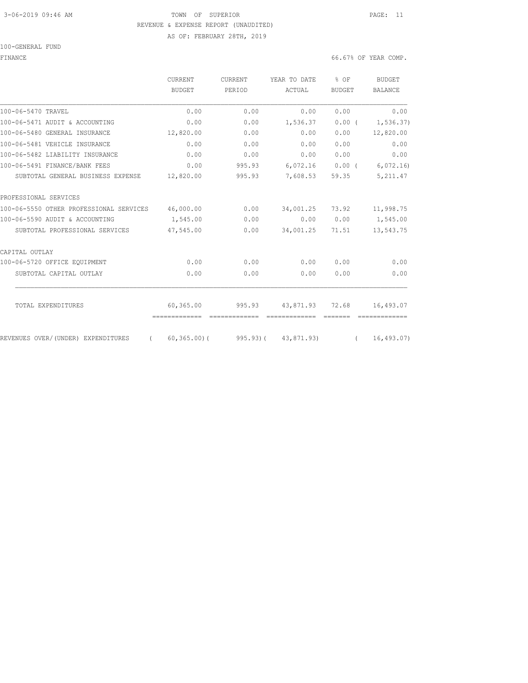## 3-06-2019 09:46 AM TOWN OF SUPERIOR PAGE: 11 REVENUE & EXPENSE REPORT (UNAUDITED) AS OF: FEBRUARY 28TH, 2019

100-GENERAL FUND

FINANCE 66.67% OF YEAR COMP.

|                                                | <b>CURRENT</b>             | <b>CURRENT</b>           | YEAR TO DATE               | $%$ OF                                                               | <b>BUDGET</b>  |
|------------------------------------------------|----------------------------|--------------------------|----------------------------|----------------------------------------------------------------------|----------------|
|                                                | <b>BUDGET</b>              | PERIOD                   | <b>ACTUAL</b>              | <b>BUDGET</b>                                                        | <b>BALANCE</b> |
| 100-06-5470 TRAVEL                             | 0.00                       | 0.00                     | 0.00                       | 0.00                                                                 | 0.00           |
| 100-06-5471 AUDIT & ACCOUNTING                 | 0.00                       | 0.00                     | 1,536.37                   | 0.00(                                                                | 1, 536.37)     |
| 100-06-5480 GENERAL INSURANCE                  | 12,820.00                  | 0.00                     | 0.00                       | 0.00                                                                 | 12,820.00      |
| 100-06-5481 VEHICLE INSURANCE                  | 0.00                       | 0.00                     | 0.00                       | 0.00                                                                 | 0.00           |
| 100-06-5482 LIABILITY INSURANCE                | 0.00                       | 0.00                     | 0.00                       | 0.00                                                                 | 0.00           |
| 100-06-5491 FINANCE/BANK FEES                  | 0.00                       | 995.93                   | 6,072.16                   | $0.00$ (                                                             | 6,072.16       |
| SUBTOTAL GENERAL BUSINESS EXPENSE              | 12,820.00                  | 995.93                   | 7,608.53                   | 59.35                                                                | 5, 211.47      |
| PROFESSIONAL SERVICES                          |                            |                          |                            |                                                                      |                |
| 100-06-5550 OTHER PROFESSIONAL SERVICES        | 46,000.00                  | 0.00                     | 34,001.25                  | 73.92                                                                | 11,998.75      |
| 100-06-5590 AUDIT & ACCOUNTING                 | 1,545.00                   | 0.00                     | 0.00                       | 0.00                                                                 | 1,545.00       |
| SUBTOTAL PROFESSIONAL SERVICES                 | 47,545.00                  | 0.00                     | 34,001.25                  | 71.51                                                                | 13,543.75      |
| CAPITAL OUTLAY                                 |                            |                          |                            |                                                                      |                |
| 100-06-5720 OFFICE EQUIPMENT                   | 0.00                       | 0.00                     | 0.00                       | 0.00                                                                 | 0.00           |
| SUBTOTAL CAPITAL OUTLAY                        | 0.00                       | 0.00                     | 0.00                       | 0.00                                                                 | 0.00           |
|                                                |                            |                          |                            |                                                                      |                |
| TOTAL EXPENDITURES                             | 60,365.00<br>------------- | 995.93<br>-------------- | 43,871.93<br>============= | 72.68<br>$\begin{array}{cccccc} = & = & = & = & = & = & \end{array}$ | 16,493.07      |
| REVENUES OVER/(UNDER) EXPENDITURES<br>$\left($ | $60, 365, 00$ (            |                          | 995.93) (43,871.93)        | $\sqrt{2}$                                                           | 16, 493.07     |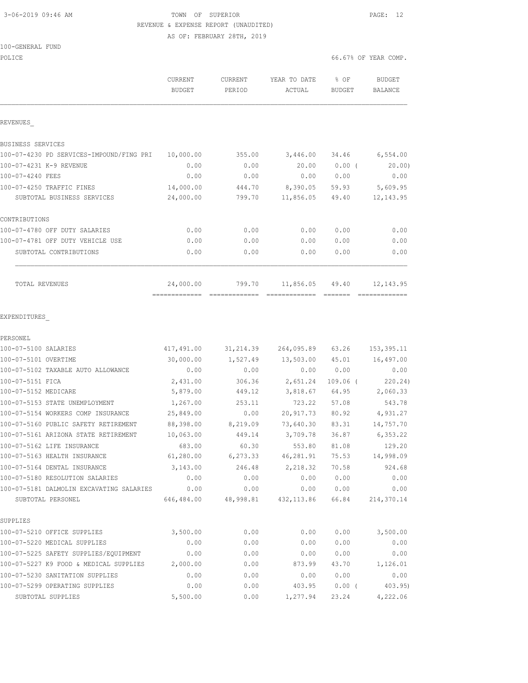# 3-06-2019 09:46 AM TOWN OF SUPERIOR PAGE: 12 REVENUE & EXPENSE REPORT (UNAUDITED)

AS OF: FEBRUARY 28TH, 2019

|  |  |  | 100-GENERAL FUND |  |
|--|--|--|------------------|--|
|--|--|--|------------------|--|

| POLICE                                                       |                                 |                    |                        |                       | 66.67% OF YEAR COMP.     |
|--------------------------------------------------------------|---------------------------------|--------------------|------------------------|-----------------------|--------------------------|
|                                                              | <b>CURRENT</b><br><b>BUDGET</b> | CURRENT<br>PERIOD  | YEAR TO DATE<br>ACTUAL | % OF<br><b>BUDGET</b> | <b>BUDGET</b><br>BALANCE |
| REVENUES                                                     |                                 |                    |                        |                       |                          |
| BUSINESS SERVICES                                            |                                 |                    |                        |                       |                          |
| 100-07-4230 PD SERVICES-IMPOUND/FING PRI                     | 10,000.00                       | 355.00             | 3,446.00               | 34.46                 | 6,554.00                 |
| 100-07-4231 K-9 REVENUE                                      | 0.00                            | 0.00               | 20.00                  | $0.00$ (              | 20.00                    |
| 100-07-4240 FEES                                             | 0.00                            | 0.00               | 0.00                   | 0.00                  | 0.00                     |
| 100-07-4250 TRAFFIC FINES                                    | 14,000.00                       | 444.70             | 8,390.05               | 59.93                 | 5,609.95                 |
| SUBTOTAL BUSINESS SERVICES                                   | 24,000.00                       | 799.70             | 11,856.05              | 49.40                 | 12, 143.95               |
| CONTRIBUTIONS                                                |                                 |                    |                        |                       |                          |
| 100-07-4780 OFF DUTY SALARIES                                | 0.00                            | 0.00               | 0.00                   | 0.00                  | 0.00                     |
| 100-07-4781 OFF DUTY VEHICLE USE                             | 0.00                            | 0.00               | 0.00                   | 0.00                  | 0.00                     |
| SUBTOTAL CONTRIBUTIONS                                       | 0.00                            | 0.00               | 0.00                   | 0.00                  | 0.00                     |
| TOTAL REVENUES                                               | 24,000.00                       | 799.70             | 11,856.05              | 49.40                 | 12, 143.95               |
| EXPENDITURES<br>PERSONEL                                     |                                 |                    |                        |                       |                          |
| 100-07-5100 SALARIES                                         | 417,491.00                      | 31, 214.39         | 264,095.89             | 63.26                 | 153,395.11               |
| 100-07-5101 OVERTIME                                         | 30,000.00                       | 1,527.49           | 13,503.00              | 45.01                 | 16,497.00                |
| 100-07-5102 TAXABLE AUTO ALLOWANCE                           | 0.00                            | 0.00               | 0.00                   | 0.00                  | 0.00                     |
| 100-07-5151 FICA                                             | 2,431.00                        | 306.36             | 2,651.24               | $109.06$ (            | 220.24)                  |
| 100-07-5152 MEDICARE                                         | 5,879.00                        | 449.12             | 3,818.67               | 64.95                 | 2,060.33                 |
| 100-07-5153 STATE UNEMPLOYMENT                               | 1,267.00                        | 253.11             | 723.22                 | 57.08                 | 543.78                   |
| 100-07-5154 WORKERS COMP INSURANCE                           | 25,849.00                       | 0.00               | 20,917.73              | 80.92                 | 4,931.27                 |
| 100-07-5160 PUBLIC SAFETY RETIREMENT                         | 88,398.00                       | 8,219.09           | 73,640.30              | 83.31                 | 14,757.70                |
| 100-07-5161 ARIZONA STATE RETIREMENT                         | 10,063.00                       | 449.14             | 3,709.78               | 36.87                 | 6,353.22                 |
| 100-07-5162 LIFE INSURANCE                                   | 683.00                          | 60.30              | 553.80                 | 81.08                 | 129.20                   |
| 100-07-5163 HEALTH INSURANCE<br>100-07-5164 DENTAL INSURANCE | 61,280.00<br>3,143.00           | 6,273.33<br>246.48 | 46,281.91<br>2,218.32  | 75.53<br>70.58        | 14,998.09<br>924.68      |
| 100-07-5180 RESOLUTION SALARIES                              | 0.00                            | 0.00               | 0.00                   | 0.00                  | 0.00                     |
| 100-07-5181 DALMOLIN EXCAVATING SALARIES                     | 0.00                            | 0.00               | 0.00                   | 0.00                  | 0.00                     |
| SUBTOTAL PERSONEL                                            | 646,484.00                      | 48,998.81          | 432, 113.86            | 66.84                 | 214,370.14               |
| SUPPLIES                                                     |                                 |                    |                        |                       |                          |
| 100-07-5210 OFFICE SUPPLIES                                  | 3,500.00                        | 0.00               | 0.00                   | 0.00                  | 3,500.00                 |
| 100-07-5220 MEDICAL SUPPLIES                                 | 0.00                            | 0.00               | 0.00                   | 0.00                  | 0.00                     |
| 100-07-5225 SAFETY SUPPLIES/EQUIPMENT                        | 0.00                            | 0.00               | 0.00                   | 0.00                  | 0.00                     |
| 100-07-5227 K9 FOOD & MEDICAL SUPPLIES                       | 2,000.00                        | 0.00               | 873.99                 | 43.70                 | 1,126.01                 |
| 100-07-5230 SANITATION SUPPLIES                              | 0.00                            | 0.00               | 0.00                   | 0.00                  | 0.00                     |

100-07-5299 OPERATING SUPPLIES 0.00 0.00 403.95 0.00 ( 403.95) SUBTOTAL SUPPLIES 5,500.00 0.00 1,277.94 23.24 4,222.06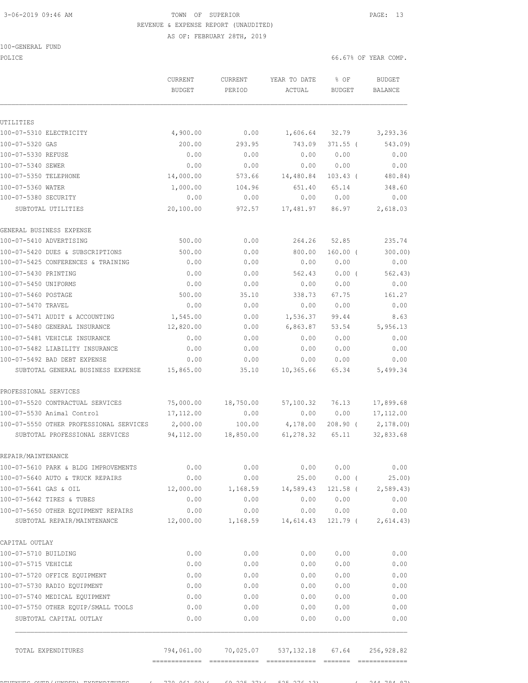# 3-06-2019 09:46 AM TOWN OF SUPERIOR PAGE: 13 REVENUE & EXPENSE REPORT (UNAUDITED)

AS OF: FEBRUARY 28TH, 2019

|  | 100-GENERAL | FUND |
|--|-------------|------|
|  |             |      |

POLICE 66.67% OF YEAR COMP.

|                                         | CURRENT<br><b>BUDGET</b> | <b>CURRENT</b><br>PERIOD | YEAR TO DATE<br>ACTUAL | % OF<br><b>BUDGET</b> | <b>BUDGET</b><br><b>BALANCE</b> |
|-----------------------------------------|--------------------------|--------------------------|------------------------|-----------------------|---------------------------------|
|                                         |                          |                          |                        |                       |                                 |
| UTILITIES                               |                          |                          |                        |                       |                                 |
| 100-07-5310 ELECTRICITY                 | 4,900.00                 | 0.00                     | 1,606.64               | 32.79                 | 3,293.36                        |
| 100-07-5320 GAS                         | 200.00                   | 293.95                   | 743.09                 | $371.55$ (            | 543.09)                         |
| 100-07-5330 REFUSE                      | 0.00                     | 0.00                     | 0.00                   | 0.00                  | 0.00                            |
| 100-07-5340 SEWER                       | 0.00                     | 0.00                     | 0.00                   | 0.00                  | 0.00                            |
| 100-07-5350 TELEPHONE                   | 14,000.00                | 573.66                   | 14,480.84              | $103.43$ (            | 480.84)                         |
| 100-07-5360 WATER                       | 1,000.00                 | 104.96                   | 651.40                 | 65.14                 | 348.60                          |
| 100-07-5380 SECURITY                    | 0.00                     | 0.00                     | 0.00                   | 0.00                  | 0.00                            |
| SUBTOTAL UTILITIES                      | 20,100.00                | 972.57                   | 17,481.97              | 86.97                 | 2,618.03                        |
| GENERAL BUSINESS EXPENSE                |                          |                          |                        |                       |                                 |
| 100-07-5410 ADVERTISING                 | 500.00                   | 0.00                     | 264.26                 | 52.85                 | 235.74                          |
| 100-07-5420 DUES & SUBSCRIPTIONS        | 500.00                   | 0.00                     | 800.00                 | $160.00$ (            | 300.00)                         |
| 100-07-5425 CONFERENCES & TRAINING      | 0.00                     | 0.00                     | 0.00                   | 0.00                  | 0.00                            |
| 100-07-5430 PRINTING                    | 0.00                     | 0.00                     | 562.43                 | 0.00(                 | 562.43)                         |
| 100-07-5450 UNIFORMS                    | 0.00                     | 0.00                     | 0.00                   | 0.00                  | 0.00                            |
| 100-07-5460 POSTAGE                     | 500.00                   | 35.10                    | 338.73                 | 67.75                 | 161.27                          |
| 100-07-5470 TRAVEL                      | 0.00                     | 0.00                     | 0.00                   | 0.00                  | 0.00                            |
| 100-07-5471 AUDIT & ACCOUNTING          | 1,545.00                 | 0.00                     | 1,536.37               | 99.44                 | 8.63                            |
| 100-07-5480 GENERAL INSURANCE           | 12,820.00                | 0.00                     | 6,863.87               | 53.54                 | 5,956.13                        |
| 100-07-5481 VEHICLE INSURANCE           | 0.00                     | 0.00                     | 0.00                   | 0.00                  | 0.00                            |
| 100-07-5482 LIABILITY INSURANCE         | 0.00                     | 0.00                     | 0.00                   | 0.00                  | 0.00                            |
| 100-07-5492 BAD DEBT EXPENSE            | 0.00                     | 0.00                     | 0.00                   | 0.00                  | 0.00                            |
| SUBTOTAL GENERAL BUSINESS EXPENSE       | 15,865.00                | 35.10                    | 10,365.66              | 65.34                 | 5,499.34                        |
| PROFESSIONAL SERVICES                   |                          |                          |                        |                       |                                 |
| 100-07-5520 CONTRACTUAL SERVICES        | 75,000.00                | 18,750.00                | 57,100.32              | 76.13                 | 17,899.68                       |
| 100-07-5530 Animal Control              | 17,112.00                | 0.00                     | 0.00                   | 0.00                  | 17, 112.00                      |
| 100-07-5550 OTHER PROFESSIONAL SERVICES | 2,000.00                 | 100.00                   | 4,178.00               | $208.90$ (            | 2,178.00)                       |
| SUBTOTAL PROFESSIONAL SERVICES          | 94,112.00                | 18,850.00                | 61,278.32              | 65.11                 | 32,833.68                       |
| REPAIR/MAINTENANCE                      |                          |                          |                        |                       |                                 |
| 100-07-5610 PARK & BLDG IMPROVEMENTS    | 0.00                     | 0.00                     | 0.00                   | 0.00                  | 0.00                            |
| 100-07-5640 AUTO & TRUCK REPAIRS        | 0.00                     | 0.00                     | 25.00                  | $0.00$ (              | 25.00)                          |
| 100-07-5641 GAS & OIL                   | 12,000.00                | 1,168.59                 | 14,589.43              | 121.58 (              | 2,589.43                        |
| 100-07-5642 TIRES & TUBES               | 0.00                     | 0.00                     | 0.00                   | 0.00                  | 0.00                            |
| 100-07-5650 OTHER EQUIPMENT REPAIRS     | 0.00                     | 0.00                     | 0.00                   | 0.00                  | 0.00                            |
| SUBTOTAL REPAIR/MAINTENANCE             | 12,000.00                | 1,168.59                 | 14,614.43              | 121.79 (              | 2,614.43)                       |
| CAPITAL OUTLAY                          |                          |                          |                        |                       |                                 |
| 100-07-5710 BUILDING                    | 0.00                     | 0.00                     | 0.00                   | 0.00                  | 0.00                            |
| 100-07-5715 VEHICLE                     | 0.00                     | 0.00                     | 0.00                   | 0.00                  | 0.00                            |
| 100-07-5720 OFFICE EQUIPMENT            | 0.00                     | 0.00                     | 0.00                   | 0.00                  | 0.00                            |
| 100-07-5730 RADIO EQUIPMENT             | 0.00                     | 0.00                     | 0.00                   | 0.00                  | 0.00                            |
| 100-07-5740 MEDICAL EQUIPMENT           | 0.00                     | 0.00                     | 0.00                   | 0.00                  | 0.00                            |
| 100-07-5750 OTHER EQUIP/SMALL TOOLS     | 0.00                     | 0.00                     | 0.00                   | 0.00                  | 0.00                            |
| SUBTOTAL CAPITAL OUTLAY                 | 0.00                     | 0.00                     | 0.00                   | 0.00                  | 0.00                            |
| TOTAL EXPENDITURES                      | 794,061.00               | 70,025.07                | 537, 132.18            | 67.64                 | 256,928.82                      |

REVENUES OVER/(UNDER) EXPENDITURES ( 770,061.00)( 69,225.37)( 525,276.13) ( 244,784.87)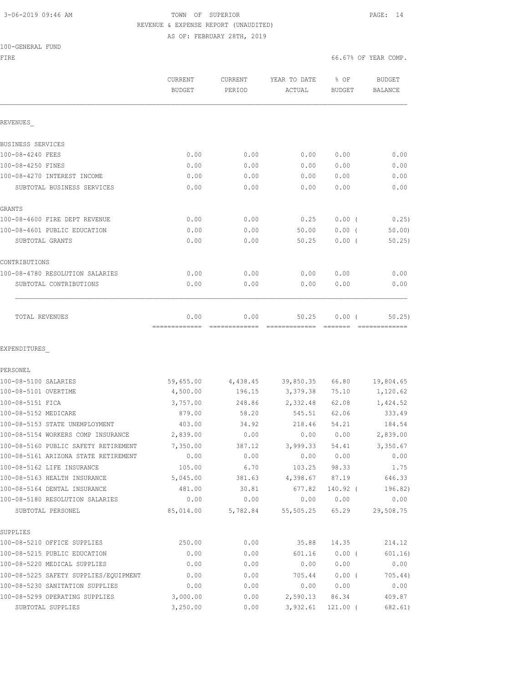#### 3-06-2019 09:46 AM TOWN OF SUPERIOR PAGE: 14 REVENUE & EXPENSE REPORT (UNAUDITED) AS OF: FEBRUARY 28TH, 2019

|                                       | CURRENT<br><b>BUDGET</b> | CURRENT<br>PERIOD     | YEAR TO DATE<br>ACTUAL | % OF<br><b>BUDGET</b> | <b>BUDGET</b><br>BALANCE |
|---------------------------------------|--------------------------|-----------------------|------------------------|-----------------------|--------------------------|
| REVENUES                              |                          |                       |                        |                       |                          |
| BUSINESS SERVICES                     |                          |                       |                        |                       |                          |
| 100-08-4240 FEES                      | 0.00                     | 0.00                  | 0.00                   | 0.00                  | 0.00                     |
| 100-08-4250 FINES                     | 0.00                     | 0.00                  | 0.00                   | 0.00                  | 0.00                     |
| 100-08-4270 INTEREST INCOME           | 0.00                     | 0.00                  | 0.00                   | 0.00                  | 0.00                     |
| SUBTOTAL BUSINESS SERVICES            | 0.00                     | 0.00                  | 0.00                   | 0.00                  | 0.00                     |
| GRANTS                                |                          |                       |                        |                       |                          |
| 100-08-4600 FIRE DEPT REVENUE         | 0.00                     | 0.00                  | 0.25                   | 0.00(                 | 0.25)                    |
| 100-08-4601 PUBLIC EDUCATION          | 0.00                     | 0.00                  | 50.00                  | 0.00(                 | 50.00                    |
| SUBTOTAL GRANTS                       | 0.00                     | 0.00                  | 50.25                  | $0.00$ (              | 50.25                    |
| CONTRIBUTIONS                         |                          |                       |                        |                       |                          |
| 100-08-4780 RESOLUTION SALARIES       | 0.00                     | 0.00                  | 0.00                   | 0.00                  | 0.00                     |
| SUBTOTAL CONTRIBUTIONS                | 0.00                     | 0.00                  | 0.00                   | 0.00                  | 0.00                     |
| TOTAL REVENUES                        | 0.00<br>=============    | 0.00<br>------------- | 50.25                  | 0.00(                 | 50.25<br>-----------     |
| EXPENDITURES                          |                          |                       |                        |                       |                          |
| PERSONEL                              |                          |                       |                        |                       |                          |
| 100-08-5100 SALARIES                  | 59,655.00                | 4,438.45              | 39,850.35              | 66.80                 | 19,804.65                |
| 100-08-5101 OVERTIME                  | 4,500.00                 | 196.15                | 3,379.38               | 75.10                 | 1,120.62                 |
| 100-08-5151 FICA                      | 3,757.00                 | 248.86                | 2,332.48               | 62.08                 | 1,424.52                 |
| 100-08-5152 MEDICARE                  | 879.00                   | 58.20                 | 545.51                 | 62.06                 | 333.49                   |
| 100-08-5153 STATE UNEMPLOYMENT        | 403.00                   | 34.92                 | 218.46                 | 54.21                 | 184.54                   |
| 100-08-5154 WORKERS COMP INSURANCE    | 2,839.00                 | 0.00                  | 0.00                   | 0.00                  | 2,839.00                 |
| 100-08-5160 PUBLIC SAFETY RETIREMENT  | 7,350.00                 | 387.12                | 3,999.33               | 54.41                 | 3,350.67                 |
| 100-08-5161 ARIZONA STATE RETIREMENT  | 0.00                     | 0.00                  | 0.00                   | 0.00                  | 0.00                     |
| 100-08-5162 LIFE INSURANCE            | 105.00                   | 6.70                  | 103.25                 | 98.33                 | 1.75                     |
| 100-08-5163 HEALTH INSURANCE          | 5,045.00                 | 381.63                | 4,398.67               | 87.19                 | 646.33                   |
| 100-08-5164 DENTAL INSURANCE          | 481.00                   | 30.81                 | 677.82                 | 140.92 (              | 196.82)                  |
| 100-08-5180 RESOLUTION SALARIES       | 0.00                     | 0.00                  | 0.00                   | 0.00                  | 0.00                     |
| SUBTOTAL PERSONEL                     | 85,014.00                | 5,782.84              | 55,505.25              | 65.29                 | 29,508.75                |
| SUPPLIES                              |                          |                       |                        |                       |                          |
| 100-08-5210 OFFICE SUPPLIES           | 250.00                   | 0.00                  | 35.88                  | 14.35                 | 214.12                   |
| 100-08-5215 PUBLIC EDUCATION          | 0.00                     | 0.00                  | 601.16                 | $0.00$ (              | 601.16)                  |
| 100-08-5220 MEDICAL SUPPLIES          | 0.00                     | 0.00                  | 0.00                   | 0.00                  | 0.00                     |
| 100-08-5225 SAFETY SUPPLIES/EQUIPMENT | 0.00                     | 0.00                  | 705.44                 | $0.00$ (              | 705.44)                  |
| 100-08-5230 SANITATION SUPPLIES       | 0.00                     | 0.00                  | 0.00                   | 0.00                  | 0.00                     |
| 100-08-5299 OPERATING SUPPLIES        | 3,000.00                 | 0.00                  | 2,590.13               | 86.34                 | 409.87                   |

SUBTOTAL SUPPLIES 3,250.00 0.00 3,932.61 121.00 ( 682.61)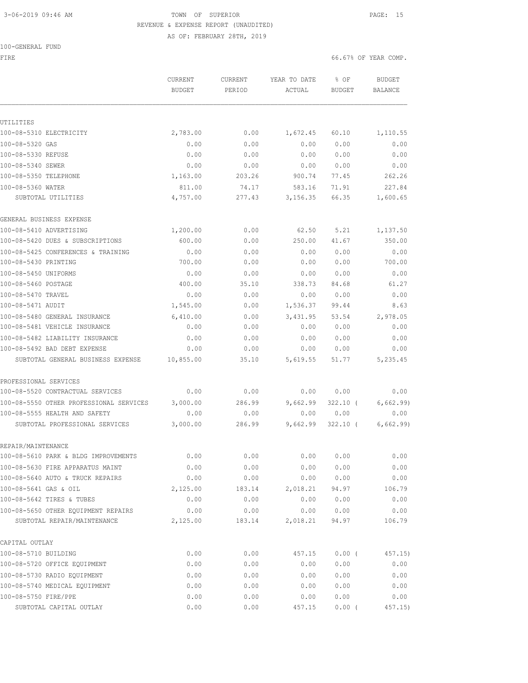# 3-06-2019 09:46 AM TOWN OF SUPERIOR PAGE: 15 REVENUE & EXPENSE REPORT (UNAUDITED)

AS OF: FEBRUARY 28TH, 2019

## 100-GENERAL FUND

FIRE  $\sim$  66.67% OF YEAR COMP.

|                                            | <b>CURRENT</b>     | <b>CURRENT</b>  | YEAR TO DATE     | % OF           | <b>BUDGET</b>      |
|--------------------------------------------|--------------------|-----------------|------------------|----------------|--------------------|
|                                            | <b>BUDGET</b>      | PERIOD          | ACTUAL           | BUDGET         | BALANCE            |
|                                            |                    |                 |                  |                |                    |
| UTILITIES<br>100-08-5310 ELECTRICITY       |                    |                 |                  |                |                    |
|                                            | 2,783.00           | 0.00            | 1,672.45         | 60.10          | 1,110.55           |
| 100-08-5320 GAS<br>100-08-5330 REFUSE      | 0.00<br>0.00       | 0.00<br>0.00    | 0.00<br>0.00     | 0.00<br>0.00   | 0.00<br>0.00       |
|                                            |                    |                 |                  |                |                    |
| 100-08-5340 SEWER                          | 0.00<br>1,163.00   | 0.00            | 0.00             | 0.00<br>77.45  | 0.00<br>262.26     |
| 100-08-5350 TELEPHONE<br>100-08-5360 WATER |                    | 203.26          | 900.74<br>583.16 |                |                    |
| SUBTOTAL UTILITIES                         | 811.00<br>4,757.00 | 74.17<br>277.43 | 3,156.35         | 71.91<br>66.35 | 227.84<br>1,600.65 |
| GENERAL BUSINESS EXPENSE                   |                    |                 |                  |                |                    |
| 100-08-5410 ADVERTISING                    | 1,200.00           | 0.00            | 62.50            | 5.21           | 1,137.50           |
| 100-08-5420 DUES & SUBSCRIPTIONS           | 600.00             | 0.00            | 250.00           | 41.67          | 350.00             |
| 100-08-5425 CONFERENCES & TRAINING         | 0.00               | 0.00            | 0.00             | 0.00           | 0.00               |
| 100-08-5430 PRINTING                       | 700.00             | 0.00            | 0.00             | 0.00           | 700.00             |
| 100-08-5450 UNIFORMS                       | 0.00               | 0.00            | 0.00             | 0.00           | 0.00               |
| 100-08-5460 POSTAGE                        | 400.00             | 35.10           | 338.73           | 84.68          | 61.27              |
| 100-08-5470 TRAVEL                         | 0.00               | 0.00            | 0.00             | 0.00           | 0.00               |
| 100-08-5471 AUDIT                          | 1,545.00           | 0.00            | 1,536.37         | 99.44          | 8.63               |
| 100-08-5480 GENERAL INSURANCE              | 6,410.00           | 0.00            | 3,431.95         | 53.54          | 2,978.05           |
| 100-08-5481 VEHICLE INSURANCE              | 0.00               | 0.00            | 0.00             | 0.00           | 0.00               |
| 100-08-5482 LIABILITY INSURANCE            | 0.00               | 0.00            | 0.00             | 0.00           | 0.00               |
| 100-08-5492 BAD DEBT EXPENSE               | 0.00               | 0.00            | 0.00             | 0.00           | 0.00               |
| SUBTOTAL GENERAL BUSINESS EXPENSE          | 10,855.00          | 35.10           | 5,619.55         | 51.77          | 5,235.45           |
| PROFESSIONAL SERVICES                      |                    |                 |                  |                |                    |
| 100-08-5520 CONTRACTUAL SERVICES           | 0.00               | 0.00            | 0.00             | 0.00           | 0.00               |
| 100-08-5550 OTHER PROFESSIONAL SERVICES    | 3,000.00           | 286.99          | 9,662.99         | $322.10$ (     | 6,662.99)          |
| 100-08-5555 HEALTH AND SAFETY              | 0.00               | 0.00            | 0.00             | 0.00           | 0.00               |
| SUBTOTAL PROFESSIONAL SERVICES             | 3,000.00           | 286.99          | 9,662.99         | $322.10$ (     | 6,662.99)          |
| REPAIR/MAINTENANCE                         |                    |                 |                  |                |                    |
| 100-08-5610 PARK & BLDG IMPROVEMENTS       | 0.00               | 0.00            | 0.00             | 0.00           | 0.00               |
| 100-08-5630 FIRE APPARATUS MAINT           | 0.00               | 0.00            | 0.00             | 0.00           | 0.00               |
| 100-08-5640 AUTO & TRUCK REPAIRS           | 0.00               | 0.00            | 0.00             | 0.00           | 0.00               |
| 100-08-5641 GAS & OIL                      | 2,125.00           | 183.14          | 2,018.21         | 94.97          | 106.79             |
| 100-08-5642 TIRES & TUBES                  | 0.00               | 0.00            | 0.00             | 0.00           | 0.00               |
| 100-08-5650 OTHER EQUIPMENT REPAIRS        | 0.00               | 0.00            | 0.00             | 0.00           | 0.00               |
| SUBTOTAL REPAIR/MAINTENANCE                | 2,125.00           | 183.14          | 2,018.21         | 94.97          | 106.79             |
| CAPITAL OUTLAY                             |                    |                 |                  |                |                    |
| 100-08-5710 BUILDING                       | 0.00               | 0.00            | 457.15           | 0.00(          | 457.15)            |
| 100-08-5720 OFFICE EQUIPMENT               | 0.00               | 0.00            | 0.00             | 0.00           | 0.00               |
| 100-08-5730 RADIO EQUIPMENT                | 0.00               | 0.00            | 0.00             | 0.00           | 0.00               |
| 100-08-5740 MEDICAL EQUIPMENT              | 0.00               | 0.00            | 0.00             | 0.00           | 0.00               |
| 100-08-5750 FIRE/PPE                       | 0.00               | 0.00            | 0.00             | 0.00           | 0.00               |
| SUBTOTAL CAPITAL OUTLAY                    | 0.00               | 0.00            | 457.15           | $0.00$ (       | 457.15)            |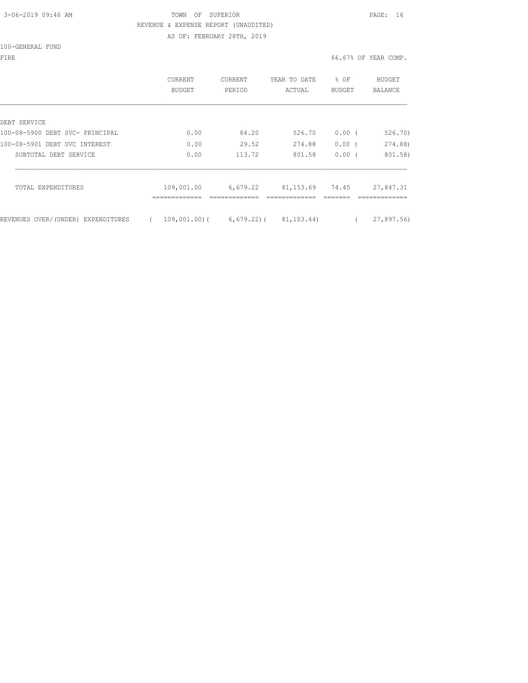# 3-06-2019 09:46 AM TOWN OF SUPERIOR PAGE: 16 REVENUE & EXPENSE REPORT (UNAUDITED)

AS OF: FEBRUARY 28TH, 2019

100-GENERAL FUND

FIRE 66.67% OF YEAR COMP.

|                                    | <b>CURRENT</b><br><b>BUDGET</b> | <b>CURRENT</b><br>PERIOD | YEAR TO DATE<br>ACTUAL | % OF<br><b>BUDGET</b> | <b>BUDGET</b><br>BALANCE |
|------------------------------------|---------------------------------|--------------------------|------------------------|-----------------------|--------------------------|
| DEBT SERVICE                       |                                 |                          |                        |                       |                          |
| 100-08-5900 DEBT SVC- PRINCIPAL    | 0.00                            | 84.20                    | 526.70                 | 0.00(                 | 526.70)                  |
| 100-08-5901 DEBT SVC INTEREST      | 0.00                            | 29.52                    | 274.88                 | $0.00$ (              | 274.88)                  |
| SUBTOTAL DEBT SERVICE              | 0.00                            | 113.72                   | 801.58                 | 0.00(                 | 801.58)                  |
| TOTAL EXPENDITURES                 | 109,001.00                      | 6,679.22                 | 81,153.69              | 74.45                 | 27,847.31                |
| REVENUES OVER/(UNDER) EXPENDITURES |                                 | $109,001,00$ (6,679.22)( | 81,103.44)             |                       | 27,897.56)               |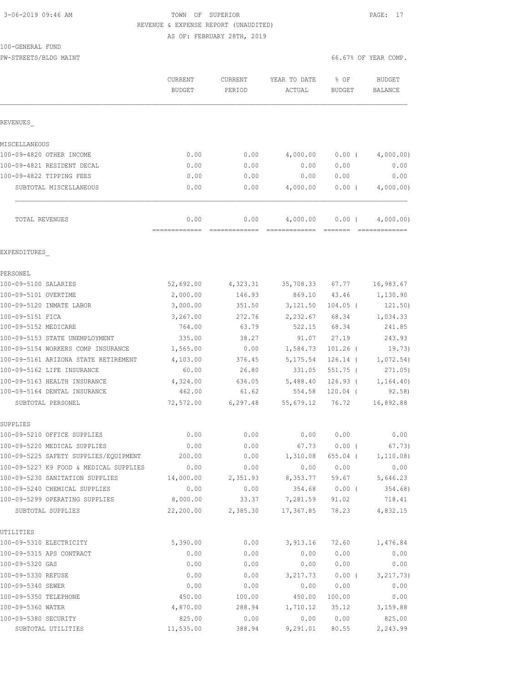## 3-06-2019 09:46 AM TOWN OF SUPERIOR PAGE: 17 REVENUE & EXPENSE REPORT (UNAUDITED) AS OF: FEBRUARY 28TH, 2019

PW-STREETS/BLDG MAINT 66.67% OF YEAR COMP.

|                                                                                 | CURRENT<br><b>BUDGET</b> | CURRENT<br>PERIOD | YEAR TO DATE<br>ACTUAL                      | % OF<br><b>BUDGET</b>  | <b>BUDGET</b><br><b>BALANCE</b> |
|---------------------------------------------------------------------------------|--------------------------|-------------------|---------------------------------------------|------------------------|---------------------------------|
| REVENUES                                                                        |                          |                   |                                             |                        |                                 |
| MISCELLANEOUS                                                                   |                          |                   |                                             |                        |                                 |
| 100-09-4820 OTHER INCOME                                                        | 0.00                     | 0.00              | 4,000.00                                    | $0.00$ (               | 4,000.00)                       |
| 100-09-4821 RESIDENT DECAL                                                      | 0.00                     | 0.00              | 0.00                                        | 0.00                   | 0.00                            |
| 100-09-4822 TIPPING FEES                                                        | 0.00                     | 0.00              | 0.00                                        | 0.00                   | 0.00                            |
| SUBTOTAL MISCELLANEOUS                                                          | 0.00                     | 0.00              | 4,000.00                                    | $0.00$ (               | 4,000.00)                       |
| TOTAL REVENUES                                                                  | 0.00                     | 0.00              | 4,000.00                                    | $0.00$ (               | 4,000.00)                       |
| EXPENDITURES                                                                    |                          |                   |                                             |                        |                                 |
| PERSONEL                                                                        |                          |                   |                                             |                        |                                 |
| 100-09-5100 SALARIES                                                            | 52,692.00                | 4,323.31          | 35,708.33                                   | 67.77                  | 16,983.67                       |
| 100-09-5101 OVERTIME                                                            | 2,000.00                 | 146.93            | 869.10                                      | 43.46                  | 1,130.90                        |
| 100-09-5120 INMATE LABOR                                                        | 3,000.00                 | 351.50            | 3,121.50                                    | $104.05$ (             | 121.50)                         |
| 100-09-5151 FICA                                                                | 3,267.00                 | 272.76            | 2,232.67                                    | 68.34                  | 1,034.33                        |
| 100-09-5152 MEDICARE                                                            | 764.00                   | 63.79             | 522.15                                      | 68.34                  | 241.85                          |
| 100-09-5153 STATE UNEMPLOYMENT                                                  | 335.00                   | 38.27             | 91.07                                       | 27.19                  | 243.93                          |
| 100-09-5154 WORKERS COMP INSURANCE                                              | 1,565.00                 | 0.00              | 1,584.73                                    | $101.26$ (             | 19.73)                          |
| 100-09-5161 ARIZONA STATE RETIREMENT                                            | 4,103.00                 | 376.45            | 5,175.54                                    | $126.14$ (             | 1,072.54)                       |
| 100-09-5162 LIFE INSURANCE                                                      | 60.00                    | 26.80             | 331.05                                      | 551.75 (               | 271.05)                         |
| 100-09-5163 HEALTH INSURANCE                                                    | 4,324.00                 | 636.05            | 5,488.40                                    | $126.93$ (             | 1, 164.40)                      |
| 100-09-5164 DENTAL INSURANCE                                                    | 462.00                   | 61.62             | 554.58                                      | $120.04$ (             | 92.58)                          |
| SUBTOTAL PERSONEL                                                               | 72,572.00                | 6,297.48          | 55,679.12                                   | 76.72                  | 16,892.88                       |
| SUPPLIES                                                                        |                          |                   |                                             |                        |                                 |
| 100-09-5210 OFFICE SUPPLIES                                                     | 0.00                     | 0.00              | 0.00                                        | 0.00                   | 0.00                            |
| 100-09-5220 MEDICAL SUPPLIES                                                    | 0.00                     | 0.00              | 67.73                                       | $0.00$ (               | 67.73)                          |
| 100-09-5225 SAFETY SUPPLIES/EQUIPMENT<br>100-09-5227 K9 FOOD & MEDICAL SUPPLIES | 200.00                   | 0.00              | 1,310.08                                    | 655.04 (               | 1,110.08)                       |
| 100-09-5230 SANITATION SUPPLIES                                                 | 0.00<br>14,000.00        | 0.00<br>2,351.93  | 0.00                                        | 0.00<br>8,353.77 59.67 | 0.00<br>5,646.23                |
| 100-09-5240 CHEMICAL SUPPLIES                                                   | 0.00                     | 0.00              |                                             | 354.68 0.00 (          | 354.68)                         |
| 100-09-5299 OPERATING SUPPLIES                                                  | 8,000.00                 | 33.37             | 7,281.59 91.02                              |                        | 718.41                          |
| SUBTOTAL SUPPLIES                                                               |                          |                   | 22,200.00 2,385.30 17,367.85 78.23 4,832.15 |                        |                                 |
| UTILITIES                                                                       |                          |                   |                                             |                        |                                 |
| 100-09-5310 ELECTRICITY                                                         | 5,390.00                 |                   | $0.00$ $3,913.16$ $72.60$ $1,476.84$        |                        |                                 |
| 100-09-5315 APS CONTRACT                                                        | 0.00                     | 0.00              |                                             | 0.00 0.00              | 0.00                            |
| 100-09-5320 GAS                                                                 | 0.00                     | 0.00              | 0.00                                        | 0.00                   | 0.00                            |
| 100-09-5330 REFUSE                                                              | 0.00                     | 0.00              |                                             | $3,217.73$ 0.00 (      | 3, 217.73)                      |
| 100-09-5340 SEWER                                                               | 0.00                     | 0.00              | 0.00                                        | 0.00                   | 0.00                            |
| 100-09-5350 TELEPHONE                                                           | 450.00                   | 100.00            | 450.00                                      | 100.00                 | 0.00                            |
| 100-09-5360 WATER                                                               | 4,870.00                 | 288.94            | 1,710.12                                    | 35.12                  | 3,159.88                        |
| 100-09-5380 SECURITY                                                            | 825.00                   | 0.00              | 0.00                                        | 0.00                   | 825.00                          |

SUBTOTAL UTILITIES 11,535.00 388.94 9,291.01 80.55 2,243.99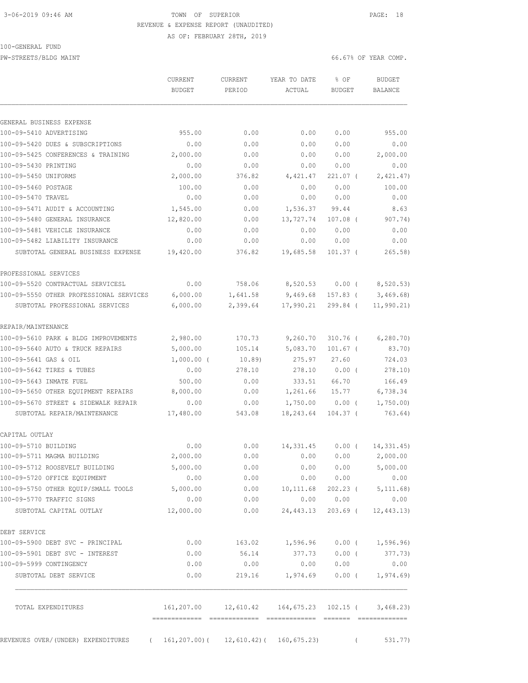## 3-06-2019 09:46 AM TOWN OF SUPERIOR PAGE: 18 REVENUE & EXPENSE REPORT (UNAUDITED) AS OF: FEBRUARY 28TH, 2019

# 100-GENERAL FUND

PW-STREETS/BLDG MAINT **Fig. 10.000** MAINT 66.67% OF YEAR COMP.

|                                         | CURRENT                                                       | CURRENT  | YEAR TO DATE | % OF          | <b>BUDGET</b>         |
|-----------------------------------------|---------------------------------------------------------------|----------|--------------|---------------|-----------------------|
|                                         | <b>BUDGET</b>                                                 | PERIOD   | ACTUAL       | <b>BUDGET</b> | BALANCE               |
| GENERAL BUSINESS EXPENSE                |                                                               |          |              |               |                       |
| 100-09-5410 ADVERTISING                 | 955.00                                                        | 0.00     | 0.00         | 0.00          | 955.00                |
| 100-09-5420 DUES & SUBSCRIPTIONS        | 0.00                                                          | 0.00     | 0.00         | 0.00          | 0.00                  |
| 100-09-5425 CONFERENCES & TRAINING      | 2,000.00                                                      | 0.00     | 0.00         | 0.00          | 2,000.00              |
| 100-09-5430 PRINTING                    | 0.00                                                          | 0.00     | 0.00         | 0.00          | 0.00                  |
| 100-09-5450 UNIFORMS                    | 2,000.00                                                      | 376.82   | 4,421.47     | 221.07 (      | 2,421.47)             |
| 100-09-5460 POSTAGE                     | 100.00                                                        | 0.00     | 0.00         | 0.00          | 100.00                |
| 100-09-5470 TRAVEL                      | 0.00                                                          | 0.00     | 0.00         | 0.00          | 0.00                  |
| 100-09-5471 AUDIT & ACCOUNTING          | 1,545.00                                                      | 0.00     | 1,536.37     | 99.44         | 8.63                  |
| 100-09-5480 GENERAL INSURANCE           | 12,820.00                                                     | 0.00     | 13,727.74    | $107.08$ (    | 907.74)               |
| 100-09-5481 VEHICLE INSURANCE           | 0.00                                                          | 0.00     | 0.00         | 0.00          | 0.00                  |
| 100-09-5482 LIABILITY INSURANCE         | 0.00                                                          | 0.00     | 0.00         | 0.00          | 0.00                  |
| SUBTOTAL GENERAL BUSINESS EXPENSE       | 19,420.00                                                     | 376.82   | 19,685.58    | $101.37$ (    | 265.58)               |
| PROFESSIONAL SERVICES                   |                                                               |          |              |               |                       |
| 100-09-5520 CONTRACTUAL SERVICESL       | 0.00                                                          | 758.06   | 8,520.53     | $0.00$ (      | 8,520.53)             |
| 100-09-5550 OTHER PROFESSIONAL SERVICES | 6,000.00                                                      | 1,641.58 | 9,469.68     | $157.83$ (    | 3,469.68              |
| SUBTOTAL PROFESSIONAL SERVICES          | 6,000.00                                                      | 2,399.64 | 17,990.21    | 299.84 (      | 11, 990.21)           |
| REPAIR/MAINTENANCE                      |                                                               |          |              |               |                       |
| 100-09-5610 PARK & BLDG IMPROVEMENTS    | 2,980.00                                                      | 170.73   | 9,260.70     | $310.76$ (    | 6, 280.70             |
| 100-09-5640 AUTO & TRUCK REPAIRS        | 5,000.00                                                      | 105.14   | 5,083.70     | $101.67$ (    | 83.70)                |
| 100-09-5641 GAS & OIL                   | $1,000.00$ (                                                  | 10.89)   | 275.97       | 27.60         | 724.03                |
| 100-09-5642 TIRES & TUBES               | 0.00                                                          | 278.10   | 278.10       | 0.00(         | 278.10)               |
| 100-09-5643 INMATE FUEL                 | 500.00                                                        | 0.00     | 333.51       | 66.70         | 166.49                |
| 100-09-5650 OTHER EQUIPMENT REPAIRS     | 8,000.00                                                      | 0.00     | 1,261.66     | 15.77         | 6,738.34              |
| 100-09-5670 STREET & SIDEWALK REPAIR    | 0.00                                                          | 0.00     | 1,750.00     | $0.00$ (      | 1,750.00              |
| SUBTOTAL REPAIR/MAINTENANCE             | 17,480.00                                                     | 543.08   | 18,243.64    | $104.37$ (    | 763.64)               |
| CAPITAL OUTLAY                          |                                                               |          |              |               |                       |
| 100-09-5710 BUILDING                    | 0.00                                                          | 0.00     | 14,331.45    | $0.00$ (      | 14, 331.45)           |
| 100-09-5711 MAGMA BUILDING              | 2,000.00                                                      | 0.00     | 0.00         | 0.00          | 2,000.00              |
| 100-09-5712 ROOSEVELT BUILDING          | 5,000.00                                                      | 0.00     | 0.00         | 0.00          | 5,000.00              |
| 100-09-5720 OFFICE EQUIPMENT            | 0.00                                                          | 0.00     | 0.00         | 0.00          | 0.00                  |
| 100-09-5750 OTHER EQUIP/SMALL TOOLS     | 5,000.00                                                      | 0.00     | 10,111.68    | $202.23$ (    | 5, 111.68)            |
| 100-09-5770 TRAFFIC SIGNS               | 0.00                                                          | 0.00     | 0.00         | 0.00          | 0.00                  |
| SUBTOTAL CAPITAL OUTLAY                 | 12,000.00                                                     | 0.00     | 24,443.13    | 203.69 (      | 12, 443.13)           |
| DEBT SERVICE                            |                                                               |          |              |               |                       |
| 100-09-5900 DEBT SVC - PRINCIPAL        | 0.00                                                          | 163.02   | 1,596.96     |               | $0.00$ ( $1,596.96$ ) |
| 100-09-5901 DEBT SVC - INTEREST         | 0.00                                                          | 56.14    | 377.73       | $0.00$ (      | 377.73)               |
| 100-09-5999 CONTINGENCY                 | 0.00                                                          | 0.00     | 0.00         | 0.00          | 0.00                  |
| SUBTOTAL DEBT SERVICE                   | 0.00                                                          | 219.16   | 1,974.69     |               | $0.00$ ( $1,974.69$ ) |
| TOTAL EXPENDITURES                      | 161, 207.00   12, 610.42   164, 675.23   102.15   (3, 468.23) |          |              |               |                       |

REVENUES OVER/(UNDER) EXPENDITURES ( 161,207.00)( 12,610.42)( 160,675.23) ( 531.77)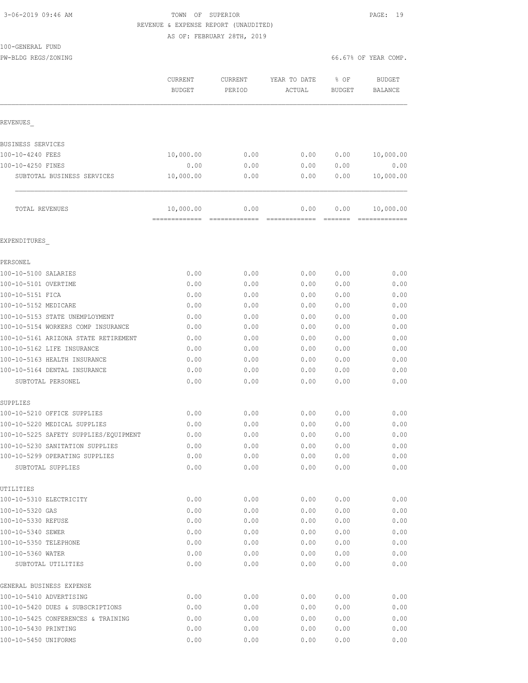## 3-06-2019 09:46 AM TOWN OF SUPERIOR PAGE: 19 REVENUE & EXPENSE REPORT (UNAUDITED) AS OF: FEBRUARY 28TH, 2019

## 100-GENERAL FUND

| TAALGEMERYT LAMD           |           |                |               |                      |               |
|----------------------------|-----------|----------------|---------------|----------------------|---------------|
| PW-BLDG REGS/ZONING        |           |                |               | 66.67% OF YEAR COMP. |               |
|                            | CURRENT   | <b>CURRENT</b> | YEAR TO DATE  | % OF                 | <b>BUDGET</b> |
|                            | BUDGET    | PERIOD         | ACTUAL        | BUDGET               | BALANCE       |
|                            |           |                |               |                      |               |
| REVENUES                   |           |                |               |                      |               |
| BUSINESS SERVICES          |           |                |               |                      |               |
| 100-10-4240 FEES           | 10,000.00 | 0.00           | 0.00          | 0.00                 | 10,000.00     |
| 100-10-4250 FINES          | 0.00      | 0.00           | 0.00          | 0.00                 | 0.00          |
| SUBTOTAL BUSINESS SERVICES | 10,000.00 | 0.00           | 0.00          | 0.00                 | 10,000.00     |
| <b>TOTAL REVENUES</b>      | 10,000.00 | 0.00           | 0.00          | 0.00                 | 10,000.00     |
|                            |           | =============  | ============= | =======              |               |
| EXPENDITURES               |           |                |               |                      |               |
| PERSONEL                   |           |                |               |                      |               |
| 100-10-5100 CATADTEC       |           |                |               |                      |               |

| 100-10-5100 SALARIES                  | 0.00 | 0.00 | 0.00 | 0.00 | 0.00 |
|---------------------------------------|------|------|------|------|------|
| 100-10-5101 OVERTIME                  | 0.00 | 0.00 | 0.00 | 0.00 | 0.00 |
| 100-10-5151 FICA                      | 0.00 | 0.00 | 0.00 | 0.00 | 0.00 |
| 100-10-5152 MEDICARE                  | 0.00 | 0.00 | 0.00 | 0.00 | 0.00 |
| 100-10-5153 STATE UNEMPLOYMENT        | 0.00 | 0.00 | 0.00 | 0.00 | 0.00 |
| 100-10-5154 WORKERS COMP INSURANCE    | 0.00 | 0.00 | 0.00 | 0.00 | 0.00 |
| 100-10-5161 ARIZONA STATE RETIREMENT  | 0.00 | 0.00 | 0.00 | 0.00 | 0.00 |
| 100-10-5162 LIFE INSURANCE            | 0.00 | 0.00 | 0.00 | 0.00 | 0.00 |
| 100-10-5163 HEALTH INSURANCE          | 0.00 | 0.00 | 0.00 | 0.00 | 0.00 |
| 100-10-5164 DENTAL INSURANCE          | 0.00 | 0.00 | 0.00 | 0.00 | 0.00 |
| SUBTOTAL PERSONEL                     | 0.00 | 0.00 | 0.00 | 0.00 | 0.00 |
| SUPPLIES                              |      |      |      |      |      |
| 100-10-5210 OFFICE SUPPLIES           | 0.00 | 0.00 | 0.00 | 0.00 | 0.00 |
| 100-10-5220 MEDICAL SUPPLIES          | 0.00 | 0.00 | 0.00 | 0.00 | 0.00 |
| 100-10-5225 SAFETY SUPPLIES/EQUIPMENT | 0.00 | 0.00 | 0.00 | 0.00 | 0.00 |
| 100-10-5230 SANITATION SUPPLIES       | 0.00 | 0.00 | 0.00 | 0.00 | 0.00 |
| 100-10-5299 OPERATING SUPPLIES        | 0.00 | 0.00 | 0.00 | 0.00 | 0.00 |
| SUBTOTAL SUPPLIES                     | 0.00 | 0.00 | 0.00 | 0.00 | 0.00 |
| UTILITIES                             |      |      |      |      |      |
| 100-10-5310 ELECTRICITY               | 0.00 | 0.00 | 0.00 | 0.00 | 0.00 |
| 100-10-5320 GAS                       | 0.00 | 0.00 | 0.00 | 0.00 | 0.00 |
| 100-10-5330 REFUSE                    | 0.00 | 0.00 | 0.00 | 0.00 | 0.00 |
| 100-10-5340 SEWER                     | 0.00 | 0.00 | 0.00 | 0.00 | 0.00 |
| 100-10-5350 TELEPHONE                 | 0.00 | 0.00 | 0.00 | 0.00 | 0.00 |
| 100-10-5360 WATER                     | 0.00 | 0.00 | 0.00 | 0.00 | 0.00 |
| SUBTOTAL UTILITIES                    | 0.00 | 0.00 | 0.00 | 0.00 | 0.00 |
| GENERAL BUSINESS EXPENSE              |      |      |      |      |      |
| 100-10-5410 ADVERTISING               | 0.00 | 0.00 | 0.00 | 0.00 | 0.00 |
| 100-10-5420 DUES & SUBSCRIPTIONS      | 0.00 | 0.00 | 0.00 | 0.00 | 0.00 |
| 100-10-5425 CONFERENCES & TRAINING    | 0.00 | 0.00 | 0.00 | 0.00 | 0.00 |
| 100-10-5430 PRINTING                  | 0.00 | 0.00 | 0.00 | 0.00 | 0.00 |
| 100-10-5450 UNIFORMS                  | 0.00 | 0.00 | 0.00 | 0.00 | 0.00 |
|                                       |      |      |      |      |      |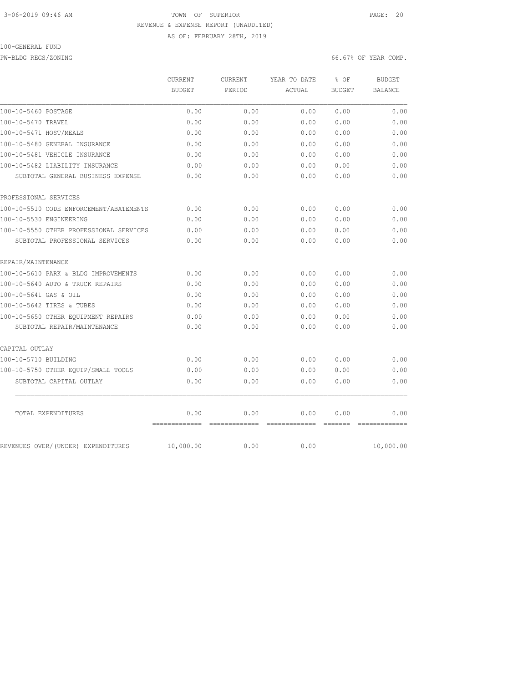#### 3-06-2019 09:46 AM TOWN OF SUPERIOR PAGE: 20 REVENUE & EXPENSE REPORT (UNAUDITED) AS OF: FEBRUARY 28TH, 2019

#### 100-GENERAL FUND

PW-BLDG REGS/ZONING 66.67% OF YEAR COMP.

|                                         | CURRENT<br><b>BUDGET</b> | <b>CURRENT</b><br>PERIOD | YEAR TO DATE<br>ACTUAL | % OF<br><b>BUDGET</b> | <b>BUDGET</b><br><b>BALANCE</b> |
|-----------------------------------------|--------------------------|--------------------------|------------------------|-----------------------|---------------------------------|
|                                         |                          |                          |                        |                       |                                 |
| 100-10-5460 POSTAGE                     | 0.00                     | 0.00                     | 0.00                   | 0.00                  | 0.00                            |
| 100-10-5470 TRAVEL                      | 0.00                     | 0.00                     | 0.00                   | 0.00                  | 0.00                            |
| 100-10-5471 HOST/MEALS                  | 0.00                     | 0.00                     | 0.00                   | 0.00                  | 0.00                            |
| 100-10-5480 GENERAL INSURANCE           | 0.00                     | 0.00                     | 0.00                   | 0.00                  | 0.00                            |
| 100-10-5481 VEHICLE INSURANCE           | 0.00                     | 0.00                     | 0.00                   | 0.00                  | 0.00                            |
| 100-10-5482 LIABILITY INSURANCE         | 0.00                     | 0.00                     | 0.00                   | 0.00                  | 0.00                            |
| SUBTOTAL GENERAL BUSINESS EXPENSE       | 0.00                     | 0.00                     | 0.00                   | 0.00                  | 0.00                            |
| PROFESSIONAL SERVICES                   |                          |                          |                        |                       |                                 |
| 100-10-5510 CODE ENFORCEMENT/ABATEMENTS | 0.00                     | 0.00                     | 0.00                   | 0.00                  | 0.00                            |
| 100-10-5530 ENGINEERING                 | 0.00                     | 0.00                     | 0.00                   | 0.00                  | 0.00                            |
| 100-10-5550 OTHER PROFESSIONAL SERVICES | 0.00                     | 0.00                     | 0.00                   | 0.00                  | 0.00                            |
| SUBTOTAL PROFESSIONAL SERVICES          | 0.00                     | 0.00                     | 0.00                   | 0.00                  | 0.00                            |
| REPAIR/MAINTENANCE                      |                          |                          |                        |                       |                                 |
| 100-10-5610 PARK & BLDG IMPROVEMENTS    | 0.00                     | 0.00                     | 0.00                   | 0.00                  | 0.00                            |
| 100-10-5640 AUTO & TRUCK REPAIRS        | 0.00                     | 0.00                     | 0.00                   | 0.00                  | 0.00                            |
| 100-10-5641 GAS & OIL                   | 0.00                     | 0.00                     | 0.00                   | 0.00                  | 0.00                            |
| 100-10-5642 TIRES & TUBES               | 0.00                     | 0.00                     | 0.00                   | 0.00                  | 0.00                            |
| 100-10-5650 OTHER EQUIPMENT REPAIRS     | 0.00                     | 0.00                     | 0.00                   | 0.00                  | 0.00                            |
| SUBTOTAL REPAIR/MAINTENANCE             | 0.00                     | 0.00                     | 0.00                   | 0.00                  | 0.00                            |
| CAPITAL OUTLAY                          |                          |                          |                        |                       |                                 |
| 100-10-5710 BUILDING                    | 0.00                     | 0.00                     | 0.00                   | 0.00                  | 0.00                            |
| 100-10-5750 OTHER EQUIP/SMALL TOOLS     | 0.00                     | 0.00                     | 0.00                   | 0.00                  | 0.00                            |
| SUBTOTAL CAPITAL OUTLAY                 | 0.00                     | 0.00                     | 0.00                   | 0.00                  | 0.00                            |
| TOTAL EXPENDITURES                      | 0.00                     | 0.00                     | 0.00                   | 0.00                  | 0.00                            |
| REVENUES OVER/(UNDER) EXPENDITURES      | 10,000.00                | 0.00                     | 0.00                   |                       | 10,000.00                       |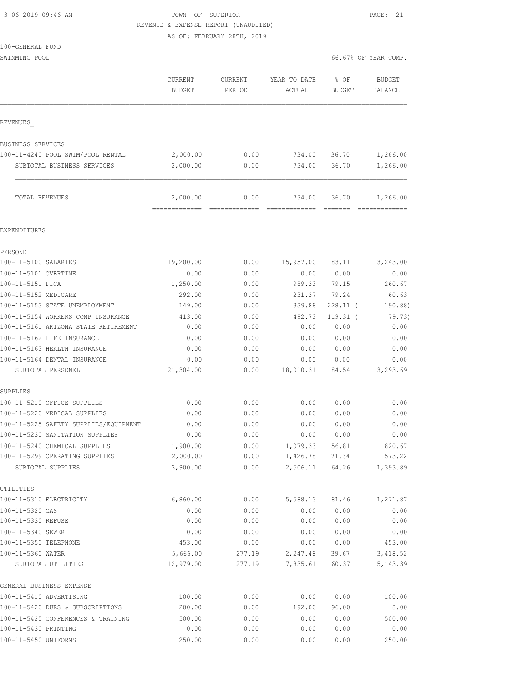| 3-06-2019 09:46 AM |  |  |
|--------------------|--|--|

TOWN OF SUPERIOR **PAGE: 21** REVENUE & EXPENSE REPORT (UNAUDITED)

AS OF: FEBRUARY 28TH, 2019

|  | 100-GENERAL FUND |  |
|--|------------------|--|
|  |                  |  |

SWIMMING POOL 66.67% OF YEAR COMP.

|                                                     | CURRENT<br><b>BUDGET</b>  | CURRENT<br>PERIOD | YEAR TO DATE<br>ACTUAL | % OF<br><b>BUDGET</b> | <b>BUDGET</b><br>BALANCE |
|-----------------------------------------------------|---------------------------|-------------------|------------------------|-----------------------|--------------------------|
| REVENUES                                            |                           |                   |                        |                       |                          |
| BUSINESS SERVICES                                   |                           |                   |                        |                       |                          |
| 100-11-4240 POOL SWIM/POOL RENTAL                   | 2,000.00                  | 0.00              | 734.00                 | 36.70                 | 1,266.00                 |
| SUBTOTAL BUSINESS SERVICES                          | 2,000.00                  | 0.00              | 734.00                 | 36.70                 | 1,266.00                 |
| TOTAL REVENUES                                      | 2,000.00<br>============= | 0.00              | 734.00                 | 36.70                 | 1,266.00                 |
| EXPENDITURES                                        |                           |                   |                        |                       |                          |
| PERSONEL                                            |                           |                   |                        |                       |                          |
| 100-11-5100 SALARIES                                | 19,200.00                 | 0.00              | 15,957.00              | 83.11                 | 3,243.00                 |
| 100-11-5101 OVERTIME                                | 0.00                      | 0.00              | 0.00                   | 0.00                  | 0.00                     |
| 100-11-5151 FICA                                    | 1,250.00                  | 0.00              | 989.33                 | 79.15                 | 260.67                   |
| 100-11-5152 MEDICARE                                | 292.00                    | 0.00              | 231.37                 | 79.24                 | 60.63                    |
| 100-11-5153 STATE UNEMPLOYMENT                      | 149.00                    | 0.00              | 339.88                 | $228.11$ (            | 190.88)                  |
| 100-11-5154 WORKERS COMP INSURANCE                  | 413.00                    | 0.00              | 492.73                 | $119.31$ (            | 79.73)                   |
| 100-11-5161 ARIZONA STATE RETIREMENT                | 0.00                      | 0.00              | 0.00                   | 0.00                  | 0.00                     |
| 100-11-5162 LIFE INSURANCE                          | 0.00                      | 0.00              | 0.00                   | 0.00                  | 0.00                     |
| 100-11-5163 HEALTH INSURANCE                        | 0.00                      | 0.00              | 0.00                   | 0.00                  | 0.00                     |
| 100-11-5164 DENTAL INSURANCE                        | 0.00                      | 0.00              | 0.00                   | 0.00                  | 0.00                     |
| SUBTOTAL PERSONEL                                   | 21,304.00                 | 0.00              | 18,010.31              | 84.54                 | 3,293.69                 |
| SUPPLIES                                            |                           |                   |                        |                       |                          |
| 100-11-5210 OFFICE SUPPLIES                         | 0.00                      | 0.00              | 0.00                   | 0.00                  | 0.00                     |
| 100-11-5220 MEDICAL SUPPLIES                        | 0.00                      | 0.00              | 0.00                   | 0.00                  | 0.00                     |
| 100-11-5225 SAFETY SUPPLIES/EQUIPMENT               | 0.00                      | 0.00              | 0.00                   | 0.00                  | 0.00                     |
| 100-11-5230 SANITATION SUPPLIES                     | 0.00                      | 0.00              | 0.00                   | 0.00                  | 0.00                     |
| 100-11-5240 CHEMICAL SUPPLIES                       | 1,900.00                  | 0.00              | 1,079.33               | 56.81                 | 820.67                   |
| 100-11-5299 OPERATING SUPPLIES<br>SUBTOTAL SUPPLIES | 2,000.00<br>3,900.00      | 0.00<br>0.00      | 1,426.78<br>2,506.11   | 71.34<br>64.26        | 573.22<br>1,393.89       |
| UTILITIES                                           |                           |                   |                        |                       |                          |
| 100-11-5310 ELECTRICITY                             | 6,860.00                  | 0.00              | 5,588.13               | 81.46                 | 1,271.87                 |
| 100-11-5320 GAS                                     | 0.00                      | 0.00              | 0.00                   | 0.00                  | 0.00                     |
| 100-11-5330 REFUSE                                  | 0.00                      | 0.00              | 0.00                   | 0.00                  | 0.00                     |
| 100-11-5340 SEWER                                   | 0.00                      | 0.00              | 0.00                   | 0.00                  | 0.00                     |
| 100-11-5350 TELEPHONE                               | 453.00                    | 0.00              | 0.00                   | 0.00                  | 453.00                   |
| 100-11-5360 WATER                                   | 5,666.00                  | 277.19            | 2,247.48               | 39.67                 | 3,418.52                 |
| SUBTOTAL UTILITIES                                  | 12,979.00                 | 277.19            | 7,835.61               | 60.37                 | 5, 143.39                |
| GENERAL BUSINESS EXPENSE                            |                           |                   |                        |                       |                          |
| 100-11-5410 ADVERTISING                             | 100.00                    | 0.00              | 0.00                   | 0.00                  | 100.00                   |
| 100-11-5420 DUES & SUBSCRIPTIONS                    | 200.00                    | 0.00              | 192.00                 | 96.00                 | 8.00                     |
| 100-11-5425 CONFERENCES & TRAINING                  | 500.00                    | 0.00              | 0.00                   | 0.00                  | 500.00                   |
| 100-11-5430 PRINTING                                | 0.00                      | 0.00              | 0.00                   | 0.00                  | 0.00                     |

100-11-5450 UNIFORMS 250.00 0.00 0.00 0.00 250.00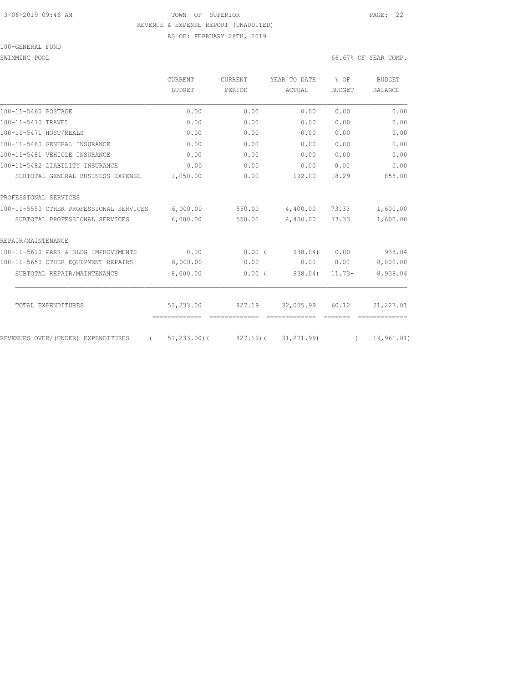## 3-06-2019 09:46 AM TOWN OF SUPERIOR PAGE: 22 REVENUE & EXPENSE REPORT (UNAUDITED) AS OF: FEBRUARY 28TH, 2019

100-GENERAL FUND

SWIMMING POOL 66.67% OF YEAR COMP.

|                                                | CURRENT         | <b>CURRENT</b> | YEAR TO DATE         | % OF                                                        | <b>BUDGET</b>  |
|------------------------------------------------|-----------------|----------------|----------------------|-------------------------------------------------------------|----------------|
|                                                | BUDGET          | PERIOD         | ACTUAL               | <b>BUDGET</b>                                               | <b>BALANCE</b> |
| 100-11-5460 POSTAGE                            | 0.00            | 0.00           | 0.00                 | 0.00                                                        | 0.00           |
| 100-11-5470 TRAVEL                             | 0.00            | 0.00           | 0.00                 | 0.00                                                        | 0.00           |
| 100-11-5471 HOST/MEALS                         | 0.00            | 0.00           | 0.00                 | 0.00                                                        | 0.00           |
| 100-11-5480 GENERAL INSURANCE                  | 0.00            | 0.00           | 0.00                 | 0.00                                                        | 0.00           |
| 100-11-5481 VEHICLE INSURANCE                  | 0.00            | 0.00           | 0.00                 | 0.00                                                        | 0.00           |
| 100-11-5482 LIABILITY INSURANCE                | 0.00            | 0.00           | 0.00                 | 0.00                                                        | 0.00           |
| SUBTOTAL GENERAL BUSINESS EXPENSE              | 1,050.00        | 0.00           | 192.00               | 18.29                                                       | 858.00         |
| PROFESSIONAL SERVICES                          |                 |                |                      |                                                             |                |
| 100-11-5550 OTHER PROFESSIONAL SERVICES        | 6,000.00        | 550.00         | 4,400.00             | 73.33                                                       | 1,600.00       |
| SUBTOTAL PROFESSIONAL SERVICES                 | 6,000.00        | 550.00         | 4,400.00             | 73.33                                                       | 1,600.00       |
| REPAIR/MAINTENANCE                             |                 |                |                      |                                                             |                |
| 100-11-5610 PARK & BLDG IMPROVEMENTS           | 0.00            | 0.00(          | 938.04)              | 0.00                                                        | 938.04         |
| 100-11-5650 OTHER EQUIPMENT REPAIRS            | 8,000.00        | 0.00           | 0.00                 | 0.00                                                        | 8,000.00       |
| SUBTOTAL REPAIR/MAINTENANCE                    | 8,000.00        | 0.00(          | 938.04)              | $11.73-$                                                    | 8,938.04       |
| TOTAL EXPENDITURES                             | 53,233.00       | 827.19         | 32,005.99            | 60.12                                                       | 21, 227.01     |
|                                                | =============   | -------------- |                      | $\begin{array}{cccccc} = & = & = & = & = & = & \end{array}$ |                |
| REVENUES OVER/(UNDER) EXPENDITURES<br>$\left($ | $51, 233, 00$ ( |                | 827.19) ( 31,271.99) | $\sqrt{2}$                                                  | 19,961.01)     |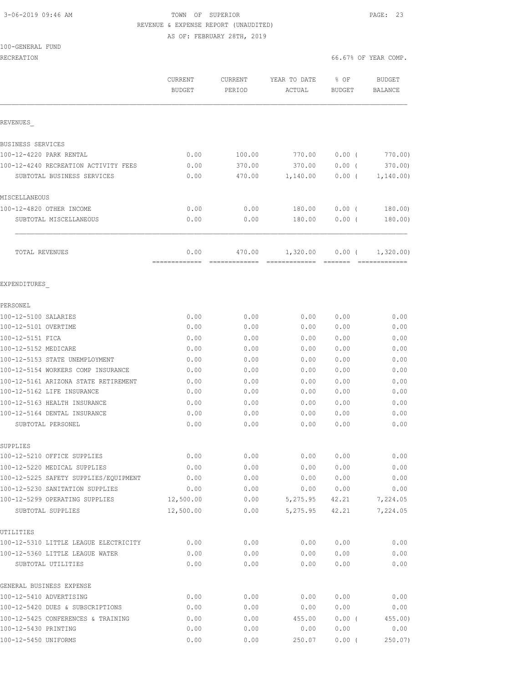## 3-06-2019 09:46 AM TOWN OF SUPERIOR PAGE: 23 REVENUE & EXPENSE REPORT (UNAUDITED) AS OF: FEBRUARY 28TH, 2019

#### 100-GENERAL FUND

|                                                   | CURRENT<br><b>BUDGET</b> | CURRENT<br>PERIOD | YEAR TO DATE<br>ACTUAL | % OF<br><b>BUDGET</b> | <b>BUDGET</b><br><b>BALANCE</b> |
|---------------------------------------------------|--------------------------|-------------------|------------------------|-----------------------|---------------------------------|
| REVENUES                                          |                          |                   |                        |                       |                                 |
| BUSINESS SERVICES                                 |                          |                   |                        |                       |                                 |
| 100-12-4220 PARK RENTAL                           | 0.00                     | 100.00            | 770.00                 | 0.00(                 | 770.00)                         |
| 100-12-4240 RECREATION ACTIVITY FEES              | 0.00                     | 370.00            | 370.00                 | 0.00(                 | 370.00)                         |
| SUBTOTAL BUSINESS SERVICES                        | 0.00                     | 470.00            | 1,140.00               | 0.00(                 | 1,140.00)                       |
| MISCELLANEOUS                                     |                          |                   |                        |                       |                                 |
| 100-12-4820 OTHER INCOME                          | 0.00                     | 0.00              | 180.00                 | 0.00(                 | 180.00)                         |
| SUBTOTAL MISCELLANEOUS                            | 0.00                     | 0.00              | 180.00                 | 0.00(                 | 180.00)                         |
| TOTAL REVENUES                                    | 0.00                     | 470.00            | 1,320.00               | 0.00(                 | 1,320.00)                       |
| EXPENDITURES                                      |                          |                   |                        |                       |                                 |
| PERSONEL                                          |                          |                   |                        |                       |                                 |
| 100-12-5100 SALARIES                              | 0.00                     | 0.00              | 0.00                   | 0.00                  | 0.00                            |
| 100-12-5101 OVERTIME                              | 0.00                     | 0.00              | 0.00                   | 0.00                  | 0.00                            |
| 100-12-5151 FICA                                  | 0.00                     | 0.00              | 0.00                   | 0.00                  | 0.00                            |
| 100-12-5152 MEDICARE                              | 0.00                     | 0.00              | 0.00                   | 0.00                  | 0.00                            |
| 100-12-5153 STATE UNEMPLOYMENT                    | 0.00                     | 0.00              | 0.00                   | 0.00                  | 0.00                            |
| 100-12-5154 WORKERS COMP INSURANCE                | 0.00                     | 0.00              | 0.00                   | 0.00                  | 0.00                            |
| 100-12-5161 ARIZONA STATE RETIREMENT              | 0.00                     | 0.00              | 0.00                   | 0.00                  | 0.00                            |
| 100-12-5162 LIFE INSURANCE                        | 0.00                     | 0.00              | 0.00                   | 0.00                  | 0.00                            |
| 100-12-5163 HEALTH INSURANCE                      | 0.00                     | 0.00              | 0.00                   | 0.00                  | 0.00                            |
| 100-12-5164 DENTAL INSURANCE<br>SUBTOTAL PERSONEL | 0.00<br>0.00             | 0.00<br>0.00      | 0.00<br>0.00           | 0.00<br>0.00          | 0.00<br>0.00                    |
| SUPPLIES                                          |                          |                   |                        |                       |                                 |
| 100-12-5210 OFFICE SUPPLIES                       | 0.00                     | 0.00              | 0.00                   | 0.00                  | 0.00                            |
| 100-12-5220 MEDICAL SUPPLIES                      | 0.00                     | 0.00              | 0.00                   | 0.00                  | 0.00                            |
| 100-12-5225 SAFETY SUPPLIES/EQUIPMENT             | 0.00                     | 0.00              | 0.00                   | 0.00                  | 0.00                            |
| 100-12-5230 SANITATION SUPPLIES                   | 0.00                     | 0.00              | 0.00                   | 0.00                  | 0.00                            |
| 100-12-5299 OPERATING SUPPLIES                    | 12,500.00                | 0.00              | 5,275.95               | 42.21                 | 7,224.05                        |
| SUBTOTAL SUPPLIES                                 | 12,500.00                | 0.00              | 5,275.95               | 42.21                 | 7,224.05                        |
| UTILITIES                                         |                          |                   |                        |                       |                                 |
| 100-12-5310 LITTLE LEAGUE ELECTRICITY             | 0.00                     | 0.00              | 0.00                   | 0.00                  | 0.00                            |
| 100-12-5360 LITTLE LEAGUE WATER                   | 0.00                     | 0.00              | 0.00                   | 0.00                  | 0.00                            |
| SUBTOTAL UTILITIES                                | 0.00                     | 0.00              | 0.00                   | 0.00                  | 0.00                            |
| GENERAL BUSINESS EXPENSE                          |                          |                   |                        |                       |                                 |
| 100-12-5410 ADVERTISING                           | 0.00                     | 0.00              | 0.00                   | 0.00                  | 0.00                            |
| 100-12-5420 DUES & SUBSCRIPTIONS                  | 0.00                     | 0.00              | 0.00                   | 0.00                  | 0.00                            |
| 100-12-5425 CONFERENCES & TRAINING                | 0.00                     | 0.00              | 455.00                 | 0.00(                 | $455.00$ )                      |
| 100-12-5430 PRINTING                              | 0.00                     | 0.00              | 0.00                   | 0.00                  | 0.00                            |
| 100-12-5450 UNIFORMS                              | 0.00                     | 0.00              | 250.07                 | 0.00(                 | 250.07)                         |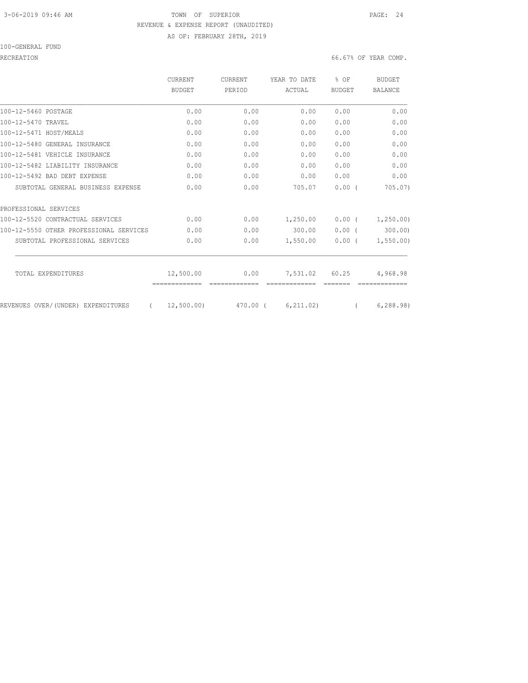## 3-06-2019 09:46 AM TOWN OF SUPERIOR PAGE: 24 REVENUE & EXPENSE REPORT (UNAUDITED) AS OF: FEBRUARY 28TH, 2019

#### 100-GENERAL FUND

## RECREATION 66.67% OF YEAR COMP.

|                                         | <b>CURRENT</b><br>BUDGET | <b>CURRENT</b> | YEAR TO DATE | $8$ OF        | <b>BUDGET</b>  |
|-----------------------------------------|--------------------------|----------------|--------------|---------------|----------------|
|                                         |                          | PERIOD         | ACTUAL       | <b>BUDGET</b> | <b>BALANCE</b> |
| 100-12-5460 POSTAGE                     | 0.00                     | 0.00           | 0.00         | 0.00          | 0.00           |
| 100-12-5470 TRAVEL                      | 0.00                     | 0.00           | 0.00         | 0.00          | 0.00           |
| 100-12-5471 HOST/MEALS                  | 0.00                     | 0.00           | 0.00         | 0.00          | 0.00           |
| 100-12-5480 GENERAL INSURANCE           | 0.00                     | 0.00           | 0.00         | 0.00          | 0.00           |
| 100-12-5481 VEHICLE INSURANCE           | 0.00                     | 0.00           | 0.00         | 0.00          | 0.00           |
| 100-12-5482 LIABILITY INSURANCE         | 0.00                     | 0.00           | 0.00         | 0.00          | 0.00           |
| 100-12-5492 BAD DEBT EXPENSE            | 0.00                     | 0.00           | 0.00         | 0.00          | 0.00           |
| SUBTOTAL GENERAL BUSINESS EXPENSE       | 0.00                     | 0.00           | 705.07       | 0.00(         | 705.07)        |
| PROFESSIONAL SERVICES                   |                          |                |              |               |                |
| 100-12-5520 CONTRACTUAL SERVICES        | 0.00                     | 0.00           | 1,250.00     | 0.00(         | 1, 250.00      |
| 100-12-5550 OTHER PROFESSIONAL SERVICES | 0.00                     | 0.00           | 300.00       | $0.00$ (      | 300.00         |
| SUBTOTAL PROFESSIONAL SERVICES          | 0.00                     | 0.00           | 1,550.00     | 0.00(         | 1, 550.00      |
| TOTAL EXPENDITURES                      | 12,500.00                | 0.00           | 7,531.02     | 60.25         | 4,968.98       |
|                                         |                          |                |              |               |                |
| REVENUES OVER/(UNDER) EXPENDITURES      | 12,500.00)               | 470.00 (       | 6, 211, 02)  |               | 6, 288.98)     |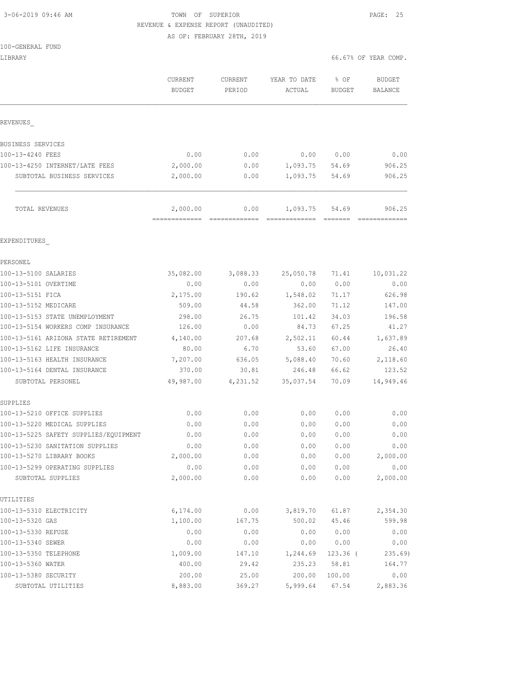# 3-06-2019 09:46 AM TOWN OF SUPERIOR PAGE: 25 REVENUE & EXPENSE REPORT (UNAUDITED)

AS OF: FEBRUARY 28TH, 2019

| LIBRARY |  | 66.67% OF YEAR COMP. |
|---------|--|----------------------|
|---------|--|----------------------|

|                                                                       | CURRENT<br><b>BUDGET</b> | <b>CURRENT</b><br>PERIOD | YEAR TO DATE<br>ACTUAL | % OF<br><b>BUDGET</b> | <b>BUDGET</b><br><b>BALANCE</b> |
|-----------------------------------------------------------------------|--------------------------|--------------------------|------------------------|-----------------------|---------------------------------|
| REVENUES                                                              |                          |                          |                        |                       |                                 |
| BUSINESS SERVICES                                                     |                          |                          |                        |                       |                                 |
| 100-13-4240 FEES                                                      | 0.00                     | 0.00                     | 0.00                   | 0.00                  | 0.00                            |
| 100-13-4250 INTERNET/LATE FEES                                        | 2,000.00                 | 0.00                     | 1,093.75               | 54.69                 | 906.25                          |
| SUBTOTAL BUSINESS SERVICES                                            | 2,000.00                 | 0.00                     | 1,093.75               | 54.69                 | 906.25                          |
| TOTAL REVENUES                                                        | 2,000.00                 | 0.00                     | 1,093.75               | 54.69                 | 906.25                          |
| EXPENDITURES                                                          |                          |                          |                        |                       |                                 |
| PERSONEL                                                              |                          |                          |                        |                       |                                 |
| 100-13-5100 SALARIES                                                  | 35,082.00                | 3,088.33                 | 25,050.78              | 71.41                 | 10,031.22                       |
| 100-13-5101 OVERTIME                                                  | 0.00                     | 0.00                     | 0.00                   | 0.00                  | 0.00                            |
| 100-13-5151 FICA                                                      | 2,175.00                 | 190.62                   | 1,548.02               | 71.17                 | 626.98                          |
| 100-13-5152 MEDICARE                                                  | 509.00                   | 44.58                    | 362.00                 | 71.12                 | 147.00                          |
| 100-13-5153 STATE UNEMPLOYMENT                                        | 298.00                   | 26.75                    | 101.42                 | 34.03                 | 196.58                          |
| 100-13-5154 WORKERS COMP INSURANCE                                    | 126.00                   | 0.00                     | 84.73                  | 67.25                 | 41.27                           |
| 100-13-5161 ARIZONA STATE RETIREMENT                                  | 4,140.00                 | 207.68                   | 2,502.11               | 60.44                 | 1,637.89                        |
| 100-13-5162 LIFE INSURANCE                                            | 80.00                    | 6.70                     | 53.60                  | 67.00                 | 26.40                           |
| 100-13-5163 HEALTH INSURANCE                                          | 7,207.00                 | 636.05                   | 5,088.40               | 70.60                 | 2,118.60                        |
| 100-13-5164 DENTAL INSURANCE                                          | 370.00                   | 30.81                    | 246.48                 | 66.62                 | 123.52                          |
| SUBTOTAL PERSONEL                                                     | 49,987.00                | 4,231.52                 | 35,037.54              | 70.09                 | 14,949.46                       |
| SUPPLIES                                                              |                          |                          |                        |                       |                                 |
| 100-13-5210 OFFICE SUPPLIES                                           | 0.00                     | 0.00                     | 0.00                   | 0.00                  | 0.00                            |
| 100-13-5220 MEDICAL SUPPLIES<br>100-13-5225 SAFETY SUPPLIES/EQUIPMENT | 0.00                     | 0.00                     | 0.00                   | 0.00                  | 0.00                            |
|                                                                       | 0.00                     | 0.00                     | 0.00                   | 0.00                  | 0.00                            |
| 100-13-5230 SANITATION SUPPLIES                                       | 0.00                     | 0.00                     | 0.00                   | 0.00                  | 0.00                            |
| 100-13-5270 LIBRARY BOOKS                                             | 2,000.00                 | 0.00                     | 0.00                   | 0.00                  | 2,000.00                        |
| 100-13-5299 OPERATING SUPPLIES<br>SUBTOTAL SUPPLIES                   | 0.00<br>2,000.00         | 0.00<br>0.00             | 0.00<br>0.00           | 0.00<br>0.00          | 0.00<br>2,000.00                |
| UTILITIES                                                             |                          |                          |                        |                       |                                 |
| 100-13-5310 ELECTRICITY                                               | 6,174.00                 | 0.00                     | 3,819.70               | 61.87                 | 2,354.30                        |
| 100-13-5320 GAS                                                       | 1,100.00                 | 167.75                   | 500.02                 | 45.46                 | 599.98                          |
| 100-13-5330 REFUSE                                                    | 0.00                     | 0.00                     | 0.00                   | 0.00                  | 0.00                            |
| 100-13-5340 SEWER                                                     | 0.00                     | 0.00                     | 0.00                   | 0.00                  | 0.00                            |
| 100-13-5350 TELEPHONE                                                 | 1,009.00                 | 147.10                   | 1,244.69               | $123.36$ (            | 235.69                          |
| 100-13-5360 WATER                                                     | 400.00                   | 29.42                    | 235.23                 | 58.81                 | 164.77                          |
| 100-13-5380 SECURITY                                                  | 200.00                   | 25.00                    | 200.00                 | 100.00                | 0.00                            |
| SUBTOTAL UTILITIES                                                    | 8,883.00                 | 369.27                   | 5,999.64               | 67.54                 | 2,883.36                        |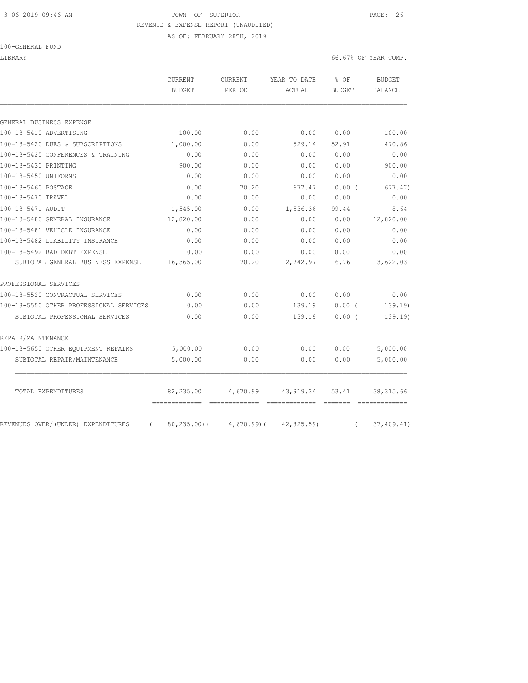# 3-06-2019 09:46 AM TOWN OF SUPERIOR PAGE: 26 REVENUE & EXPENSE REPORT (UNAUDITED)

AS OF: FEBRUARY 28TH, 2019

#### 100-GENERAL FUND

LIBRARY 66.67% OF YEAR COMP.

|                                                | CURRENT<br>BUDGET                              | <b>CURRENT</b><br>PERIOD | YEAR TO DATE<br>ACTUAL      | % OF<br><b>BUDGET</b>      | <b>BUDGET</b><br><b>BALANCE</b> |
|------------------------------------------------|------------------------------------------------|--------------------------|-----------------------------|----------------------------|---------------------------------|
|                                                |                                                |                          |                             |                            |                                 |
| GENERAL BUSINESS EXPENSE                       |                                                |                          |                             |                            |                                 |
| 100-13-5410 ADVERTISING                        | 100.00                                         | 0.00                     | 0.00                        | 0.00                       | 100.00                          |
| 100-13-5420 DUES & SUBSCRIPTIONS               | 1,000.00                                       | 0.00                     | 529.14                      | 52.91                      | 470.86                          |
| 100-13-5425 CONFERENCES & TRAINING             | 0.00                                           | 0.00                     | 0.00                        | 0.00                       | 0.00                            |
| 100-13-5430 PRINTING                           | 900.00                                         | 0.00                     | 0.00                        | 0.00                       | 900.00                          |
| 100-13-5450 UNIFORMS                           | 0.00                                           | 0.00                     | 0.00                        | 0.00                       | 0.00                            |
| 100-13-5460 POSTAGE                            | 0.00                                           | 70.20                    | 677.47                      | 0.00(                      | 677.47)                         |
| 100-13-5470 TRAVEL                             | 0.00                                           | 0.00                     | 0.00                        | 0.00                       | 0.00                            |
| 100-13-5471 AUDIT                              | 1,545.00                                       | 0.00                     | 1,536.36                    | 99.44                      | 8.64                            |
| 100-13-5480 GENERAL INSURANCE                  | 12,820.00                                      | 0.00                     | 0.00                        | 0.00                       | 12,820.00                       |
| 100-13-5481 VEHICLE INSURANCE                  | 0.00                                           | 0.00                     | 0.00                        | 0.00                       | 0.00                            |
| 100-13-5482 LIABILITY INSURANCE                | 0.00                                           | 0.00                     | 0.00                        | 0.00                       | 0.00                            |
| 100-13-5492 BAD DEBT EXPENSE                   | 0.00                                           | 0.00                     | 0.00                        | 0.00                       | 0.00                            |
| SUBTOTAL GENERAL BUSINESS EXPENSE              | 16,365.00                                      | 70.20                    | 2,742.97                    | 16.76                      | 13,622.03                       |
| PROFESSIONAL SERVICES                          |                                                |                          |                             |                            |                                 |
| 100-13-5520 CONTRACTUAL SERVICES               | 0.00                                           | 0.00                     | 0.00                        | 0.00                       | 0.00                            |
| 100-13-5550 OTHER PROFESSIONAL SERVICES        | 0.00                                           | 0.00                     | 139.19                      | 0.00(                      | 139.19                          |
| SUBTOTAL PROFESSIONAL SERVICES                 | 0.00                                           | 0.00                     | 139.19                      | 0.00(                      | 139.19)                         |
| REPAIR/MAINTENANCE                             |                                                |                          |                             |                            |                                 |
| 100-13-5650 OTHER EOUIPMENT REPAIRS            | 5,000.00                                       | 0.00                     | 0.00                        | 0.00                       | 5,000.00                        |
| SUBTOTAL REPAIR/MAINTENANCE                    | 5,000.00                                       | 0.00                     | 0.00                        | 0.00                       | 5,000.00                        |
| TOTAL EXPENDITURES                             | 82,235.00                                      | 4,670.99                 | 43,919.34                   | 53.41                      | 38, 315.66                      |
| REVENUES OVER/(UNDER) EXPENDITURES<br>$\left($ | -------------- -------------<br>$80, 235.00$ ( | $4,670.99$ ) (           | =============<br>42,825.59) | <b>COSSESS</b><br>$\left($ | =============<br>37,409.41)     |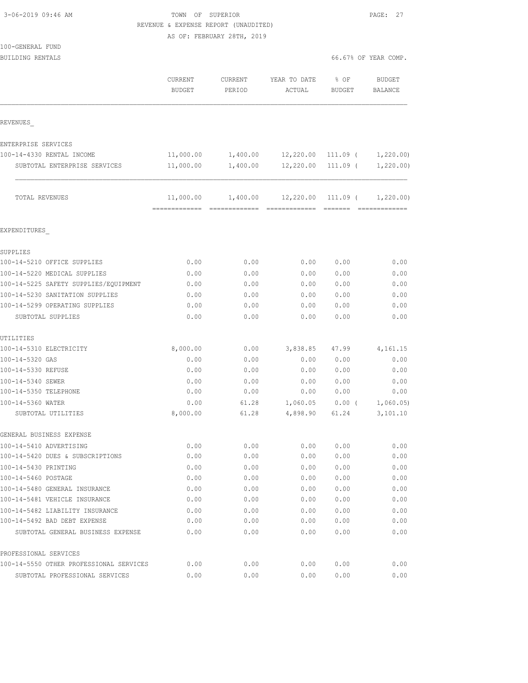| 3-06-2019 09:46 AM |  |  |
|--------------------|--|--|
|                    |  |  |

# TOWN OF SUPERIOR **PAGE: 27** REVENUE & EXPENSE REPORT (UNAUDITED)

AS OF: FEBRUARY 28TH, 2019

| 100-GENERAL FUND |  |
|------------------|--|
|------------------|--|

| BUILDING RENTALS                        |                                 |                   |                                                | 66.67% OF YEAR COMP.    |                          |
|-----------------------------------------|---------------------------------|-------------------|------------------------------------------------|-------------------------|--------------------------|
|                                         | <b>CURRENT</b><br><b>BUDGET</b> | CURRENT<br>PERIOD | YEAR TO DATE<br>ACTUAL                         | $8$ OF<br><b>BUDGET</b> | <b>BUDGET</b><br>BALANCE |
| REVENUES                                |                                 |                   |                                                |                         |                          |
| ENTERPRISE SERVICES                     |                                 |                   |                                                |                         |                          |
| 100-14-4330 RENTAL INCOME               | 11,000.00                       | 1,400.00          | 12,220.00                                      | 111.09 (                | 1,220.00                 |
| SUBTOTAL ENTERPRISE SERVICES            | 11,000.00                       | 1,400.00          | 12,220.00                                      | $111.09$ (              | 1,220.00)                |
| TOTAL REVENUES                          | 11,000.00                       |                   | $1,400.00$ $12,220.00$ $111.09$ ( $1,220.00$ ) |                         |                          |
| EXPENDITURES                            |                                 |                   |                                                |                         |                          |
| SUPPLIES                                |                                 |                   |                                                |                         |                          |
| 100-14-5210 OFFICE SUPPLIES             | 0.00                            | 0.00              | 0.00                                           | 0.00                    | 0.00                     |
| 100-14-5220 MEDICAL SUPPLIES            | 0.00                            | 0.00              | 0.00                                           | 0.00                    | 0.00                     |
| 100-14-5225 SAFETY SUPPLIES/EQUIPMENT   | 0.00                            | 0.00              | 0.00                                           | 0.00                    | 0.00                     |
| 100-14-5230 SANITATION SUPPLIES         | 0.00                            | 0.00              | 0.00                                           | 0.00                    | 0.00                     |
| 100-14-5299 OPERATING SUPPLIES          | 0.00                            | 0.00              | 0.00                                           | 0.00                    | 0.00                     |
| SUBTOTAL SUPPLIES                       | 0.00                            | 0.00              | 0.00                                           | 0.00                    | 0.00                     |
| UTILITIES                               |                                 |                   |                                                |                         |                          |
| 100-14-5310 ELECTRICITY                 | 8,000.00                        | 0.00              | 3,838.85                                       | 47.99                   | 4,161.15                 |
| 100-14-5320 GAS                         | 0.00                            | 0.00              | 0.00                                           | 0.00                    | 0.00                     |
| 100-14-5330 REFUSE                      | 0.00                            | 0.00              | 0.00                                           | 0.00                    | 0.00                     |
| 100-14-5340 SEWER                       | 0.00                            | 0.00              | 0.00                                           | 0.00                    | 0.00                     |
| 100-14-5350 TELEPHONE                   | 0.00                            | 0.00              | 0.00                                           | 0.00                    | 0.00                     |
| 100-14-5360 WATER                       | 0.00                            | 61.28             | 1,060.05                                       | $0.00$ (                | 1,060.05                 |
| SUBTOTAL UTILITIES                      | 8,000.00                        | 61.28             | 4,898.90                                       | 61.24                   | 3,101.10                 |
| GENERAL BUSINESS EXPENSE                |                                 |                   |                                                |                         |                          |
| 100-14-5410 ADVERTISING                 | 0.00                            | 0.00              | 0.00                                           | 0.00                    | 0.00                     |
| 100-14-5420 DUES & SUBSCRIPTIONS        | 0.00                            | 0.00              | 0.00                                           | 0.00                    | 0.00                     |
| 100-14-5430 PRINTING                    | 0.00                            | 0.00              | 0.00                                           | 0.00                    | 0.00                     |
| 100-14-5460 POSTAGE                     | 0.00                            | 0.00              | 0.00                                           | 0.00                    | 0.00                     |
| 100-14-5480 GENERAL INSURANCE           | 0.00                            | 0.00              | 0.00                                           | 0.00                    | 0.00                     |
| 100-14-5481 VEHICLE INSURANCE           | 0.00                            | 0.00              | 0.00                                           | 0.00                    | 0.00                     |
| 100-14-5482 LIABILITY INSURANCE         | 0.00                            | 0.00              | 0.00                                           | 0.00                    | 0.00                     |
| 100-14-5492 BAD DEBT EXPENSE            | 0.00                            | 0.00              | 0.00                                           | 0.00                    | 0.00                     |
| SUBTOTAL GENERAL BUSINESS EXPENSE       | 0.00                            | 0.00              | 0.00                                           | 0.00                    | 0.00                     |
| PROFESSIONAL SERVICES                   |                                 |                   |                                                |                         |                          |
| 100-14-5550 OTHER PROFESSIONAL SERVICES | 0.00                            | 0.00              | 0.00                                           | 0.00                    | 0.00                     |

SUBTOTAL PROFESSIONAL SERVICES 0.00 0.00 0.00 0.00 0.00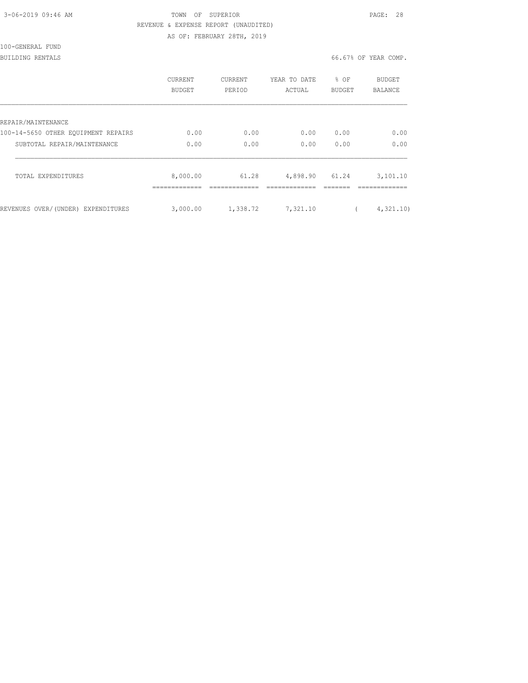| 3-06-2019 09:46 AM |  |
|--------------------|--|
|                    |  |

# TOWN OF SUPERIOR **PAGE: 28** REVENUE & EXPENSE REPORT (UNAUDITED)

AS OF: FEBRUARY 28TH, 2019

100-GENERAL FUND

BUILDING RENTALS 66.67% OF YEAR COMP.

|                                     | CURRENT<br><b>BUDGET</b> | <b>CURRENT</b><br>PERIOD | YEAR TO DATE<br>ACTUAL | % OF<br><b>BUDGET</b> | <b>BUDGET</b><br><b>BALANCE</b> |
|-------------------------------------|--------------------------|--------------------------|------------------------|-----------------------|---------------------------------|
| REPAIR/MAINTENANCE                  |                          |                          |                        |                       |                                 |
| 100-14-5650 OTHER EOUIPMENT REPAIRS | 0.00                     | 0.00                     | 0.00                   | 0.00                  | 0.00                            |
| SUBTOTAL REPAIR/MAINTENANCE         | 0.00                     | 0.00                     | 0.00                   | 0.00                  | 0.00                            |
| TOTAL EXPENDITURES                  | 8,000.00                 | 61.28                    | 4,898.90               | 61.24                 | 3,101.10                        |
| REVENUES OVER/(UNDER) EXPENDITURES  | 3,000.00                 | 1,338.72                 | 7,321.10               |                       | 4,321,10)                       |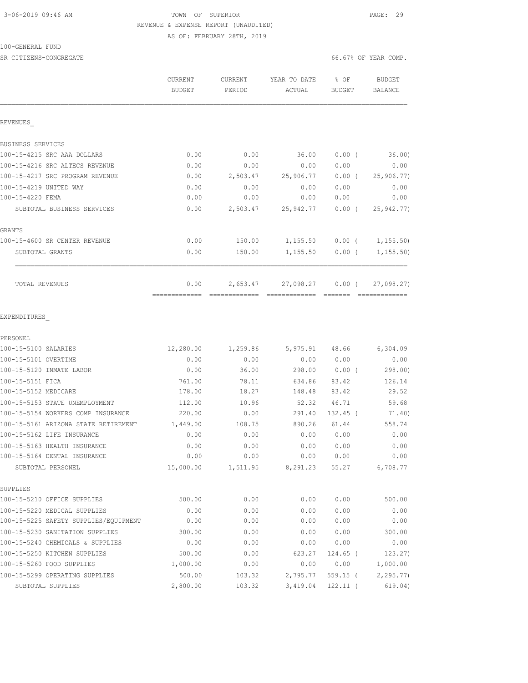# 3-06-2019 09:46 AM TOWN OF SUPERIOR PAGE: 29 REVENUE & EXPENSE REPORT (UNAUDITED)

AS OF: FEBRUARY 28TH, 2019

#### 100-GENERAL FUND

| SR CITIZENS-CONGREGATE          |                   |        |                                             |        | 66.67% OF YEAR COMP. |
|---------------------------------|-------------------|--------|---------------------------------------------|--------|----------------------|
|                                 | CURRENT<br>BUDGET | PERIOD | CURRENT YEAR TO DATE % OF<br>ACTUAL         | BUDGET | BUDGET<br>BALANCE    |
| REVENUES                        |                   |        |                                             |        |                      |
| BUSINESS SERVICES               |                   |        |                                             |        |                      |
| 100-15-4215 SRC AAA DOLLARS     | 0.00              |        | $0.00$ 36.00                                |        | $0.00$ ( 36.00)      |
| 100-15-4216 SRC ALTECS REVENUE  | 0.00              | 0.00   | 0.00                                        | 0.00   | 0.00                 |
| 100-15-4217 SRC PROGRAM REVENUE | 0.00              |        | 2,503.47 25,906.77 0.00 ( 25,906.77)        |        |                      |
| 100-15-4219 UNITED WAY          | 0.00              | 0.00   | 0.00 0.00                                   |        | 0.00                 |
| 100-15-4220 FEMA                | 0.00              | 0.00   | 0.00                                        | 0.00   | 0.00                 |
| SUBTOTAL BUSINESS SERVICES      | 0.00              |        | 2,503.47 25,942.77 0.00 ( 25,942.77)        |        |                      |
| GRANTS                          |                   |        |                                             |        |                      |
| 100-15-4600 SR CENTER REVENUE   | 0.00              |        | 150.00  1,155.50  0.00  ( 1,155.50)         |        |                      |
| SUBTOTAL GRANTS                 | 0.00              |        | 150.00   1,155.50   0.00   1,155.50)        |        |                      |
| TOTAL REVENUES                  |                   |        | $0.00$ 2,653.47 27,098.27 0.00 ( 27,098.27) |        |                      |
|                                 |                   |        |                                             |        |                      |
| EXPENDITURES                    |                   |        |                                             |        |                      |
| PERSONEL                        |                   |        |                                             |        |                      |
| 100-15-5100 SALARIES            |                   |        | 12,280.00 1,259.86 5,975.91 48.66 6,304.09  |        |                      |
| 100-15-5101 OVERTIME            | 0.00              | 0.00   | 0.00 0.00                                   |        | 0.00                 |
|                                 |                   | .      |                                             | .      | .                    |

| 100-15-5120 INMATE LABOR              | 0.00      | 36.00    | 298.00   | 0.00(      | 298.00    |
|---------------------------------------|-----------|----------|----------|------------|-----------|
| 100-15-5151 FICA                      | 761.00    | 78.11    | 634.86   | 83.42      | 126.14    |
| 100-15-5152 MEDICARE                  | 178.00    | 18.27    | 148.48   | 83.42      | 29.52     |
| 100-15-5153 STATE UNEMPLOYMENT        | 112.00    | 10.96    | 52.32    | 46.71      | 59.68     |
| 100-15-5154 WORKERS COMP INSURANCE    | 220.00    | 0.00     | 291.40   | $132.45$ ( | 71.40)    |
| 100-15-5161 ARIZONA STATE RETIREMENT  | 1,449.00  | 108.75   | 890.26   | 61.44      | 558.74    |
| 100-15-5162 LIFE INSURANCE            | 0.00      | 0.00     | 0.00     | 0.00       | 0.00      |
| 100-15-5163 HEALTH INSURANCE          | 0.00      | 0.00     | 0.00     | 0.00       | 0.00      |
| 100-15-5164 DENTAL INSURANCE          | 0.00      | 0.00     | 0.00     | 0.00       | 0.00      |
| SUBTOTAL PERSONEL                     | 15,000.00 | 1,511.95 | 8,291.23 | 55.27      | 6,708.77  |
| SUPPLIES                              |           |          |          |            |           |
| 100-15-5210 OFFICE SUPPLIES           | 500.00    | 0.00     | 0.00     | 0.00       | 500.00    |
| 100-15-5220 MEDICAL SUPPLIES          | 0.00      | 0.00     | 0.00     | 0.00       | 0.00      |
| 100-15-5225 SAFETY SUPPLIES/EQUIPMENT | 0.00      | 0.00     | 0.00     | 0.00       | 0.00      |
| 100-15-5230 SANITATION SUPPLIES       | 300.00    | 0.00     | 0.00     | 0.00       | 300.00    |
| 100-15-5240 CHEMICALS & SUPPLIES      | 0.00      | 0.00     | 0.00     | 0.00       | 0.00      |
| 100-15-5250 KITCHEN SUPPLIES          | 500.00    | 0.00     | 623.27   | $124.65$ ( | 123.27    |
| 100-15-5260 FOOD SUPPLIES             | 1,000.00  | 0.00     | 0.00     | 0.00       | 1,000.00  |
| 100-15-5299 OPERATING SUPPLIES        | 500.00    | 103.32   | 2,795.77 | $559.15$ ( | 2, 295.77 |
| SUBTOTAL SUPPLIES                     | 2,800.00  | 103.32   | 3,419.04 | $122.11$ ( | 619.04)   |
|                                       |           |          |          |            |           |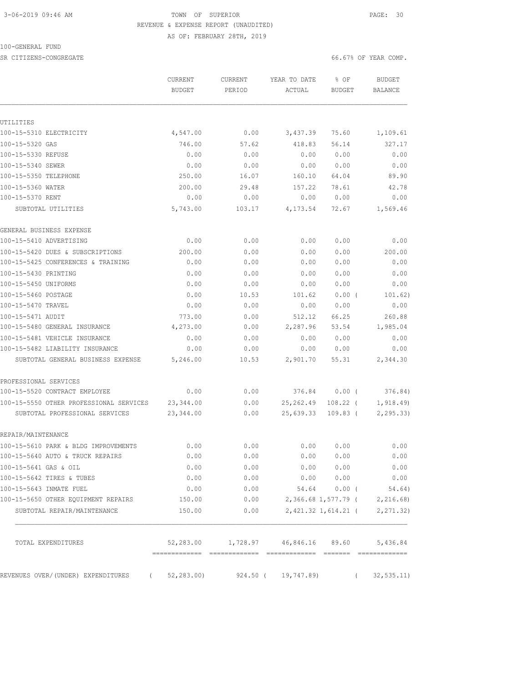# 3-06-2019 09:46 AM TOWN OF SUPERIOR PAGE: 30 REVENUE & EXPENSE REPORT (UNAUDITED)

AS OF: FEBRUARY 28TH, 2019

#### 100-GENERAL FUND

SR CITIZENS-CONGREGATE SERVICES AND RESOLUTION OF SERVICES AND RESOLUTION OF SERVICES AND SERVICES AND SERVICES

|                                         | CURRENT<br><b>BUDGET</b> | <b>CURRENT</b><br>PERIOD                    | YEAR TO DATE<br>ACTUAL | % OF<br>BUDGET      | <b>BUDGET</b><br><b>BALANCE</b> |
|-----------------------------------------|--------------------------|---------------------------------------------|------------------------|---------------------|---------------------------------|
|                                         |                          |                                             |                        |                     |                                 |
| UTILITIES                               |                          |                                             |                        |                     |                                 |
| 100-15-5310 ELECTRICITY                 | 4,547.00                 | 0.00                                        | 3,437.39               | 75.60               | 1,109.61                        |
| 100-15-5320 GAS                         | 746.00                   | 57.62                                       | 418.83                 | 56.14               | 327.17                          |
| 100-15-5330 REFUSE                      | 0.00                     | 0.00                                        | 0.00                   | 0.00                | 0.00                            |
| 100-15-5340 SEWER                       | 0.00                     | 0.00                                        | 0.00                   | 0.00                | 0.00                            |
| 100-15-5350 TELEPHONE                   | 250.00                   | 16.07                                       | 160.10                 | 64.04               | 89.90                           |
| 100-15-5360 WATER                       | 200.00                   | 29.48                                       | 157.22                 | 78.61               | 42.78                           |
| 100-15-5370 RENT                        | 0.00                     | 0.00                                        | 0.00                   | 0.00                | 0.00                            |
| SUBTOTAL UTILITIES                      | 5,743.00                 | 103.17                                      | 4,173.54               | 72.67               | 1,569.46                        |
| GENERAL BUSINESS EXPENSE                |                          |                                             |                        |                     |                                 |
| 100-15-5410 ADVERTISING                 | 0.00                     | 0.00                                        | 0.00                   | 0.00                | 0.00                            |
| 100-15-5420 DUES & SUBSCRIPTIONS        | 200.00                   | 0.00                                        | 0.00                   | 0.00                | 200.00                          |
| 100-15-5425 CONFERENCES & TRAINING      | 0.00                     | 0.00                                        | 0.00                   | 0.00                | 0.00                            |
| 100-15-5430 PRINTING                    | 0.00                     | 0.00                                        | 0.00                   | 0.00                | 0.00                            |
| 100-15-5450 UNIFORMS                    | 0.00                     | 0.00                                        | 0.00                   | 0.00                | 0.00                            |
| 100-15-5460 POSTAGE                     | 0.00                     | 10.53                                       | 101.62                 | $0.00$ (            | 101.62)                         |
| 100-15-5470 TRAVEL                      | 0.00                     | 0.00                                        | 0.00                   | 0.00                | 0.00                            |
| 100-15-5471 AUDIT                       | 773.00                   | 0.00                                        | 512.12                 | 66.25               | 260.88                          |
| 100-15-5480 GENERAL INSURANCE           | 4,273.00                 | 0.00                                        | 2,287.96               | 53.54               | 1,985.04                        |
| 100-15-5481 VEHICLE INSURANCE           | 0.00                     | 0.00                                        | 0.00                   | 0.00                | 0.00                            |
| 100-15-5482 LIABILITY INSURANCE         | 0.00                     | 0.00                                        | 0.00                   | 0.00                | 0.00                            |
| SUBTOTAL GENERAL BUSINESS EXPENSE       | 5,246.00                 | 10.53                                       | 2,901.70               | 55.31               | 2,344.30                        |
| PROFESSIONAL SERVICES                   |                          |                                             |                        |                     |                                 |
| 100-15-5520 CONTRACT EMPLOYEE           | 0.00                     | 0.00                                        | 376.84                 | 0.00(               | 376.84)                         |
| 100-15-5550 OTHER PROFESSIONAL SERVICES | 23,344.00                | 0.00                                        | 25,262.49              | $108.22$ (          | 1,918.49                        |
| SUBTOTAL PROFESSIONAL SERVICES          | 23,344.00                | 0.00                                        | 25,639.33              | $109.83$ (          | 2, 295.33                       |
| REPAIR/MAINTENANCE                      |                          |                                             |                        |                     |                                 |
| 100-15-5610 PARK & BLDG IMPROVEMENTS    | 0.00                     | 0.00                                        | 0.00                   | 0.00                | 0.00                            |
| 100-15-5640 AUTO & TRUCK REPAIRS        | 0.00                     | 0.00                                        | 0.00                   | 0.00                | 0.00                            |
| 100-15-5641 GAS & OIL                   | 0.00                     | 0.00                                        | 0.00                   | 0.00                | 0.00                            |
| 100-15-5642 TIRES & TUBES               | 0.00                     | 0.00                                        |                        | 0.000000            | 0.00                            |
| 100-15-5643 INMATE FUEL                 | 0.00                     | 0.00                                        |                        | 54.64 0.00 (        | 54.64)                          |
| 100-15-5650 OTHER EQUIPMENT REPAIRS     | 150.00                   | 0.00                                        |                        | 2,366.68 1,577.79 ( | 2,216.68)                       |
| SUBTOTAL REPAIR/MAINTENANCE             | 150.00                   | 0.00                                        |                        | 2,421.32 1,614.21 ( | 2, 271.32)                      |
| TOTAL EXPENDITURES                      |                          | 52,283.00 1,728.97 46,846.16 89.60 5,436.84 |                        |                     |                                 |
| REVENUES OVER/(UNDER) EXPENDITURES      | 52, 283.00               | 924.50 (                                    | 19,747.89)             |                     | 32, 535.11)                     |
|                                         |                          |                                             |                        |                     |                                 |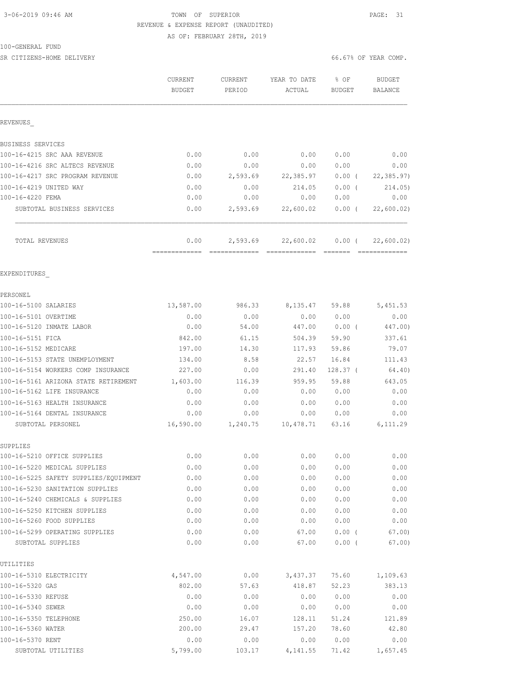# 3-06-2019 09:46 AM TOWN OF SUPERIOR PAGE: 31 REVENUE & EXPENSE REPORT (UNAUDITED)

AS OF: FEBRUARY 28TH, 2019

#### 100-GENERAL FUND

SR CITIZENS-HOME DELIVERY 66.67% OF YEAR COMP.

|                                                              | CURRENT<br><b>BUDGET</b> | CURRENT<br>PERIOD | YEAR TO DATE<br>ACTUAL | % OF<br><b>BUDGET</b> | <b>BUDGET</b><br><b>BALANCE</b> |
|--------------------------------------------------------------|--------------------------|-------------------|------------------------|-----------------------|---------------------------------|
| REVENUES                                                     |                          |                   |                        |                       |                                 |
| BUSINESS SERVICES                                            |                          |                   |                        |                       |                                 |
| 100-16-4215 SRC AAA REVENUE                                  | 0.00                     | 0.00              | 0.00                   | 0.00                  | 0.00                            |
| 100-16-4216 SRC ALTECS REVENUE                               | 0.00                     | 0.00              | 0.00                   | 0.00                  | 0.00                            |
| 100-16-4217 SRC PROGRAM REVENUE                              | 0.00                     | 2,593.69          | 22,385.97              | $0.00$ (              | 22, 385.97                      |
| 100-16-4219 UNITED WAY                                       | 0.00                     | 0.00              | 214.05                 | $0.00$ (              | 214.05                          |
| 100-16-4220 FEMA                                             | 0.00                     | 0.00              | 0.00                   | 0.00                  | 0.00                            |
| SUBTOTAL BUSINESS SERVICES                                   | 0.00                     | 2,593.69          | 22,600.02              | $0.00$ (              | 22,600.02                       |
| TOTAL REVENUES                                               | 0.00                     | 2,593.69          | 22,600.02              | $0.00$ (              | 22,600.02)                      |
| EXPENDITURES                                                 |                          |                   |                        |                       |                                 |
| PERSONEL                                                     |                          |                   |                        |                       |                                 |
| 100-16-5100 SALARIES                                         | 13,587.00                | 986.33            | 8, 135.47 59.88        |                       | 5,451.53                        |
| 100-16-5101 OVERTIME                                         | 0.00                     | 0.00              | 0.00                   | 0.00                  | 0.00                            |
| 100-16-5120 INMATE LABOR                                     | 0.00                     | 54.00             | 447.00                 | $0.00$ (              | 447.00)                         |
| 100-16-5151 FICA                                             | 842.00                   | 61.15             | 504.39                 | 59.90                 | 337.61                          |
| 100-16-5152 MEDICARE                                         | 197.00                   | 14.30             | 117.93                 | 59.86                 | 79.07                           |
| 100-16-5153 STATE UNEMPLOYMENT                               | 134.00                   | 8.58              | 22.57                  | 16.84                 | 111.43                          |
| 100-16-5154 WORKERS COMP INSURANCE                           | 227.00                   | 0.00              | 291.40                 | $128.37$ (            | 64.40)                          |
| 100-16-5161 ARIZONA STATE RETIREMENT                         | 1,603.00                 | 116.39            | 959.95                 | 59.88                 | 643.05                          |
| 100-16-5162 LIFE INSURANCE                                   | 0.00                     | 0.00              | 0.00                   | 0.00                  | 0.00                            |
| 100-16-5163 HEALTH INSURANCE<br>100-16-5164 DENTAL INSURANCE | 0.00<br>0.00             | 0.00<br>0.00      | 0.00<br>0.00           | 0.00<br>0.00          | 0.00<br>0.00                    |
| SUBTOTAL PERSONEL                                            | 16,590.00                | 1,240.75          | 10,478.71              | 63.16                 | 6, 111.29                       |
| SUPPLIES                                                     |                          |                   |                        |                       |                                 |
| 100-16-5210 OFFICE SUPPLIES                                  | 0.00                     | 0.00              | 0.00                   | 0.00                  | 0.00                            |
| 100-16-5220 MEDICAL SUPPLIES                                 | 0.00                     | 0.00              | 0.00                   | 0.00                  | 0.00                            |
| 100-16-5225 SAFETY SUPPLIES/EQUIPMENT                        | 0.00                     | 0.00              | 0.00                   | 0.00                  | 0.00                            |
| 100-16-5230 SANITATION SUPPLIES                              | 0.00                     | 0.00              | 0.00                   | 0.00                  | 0.00                            |
| 100-16-5240 CHEMICALS & SUPPLIES                             | 0.00                     | 0.00              | 0.00                   | 0.00                  | 0.00                            |
| 100-16-5250 KITCHEN SUPPLIES                                 | 0.00                     | 0.00              | 0.00                   | 0.00                  | 0.00                            |
| 100-16-5260 FOOD SUPPLIES<br>100-16-5299 OPERATING SUPPLIES  | 0.00                     | 0.00              | 0.00                   | 0.00                  | 0.00                            |
| SUBTOTAL SUPPLIES                                            | 0.00<br>0.00             | 0.00<br>0.00      | 67.00<br>67.00         | 0.00(<br>0.00(        | 67.00<br>67.00)                 |
| UTILITIES                                                    |                          |                   |                        |                       |                                 |
| 100-16-5310 ELECTRICITY                                      | 4,547.00                 | 0.00              | 3,437.37               | 75.60                 | 1,109.63                        |
| 100-16-5320 GAS                                              | 802.00                   | 57.63             | 418.87                 | 52.23                 | 383.13                          |
| 100-16-5330 REFUSE                                           | 0.00                     | 0.00              | 0.00                   | 0.00                  | 0.00                            |
| 100-16-5340 SEWER                                            | 0.00                     | 0.00              | 0.00                   | 0.00                  | 0.00                            |
| 100-16-5350 TELEPHONE                                        | 250.00                   | 16.07             | 128.11                 | 51.24                 | 121.89                          |
| 100-16-5360 WATER                                            | 200.00                   | 29.47             | 157.20                 | 78.60                 | 42.80                           |
| 100-16-5370 RENT                                             | 0.00                     | 0.00              | 0.00                   | 0.00                  | 0.00                            |
| SUBTOTAL UTILITIES                                           | 5,799.00                 | 103.17            | 4,141.55               | 71.42                 | 1,657.45                        |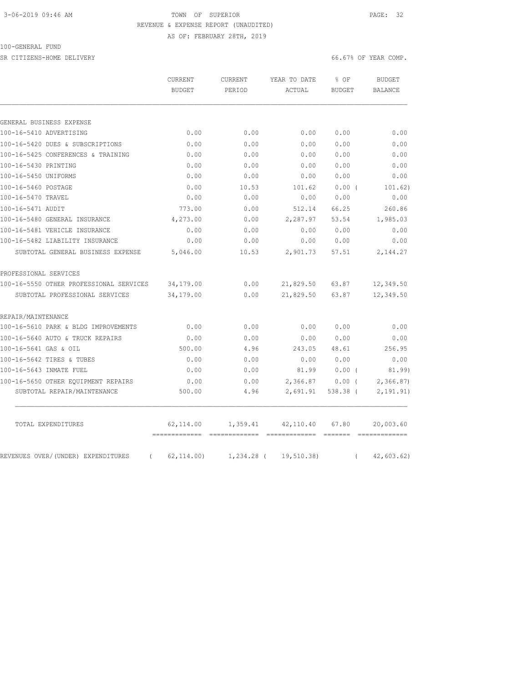# 3-06-2019 09:46 AM TOWN OF SUPERIOR PAGE: 32 REVENUE & EXPENSE REPORT (UNAUDITED)

AS OF: FEBRUARY 28TH, 2019

#### 100-GENERAL FUND

SR CITIZENS-HOME DELIVERY 66.67% OF YEAR COMP.

|                                                | CURRENT                      | CURRENT  | YEAR TO DATE          | % OF          | <b>BUDGET</b>  |
|------------------------------------------------|------------------------------|----------|-----------------------|---------------|----------------|
|                                                | <b>BUDGET</b>                | PERIOD   | ACTUAL                | <b>BUDGET</b> | <b>BALANCE</b> |
|                                                |                              |          |                       |               |                |
| GENERAL BUSINESS EXPENSE                       |                              |          |                       |               |                |
| 100-16-5410 ADVERTISING                        | 0.00                         | 0.00     | 0.00                  | 0.00          | 0.00           |
| 100-16-5420 DUES & SUBSCRIPTIONS               | 0.00                         | 0.00     | 0.00                  | 0.00          | 0.00           |
| 100-16-5425 CONFERENCES & TRAINING             | 0.00                         | 0.00     | 0.00                  | 0.00          | 0.00           |
| 100-16-5430 PRINTING                           | 0.00                         | 0.00     | 0.00                  | 0.00          | 0.00           |
| 100-16-5450 UNIFORMS                           | 0.00                         | 0.00     | 0.00                  | 0.00          | 0.00           |
| 100-16-5460 POSTAGE                            | 0.00                         | 10.53    | 101.62                | 0.00(         | 101.62)        |
| 100-16-5470 TRAVEL                             | 0.00                         | 0.00     | 0.00                  | 0.00          | 0.00           |
| 100-16-5471 AUDIT                              | 773.00                       | 0.00     | 512.14                | 66.25         | 260.86         |
| 100-16-5480 GENERAL INSURANCE                  | 4,273.00                     | 0.00     | 2,287.97              | 53.54         | 1,985.03       |
| 100-16-5481 VEHICLE INSURANCE                  | 0.00                         | 0.00     | 0.00                  | 0.00          | 0.00           |
| 100-16-5482 LIABILITY INSURANCE                | 0.00                         | 0.00     | 0.00                  | 0.00          | 0.00           |
| SUBTOTAL GENERAL BUSINESS EXPENSE              | 5,046.00                     | 10.53    | 2,901.73              | 57.51         | 2,144.27       |
| PROFESSIONAL SERVICES                          |                              |          |                       |               |                |
| 100-16-5550 OTHER PROFESSIONAL SERVICES        | 34,179.00                    | 0.00     | 21,829.50             | 63.87         | 12,349.50      |
| SUBTOTAL PROFESSIONAL SERVICES                 | 34,179.00                    | 0.00     | 21,829.50             | 63.87         | 12,349.50      |
| REPAIR/MAINTENANCE                             |                              |          |                       |               |                |
| 100-16-5610 PARK & BLDG IMPROVEMENTS           | 0.00                         | 0.00     | 0.00                  | 0.00          | 0.00           |
| 100-16-5640 AUTO & TRUCK REPAIRS               | 0.00                         | 0.00     | 0.00                  | 0.00          | 0.00           |
| 100-16-5641 GAS & OIL                          | 500.00                       | 4.96     | 243.05                | 48.61         | 256.95         |
| 100-16-5642 TIRES & TUBES                      | 0.00                         | 0.00     | 0.00                  | 0.00          | 0.00           |
| 100-16-5643 INMATE FUEL                        | 0.00                         | 0.00     | 81.99                 | $0.00$ (      | 81.99)         |
| 100-16-5650 OTHER EQUIPMENT REPAIRS            | 0.00                         | 0.00     | 2,366.87              | 0.00(         | 2,366.87       |
| SUBTOTAL REPAIR/MAINTENANCE                    | 500.00                       | 4.96     | 2,691.91              | 538.38 (      | 2,191.91)      |
| TOTAL EXPENDITURES                             | 62,114.00                    | 1,359.41 | 42,110.40             | 67.80         | 20,003.60      |
| REVENUES OVER/(UNDER) EXPENDITURES<br>$\left($ | --------------<br>62, 114.00 |          | 1,234.28 ( 19,510.38) | $\left($      | 42,603.62)     |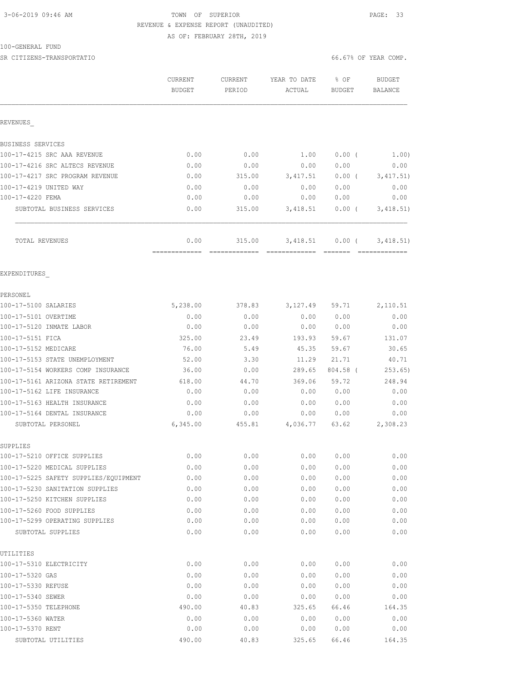# 3-06-2019 09:46 AM TOWN OF SUPERIOR PAGE: 33 REVENUE & EXPENSE REPORT (UNAUDITED)

AS OF: FEBRUARY 28TH, 2019

#### 100-GENERAL FUND

SR CITIZENS-TRANSPORTATIO 66.67% OF YEAR COMP.

|                                       | <b>CURRENT</b><br><b>BUDGET</b> | <b>CURRENT</b><br>PERIOD | YEAR TO DATE<br>ACTUAL | % OF<br>BUDGET       | <b>BUDGET</b><br>BALANCE |
|---------------------------------------|---------------------------------|--------------------------|------------------------|----------------------|--------------------------|
| REVENUES                              |                                 |                          |                        |                      |                          |
| <b>BUSINESS SERVICES</b>              |                                 |                          |                        |                      |                          |
| 100-17-4215 SRC AAA REVENUE           | 0.00                            | 0.00                     | 1.00                   | $0.00$ (             | 1.00)                    |
| 100-17-4216 SRC ALTECS REVENUE        | 0.00                            | 0.00                     | 0.00                   | 0.00                 | 0.00                     |
| 100-17-4217 SRC PROGRAM REVENUE       | 0.00                            | 315.00                   | 3, 417.51              | $0.00$ (             | 3, 417.51)               |
| 100-17-4219 UNITED WAY                | 0.00                            | 0.00                     | 0.00                   | 0.00                 | 0.00                     |
| 100-17-4220 FEMA                      | 0.00                            | 0.00                     | 0.00                   | 0.00                 | 0.00                     |
| SUBTOTAL BUSINESS SERVICES            | 0.00                            | 315.00                   | 3,418.51               | $0.00$ (             | 3,418.51)                |
| TOTAL REVENUES                        | 0.00<br>=============           | 315.00                   | 3,418.51               | $0.00$ (<br>-------- | 3,418.51)                |
| EXPENDITURES                          |                                 |                          |                        |                      |                          |
| PERSONEL                              |                                 |                          |                        |                      |                          |
| 100-17-5100 SALARIES                  | 5,238.00                        | 378.83                   | 3,127.49               | 59.71                | 2,110.51                 |
| 100-17-5101 OVERTIME                  | 0.00                            | 0.00                     | 0.00                   | 0.00                 | 0.00                     |
| 100-17-5120 INMATE LABOR              | 0.00                            | 0.00                     | 0.00                   | 0.00                 | 0.00                     |
| 100-17-5151 FICA                      | 325.00                          | 23.49                    | 193.93                 | 59.67                | 131.07                   |
| 100-17-5152 MEDICARE                  | 76.00                           | 5.49                     | 45.35                  | 59.67                | 30.65                    |
| 100-17-5153 STATE UNEMPLOYMENT        | 52.00                           | 3.30                     | 11.29                  | 21.71                | 40.71                    |
| 100-17-5154 WORKERS COMP INSURANCE    | 36.00                           | 0.00                     | 289.65                 | 804.58 (             | 253.65)                  |
| 100-17-5161 ARIZONA STATE RETIREMENT  | 618.00                          | 44.70                    | 369.06                 | 59.72                | 248.94                   |
| 100-17-5162 LIFE INSURANCE            | 0.00                            | 0.00                     | 0.00                   | 0.00                 | 0.00                     |
| 100-17-5163 HEALTH INSURANCE          | 0.00                            | 0.00                     | 0.00                   | 0.00                 | 0.00                     |
| 100-17-5164 DENTAL INSURANCE          | 0.00                            | 0.00                     | 0.00                   | 0.00                 | 0.00                     |
| SUBTOTAL PERSONEL                     | 6,345.00                        | 455.81                   | 4,036.77               | 63.62                | 2,308.23                 |
| SUPPLIES                              |                                 |                          |                        |                      |                          |
| 100-17-5210 OFFICE SUPPLIES           | 0.00                            | 0.00                     | 0.00                   | 0.00                 | 0.00                     |
| 100-17-5220 MEDICAL SUPPLIES          | 0.00                            | 0.00                     | 0.00                   | 0.00                 | 0.00                     |
| 100-17-5225 SAFETY SUPPLIES/EQUIPMENT | 0.00                            | 0.00                     | 0.00                   | 0.00                 | 0.00                     |
| 100-17-5230 SANITATION SUPPLIES       | 0.00                            | 0.00                     | 0.00                   | 0.00                 | 0.00                     |
| 100-17-5250 KITCHEN SUPPLIES          | 0.00                            | 0.00                     | 0.00                   | 0.00                 | 0.00                     |
| 100-17-5260 FOOD SUPPLIES             | 0.00                            | 0.00                     | 0.00                   | 0.00                 | 0.00                     |
| 100-17-5299 OPERATING SUPPLIES        | 0.00                            | 0.00                     | 0.00                   | 0.00                 | 0.00                     |
| SUBTOTAL SUPPLIES                     | 0.00                            | 0.00                     | 0.00                   | 0.00                 | 0.00                     |
| UTILITIES<br>100-17-5310 ELECTRICITY  | 0.00                            | 0.00                     |                        |                      | 0.00                     |
| 100-17-5320 GAS                       |                                 |                          | 0.00                   | 0.00                 |                          |
| 100-17-5330 REFUSE                    | 0.00<br>0.00                    | 0.00<br>0.00             | 0.00<br>0.00           | 0.00<br>0.00         | 0.00<br>0.00             |
| 100-17-5340 SEWER                     | 0.00                            | 0.00                     | 0.00                   | 0.00                 | 0.00                     |
| 100-17-5350 TELEPHONE                 | 490.00                          | 40.83                    | 325.65                 | 66.46                | 164.35                   |
| 100-17-5360 WATER                     | 0.00                            | 0.00                     | 0.00                   | 0.00                 | 0.00                     |
| 100-17-5370 RENT                      | 0.00                            | 0.00                     | 0.00                   | 0.00                 | 0.00                     |
| SUBTOTAL UTILITIES                    | 490.00                          | 40.83                    | 325.65                 | 66.46                | 164.35                   |
|                                       |                                 |                          |                        |                      |                          |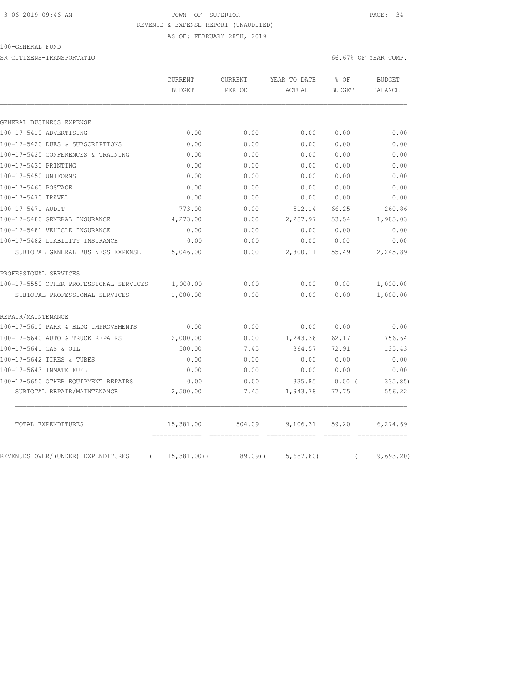# 3-06-2019 09:46 AM TOWN OF SUPERIOR PAGE: 34 REVENUE & EXPENSE REPORT (UNAUDITED)

AS OF: FEBRUARY 28TH, 2019

#### 100-GENERAL FUND

SR CITIZENS-TRANSPORTATIO 66.67% OF YEAR COMP.

|                                                | <b>CURRENT</b><br><b>BUDGET</b> | <b>CURRENT</b><br>PERIOD | YEAR TO DATE<br>ACTUAL | % OF<br><b>BUDGET</b> | <b>BUDGET</b><br><b>BALANCE</b> |
|------------------------------------------------|---------------------------------|--------------------------|------------------------|-----------------------|---------------------------------|
|                                                |                                 |                          |                        |                       |                                 |
|                                                |                                 |                          |                        |                       |                                 |
| GENERAL BUSINESS EXPENSE                       |                                 |                          |                        |                       |                                 |
| 100-17-5410 ADVERTISING                        | 0.00                            | 0.00                     | 0.00                   | 0.00                  | 0.00                            |
| 100-17-5420 DUES & SUBSCRIPTIONS               | 0.00                            | 0.00                     | 0.00                   | 0.00                  | 0.00                            |
| 100-17-5425 CONFERENCES & TRAINING             | 0.00                            | 0.00                     | 0.00                   | 0.00                  | 0.00                            |
| 100-17-5430 PRINTING                           | 0.00                            | 0.00                     | 0.00                   | 0.00                  | 0.00                            |
| 100-17-5450 UNIFORMS                           | 0.00                            | 0.00                     | 0.00                   | 0.00                  | 0.00                            |
| 100-17-5460 POSTAGE                            | 0.00                            | 0.00                     | 0.00                   | 0.00                  | 0.00                            |
| 100-17-5470 TRAVEL                             | 0.00                            | 0.00                     | 0.00                   | 0.00                  | 0.00                            |
| 100-17-5471 AUDIT                              | 773.00                          | 0.00                     | 512.14                 | 66.25                 | 260.86                          |
| 100-17-5480 GENERAL INSURANCE                  | 4,273.00                        | 0.00                     | 2,287.97               | 53.54                 | 1,985.03                        |
| 100-17-5481 VEHICLE INSURANCE                  | 0.00                            | 0.00                     | 0.00                   | 0.00                  | 0.00                            |
| 100-17-5482 LIABILITY INSURANCE                | 0.00                            | 0.00                     | 0.00                   | 0.00                  | 0.00                            |
| SUBTOTAL GENERAL BUSINESS EXPENSE              | 5,046.00                        | 0.00                     | 2,800.11               | 55.49                 | 2,245.89                        |
| PROFESSIONAL SERVICES                          |                                 |                          |                        |                       |                                 |
| 100-17-5550 OTHER PROFESSIONAL SERVICES        | 1,000.00                        | 0.00                     | 0.00                   | 0.00                  | 1,000.00                        |
| SUBTOTAL PROFESSIONAL SERVICES                 | 1,000.00                        | 0.00                     | 0.00                   | 0.00                  | 1,000.00                        |
| REPAIR/MAINTENANCE                             |                                 |                          |                        |                       |                                 |
| 100-17-5610 PARK & BLDG IMPROVEMENTS           | 0.00                            | 0.00                     | 0.00                   | 0.00                  | 0.00                            |
| 100-17-5640 AUTO & TRUCK REPAIRS               | 2,000.00                        | 0.00                     | 1,243.36               | 62.17                 | 756.64                          |
| 100-17-5641 GAS & OIL                          | 500.00                          | 7.45                     | 364.57                 | 72.91                 | 135.43                          |
| 100-17-5642 TIRES & TUBES                      | 0.00                            | 0.00                     | 0.00                   | 0.00                  | 0.00                            |
| 100-17-5643 INMATE FUEL                        | 0.00                            | 0.00                     | 0.00                   | 0.00                  | 0.00                            |
| 100-17-5650 OTHER EQUIPMENT REPAIRS            | 0.00                            | 0.00                     | 335.85                 | 0.00(                 | 335.85)                         |
| SUBTOTAL REPAIR/MAINTENANCE                    | 2,500.00                        | 7.45                     | 1,943.78               | 77.75                 | 556.22                          |
| TOTAL EXPENDITURES                             | 15,381.00                       | 504.09                   | 9,106.31               | 59.20                 | 6,274.69                        |
| REVENUES OVER/(UNDER) EXPENDITURES<br>$\left($ | 15,381.00(                      | $189.09$ ) $($           | 5,687.80               | $\left($              | 9,693.20                        |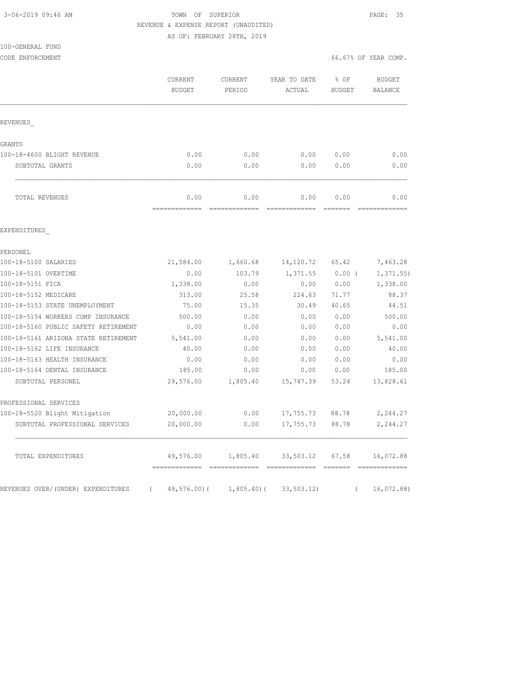# 3-06-2019 09:46 AM TOWN OF SUPERIOR PAGE: 35 REVENUE & EXPENSE REPORT (UNAUDITED)

AS OF: FEBRUARY 28TH, 2019

| 100-GENERAL FUND |  |
|------------------|--|
|------------------|--|

|                                      | CURRENT<br><b>BUDGET</b> | CURRENT<br>PERIOD                                                                                                                                                                                                                                                                                                                                                                                                                                                                              | YEAR TO DATE<br>ACTUAL | % OF<br><b>BUDGET</b>                                                                                                                                                                                                                                                                                                                                                                                                                                                                          | <b>BUDGET</b><br><b>BALANCE</b> |
|--------------------------------------|--------------------------|------------------------------------------------------------------------------------------------------------------------------------------------------------------------------------------------------------------------------------------------------------------------------------------------------------------------------------------------------------------------------------------------------------------------------------------------------------------------------------------------|------------------------|------------------------------------------------------------------------------------------------------------------------------------------------------------------------------------------------------------------------------------------------------------------------------------------------------------------------------------------------------------------------------------------------------------------------------------------------------------------------------------------------|---------------------------------|
| REVENUES                             |                          |                                                                                                                                                                                                                                                                                                                                                                                                                                                                                                |                        |                                                                                                                                                                                                                                                                                                                                                                                                                                                                                                |                                 |
| GRANTS                               |                          |                                                                                                                                                                                                                                                                                                                                                                                                                                                                                                |                        |                                                                                                                                                                                                                                                                                                                                                                                                                                                                                                |                                 |
| 100-18-4600 BLIGHT REVENUE           | 0.00                     | 0.00                                                                                                                                                                                                                                                                                                                                                                                                                                                                                           | 0.00                   | 0.00                                                                                                                                                                                                                                                                                                                                                                                                                                                                                           | 0.00                            |
| SUBTOTAL GRANTS                      | 0.00                     | 0.00                                                                                                                                                                                                                                                                                                                                                                                                                                                                                           | 0.00                   | 0.00                                                                                                                                                                                                                                                                                                                                                                                                                                                                                           | 0.00                            |
| TOTAL REVENUES                       | 0.00<br>=============    | 0.00<br>$\begin{array}{cccccccccc} \multicolumn{2}{c}{} & \multicolumn{2}{c}{} & \multicolumn{2}{c}{} & \multicolumn{2}{c}{} & \multicolumn{2}{c}{} & \multicolumn{2}{c}{} & \multicolumn{2}{c}{} & \multicolumn{2}{c}{} & \multicolumn{2}{c}{} & \multicolumn{2}{c}{} & \multicolumn{2}{c}{} & \multicolumn{2}{c}{} & \multicolumn{2}{c}{} & \multicolumn{2}{c}{} & \multicolumn{2}{c}{} & \multicolumn{2}{c}{} & \multicolumn{2}{c}{} & \multicolumn{2}{c}{} & \multicolumn{2}{c}{} & \mult$ | 0.00                   | 0.00<br>$\begin{array}{cccccccccc} \multicolumn{2}{c}{} & \multicolumn{2}{c}{} & \multicolumn{2}{c}{} & \multicolumn{2}{c}{} & \multicolumn{2}{c}{} & \multicolumn{2}{c}{} & \multicolumn{2}{c}{} & \multicolumn{2}{c}{} & \multicolumn{2}{c}{} & \multicolumn{2}{c}{} & \multicolumn{2}{c}{} & \multicolumn{2}{c}{} & \multicolumn{2}{c}{} & \multicolumn{2}{c}{} & \multicolumn{2}{c}{} & \multicolumn{2}{c}{} & \multicolumn{2}{c}{} & \multicolumn{2}{c}{} & \multicolumn{2}{c}{} & \mult$ | 0.00<br>===========             |
| EXPENDITURES                         |                          |                                                                                                                                                                                                                                                                                                                                                                                                                                                                                                |                        |                                                                                                                                                                                                                                                                                                                                                                                                                                                                                                |                                 |
| PERSONEL                             |                          |                                                                                                                                                                                                                                                                                                                                                                                                                                                                                                |                        |                                                                                                                                                                                                                                                                                                                                                                                                                                                                                                |                                 |
| 100-18-5100 SALARIES                 | 21,584.00                | 1,660.68                                                                                                                                                                                                                                                                                                                                                                                                                                                                                       | 14,120.72              | 65.42                                                                                                                                                                                                                                                                                                                                                                                                                                                                                          | 7,463.28                        |
| 100-18-5101 OVERTIME                 | 0.00                     | 103.79                                                                                                                                                                                                                                                                                                                                                                                                                                                                                         | 1,371.55               | $0.00$ (                                                                                                                                                                                                                                                                                                                                                                                                                                                                                       | 1, 371.55                       |
| 100-18-5151 FICA                     | 1,338.00                 | 0.00                                                                                                                                                                                                                                                                                                                                                                                                                                                                                           | 0.00                   | 0.00                                                                                                                                                                                                                                                                                                                                                                                                                                                                                           | 1,338.00                        |
| 100-18-5152 MEDICARE                 | 313.00                   | 25.58                                                                                                                                                                                                                                                                                                                                                                                                                                                                                          | 224.63                 | 71.77                                                                                                                                                                                                                                                                                                                                                                                                                                                                                          | 88.37                           |
| 100-18-5153 STATE UNEMPLOYMENT       | 75.00                    | 15.35                                                                                                                                                                                                                                                                                                                                                                                                                                                                                          | 30.49                  | 40.65                                                                                                                                                                                                                                                                                                                                                                                                                                                                                          | 44.51                           |
| 100-18-5154 WORKERS COMP INSURANCE   | 500.00                   | 0.00                                                                                                                                                                                                                                                                                                                                                                                                                                                                                           | 0.00                   | 0.00                                                                                                                                                                                                                                                                                                                                                                                                                                                                                           | 500.00                          |
| 100-18-5160 PUBLIC SAFETY RETIREMENT | 0.00                     | 0.00                                                                                                                                                                                                                                                                                                                                                                                                                                                                                           | 0.00                   | 0.00                                                                                                                                                                                                                                                                                                                                                                                                                                                                                           | 0.00                            |
| 100-18-5161 ARIZONA STATE RETIREMENT | 5,541.00                 | 0.00                                                                                                                                                                                                                                                                                                                                                                                                                                                                                           | 0.00                   | 0.00                                                                                                                                                                                                                                                                                                                                                                                                                                                                                           | 5,541.00                        |
| 100-18-5162 LIFE INSURANCE           | 40.00                    | 0.00                                                                                                                                                                                                                                                                                                                                                                                                                                                                                           | 0.00                   | 0.00                                                                                                                                                                                                                                                                                                                                                                                                                                                                                           | 40.00                           |
| 100-18-5163 HEALTH INSURANCE         | 0.00                     | 0.00                                                                                                                                                                                                                                                                                                                                                                                                                                                                                           | 0.00                   | 0.00                                                                                                                                                                                                                                                                                                                                                                                                                                                                                           | 0.00                            |
| 100-18-5164 DENTAL INSURANCE         | 185.00                   | 0.00                                                                                                                                                                                                                                                                                                                                                                                                                                                                                           | 0.00                   | 0.00                                                                                                                                                                                                                                                                                                                                                                                                                                                                                           | 185.00                          |
| SUBTOTAL PERSONEL                    | 29,576.00                | 1,805.40                                                                                                                                                                                                                                                                                                                                                                                                                                                                                       | 15,747.39              | 53.24                                                                                                                                                                                                                                                                                                                                                                                                                                                                                          | 13,828.61                       |
| PROFESSIONAL SERVICES                |                          |                                                                                                                                                                                                                                                                                                                                                                                                                                                                                                |                        |                                                                                                                                                                                                                                                                                                                                                                                                                                                                                                |                                 |
| 100-18-5520 Blight Mitigation        | 20,000.00                | 0.00                                                                                                                                                                                                                                                                                                                                                                                                                                                                                           | 17,755.73              | 88.78                                                                                                                                                                                                                                                                                                                                                                                                                                                                                          | 2,244.27                        |
| SUBTOTAL PROFESSIONAL SERVICES       | 20,000.00                | 0.00                                                                                                                                                                                                                                                                                                                                                                                                                                                                                           | 17,755.73              | 88.78                                                                                                                                                                                                                                                                                                                                                                                                                                                                                          | 2,244.27                        |
| TOTAL EXPENDITURES                   | 49,576.00                | 1,805.40                                                                                                                                                                                                                                                                                                                                                                                                                                                                                       | 33,503.12              | 67.58                                                                                                                                                                                                                                                                                                                                                                                                                                                                                          | 16,072.88                       |

REVENUES OVER/(UNDER) EXPENDITURES ( 49,576.00)( 1,805.40)( 33,503.12) ( 16,072.88)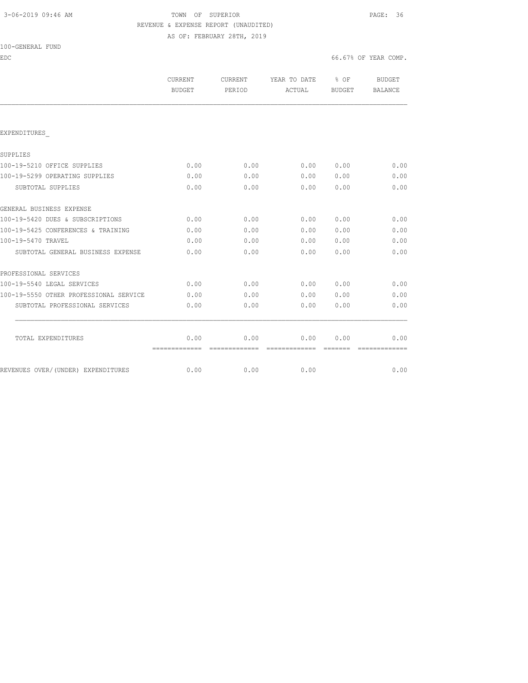## 3-06-2019 09:46 AM TOWN OF SUPERIOR PAGE: 36 REVENUE & EXPENSE REPORT (UNAUDITED) AS OF: FEBRUARY 28TH, 2019

100-GENERAL FUND

EDC 66.67% OF YEAR COMP.

|                                        | <b>CURRENT</b><br><b>BUDGET</b> | CURRENT<br>PERIOD | YEAR TO DATE<br>ACTUAL                                                                                                                                                                                                                                                                                                                                                                                                                                                                 | $8$ OF<br>BUDGET | <b>BUDGET</b><br><b>BALANCE</b> |
|----------------------------------------|---------------------------------|-------------------|----------------------------------------------------------------------------------------------------------------------------------------------------------------------------------------------------------------------------------------------------------------------------------------------------------------------------------------------------------------------------------------------------------------------------------------------------------------------------------------|------------------|---------------------------------|
|                                        |                                 |                   |                                                                                                                                                                                                                                                                                                                                                                                                                                                                                        |                  |                                 |
| EXPENDITURES                           |                                 |                   |                                                                                                                                                                                                                                                                                                                                                                                                                                                                                        |                  |                                 |
| SUPPLIES                               |                                 |                   |                                                                                                                                                                                                                                                                                                                                                                                                                                                                                        |                  |                                 |
| 100-19-5210 OFFICE SUPPLIES            | 0.00                            | 0.00              | 0.00                                                                                                                                                                                                                                                                                                                                                                                                                                                                                   | 0.00             | 0.00                            |
| 100-19-5299 OPERATING SUPPLIES         | 0.00                            | 0.00              | 0.00                                                                                                                                                                                                                                                                                                                                                                                                                                                                                   | 0.00             | 0.00                            |
| SUBTOTAL SUPPLIES                      | 0.00                            | 0.00              | 0.00                                                                                                                                                                                                                                                                                                                                                                                                                                                                                   | 0.00             | 0.00                            |
| GENERAL BUSINESS EXPENSE               |                                 |                   |                                                                                                                                                                                                                                                                                                                                                                                                                                                                                        |                  |                                 |
| 100-19-5420 DUES & SUBSCRIPTIONS       | 0.00                            | 0.00              | 0.00                                                                                                                                                                                                                                                                                                                                                                                                                                                                                   | 0.00             | 0.00                            |
| 100-19-5425 CONFERENCES & TRAINING     | 0.00                            | 0.00              | 0.00                                                                                                                                                                                                                                                                                                                                                                                                                                                                                   | 0.00             | 0.00                            |
| 100-19-5470 TRAVEL                     | 0.00                            | 0.00              | 0.00                                                                                                                                                                                                                                                                                                                                                                                                                                                                                   | 0.00             | 0.00                            |
| SUBTOTAL GENERAL BUSINESS EXPENSE      | 0.00                            | 0.00              | 0.00                                                                                                                                                                                                                                                                                                                                                                                                                                                                                   | 0.00             | 0.00                            |
| PROFESSIONAL SERVICES                  |                                 |                   |                                                                                                                                                                                                                                                                                                                                                                                                                                                                                        |                  |                                 |
| 100-19-5540 LEGAL SERVICES             | 0.00                            | 0.00              | 0.00                                                                                                                                                                                                                                                                                                                                                                                                                                                                                   | 0.00             | 0.00                            |
| 100-19-5550 OTHER PROFESSIONAL SERVICE | 0.00                            | 0.00              | 0.00                                                                                                                                                                                                                                                                                                                                                                                                                                                                                   | 0.00             | 0.00                            |
| SUBTOTAL PROFESSIONAL SERVICES         | 0.00                            | 0.00              | 0.00                                                                                                                                                                                                                                                                                                                                                                                                                                                                                   | 0.00             | 0.00                            |
| TOTAL EXPENDITURES                     | 0.00                            | 0.00              | 0.00                                                                                                                                                                                                                                                                                                                                                                                                                                                                                   | 0.00             | 0.00                            |
|                                        | =============                   | =============     | $\begin{array}{cccccccccccccc} \multicolumn{2}{c}{} & \multicolumn{2}{c}{} & \multicolumn{2}{c}{} & \multicolumn{2}{c}{} & \multicolumn{2}{c}{} & \multicolumn{2}{c}{} & \multicolumn{2}{c}{} & \multicolumn{2}{c}{} & \multicolumn{2}{c}{} & \multicolumn{2}{c}{} & \multicolumn{2}{c}{} & \multicolumn{2}{c}{} & \multicolumn{2}{c}{} & \multicolumn{2}{c}{} & \multicolumn{2}{c}{} & \multicolumn{2}{c}{} & \multicolumn{2}{c}{} & \multicolumn{2}{c}{} & \multicolumn{2}{c}{} & \$ | =======          | =============                   |
| REVENUES OVER/(UNDER) EXPENDITURES     | 0.00                            | 0.00              | 0.00                                                                                                                                                                                                                                                                                                                                                                                                                                                                                   |                  | 0.00                            |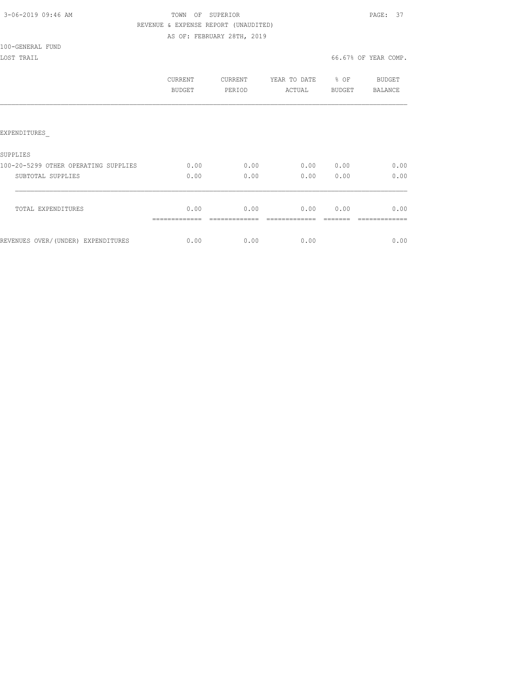| 3-06-2019 09:46 AM |  |
|--------------------|--|
|                    |  |

### TOWN OF SUPERIOR **PAGE: 37**  REVENUE & EXPENSE REPORT (UNAUDITED) AS OF: FEBRUARY 28TH, 2019

100-GENERAL FUND

|                                      | CURRENT<br><b>BUDGET</b> | CURRENT<br>PERIOD | YEAR TO DATE<br>ACTUAL | % OF<br><b>BUDGET</b> | BUDGET<br>BALANCE |
|--------------------------------------|--------------------------|-------------------|------------------------|-----------------------|-------------------|
|                                      |                          |                   |                        |                       |                   |
| <b>EXPENDITURES</b>                  |                          |                   |                        |                       |                   |
| SUPPLIES                             |                          |                   |                        |                       |                   |
| 100-20-5299 OTHER OPERATING SUPPLIES | 0.00                     | 0.00              | 0.00                   | 0.00                  | 0.00              |
| SUBTOTAL SUPPLIES                    | 0.00                     | 0.00              | 0.00                   | 0.00                  | 0.00              |
|                                      | 0.00                     | 0.00              | 0.00                   | 0.00                  | 0.00              |
| TOTAL EXPENDITURES                   |                          |                   |                        |                       |                   |
| REVENUES OVER/(UNDER) EXPENDITURES   | 0.00                     | 0.00              | 0.00                   |                       | 0.00              |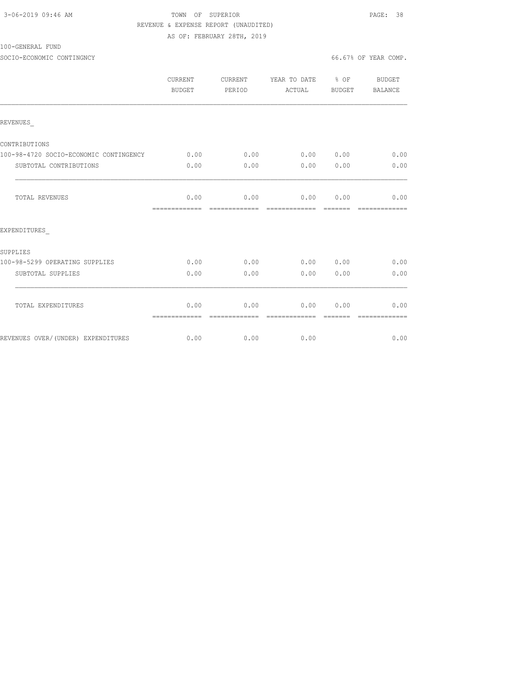| 3-06-2019 09:46 AM |  |
|--------------------|--|
|                    |  |

### TOWN OF SUPERIOR **PAGE:** 38 REVENUE & EXPENSE REPORT (UNAUDITED) AS OF: FEBRUARY 28TH, 2019

### 100-GENERAL FUND

SOCIO-ECONOMIC CONTINGNCY 66.67% OF YEAR COMP.

|                                        | CURRENT<br>BUDGET                      | CURRENT<br>PERIOD | YEAR TO DATE % OF<br>ACTUAL BUDGET |      | BUDGET<br>BALANCE                                                                                                                                                                                                                                                                                                                                                                                                                                                                              |
|----------------------------------------|----------------------------------------|-------------------|------------------------------------|------|------------------------------------------------------------------------------------------------------------------------------------------------------------------------------------------------------------------------------------------------------------------------------------------------------------------------------------------------------------------------------------------------------------------------------------------------------------------------------------------------|
| REVENUES                               |                                        |                   |                                    |      |                                                                                                                                                                                                                                                                                                                                                                                                                                                                                                |
| CONTRIBUTIONS                          |                                        |                   |                                    |      |                                                                                                                                                                                                                                                                                                                                                                                                                                                                                                |
| 100-98-4720 SOCIO-ECONOMIC CONTINGENCY | 0.00                                   | 0.00              | 0.00 0.00                          |      | 0.00                                                                                                                                                                                                                                                                                                                                                                                                                                                                                           |
| SUBTOTAL CONTRIBUTIONS                 | 0.00                                   | 0.00              | 0.00                               | 0.00 | 0.00                                                                                                                                                                                                                                                                                                                                                                                                                                                                                           |
| TOTAL REVENUES                         | 0.00                                   |                   | $0.00$ $0.00$ $0.00$ $0.00$        |      | 0.00                                                                                                                                                                                                                                                                                                                                                                                                                                                                                           |
| EXPENDITURES                           |                                        |                   |                                    |      |                                                                                                                                                                                                                                                                                                                                                                                                                                                                                                |
| SUPPLIES                               |                                        |                   |                                    |      |                                                                                                                                                                                                                                                                                                                                                                                                                                                                                                |
| 100-98-5299 OPERATING SUPPLIES         | 0.00                                   | 0.00              | 0.00 0.00                          |      | 0.00                                                                                                                                                                                                                                                                                                                                                                                                                                                                                           |
| SUBTOTAL SUPPLIES                      | 0.00                                   | 0.00              | 0.00                               | 0.00 | 0.00                                                                                                                                                                                                                                                                                                                                                                                                                                                                                           |
| TOTAL EXPENDITURES                     | 0.00<br>============================== | 0.00              | 0.00<br>- cooperate description    | 0.00 | 0.00<br>$\begin{array}{cccccccccccccc} \multicolumn{2}{c}{} & \multicolumn{2}{c}{} & \multicolumn{2}{c}{} & \multicolumn{2}{c}{} & \multicolumn{2}{c}{} & \multicolumn{2}{c}{} & \multicolumn{2}{c}{} & \multicolumn{2}{c}{} & \multicolumn{2}{c}{} & \multicolumn{2}{c}{} & \multicolumn{2}{c}{} & \multicolumn{2}{c}{} & \multicolumn{2}{c}{} & \multicolumn{2}{c}{} & \multicolumn{2}{c}{} & \multicolumn{2}{c}{} & \multicolumn{2}{c}{} & \multicolumn{2}{c}{} & \multicolumn{2}{c}{} & \$ |
| REVENUES OVER/(UNDER) EXPENDITURES     | 0.00                                   | 0.00              | 0.00                               |      | 0.00                                                                                                                                                                                                                                                                                                                                                                                                                                                                                           |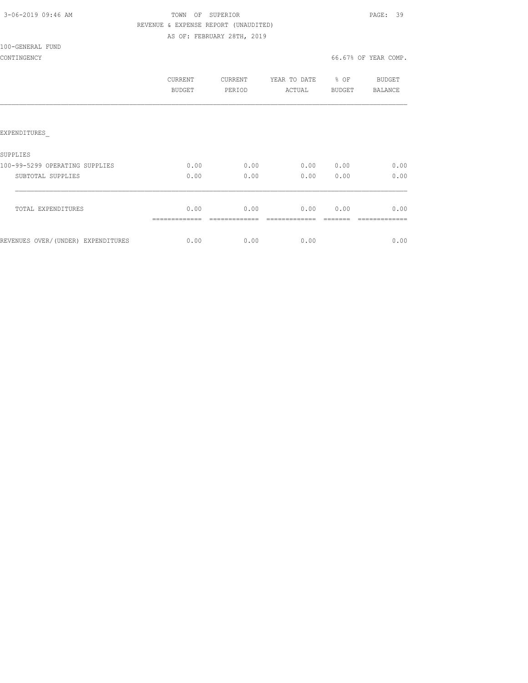|  | 3-06-2019 09:46 AM |  |
|--|--------------------|--|
|  |                    |  |

### TOWN OF SUPERIOR **PAGE:** 39 REVENUE & EXPENSE REPORT (UNAUDITED) AS OF: FEBRUARY 28TH, 2019

100-GENERAL FUND

|                                    | CURRENT<br><b>BUDGET</b> | <b>CURRENT</b><br>PERIOD | YEAR TO DATE<br>ACTUAL | % OF<br><b>BUDGET</b> | <b>BUDGET</b><br><b>BALANCE</b> |
|------------------------------------|--------------------------|--------------------------|------------------------|-----------------------|---------------------------------|
|                                    |                          |                          |                        |                       |                                 |
| <b>EXPENDITURES</b>                |                          |                          |                        |                       |                                 |
| SUPPLIES                           |                          |                          |                        |                       |                                 |
| 100-99-5299 OPERATING SUPPLIES     | 0.00                     | 0.00                     | 0.00                   | 0.00                  | 0.00                            |
| SUBTOTAL SUPPLIES                  | 0.00                     | 0.00                     | 0.00                   | 0.00                  | 0.00                            |
| TOTAL EXPENDITURES                 | 0.00                     | 0.00                     | 0.00                   | 0.00                  | 0.00                            |
| REVENUES OVER/(UNDER) EXPENDITURES | 0.00                     | 0.00                     | 0.00                   |                       | 0.00                            |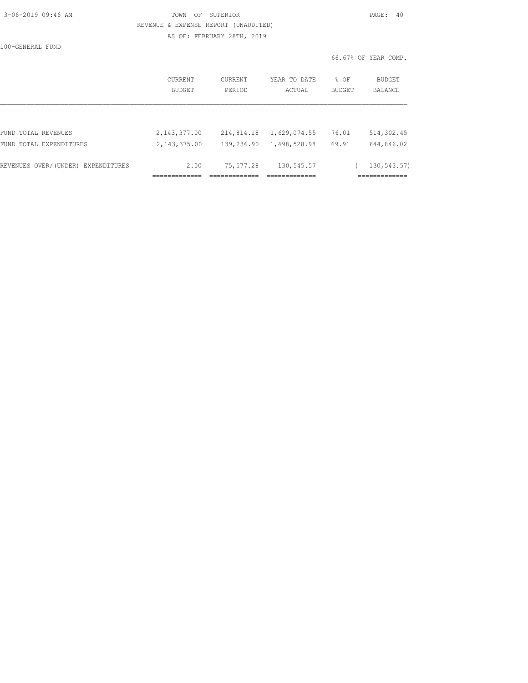| 3-06-2019 09:46 AM |  |
|--------------------|--|
|                    |  |

### TOWN OF SUPERIOR **PAGE: 40**  REVENUE & EXPENSE REPORT (UNAUDITED) AS OF: FEBRUARY 28TH, 2019

100-GENERAL FUND

|                                    | CURRENT<br>BUDGET | <b>CURRENT</b><br>PERIOD | YEAR TO DATE<br>ACTUAL | % OF<br>BUDGET | <b>BUDGET</b><br><b>BALANCE</b> |
|------------------------------------|-------------------|--------------------------|------------------------|----------------|---------------------------------|
|                                    |                   |                          |                        |                |                                 |
| FUND TOTAL REVENUES                | 2,143,377.00      | 214,814.18               | 1,629,074.55           | 76.01          | 514,302.45                      |
| FUND TOTAL EXPENDITURES            | 2, 143, 375.00    | 139,236.90               | 1,498,528.98           | 69.91          | 644,846.02                      |
| REVENUES OVER/(UNDER) EXPENDITURES | 2.00              | 75,577.28                | 130,545.57             |                | 130,543.57)                     |
|                                    |                   |                          |                        |                |                                 |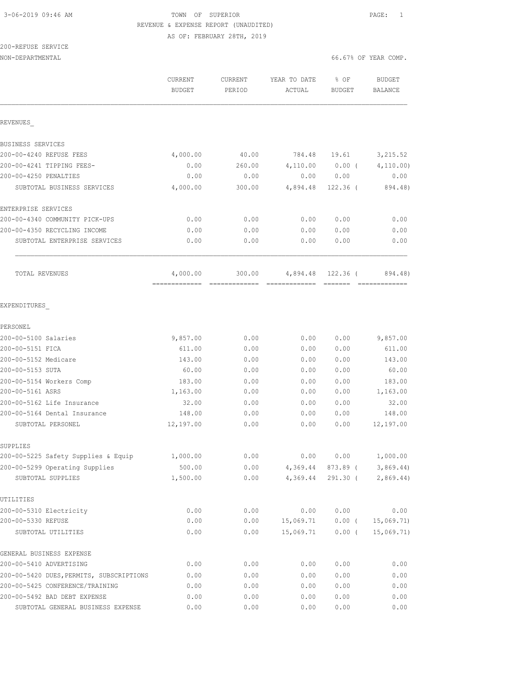# 3-06-2019 09:46 AM TOWN OF SUPERIOR PAGE: 1 REVENUE & EXPENSE REPORT (UNAUDITED)

AS OF: FEBRUARY 28TH, 2019

200-REFUSE SERVICE

NON-DEPARTMENTAL 66.67% OF YEAR COMP.

|                                                   | CURRENT<br><b>BUDGET</b>  | CURRENT<br>PERIOD       | YEAR TO DATE<br>ACTUAL    | % OF<br>BUDGET | <b>BUDGET</b><br><b>BALANCE</b> |
|---------------------------------------------------|---------------------------|-------------------------|---------------------------|----------------|---------------------------------|
| REVENUES                                          |                           |                         |                           |                |                                 |
| BUSINESS SERVICES                                 |                           |                         |                           |                |                                 |
| 200-00-4240 REFUSE FEES                           | 4,000.00                  | 40.00                   | 784.48                    | 19.61          | 3, 215.52                       |
| 200-00-4241 TIPPING FEES-                         | 0.00                      | 260.00                  | 4,110.00                  | $0.00$ (       | 4, 110.00)                      |
| 200-00-4250 PENALTIES                             | 0.00                      | 0.00                    | 0.00                      | 0.00           | 0.00                            |
| SUBTOTAL BUSINESS SERVICES                        | 4,000.00                  | 300.00                  | 4,894.48                  | $122.36$ (     | 894.48)                         |
| ENTERPRISE SERVICES                               |                           |                         |                           |                |                                 |
| 200-00-4340 COMMUNITY PICK-UPS                    | 0.00                      | 0.00                    | 0.00                      | 0.00           | 0.00                            |
| 200-00-4350 RECYCLING INCOME                      | 0.00                      | 0.00                    | 0.00                      | 0.00           | 0.00                            |
| SUBTOTAL ENTERPRISE SERVICES                      | 0.00                      | 0.00                    | 0.00                      | 0.00           | 0.00                            |
| TOTAL REVENUES                                    | 4,000.00<br>------------- | 300.00<br>------------- | 4,894.48<br>============= | 122.36 (       | 894.48)<br>=============        |
| EXPENDITURES                                      |                           |                         |                           |                |                                 |
| PERSONEL                                          |                           |                         |                           |                |                                 |
| 200-00-5100 Salaries                              | 9,857.00                  | 0.00                    | 0.00                      | 0.00           | 9,857.00                        |
| 200-00-5151 FICA                                  | 611.00                    | 0.00                    | 0.00                      | 0.00           | 611.00                          |
| 200-00-5152 Medicare                              | 143.00                    | 0.00                    | 0.00                      | 0.00           | 143.00                          |
| 200-00-5153 SUTA                                  | 60.00                     | 0.00                    | 0.00                      | 0.00           | 60.00                           |
| 200-00-5154 Workers Comp                          | 183.00                    | 0.00                    | 0.00                      | 0.00           | 183.00                          |
| 200-00-5161 ASRS                                  | 1,163.00                  | 0.00                    | 0.00                      | 0.00           | 1,163.00                        |
| 200-00-5162 Life Insurance                        | 32.00                     | 0.00                    | 0.00                      | 0.00           | 32.00                           |
| 200-00-5164 Dental Insurance<br>SUBTOTAL PERSONEL | 148.00<br>12,197.00       | 0.00<br>0.00            | 0.00<br>0.00              | 0.00<br>0.00   | 148.00<br>12,197.00             |
| SUPPLIES                                          |                           |                         |                           |                |                                 |
| 200-00-5225 Safety Supplies & Equip               | 1,000.00                  | 0.00                    | 0.00                      | 0.00           | 1,000.00                        |
| 200-00-5299 Operating Supplies                    | 500.00                    | 0.00                    | 4,369.44                  | 873.89 (       | 3,869.44                        |
| SUBTOTAL SUPPLIES                                 | 1,500.00                  | 0.00                    | 4,369.44                  | $291.30$ (     | 2,869.44)                       |
| UTILITIES                                         |                           |                         |                           |                |                                 |
| 200-00-5310 Electricity                           | 0.00                      | 0.00                    | 0.00                      | 0.00           | 0.00                            |
| 200-00-5330 REFUSE                                | 0.00                      | 0.00                    | 15,069.71                 | $0.00$ (       | 15,069.71                       |
| SUBTOTAL UTILITIES                                | 0.00                      | 0.00                    | 15,069.71                 | $0.00$ (       | 15,069.71)                      |
| GENERAL BUSINESS EXPENSE                          |                           |                         |                           |                |                                 |
| 200-00-5410 ADVERTISING                           | 0.00                      | 0.00                    | 0.00                      | 0.00           | 0.00                            |
| 200-00-5420 DUES, PERMITS, SUBSCRIPTIONS          | 0.00                      | 0.00                    | 0.00                      | 0.00           | 0.00                            |
| 200-00-5425 CONFERENCE/TRAINING                   | 0.00                      | 0.00                    | 0.00                      | 0.00           | 0.00                            |
| 200-00-5492 BAD DEBT EXPENSE                      | 0.00                      | 0.00                    | 0.00                      | 0.00           | 0.00                            |

SUBTOTAL GENERAL BUSINESS EXPENSE  $0.00$  0.00 0.00 0.00 0.00 0.00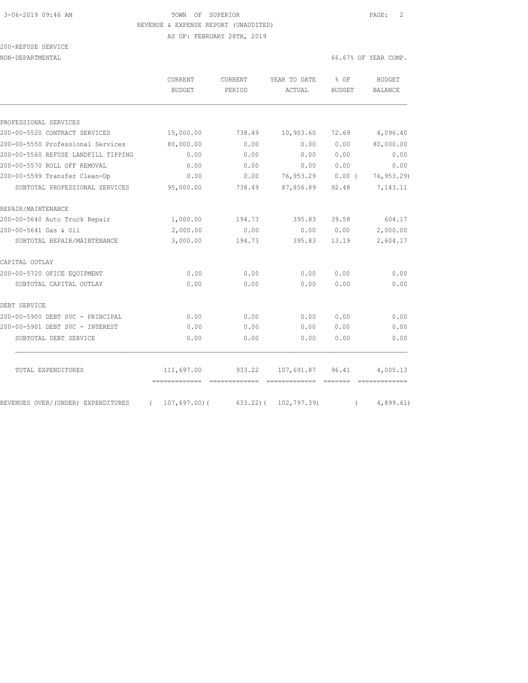### 3-06-2019 09:46 AM TOWN OF SUPERIOR PAGE: 2 REVENUE & EXPENSE REPORT (UNAUDITED) AS OF: FEBRUARY 28TH, 2019

| 200-REFUSE SERVICE |  |
|--------------------|--|
|                    |  |

NON-DEPARTMENTAL 66.67% OF YEAR COMP.

|                                     | <b>CURRENT</b><br><b>BUDGET</b>          | <b>CURRENT</b><br>PERIOD                                                                                                                                                                                                                                                                                                                                                                                                                                                                               | YEAR TO DATE<br>ACTUAL | % OF<br><b>BUDGET</b>                                                                                                                                                                                                                                                                                                                                                                                                                                                                              | <b>BUDGET</b><br><b>BALANCE</b> |
|-------------------------------------|------------------------------------------|--------------------------------------------------------------------------------------------------------------------------------------------------------------------------------------------------------------------------------------------------------------------------------------------------------------------------------------------------------------------------------------------------------------------------------------------------------------------------------------------------------|------------------------|----------------------------------------------------------------------------------------------------------------------------------------------------------------------------------------------------------------------------------------------------------------------------------------------------------------------------------------------------------------------------------------------------------------------------------------------------------------------------------------------------|---------------------------------|
| PROFESSIONAL SERVICES               |                                          |                                                                                                                                                                                                                                                                                                                                                                                                                                                                                                        |                        |                                                                                                                                                                                                                                                                                                                                                                                                                                                                                                    |                                 |
| 200-00-5520 CONTRACT SERVICES       | 15,000.00                                | 738.49                                                                                                                                                                                                                                                                                                                                                                                                                                                                                                 | 10,903.60              | 72.69                                                                                                                                                                                                                                                                                                                                                                                                                                                                                              | 4,096.40                        |
| 200-00-5550 Professional Services   | 80,000.00                                | 0.00                                                                                                                                                                                                                                                                                                                                                                                                                                                                                                   | 0.00                   | 0.00                                                                                                                                                                                                                                                                                                                                                                                                                                                                                               | 80,000.00                       |
| 200-00-5560 REFUSE LANDFILL TIPPING | 0.00                                     | 0.00                                                                                                                                                                                                                                                                                                                                                                                                                                                                                                   | 0.00                   | 0.00                                                                                                                                                                                                                                                                                                                                                                                                                                                                                               | 0.00                            |
| 200-00-5570 ROLL OFF REMOVAL        | 0.00                                     | 0.00                                                                                                                                                                                                                                                                                                                                                                                                                                                                                                   | 0.00                   | 0.00                                                                                                                                                                                                                                                                                                                                                                                                                                                                                               | 0.00                            |
| 200-00-5599 Transfer Clean-Up       | 0.00                                     | 0.00                                                                                                                                                                                                                                                                                                                                                                                                                                                                                                   | 76,953.29              | 0.00(                                                                                                                                                                                                                                                                                                                                                                                                                                                                                              | 76, 953.29)                     |
| SUBTOTAL PROFESSIONAL SERVICES      | 95,000.00                                | 738.49                                                                                                                                                                                                                                                                                                                                                                                                                                                                                                 | 87,856.89              | 92.48                                                                                                                                                                                                                                                                                                                                                                                                                                                                                              | 7,143.11                        |
| REPAIR/MAINTENANCE                  |                                          |                                                                                                                                                                                                                                                                                                                                                                                                                                                                                                        |                        |                                                                                                                                                                                                                                                                                                                                                                                                                                                                                                    |                                 |
| 200-00-5640 Auto Truck Repair       | 1,000.00                                 | 194.73                                                                                                                                                                                                                                                                                                                                                                                                                                                                                                 | 395.83                 | 39.58                                                                                                                                                                                                                                                                                                                                                                                                                                                                                              | 604.17                          |
| 200-00-5641 Gas & Oil               | 2,000.00                                 | 0.00                                                                                                                                                                                                                                                                                                                                                                                                                                                                                                   | 0.00                   | 0.00                                                                                                                                                                                                                                                                                                                                                                                                                                                                                               | 2,000.00                        |
| SUBTOTAL REPAIR/MAINTENANCE         | 3,000.00                                 | 194.73                                                                                                                                                                                                                                                                                                                                                                                                                                                                                                 | 395.83                 | 13.19                                                                                                                                                                                                                                                                                                                                                                                                                                                                                              | 2,604.17                        |
| CAPITAL OUTLAY                      |                                          |                                                                                                                                                                                                                                                                                                                                                                                                                                                                                                        |                        |                                                                                                                                                                                                                                                                                                                                                                                                                                                                                                    |                                 |
| 200-00-5720 OFICE EQUIPMENT         | 0.00                                     | 0.00                                                                                                                                                                                                                                                                                                                                                                                                                                                                                                   | 0.00                   | 0.00                                                                                                                                                                                                                                                                                                                                                                                                                                                                                               | 0.00                            |
| SUBTOTAL CAPITAL OUTLAY             | 0.00                                     | 0.00                                                                                                                                                                                                                                                                                                                                                                                                                                                                                                   | 0.00                   | 0.00                                                                                                                                                                                                                                                                                                                                                                                                                                                                                               | 0.00                            |
| DEBT SERVICE                        |                                          |                                                                                                                                                                                                                                                                                                                                                                                                                                                                                                        |                        |                                                                                                                                                                                                                                                                                                                                                                                                                                                                                                    |                                 |
| 200-00-5900 DEBT SVC - PRINCIPAL    | 0.00                                     | 0.00                                                                                                                                                                                                                                                                                                                                                                                                                                                                                                   | 0.00                   | 0.00                                                                                                                                                                                                                                                                                                                                                                                                                                                                                               | 0.00                            |
| 200-00-5901 DEBT SVC - INTEREST     | 0.00                                     | 0.00                                                                                                                                                                                                                                                                                                                                                                                                                                                                                                   | 0.00                   | 0.00                                                                                                                                                                                                                                                                                                                                                                                                                                                                                               | 0.00                            |
| SUBTOTAL DEBT SERVICE               | 0.00                                     | 0.00                                                                                                                                                                                                                                                                                                                                                                                                                                                                                                   | 0.00                   | 0.00                                                                                                                                                                                                                                                                                                                                                                                                                                                                                               | 0.00                            |
| TOTAL EXPENDITURES                  | 111,697.00                               | 933.22                                                                                                                                                                                                                                                                                                                                                                                                                                                                                                 | 107,691.87             | 96.41                                                                                                                                                                                                                                                                                                                                                                                                                                                                                              | 4,005.13                        |
| REVENUES OVER/(UNDER) EXPENDITURES  | -------------<br>107,697.00(<br>$\left($ | $\begin{array}{cccccccccccccc} \multicolumn{2}{c}{} & \multicolumn{2}{c}{} & \multicolumn{2}{c}{} & \multicolumn{2}{c}{} & \multicolumn{2}{c}{} & \multicolumn{2}{c}{} & \multicolumn{2}{c}{} & \multicolumn{2}{c}{} & \multicolumn{2}{c}{} & \multicolumn{2}{c}{} & \multicolumn{2}{c}{} & \multicolumn{2}{c}{} & \multicolumn{2}{c}{} & \multicolumn{2}{c}{} & \multicolumn{2}{c}{} & \multicolumn{2}{c}{} & \multicolumn{2}{c}{} & \multicolumn{2}{c}{} & \multicolumn{2}{c}{} & \$<br>$633.22$ ) ( | 102,797.39)            | $\begin{array}{cccccccccc} \multicolumn{2}{c}{} & \multicolumn{2}{c}{} & \multicolumn{2}{c}{} & \multicolumn{2}{c}{} & \multicolumn{2}{c}{} & \multicolumn{2}{c}{} & \multicolumn{2}{c}{} & \multicolumn{2}{c}{} & \multicolumn{2}{c}{} & \multicolumn{2}{c}{} & \multicolumn{2}{c}{} & \multicolumn{2}{c}{} & \multicolumn{2}{c}{} & \multicolumn{2}{c}{} & \multicolumn{2}{c}{} & \multicolumn{2}{c}{} & \multicolumn{2}{c}{} & \multicolumn{2}{c}{} & \multicolumn{2}{c}{} & \mult$<br>$\left($ | =============<br>4,899.61)      |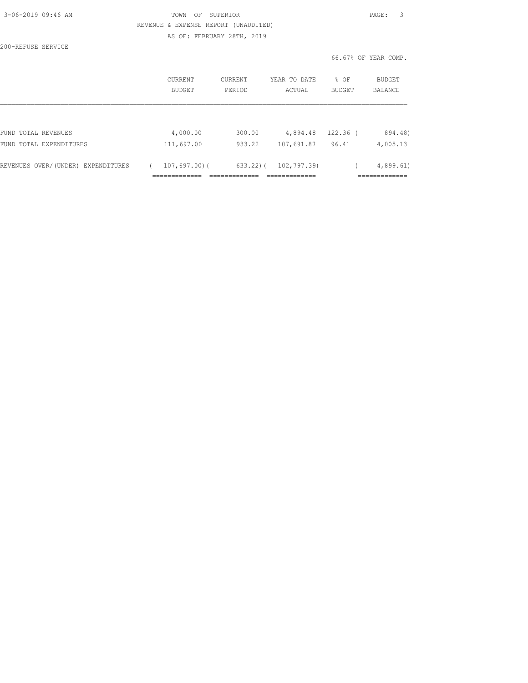| 3-06-2019 09:46 AM |  |
|--------------------|--|
|                    |  |

### TOWN OF SUPERIOR **PAGE:** 3 REVENUE & EXPENSE REPORT (UNAUDITED) AS OF: FEBRUARY 28TH, 2019

200-REFUSE SERVICE

|                                    | CURRENT<br><b>BUDGET</b> | CURRENT<br>PERIOD | YEAR TO DATE<br>ACTUAL | $8$ OF<br><b>BUDGET</b> | BUDGET<br>BALANCE |
|------------------------------------|--------------------------|-------------------|------------------------|-------------------------|-------------------|
|                                    |                          |                   |                        |                         |                   |
|                                    |                          |                   |                        |                         |                   |
| FUND TOTAL REVENUES                | 4,000.00                 | 300.00            | 4,894.48               | $122.36$ (              | 894.48)           |
| FUND TOTAL EXPENDITURES            | 111,697.00               | 933.22            | 107,691.87             | 96.41                   | 4,005.13          |
| REVENUES OVER/(UNDER) EXPENDITURES | $107,697,00$ (           | $633.22$ ) (      | 102,797.39)            |                         | 4,899.61          |
|                                    |                          |                   |                        |                         |                   |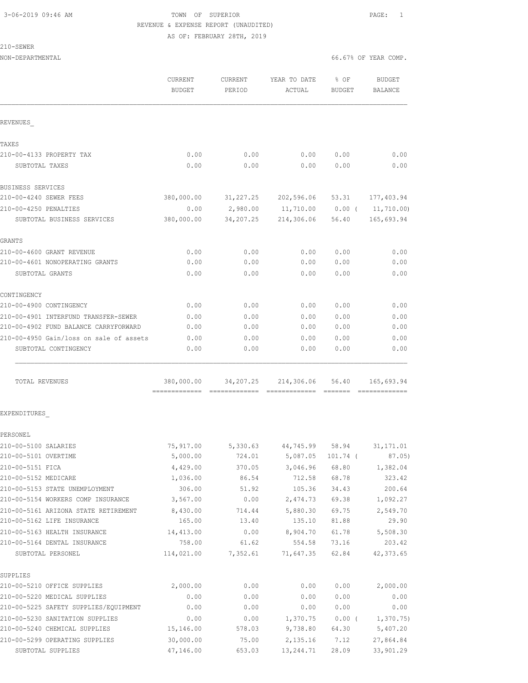### 3-06-2019 09:46 AM TOWN OF SUPERIOR PAGE: 1 REVENUE & EXPENSE REPORT (UNAUDITED) AS OF: FEBRUARY 28TH, 2019

210-SEWER

NON-DEPARTMENTAL 66.67% OF YEAR COMP.

|                                         | CURRENT<br>BUDGET           | <b>CURRENT</b><br>PERIOD | YEAR TO DATE<br>ACTUAL | $8$ OF<br><b>BUDGET</b> | <b>BUDGET</b><br>BALANCE |
|-----------------------------------------|-----------------------------|--------------------------|------------------------|-------------------------|--------------------------|
| REVENUES                                |                             |                          |                        |                         |                          |
| TAXES                                   |                             |                          |                        |                         |                          |
| 210-00-4133 PROPERTY TAX                | 0.00                        | 0.00                     | 0.00                   | 0.00                    | 0.00                     |
| SUBTOTAL TAXES                          | 0.00                        | 0.00                     | 0.00                   | 0.00                    | 0.00                     |
| BUSINESS SERVICES                       |                             |                          |                        |                         |                          |
| 210-00-4240 SEWER FEES                  | 380,000.00                  | 31,227.25                | 202,596.06             | 53.31                   | 177,403.94               |
| 210-00-4250 PENALTIES                   | 0.00                        | 2,980.00                 | 11,710.00              | $0.00$ (                | 11,710.00)               |
| SUBTOTAL BUSINESS SERVICES              | 380,000.00                  | 34,207.25                | 214,306.06             | 56.40                   | 165,693.94               |
| GRANTS                                  |                             |                          |                        |                         |                          |
| 210-00-4600 GRANT REVENUE               | 0.00                        | 0.00                     | 0.00                   | 0.00                    | 0.00                     |
| 210-00-4601 NONOPERATING GRANTS         | 0.00                        | 0.00                     | 0.00                   | 0.00                    | 0.00                     |
| SUBTOTAL GRANTS                         | 0.00                        | 0.00                     | 0.00                   | 0.00                    | 0.00                     |
| CONTINGENCY                             |                             |                          |                        |                         |                          |
| 210-00-4900 CONTINGENCY                 | 0.00                        | 0.00                     | 0.00                   | 0.00                    | 0.00                     |
| 210-00-4901 INTERFUND TRANSFER-SEWER    | 0.00                        | 0.00                     | 0.00                   | 0.00                    | 0.00                     |
| 210-00-4902 FUND BALANCE CARRYFORWARD   | 0.00                        | 0.00                     | 0.00                   | 0.00                    | 0.00                     |
| 210-00-4950 Gain/loss on sale of assets | 0.00                        | 0.00                     | 0.00                   | 0.00                    | 0.00                     |
| SUBTOTAL CONTINGENCY                    | 0.00                        | 0.00                     | 0.00                   | 0.00                    | 0.00                     |
| TOTAL REVENUES                          | 380,000.00<br>============= | 34,207.25                | 214,306.06             | 56.40                   | 165,693.94               |
| EXPENDITURES                            |                             |                          |                        |                         |                          |
| PERSONEL                                |                             |                          |                        |                         |                          |
| 210-00-5100 SALARIES                    | 75,917.00                   |                          | 5,330.63 44,745.99     | 58.94                   | 31, 171.01               |
| 210-00-5101 OVERTIME                    | 5,000.00                    | 724.01                   | 5,087.05               | 101.74 (                | 87.05)                   |
| 210-00-5151 FICA                        | 4,429.00                    | 370.05                   | 3,046.96               | 68.80                   | 1,382.04                 |
| 210-00-5152 MEDICARE                    | 1,036.00                    | 86.54                    | 712.58                 | 68.78                   | 323.42                   |
| 210-00-5153 STATE UNEMPLOYMENT          | 306.00                      | 51.92                    | 105.36                 | 34.43                   | 200.64                   |
| 210-00-5154 WORKERS COMP INSURANCE      | 3,567.00                    | 0.00                     | 2,474.73               | 69.38                   | 1,092.27                 |
| 210-00-5161 ARIZONA STATE RETIREMENT    | 8,430.00                    | 714.44                   | 5,880.30               | 69.75                   | 2,549.70                 |
| 210-00-5162 LIFE INSURANCE              | 165.00                      | 13.40                    | 135.10                 | 81.88                   | 29.90                    |
| 210-00-5163 HEALTH INSURANCE            | 14,413.00                   | 0.00                     | 8,904.70               | 61.78                   | 5,508.30                 |
| 210-00-5164 DENTAL INSURANCE            | 758.00                      | 61.62                    | 554.58                 | 73.16                   | 203.42                   |
| SUBTOTAL PERSONEL                       | 114,021.00                  | 7,352.61                 | 71,647.35              | 62.84                   | 42, 373.65               |
| SUPPLIES                                |                             |                          |                        |                         |                          |
| 210-00-5210 OFFICE SUPPLIES             | 2,000.00                    | 0.00                     | 0.00                   | 0.00                    | 2,000.00                 |
| 210-00-5220 MEDICAL SUPPLIES            | 0.00                        | 0.00                     | 0.00                   | 0.00                    | 0.00                     |
| 210-00-5225 SAFETY SUPPLIES/EQUIPMENT   | 0.00                        | 0.00                     | 0.00                   | 0.00                    | 0.00                     |
| 210-00-5230 SANITATION SUPPLIES         | 0.00                        | 0.00                     | 1,370.75               | $0.00$ (                | 1,370.75)                |

210-00-5240 CHEMICAL SUPPLIES 15,146.00 578.03 9,738.80 64.30 5,407.20 210-00-5299 OPERATING SUPPLIES 30,000.00 75.00 2,135.16 7.12 27,864.84 SUBTOTAL SUPPLIES 47,146.00 653.03 13,244.71 28.09 33,901.29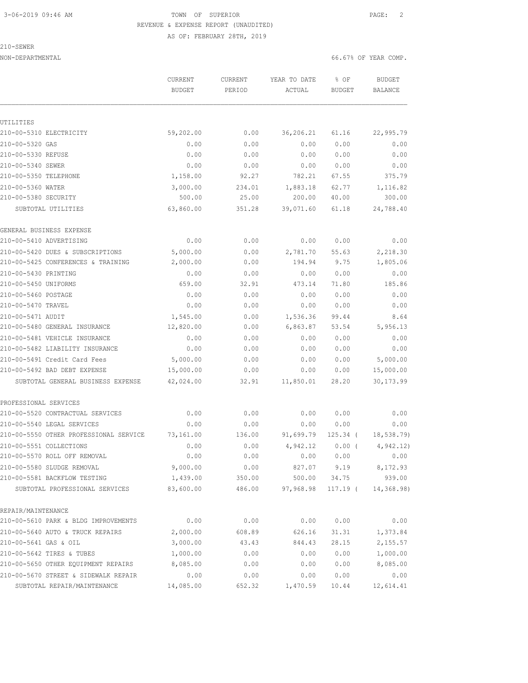# 3-06-2019 09:46 AM TOWN OF SUPERIOR PAGE: 2 REVENUE & EXPENSE REPORT (UNAUDITED)

AS OF: FEBRUARY 28TH, 2019

210-SEWER

NON-DEPARTMENTAL 66.67% OF YEAR COMP.

|                                        | <b>CURRENT</b><br><b>BUDGET</b> | <b>CURRENT</b><br>PERIOD | YEAR TO DATE<br>ACTUAL | % OF<br><b>BUDGET</b> | <b>BUDGET</b><br><b>BALANCE</b> |
|----------------------------------------|---------------------------------|--------------------------|------------------------|-----------------------|---------------------------------|
|                                        |                                 |                          |                        |                       |                                 |
| UTILITIES                              |                                 |                          |                        |                       |                                 |
| 210-00-5310 ELECTRICITY                | 59,202.00                       | 0.00                     | 36,206.21              | 61.16                 | 22,995.79                       |
| 210-00-5320 GAS                        | 0.00                            | 0.00                     | 0.00                   | 0.00                  | 0.00                            |
| 210-00-5330 REFUSE                     | 0.00                            | 0.00                     | 0.00                   | 0.00                  | 0.00                            |
| 210-00-5340 SEWER                      | 0.00                            | 0.00                     | 0.00                   | 0.00                  | 0.00                            |
| 210-00-5350 TELEPHONE                  | 1,158.00                        | 92.27                    | 782.21                 | 67.55                 | 375.79                          |
| 210-00-5360 WATER                      | 3,000.00                        | 234.01                   | 1,883.18               | 62.77                 | 1,116.82                        |
| 210-00-5380 SECURITY                   | 500.00                          | 25.00                    | 200.00                 | 40.00                 | 300.00                          |
| SUBTOTAL UTILITIES                     | 63,860.00                       | 351.28                   | 39,071.60              | 61.18                 | 24,788.40                       |
| GENERAL BUSINESS EXPENSE               |                                 |                          |                        |                       |                                 |
| 210-00-5410 ADVERTISING                | 0.00                            | 0.00                     | 0.00                   | 0.00                  | 0.00                            |
| 210-00-5420 DUES & SUBSCRIPTIONS       | 5,000.00                        | 0.00                     | 2,781.70               | 55.63                 | 2,218.30                        |
| 210-00-5425 CONFERENCES & TRAINING     | 2,000.00                        | 0.00                     | 194.94                 | 9.75                  | 1,805.06                        |
| 210-00-5430 PRINTING                   | 0.00                            | 0.00                     | 0.00                   | 0.00                  | 0.00                            |
| 210-00-5450 UNIFORMS                   | 659.00                          | 32.91                    | 473.14                 | 71.80                 | 185.86                          |
| 210-00-5460 POSTAGE                    | 0.00                            | 0.00                     | 0.00                   | 0.00                  | 0.00                            |
| 210-00-5470 TRAVEL                     | 0.00                            | 0.00                     | 0.00                   | 0.00                  | 0.00                            |
| 210-00-5471 AUDIT                      | 1,545.00                        | 0.00                     | 1,536.36               | 99.44                 | 8.64                            |
| 210-00-5480 GENERAL INSURANCE          | 12,820.00                       | 0.00                     | 6,863.87               | 53.54                 | 5,956.13                        |
| 210-00-5481 VEHICLE INSURANCE          | 0.00                            | 0.00                     | 0.00                   | 0.00                  | 0.00                            |
| 210-00-5482 LIABILITY INSURANCE        | 0.00                            | 0.00                     | 0.00                   | 0.00                  | 0.00                            |
| 210-00-5491 Credit Card Fees           | 5,000.00                        | 0.00                     | 0.00                   | 0.00                  | 5,000.00                        |
| 210-00-5492 BAD DEBT EXPENSE           | 15,000.00                       | 0.00                     | 0.00                   | 0.00                  | 15,000.00                       |
| SUBTOTAL GENERAL BUSINESS EXPENSE      | 42,024.00                       | 32.91                    | 11,850.01              | 28.20                 | 30, 173.99                      |
| PROFESSIONAL SERVICES                  |                                 |                          |                        |                       |                                 |
| 210-00-5520 CONTRACTUAL SERVICES       | 0.00                            | 0.00                     | 0.00                   | 0.00                  | 0.00                            |
| 210-00-5540 LEGAL SERVICES             | 0.00                            | 0.00                     | 0.00                   | 0.00                  | 0.00                            |
| 210-00-5550 OTHER PROFESSIONAL SERVICE | 73,161.00                       | 136.00                   | 91,699.79              | 125.34 (              | 18,538.79)                      |
| 210-00-5551 COLLECTIONS                | 0.00                            | 0.00                     | 4,942.12               | $0.00$ (              | 4,942.12)                       |
| 210-00-5570 ROLL OFF REMOVAL           | 0.00                            | ${\bf 0}$ . ${\bf 00}$   | 0.00                   | 0.00                  | 0.00                            |
| 210-00-5580 SLUDGE REMOVAL             | 9,000.00                        | 0.00                     | 827.07                 | 9.19                  | 8,172.93                        |
| 210-00-5581 BACKFLOW TESTING           | 1,439.00                        | 350.00                   | 500.00                 | 34.75                 | 939.00                          |
| SUBTOTAL PROFESSIONAL SERVICES         | 83,600.00                       | 486.00                   | 97,968.98              | 117.19 (              | 14,368.98)                      |
|                                        |                                 |                          |                        |                       |                                 |
| REPAIR/MAINTENANCE                     |                                 |                          |                        |                       |                                 |
| 210-00-5610 PARK & BLDG IMPROVEMENTS   | 0.00                            | 0.00                     | 0.00                   | 0.00                  | 0.00                            |
| 210-00-5640 AUTO & TRUCK REPAIRS       | 2,000.00                        | 608.89                   | 626.16                 | 31.31                 | 1,373.84                        |
| 210-00-5641 GAS & OIL                  | 3,000.00                        | 43.43                    | 844.43                 | 28.15                 | 2,155.57                        |
| 210-00-5642 TIRES & TUBES              | 1,000.00                        | 0.00                     | 0.00                   | 0.00                  | 1,000.00                        |
| 210-00-5650 OTHER EQUIPMENT REPAIRS    | 8,085.00                        | 0.00                     | 0.00                   | 0.00                  | 8,085.00                        |
| 210-00-5670 STREET & SIDEWALK REPAIR   | 0.00                            | 0.00                     | 0.00                   | 0.00                  | 0.00                            |
| SUBTOTAL REPAIR/MAINTENANCE            | 14,085.00                       | 652.32                   | 1,470.59               | 10.44                 | 12,614.41                       |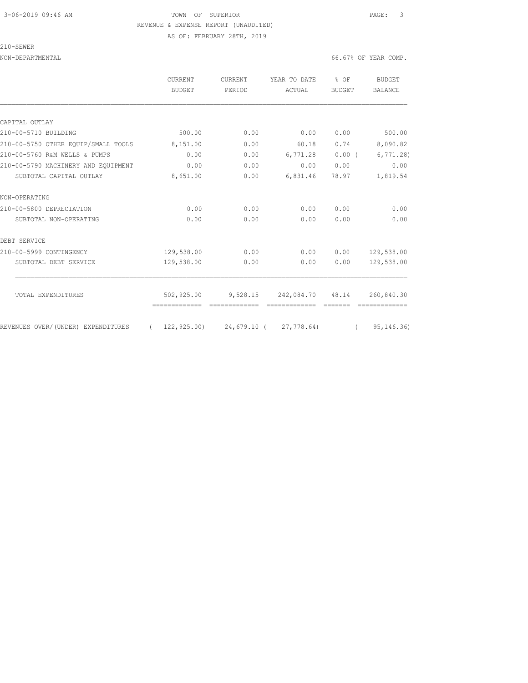### 3-06-2019 09:46 AM TOWN OF SUPERIOR PAGE: 3 REVENUE & EXPENSE REPORT (UNAUDITED) AS OF: FEBRUARY 28TH, 2019

210-SEWER

|                                     | CURRENT                                        | CURRENT | YEAR TO DATE                         | % OF          | BUDGET       |
|-------------------------------------|------------------------------------------------|---------|--------------------------------------|---------------|--------------|
|                                     | <b>BUDGET</b>                                  | PERIOD  | ACTUAL                               | <b>BUDGET</b> | BALANCE      |
|                                     |                                                |         |                                      |               |              |
| CAPITAL OUTLAY                      |                                                |         |                                      |               |              |
| 210-00-5710 BUILDING                | 500.00                                         | 0.00    | 0.00                                 | 0.00          | 500.00       |
| 210-00-5750 OTHER EOUIP/SMALL TOOLS | 8,151.00                                       | 0.00    | 60.18                                | 0.74          | 8,090.82     |
| 210-00-5760 R&M WELLS & PUMPS       | 0.00                                           | 0.00    | 6,771.28                             | $0.00$ (      | 6,771.28     |
| 210-00-5790 MACHINERY AND EOUIPMENT | 0.00                                           | 0.00    | 0.00                                 | 0.00          | 0.00         |
| SUBTOTAL CAPITAL OUTLAY             | 8,651.00                                       | 0.00    | 6,831.46                             | 78.97         | 1,819.54     |
| NON-OPERATING                       |                                                |         |                                      |               |              |
| 210-00-5800 DEPRECIATION            | 0.00                                           | 0.00    | 0.00                                 | 0.00          | 0.00         |
| SUBTOTAL NON-OPERATING              | 0.00                                           | 0.00    | 0.00                                 | 0.00          | 0.00         |
| DEBT SERVICE                        |                                                |         |                                      |               |              |
| 210-00-5999 CONTINGENCY             | 129,538.00                                     | 0.00    | 0.00                                 | 0.00          | 129,538.00   |
| SUBTOTAL DEBT SERVICE               | 129,538.00                                     | 0.00    | 0.00                                 | 0.00          | 129,538.00   |
| TOTAL EXPENDITURES                  |                                                |         | 502,925.00 9,528.15 242,084.70 48.14 |               | 260,840.30   |
|                                     |                                                |         |                                      |               |              |
| REVENUES OVER/(UNDER) EXPENDITURES  | $(122, 925, 00)$ $24, 679, 10$ $(27, 778, 64)$ |         |                                      | $\sqrt{2}$    | 95, 146, 36) |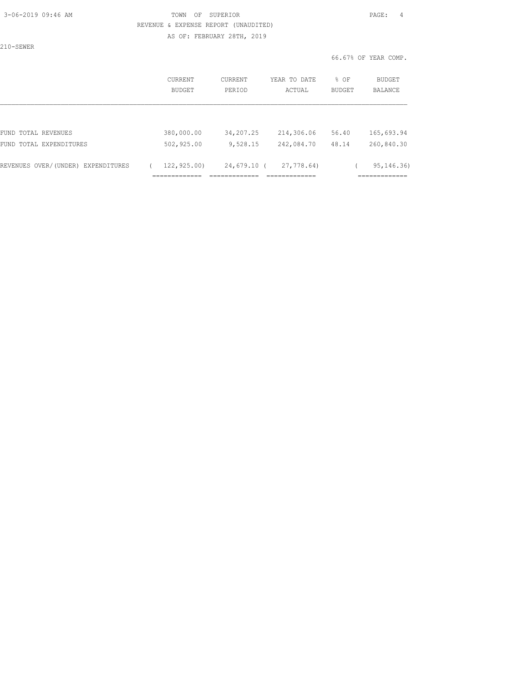### 3-06-2019 09:46 AM TOWN OF SUPERIOR PAGE: 4 REVENUE & EXPENSE REPORT (UNAUDITED) AS OF: FEBRUARY 28TH, 2019

210-SEWER

|                                    | <b>CURRENT</b><br>BUDGET                     | CURRENT<br>PERIOD                            | YEAR TO DATE<br>ACTUAL                     | $8$ OF<br><b>BUDGET</b> | <b>BUDGET</b><br>BALANCE          |
|------------------------------------|----------------------------------------------|----------------------------------------------|--------------------------------------------|-------------------------|-----------------------------------|
|                                    |                                              |                                              |                                            |                         |                                   |
| FUND TOTAL REVENUES                | 380,000.00                                   | 34,207.25                                    | 214,306.06                                 | 56.40                   | 165,693.94                        |
| FUND TOTAL EXPENDITURES            | 502,925.00                                   | 9,528.15                                     | 242,084.70                                 | 48.14                   | 260,840.30                        |
| REVENUES OVER/(UNDER) EXPENDITURES | 122,925.00)<br>_____________<br>------------ | 24,679.10 (<br>--------------<br>----------- | 27,778.64)<br>_____________<br>----------- |                         | 95, 146. 36)<br>____________<br>. |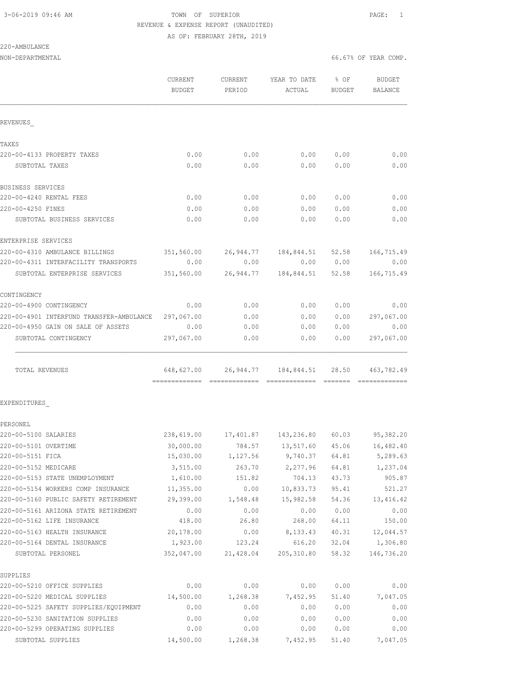# 3-06-2019 09:46 AM TOWN OF SUPERIOR PAGE: 1 REVENUE & EXPENSE REPORT (UNAUDITED)

AS OF: FEBRUARY 28TH, 2019

| 220-AMBULANCE |
|---------------|
|---------------|

NON-DEPARTMENTAL 66.67% OF YEAR COMP.

|                                                     | CURRENT<br>BUDGET | CURRENT<br>PERIOD | YEAR TO DATE<br>ACTUAL                              | $8$ OF<br>BUDGET | BUDGET<br>BALANCE             |
|-----------------------------------------------------|-------------------|-------------------|-----------------------------------------------------|------------------|-------------------------------|
| REVENUES                                            |                   |                   |                                                     |                  |                               |
| TAXES                                               |                   |                   |                                                     |                  |                               |
| 220-00-4133 PROPERTY TAXES                          | 0.00              | 0.00              | 0.00                                                | 0.00             | 0.00                          |
| SUBTOTAL TAXES                                      | 0.00              | 0.00              | 0.00                                                | 0.00             | 0.00                          |
| BUSINESS SERVICES                                   |                   |                   |                                                     |                  |                               |
| 220-00-4240 RENTAL FEES                             | 0.00              | 0.00              | 0.00                                                | 0.00             | 0.00                          |
| 220-00-4250 FINES                                   | 0.00              | 0.00              | 0.00                                                | 0.00             | 0.00                          |
| SUBTOTAL BUSINESS SERVICES                          | 0.00              | 0.00              | 0.00                                                | 0.00             | 0.00                          |
| ENTERPRISE SERVICES                                 |                   |                   |                                                     |                  |                               |
| 220-00-4310 AMBULANCE BILLINGS                      |                   |                   | 351,560.00 26,944.77 184,844.51                     | 52.58            | 166,715.49                    |
| 220-00-4311 INTERFACILITY TRANSPORTS                | 0.00              | 0.00              | 0.00                                                | 0.00             | 0.00                          |
| SUBTOTAL ENTERPRISE SERVICES                        | 351,560.00        |                   | 26,944.77 184,844.51                                | 52.58            | 166,715.49                    |
| CONTINGENCY                                         |                   |                   |                                                     |                  |                               |
| 220-00-4900 CONTINGENCY                             | 0.00              | 0.00              | 0.00                                                | 0.00             | 0.00                          |
| 220-00-4901 INTERFUND TRANSFER-AMBULANCE 297,067.00 |                   | 0.00              | 0.00                                                | 0.00             | 297,067.00                    |
| 220-00-4950 GAIN ON SALE OF ASSETS                  | 0.00              | 0.00              | 0.00                                                | 0.00             | 0.00                          |
| SUBTOTAL CONTINGENCY                                | 297,067.00        | 0.00              | 0.00                                                | 0.00             | 297,067.00                    |
| TOTAL REVENUES                                      |                   |                   | 648,627.00 26,944.77 184,844.51 28.50               |                  | 463,782.49<br>222222222222222 |
| EXPENDITURES                                        |                   |                   |                                                     |                  |                               |
| PERSONEL                                            |                   |                   |                                                     |                  |                               |
| 220-00-5100 SALARIES                                |                   |                   | 238,619.00  17,401.87  143,236.80  60.03  95,382.20 |                  |                               |
| 220-00-5101 OVERTIME                                | 30,000.00         | 784.57            | 13,517.60                                           | 45.06            | 16,482.40                     |
| 220-00-5151 FICA                                    | 15,030.00         | 1,127.56          | 9,740.37                                            | 64.81            | 5,289.63                      |
| 220-00-5152 MEDICARE                                | 3,515.00          | 263.70            | 2,277.96                                            | 64.81            | 1,237.04                      |
| 220-00-5153 STATE UNEMPLOYMENT                      | 1,610.00          | 151.82            | 704.13                                              | 43.73            | 905.87                        |
| 220-00-5154 WORKERS COMP INSURANCE                  | 11,355.00         | 0.00              | 10,833.73                                           | 95.41            | 521.27                        |
| 220-00-5160 PUBLIC SAFETY RETIREMENT                | 29,399.00         | 1,548.48          | 15,982.58                                           | 54.36            | 13, 416.42                    |
| 220-00-5161 ARIZONA STATE RETIREMENT                | 0.00              | 0.00              | 0.00                                                | 0.00             | 0.00                          |
| 220-00-5162 LIFE INSURANCE                          | 418.00            | 26.80             | 268.00                                              | 64.11            | 150.00                        |
| 220-00-5163 HEALTH INSURANCE                        | 20,178.00         | 0.00              | 8, 133. 43                                          | 40.31            | 12,044.57                     |
| 220-00-5164 DENTAL INSURANCE                        | 1,923.00          | 123.24            | 616.20                                              | 32.04            | 1,306.80                      |
| SUBTOTAL PERSONEL                                   | 352,047.00        | 21,428.04         | 205, 310.80                                         | 58.32            | 146,736.20                    |
| SUPPLIES                                            |                   |                   |                                                     |                  |                               |
| 220-00-5210 OFFICE SUPPLIES                         | 0.00              | 0.00              | 0.00                                                | 0.00             | 0.00                          |
|                                                     |                   |                   |                                                     |                  |                               |

| SUPPLIES                              |           |          |          |       |          |
|---------------------------------------|-----------|----------|----------|-------|----------|
| 220-00-5210 OFFICE SUPPLIES           | 0.00      | 0.00     | 0.00     | 0.00  | 0.00     |
| 220-00-5220 MEDICAL SUPPLIES          | 14,500.00 | 1,268.38 | 7,452.95 | 51.40 | 7,047.05 |
| 220-00-5225 SAFETY SUPPLIES/EOUIPMENT | 0.00      | 0.00     | 0.00     | 0.00  | 0.00     |
| 220-00-5230 SANITATION SUPPLIES       | 0.00      | 0.00     | 0.00     | 0.00  | 0.00     |
| 220-00-5299 OPERATING SUPPLIES        | 0.00      | 0.00     | 0.00     | 0.00  | 0.00     |
| SUBTOTAL SUPPLIES                     | 14,500.00 | 1,268.38 | 7,452.95 | 51.40 | 7,047.05 |
|                                       |           |          |          |       |          |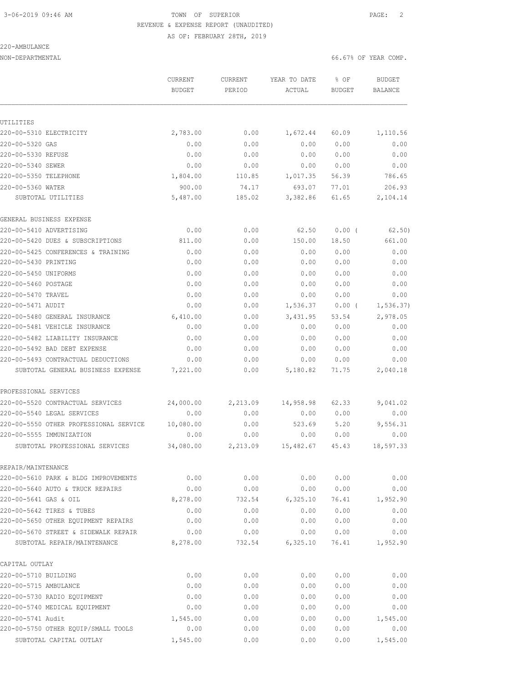# 3-06-2019 09:46 AM TOWN OF SUPERIOR PAGE: 2 REVENUE & EXPENSE REPORT (UNAUDITED)

AS OF: FEBRUARY 28TH, 2019

### 220-AMBULANCE

| NON-DEPARTMENTAL | 66.67% OF YEAR COMP. |
|------------------|----------------------|
|                  |                      |

|                                        | <b>CURRENT</b><br><b>BUDGET</b> | <b>CURRENT</b><br>PERIOD | YEAR TO DATE<br>ACTUAL | % OF<br><b>BUDGET</b> | <b>BUDGET</b><br><b>BALANCE</b> |
|----------------------------------------|---------------------------------|--------------------------|------------------------|-----------------------|---------------------------------|
|                                        |                                 |                          |                        |                       |                                 |
| UTILITIES                              |                                 |                          |                        |                       |                                 |
| 220-00-5310 ELECTRICITY                | 2,783.00                        | 0.00                     | 1,672.44               | 60.09                 | 1,110.56                        |
| 220-00-5320 GAS                        | 0.00                            | 0.00                     | 0.00                   | 0.00                  | 0.00                            |
| 220-00-5330 REFUSE                     | 0.00                            | 0.00                     | 0.00                   | 0.00                  | 0.00                            |
| 220-00-5340 SEWER                      | 0.00                            | 0.00                     | 0.00                   | 0.00                  | 0.00                            |
| 220-00-5350 TELEPHONE                  | 1,804.00                        | 110.85                   | 1,017.35               | 56.39                 | 786.65                          |
| 220-00-5360 WATER                      | 900.00                          | 74.17                    | 693.07                 | 77.01                 | 206.93                          |
| SUBTOTAL UTILITIES                     | 5,487.00                        | 185.02                   | 3,382.86               | 61.65                 | 2,104.14                        |
| GENERAL BUSINESS EXPENSE               |                                 |                          |                        |                       |                                 |
| 220-00-5410 ADVERTISING                | 0.00                            | 0.00                     | 62.50                  | $0.00$ (              | 62.50)                          |
| 220-00-5420 DUES & SUBSCRIPTIONS       | 811.00                          | 0.00                     | 150.00                 | 18.50                 | 661.00                          |
| 220-00-5425 CONFERENCES & TRAINING     | 0.00                            | 0.00                     | 0.00                   | 0.00                  | 0.00                            |
| 220-00-5430 PRINTING                   | 0.00                            | 0.00                     | 0.00                   | 0.00                  | 0.00                            |
| 220-00-5450 UNIFORMS                   | 0.00                            | 0.00                     | 0.00                   | 0.00                  | 0.00                            |
| 220-00-5460 POSTAGE                    | 0.00                            | 0.00                     | 0.00                   | 0.00                  | 0.00                            |
| 220-00-5470 TRAVEL                     | 0.00                            | 0.00                     | 0.00                   | 0.00                  | 0.00                            |
| 220-00-5471 AUDIT                      | 0.00                            | 0.00                     | 1,536.37               | 0.00(                 | 1, 536.37)                      |
| 220-00-5480 GENERAL INSURANCE          | 6,410.00                        | 0.00                     | 3,431.95               | 53.54                 | 2,978.05                        |
| 220-00-5481 VEHICLE INSURANCE          | 0.00                            | 0.00                     | 0.00                   | 0.00                  | 0.00                            |
| 220-00-5482 LIABILITY INSURANCE        | 0.00                            | 0.00                     | 0.00                   | 0.00                  | 0.00                            |
| 220-00-5492 BAD DEBT EXPENSE           | 0.00                            | 0.00                     | 0.00                   | 0.00                  | 0.00                            |
| 220-00-5493 CONTRACTUAL DEDUCTIONS     | 0.00                            | 0.00                     | 0.00                   | 0.00                  | 0.00                            |
| SUBTOTAL GENERAL BUSINESS EXPENSE      | 7,221.00                        | 0.00                     | 5,180.82               | 71.75                 | 2,040.18                        |
| PROFESSIONAL SERVICES                  |                                 |                          |                        |                       |                                 |
| 220-00-5520 CONTRACTUAL SERVICES       | 24,000.00                       | 2,213.09                 | 14,958.98              | 62.33                 | 9,041.02                        |
| 220-00-5540 LEGAL SERVICES             | 0.00                            | 0.00                     | 0.00                   | 0.00                  | 0.00                            |
| 220-00-5550 OTHER PROFESSIONAL SERVICE | 10,080.00                       | 0.00                     | 523.69                 | 5.20                  | 9,556.31                        |
| 220-00-5555 IMMUNIZATION               | 0.00                            | 0.00                     | 0.00                   | 0.00                  | 0.00                            |
| SUBTOTAL PROFESSIONAL SERVICES         | 34,080.00                       | 2,213.09                 | 15,482.67              | 45.43                 | 18,597.33                       |
| REPAIR/MAINTENANCE                     |                                 |                          |                        |                       |                                 |
| 220-00-5610 PARK & BLDG IMPROVEMENTS   | 0.00                            | 0.00                     | 0.00                   | 0.00                  | 0.00                            |
| 220-00-5640 AUTO & TRUCK REPAIRS       | 0.00                            | 0.00                     | 0.00                   | 0.00                  | 0.00                            |
| 220-00-5641 GAS & OIL                  | 8,278.00                        | 732.54                   | 6,325.10               | 76.41                 | 1,952.90                        |
| 220-00-5642 TIRES & TUBES              | 0.00                            | 0.00                     | 0.00                   | 0.00                  | 0.00                            |
| 220-00-5650 OTHER EQUIPMENT REPAIRS    | 0.00                            | 0.00                     | 0.00                   | 0.00                  | 0.00                            |
| 220-00-5670 STREET & SIDEWALK REPAIR   | 0.00                            | 0.00                     | 0.00                   | 0.00                  | 0.00                            |
| SUBTOTAL REPAIR/MAINTENANCE            | 8,278.00                        | 732.54                   | 6,325.10               | 76.41                 | 1,952.90                        |
| CAPITAL OUTLAY                         |                                 |                          |                        |                       |                                 |
| 220-00-5710 BUILDING                   | 0.00                            | 0.00                     | 0.00                   | 0.00                  | 0.00                            |
| 220-00-5715 AMBULANCE                  | 0.00                            | 0.00                     | 0.00                   | 0.00                  | 0.00                            |
| 220-00-5730 RADIO EQUIPMENT            | 0.00                            | 0.00                     | 0.00                   | 0.00                  | 0.00                            |
| 220-00-5740 MEDICAL EQUIPMENT          | 0.00                            | 0.00                     | 0.00                   | 0.00                  | 0.00                            |
| 220-00-5741 Audit                      | 1,545.00                        | 0.00                     | 0.00                   | 0.00                  | 1,545.00                        |
| 220-00-5750 OTHER EQUIP/SMALL TOOLS    | 0.00                            | 0.00                     | 0.00                   | 0.00                  | 0.00                            |
| SUBTOTAL CAPITAL OUTLAY                | 1,545.00                        | 0.00                     | 0.00                   | 0.00                  | 1,545.00                        |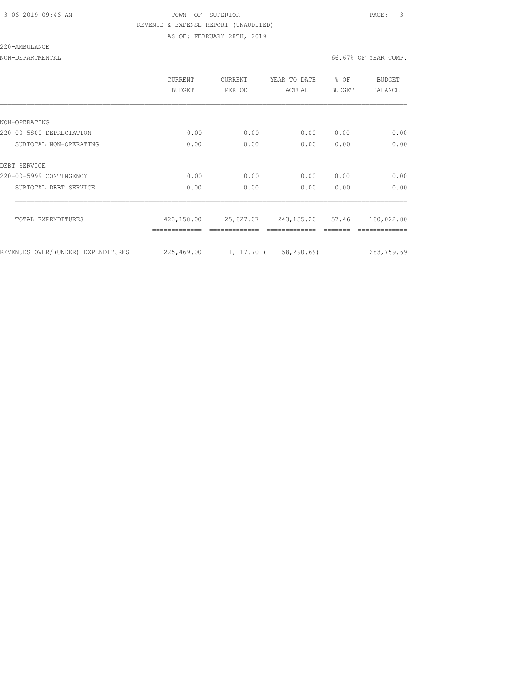### 3-06-2019 09:46 AM TOWN OF SUPERIOR PAGE: 3 REVENUE & EXPENSE REPORT (UNAUDITED) AS OF: FEBRUARY 28TH, 2019

220-AMBULANCE

NON-DEPARTMENTAL 66.67% OF YEAR COMP.

|                                    | CURRENT<br>BUDGET | CURRENT<br>PERIOD | YEAR TO DATE<br>ACTUAL     | $8$ OF<br><b>BUDGET</b> | BUDGET<br><b>BALANCE</b> |
|------------------------------------|-------------------|-------------------|----------------------------|-------------------------|--------------------------|
|                                    |                   |                   |                            |                         |                          |
| NON-OPERATING                      |                   |                   |                            |                         |                          |
| 220-00-5800 DEPRECIATION           | 0.00              | 0.00              | 0.00                       | 0.00                    | 0.00                     |
| SUBTOTAL NON-OPERATING             | 0.00              | 0.00              | 0.00                       | 0.00                    | 0.00                     |
| DEBT SERVICE                       |                   |                   |                            |                         |                          |
| 220-00-5999 CONTINGENCY            | 0.00              | 0.00              | 0.00                       | 0.00                    | 0.00                     |
| SUBTOTAL DEBT SERVICE              | 0.00              | 0.00              | 0.00                       | 0.00                    | 0.00                     |
| TOTAL EXPENDITURES                 | 423,158.00        |                   | 25,827.07 243,135.20 57.46 |                         | 180,022.80               |
|                                    |                   |                   |                            |                         |                          |
| REVENUES OVER/(UNDER) EXPENDITURES | 225,469.00        |                   | 1,117.70 (58,290.69)       |                         | 283,759.69               |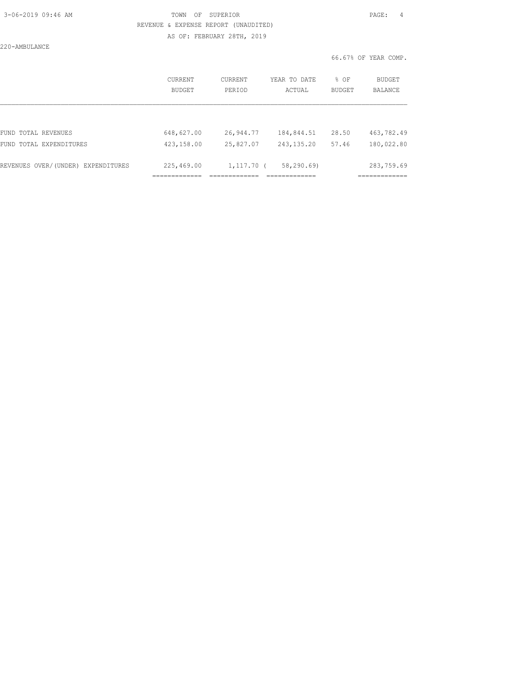### 3-06-2019 09:46 AM TOWN OF SUPERIOR PAGE: 4 REVENUE & EXPENSE REPORT (UNAUDITED) AS OF: FEBRUARY 28TH, 2019

220-AMBULANCE

|                                    | CURRENT<br><b>BUDGET</b> | CURRENT<br>PERIOD | YEAR TO DATE<br>ACTUAL | % OF<br><b>BUDGET</b> | BUDGET<br><b>BALANCE</b> |
|------------------------------------|--------------------------|-------------------|------------------------|-----------------------|--------------------------|
|                                    |                          |                   |                        |                       |                          |
| FUND TOTAL REVENUES                | 648,627.00               | 26,944.77         | 184,844.51             | 28.50                 | 463,782.49               |
| FUND TOTAL EXPENDITURES            | 423,158.00               | 25,827.07         | 243, 135.20            | 57.46                 | 180,022.80               |
| REVENUES OVER/(UNDER) EXPENDITURES | 225,469.00               | $1,117.70$ (      | 58, 290, 69            |                       | 283,759.69               |
|                                    |                          |                   |                        |                       |                          |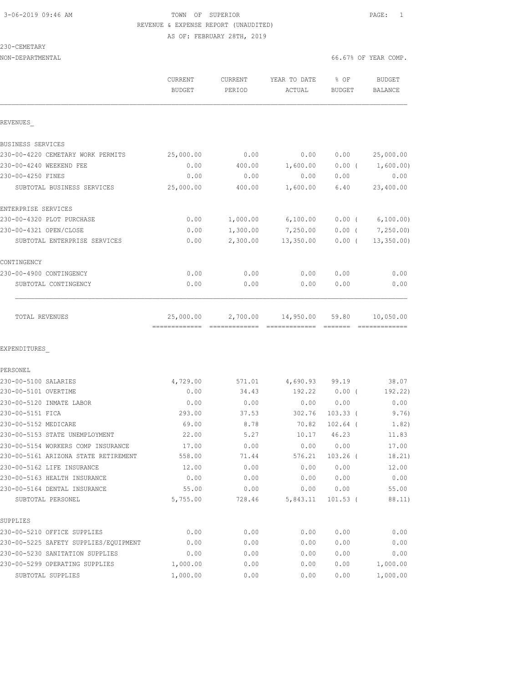### 3-06-2019 09:46 AM TOWN OF SUPERIOR PAGE: 1 REVENUE & EXPENSE REPORT (UNAUDITED) AS OF: FEBRUARY 28TH, 2019

230-CEMETARY

| NON-DEPARTMENTAL | 66.67% OF YEAR COMP. |
|------------------|----------------------|

|                                                                            | CURRENT<br><b>BUDGET</b>                  | CURRENT<br>PERIOD | YEAR TO DATE<br>ACTUAL | % OF<br><b>BUDGET</b> | <b>BUDGET</b><br><b>BALANCE</b>                                                                                                                                                                                                                                                                                                                                                                                                                                                                           |
|----------------------------------------------------------------------------|-------------------------------------------|-------------------|------------------------|-----------------------|-----------------------------------------------------------------------------------------------------------------------------------------------------------------------------------------------------------------------------------------------------------------------------------------------------------------------------------------------------------------------------------------------------------------------------------------------------------------------------------------------------------|
| REVENUES                                                                   |                                           |                   |                        |                       |                                                                                                                                                                                                                                                                                                                                                                                                                                                                                                           |
| BUSINESS SERVICES                                                          |                                           |                   |                        |                       |                                                                                                                                                                                                                                                                                                                                                                                                                                                                                                           |
| 230-00-4220 CEMETARY WORK PERMITS                                          | 25,000.00                                 | 0.00              | 0.00                   | 0.00                  | 25,000.00                                                                                                                                                                                                                                                                                                                                                                                                                                                                                                 |
| 230-00-4240 WEEKEND FEE                                                    | 0.00                                      | 400.00            | 1,600.00               | $0.00$ (              | 1,600.00)                                                                                                                                                                                                                                                                                                                                                                                                                                                                                                 |
| 230-00-4250 FINES                                                          | 0.00                                      | 0.00              | 0.00                   | 0.00                  | 0.00                                                                                                                                                                                                                                                                                                                                                                                                                                                                                                      |
| SUBTOTAL BUSINESS SERVICES                                                 | 25,000.00                                 | 400.00            | 1,600.00               | 6.40                  | 23,400.00                                                                                                                                                                                                                                                                                                                                                                                                                                                                                                 |
| ENTERPRISE SERVICES                                                        |                                           |                   |                        |                       |                                                                                                                                                                                                                                                                                                                                                                                                                                                                                                           |
| 230-00-4320 PLOT PURCHASE                                                  | 0.00                                      | 1,000.00          | 6,100.00               | $0.00$ (              | 6, 100.00)                                                                                                                                                                                                                                                                                                                                                                                                                                                                                                |
| 230-00-4321 OPEN/CLOSE                                                     | 0.00                                      | 1,300.00          | 7,250.00               | $0.00$ (              | 7,250.00                                                                                                                                                                                                                                                                                                                                                                                                                                                                                                  |
| SUBTOTAL ENTERPRISE SERVICES                                               | 0.00                                      | 2,300.00          | 13,350.00              | $0.00$ (              | 13, 350.00                                                                                                                                                                                                                                                                                                                                                                                                                                                                                                |
| CONTINGENCY                                                                |                                           |                   |                        |                       |                                                                                                                                                                                                                                                                                                                                                                                                                                                                                                           |
| 230-00-4900 CONTINGENCY                                                    | 0.00                                      | 0.00              | 0.00                   | 0.00                  | 0.00                                                                                                                                                                                                                                                                                                                                                                                                                                                                                                      |
| SUBTOTAL CONTINGENCY                                                       | 0.00                                      | 0.00              | 0.00                   | 0.00                  | 0.00                                                                                                                                                                                                                                                                                                                                                                                                                                                                                                      |
| TOTAL REVENUES                                                             | 25,000.00<br>============================ | 2,700.00          | 14,950.00              | 59.80                 | 10,050.00<br>$\begin{array}{c} \multicolumn{2}{c} {\textbf{1}} & \multicolumn{2}{c} {\textbf{2}} & \multicolumn{2}{c} {\textbf{3}} & \multicolumn{2}{c} {\textbf{4}} \\ \multicolumn{2}{c} {\textbf{5}} & \multicolumn{2}{c} {\textbf{6}} & \multicolumn{2}{c} {\textbf{7}} & \multicolumn{2}{c} {\textbf{8}} & \multicolumn{2}{c} {\textbf{9}} \\ \multicolumn{2}{c} {\textbf{6}} & \multicolumn{2}{c} {\textbf{7}} & \multicolumn{2}{c} {\textbf{8}} & \multicolumn{2}{c} {\textbf{9}} & \multicolumn{$ |
| EXPENDITURES                                                               |                                           |                   |                        |                       |                                                                                                                                                                                                                                                                                                                                                                                                                                                                                                           |
| PERSONEL                                                                   |                                           |                   |                        |                       |                                                                                                                                                                                                                                                                                                                                                                                                                                                                                                           |
| 230-00-5100 SALARIES                                                       | 4,729.00                                  | 571.01            | 4,690.93               | 99.19                 | 38.07                                                                                                                                                                                                                                                                                                                                                                                                                                                                                                     |
| 230-00-5101 OVERTIME                                                       | 0.00                                      | 34.43             | 192.22                 | $0.00$ (              | 192.22)                                                                                                                                                                                                                                                                                                                                                                                                                                                                                                   |
| 230-00-5120 INMATE LABOR                                                   | 0.00                                      | 0.00              | 0.00                   | 0.00                  | 0.00                                                                                                                                                                                                                                                                                                                                                                                                                                                                                                      |
| 230-00-5151 FICA                                                           | 293.00                                    | 37.53             | 302.76                 | $103.33$ (            | 9.76)                                                                                                                                                                                                                                                                                                                                                                                                                                                                                                     |
| 230-00-5152 MEDICARE                                                       | 69.00                                     | 8.78              | 70.82                  | $102.64$ (            | 1.82)                                                                                                                                                                                                                                                                                                                                                                                                                                                                                                     |
| 230-00-5153 STATE UNEMPLOYMENT                                             | 22.00                                     | 5.27              | 10.17                  | 46.23                 | 11.83                                                                                                                                                                                                                                                                                                                                                                                                                                                                                                     |
| 230-00-5154 WORKERS COMP INSURANCE<br>230-00-5161 ARIZONA STATE RETIREMENT | 17.00<br>558.00                           | 0.00              | 0.00<br>576.21         | 0.00                  | 17.00<br>18.21)                                                                                                                                                                                                                                                                                                                                                                                                                                                                                           |
| 230-00-5162 LIFE INSURANCE                                                 | 12.00                                     | 71.44<br>0.00     | 0.00                   | 103.26 (<br>0.00      | 12.00                                                                                                                                                                                                                                                                                                                                                                                                                                                                                                     |
| 230-00-5163 HEALTH INSURANCE                                               | 0.00                                      | 0.00              | 0.00                   | 0.00                  | 0.00                                                                                                                                                                                                                                                                                                                                                                                                                                                                                                      |
| 230-00-5164 DENTAL INSURANCE                                               | 55.00                                     | 0.00              | 0.00                   | 0.00                  | 55.00                                                                                                                                                                                                                                                                                                                                                                                                                                                                                                     |
| SUBTOTAL PERSONEL                                                          | 5,755.00                                  | 728.46            | 5,843.11               | $101.53$ (            | 88.11)                                                                                                                                                                                                                                                                                                                                                                                                                                                                                                    |
| SUPPLIES                                                                   |                                           |                   |                        |                       |                                                                                                                                                                                                                                                                                                                                                                                                                                                                                                           |
| 230-00-5210 OFFICE SUPPLIES                                                | 0.00                                      | 0.00              | 0.00                   | 0.00                  | 0.00                                                                                                                                                                                                                                                                                                                                                                                                                                                                                                      |
| 230-00-5225 SAFETY SUPPLIES/EQUIPMENT                                      | 0.00                                      | 0.00              | 0.00                   | 0.00                  | 0.00                                                                                                                                                                                                                                                                                                                                                                                                                                                                                                      |
| 230-00-5230 SANITATION SUPPLIES                                            | 0.00                                      | 0.00              | 0.00                   | 0.00                  | 0.00                                                                                                                                                                                                                                                                                                                                                                                                                                                                                                      |
| 230-00-5299 OPERATING SUPPLIES                                             | 1,000.00                                  | 0.00              | 0.00                   | 0.00                  | 1,000.00                                                                                                                                                                                                                                                                                                                                                                                                                                                                                                  |
| SUBTOTAL SUPPLIES                                                          | 1,000.00                                  | 0.00              | 0.00                   | 0.00                  | 1,000.00                                                                                                                                                                                                                                                                                                                                                                                                                                                                                                  |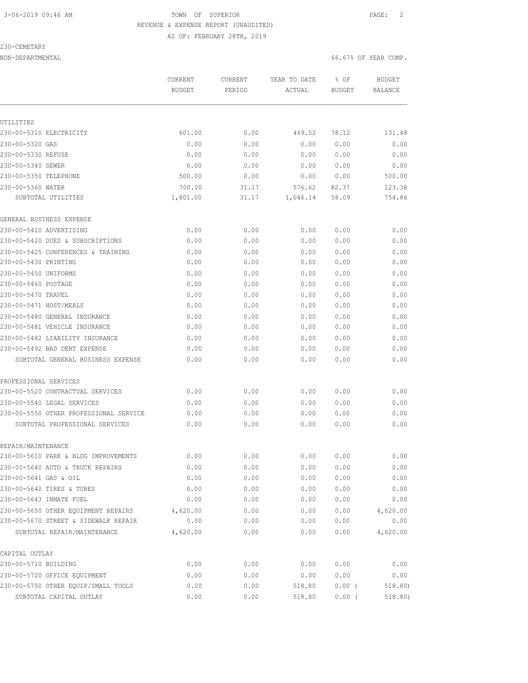### 3-06-2019 09:46 AM TOWN OF SUPERIOR PAGE: 2 REVENUE & EXPENSE REPORT (UNAUDITED) AS OF: FEBRUARY 28TH, 2019

230-CEMETARY

NON-DEPARTMENTAL 66.67% OF YEAR COMP.

|                                        | CURRENT<br><b>BUDGET</b> | CURRENT<br>PERIOD | YEAR TO DATE<br>ACTUAL | % OF<br>BUDGET | <b>BUDGET</b><br><b>BALANCE</b> |
|----------------------------------------|--------------------------|-------------------|------------------------|----------------|---------------------------------|
|                                        |                          |                   |                        |                |                                 |
| UTILITIES                              |                          |                   |                        |                |                                 |
| 230-00-5310 ELECTRICITY                | 601.00                   | 0.00              | 469.52                 | 78.12          | 131.48                          |
| 230-00-5320 GAS                        | 0.00                     | 0.00              | 0.00                   | 0.00           | 0.00                            |
| 230-00-5330 REFUSE                     | 0.00                     | 0.00              | 0.00                   | 0.00           | 0.00                            |
| 230-00-5340 SEWER                      | 0.00                     | 0.00              | 0.00                   | 0.00           | 0.00                            |
| 230-00-5350 TELEPHONE                  | 500.00                   | 0.00              | 0.00                   | 0.00           | 500.00                          |
| 230-00-5360 WATER                      | 700.00                   | 31.17             | 576.62                 | 82.37          | 123.38                          |
| SUBTOTAL UTILITIES                     | 1,801.00                 | 31.17             | 1,046.14               | 58.09          | 754.86                          |
| GENERAL BUSINESS EXPENSE               |                          |                   |                        |                |                                 |
| 230-00-5410 ADVERTISING                | 0.00                     | 0.00              | 0.00                   | 0.00           | 0.00                            |
| 230-00-5420 DUES & SUBSCRIPTIONS       | 0.00                     | 0.00              | 0.00                   | 0.00           | 0.00                            |
| 230-00-5425 CONFERENCES & TRAINING     | 0.00                     | 0.00              | 0.00                   | 0.00           | 0.00                            |
| 230-00-5430 PRINTING                   | 0.00                     | 0.00              | 0.00                   | 0.00           | 0.00                            |
| 230-00-5450 UNIFORMS                   | 0.00                     | 0.00              | 0.00                   | 0.00           | 0.00                            |
| 230-00-5460 POSTAGE                    | 0.00                     | 0.00              | 0.00                   | 0.00           | 0.00                            |
| 230-00-5470 TRAVEL                     | 0.00                     | 0.00              | 0.00                   | 0.00           | 0.00                            |
| 230-00-5471 HOST/MEALS                 | 0.00                     | 0.00              | 0.00                   | 0.00           | 0.00                            |
| 230-00-5480 GENERAL INSURANCE          | 0.00                     | 0.00              | 0.00                   | 0.00           | 0.00                            |
| 230-00-5481 VEHICLE INSURANCE          | 0.00                     | 0.00              | 0.00                   | 0.00           | 0.00                            |
| 230-00-5482 LIABILITY INSURANCE        | 0.00                     | 0.00              | 0.00                   | 0.00           | 0.00                            |
| 230-00-5492 BAD DEBT EXPENSE           | 0.00                     | 0.00              | 0.00                   | 0.00           | 0.00                            |
| SUBTOTAL GENERAL BUSINESS EXPENSE      | 0.00                     | 0.00              | 0.00                   | 0.00           | 0.00                            |
| PROFESSIONAL SERVICES                  |                          |                   |                        |                |                                 |
| 230-00-5520 CONTRACTUAL SERVICES       | 0.00                     | 0.00              | 0.00                   | 0.00           | 0.00                            |
| 230-00-5540 LEGAL SERVICES             | 0.00                     | 0.00              | 0.00                   | 0.00           | 0.00                            |
| 230-00-5550 OTHER PROFESSIONAL SERVICE | 0.00                     | 0.00              | 0.00                   | 0.00           | 0.00                            |
| SUBTOTAL PROFESSIONAL SERVICES         | 0.00                     | 0.00              | 0.00                   | 0.00           | 0.00                            |
| REPAIR/MAINTENANCE                     |                          |                   |                        |                |                                 |
| 230-00-5610 PARK & BLDG IMPROVEMENTS   | 0.00                     | 0.00              | 0.00                   | 0.00           | 0.00                            |
| 230-00-5640 AUTO & TRUCK REPAIRS       | 0.00                     | 0.00              | 0.00                   | 0.00           | 0.00                            |
| 230-00-5641 GAS & OIL                  | 0.00                     | 0.00              | 0.00                   | 0.00           | 0.00                            |
| 230-00-5642 TIRES & TUBES              | 0.00                     | 0.00              | 0.00                   | 0.00           | 0.00                            |
| 230-00-5643 INMATE FUEL                | 0.00                     | 0.00              | 0.00                   | 0.00           | 0.00                            |
| 230-00-5650 OTHER EQUIPMENT REPAIRS    | 4,620.00                 | 0.00              | 0.00                   | 0.00           | 4,620.00                        |
| 230-00-5670 STREET & SIDEWALK REPAIR   | 0.00                     | 0.00              | 0.00                   | 0.00           | 0.00                            |
| SUBTOTAL REPAIR/MAINTENANCE            | 4,620.00                 | 0.00              | 0.00                   | 0.00           | 4,620.00                        |
| CAPITAL OUTLAY                         |                          |                   |                        |                |                                 |
| 230-00-5710 BUILDING                   | 0.00                     | 0.00              | 0.00                   | 0.00           | 0.00                            |
| 230-00-5720 OFFICE EQUIPMENT           | 0.00                     | 0.00              | 0.00                   | 0.00           | 0.00                            |
| 230-00-5750 OTHER EQUIP/SMALL TOOLS    | 0.00                     | 0.00              | 518.80                 | $0.00$ (       | 518.80)                         |
| SUBTOTAL CAPITAL OUTLAY                | 0.00                     | 0.00              | 518.80                 | 0.00(          | 518.80)                         |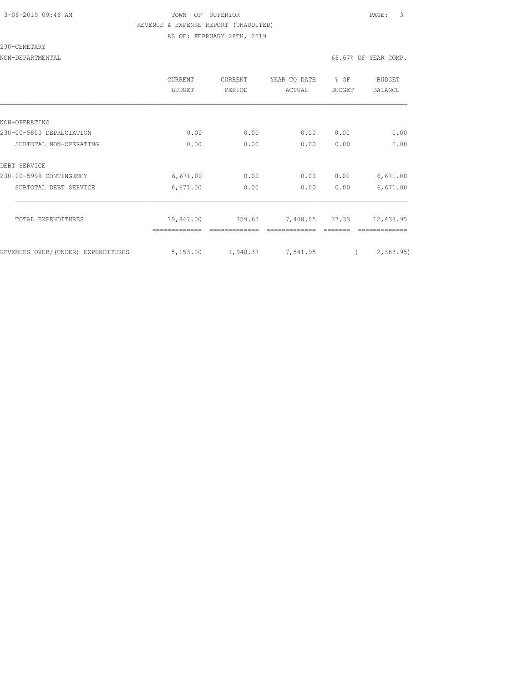### 3-06-2019 09:46 AM TOWN OF SUPERIOR PAGE: 3 REVENUE & EXPENSE REPORT (UNAUDITED) AS OF: FEBRUARY 28TH, 2019

230-CEMETARY

NON-DEPARTMENTAL 66.67% OF YEAR COMP.

|                                    | <b>CURRENT</b><br>BUDGET | <b>CURRENT</b><br>PERIOD | YEAR TO DATE<br>ACTUAL | % OF<br><b>BUDGET</b> | BUDGET<br><b>BALANCE</b> |
|------------------------------------|--------------------------|--------------------------|------------------------|-----------------------|--------------------------|
|                                    |                          |                          |                        |                       |                          |
| NON-OPERATING                      |                          |                          |                        |                       |                          |
| 230-00-5800 DEPRECIATION           | 0.00                     | 0.00                     | 0.00                   | 0.00                  | 0.00                     |
| SUBTOTAL NON-OPERATING             | 0.00                     | 0.00                     | 0.00                   | 0.00                  | 0.00                     |
| DEBT SERVICE                       |                          |                          |                        |                       |                          |
| 230-00-5999 CONTINGENCY            | 6,671.00                 | 0.00                     | 0.00                   | 0.00                  | 6,671.00                 |
| SUBTOTAL DEBT SERVICE              | 6,671.00                 | 0.00                     | 0.00                   | 0.00                  | 6,671.00                 |
|                                    |                          |                          |                        |                       |                          |
| TOTAL EXPENDITURES                 | 19,847.00                | 759.63                   | 7,408.05 37.33         |                       | 12,438.95                |
|                                    |                          |                          |                        |                       |                          |
| REVENUES OVER/(UNDER) EXPENDITURES | 5,153.00                 | 1,940.37                 | 7,541.95               |                       | 2,388.95                 |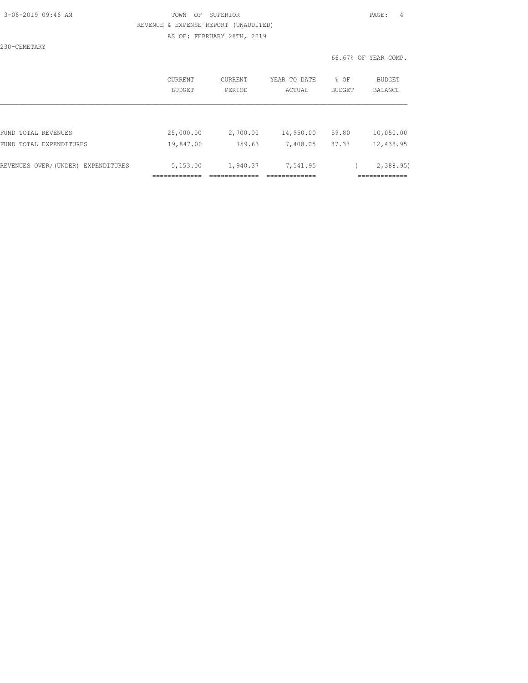### 3-06-2019 09:46 AM TOWN OF SUPERIOR PAGE: 4 REVENUE & EXPENSE REPORT (UNAUDITED) AS OF: FEBRUARY 28TH, 2019

230-CEMETARY

|                                    | CURRENT<br><b>BUDGET</b> | CURRENT<br>PERIOD | YEAR TO DATE<br>ACTUAL | % OF<br><b>BUDGET</b> | BUDGET<br><b>BALANCE</b> |
|------------------------------------|--------------------------|-------------------|------------------------|-----------------------|--------------------------|
|                                    |                          |                   |                        |                       |                          |
| FUND TOTAL REVENUES                | 25,000.00                | 2,700.00          | 14,950.00              | 59.80                 | 10,050.00                |
| FUND TOTAL EXPENDITURES            | 19,847.00                | 759.63            | 7,408.05               | 37.33                 | 12,438.95                |
| REVENUES OVER/(UNDER) EXPENDITURES | 5,153.00                 | 1,940.37          | 7,541.95               |                       | 2,388.95                 |
|                                    |                          |                   |                        |                       |                          |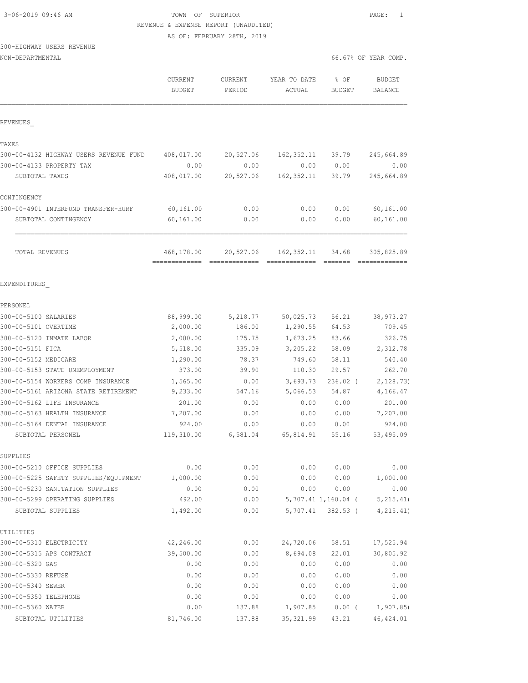# 3-06-2019 09:46 AM TOWN OF SUPERIOR PAGE: 1 REVENUE & EXPENSE REPORT (UNAUDITED)

AS OF: FEBRUARY 28TH, 2019

### 300-HIGHWAY USERS REVENUE

| NON-DEPARTMENTAL                           |                                 |                   |                        | 66.67% OF YEAR COMP.  |                          |
|--------------------------------------------|---------------------------------|-------------------|------------------------|-----------------------|--------------------------|
|                                            | <b>CURRENT</b><br><b>BUDGET</b> | CURRENT<br>PERIOD | YEAR TO DATE<br>ACTUAL | % OF<br><b>BUDGET</b> | <b>BUDGET</b><br>BALANCE |
| REVENUES                                   |                                 |                   |                        |                       |                          |
| TAXES                                      |                                 |                   |                        |                       |                          |
| 300-00-4132 HIGHWAY USERS REVENUE FUND     | 408,017.00                      | 20,527.06         | 162,352.11             | 39.79                 | 245,664.89               |
| 300-00-4133 PROPERTY TAX                   | 0.00                            | 0.00              | 0.00                   | 0.00                  | 0.00                     |
| SUBTOTAL TAXES                             | 408,017.00                      | 20,527.06         | 162,352.11             | 39.79                 | 245,664.89               |
| CONTINGENCY                                |                                 |                   |                        |                       |                          |
| 300-00-4901 INTERFUND TRANSFER-HURF        | 60, 161.00                      | 0.00              | 0.00                   | 0.00                  | 60,161.00                |
| SUBTOTAL CONTINGENCY                       | 60,161.00                       | 0.00              | 0.00                   | 0.00                  | 60, 161.00               |
| TOTAL REVENUES                             | 468,178.00                      | 20,527.06         | 162,352.11             | 34.68                 | 305,825.89               |
|                                            |                                 |                   |                        |                       |                          |
| EXPENDITURES                               |                                 |                   |                        |                       |                          |
| PERSONEL                                   |                                 |                   |                        |                       |                          |
| 300-00-5100 SALARIES                       | 88,999.00                       | 5,218.77          | 50,025.73              | 56.21                 | 38,973.27                |
| 300-00-5101 OVERTIME                       | 2,000.00                        | 186.00            | 1,290.55               | 64.53                 | 709.45                   |
| 300-00-5120 INMATE LABOR                   | 2,000.00                        | 175.75            | 1,673.25               | 83.66                 | 326.75                   |
| 300-00-5151 FICA                           | 5,518.00                        | 335.09            | 3,205.22               | 58.09                 | 2,312.78                 |
| 300-00-5152 MEDICARE                       | 1,290.00                        | 78.37             | 749.60                 | 58.11                 | 540.40                   |
| 300-00-5153 STATE UNEMPLOYMENT             | 373.00                          | 39.90             | 110.30                 | 29.57                 | 262.70                   |
| 300-00-5154 WORKERS COMP INSURANCE         | 1,565.00                        | 0.00              | 3,693.73               | 236.02 (              | 2, 128.73)               |
| 300-00-5161 ARIZONA STATE RETIREMENT       | 9,233.00                        | 547.16            | 5,066.53               | 54.87                 | 4,166.47                 |
| 300-00-5162 LIFE INSURANCE                 | 201.00                          | 0.00              | 0.00                   | 0.00                  | 201.00                   |
| 300-00-5163 HEALTH INSURANCE               | 7,207.00                        | 0.00              | 0.00                   | 0.00                  | 7,207.00                 |
| 300-00-5164 DENTAL INSURANCE               | 924.00                          | 0.00              | 0.00                   | 0.00                  | 924.00                   |
| SUBTOTAL PERSONEL                          | 119,310.00                      | 6,581.04          | 65,814.91              | 55.16                 | 53,495.09                |
| SUPPLIES                                   |                                 |                   |                        |                       |                          |
| 300-00-5210 OFFICE SUPPLIES                | 0.00                            | 0.00              | 0.00                   | 0.00                  | 0.00                     |
| 300-00-5225 SAFETY SUPPLIES/EQUIPMENT      | 1,000.00                        | 0.00              | 0.00                   | 0.00                  | 1,000.00                 |
| 300-00-5230 SANITATION SUPPLIES            | 0.00                            | 0.00              | 0.00                   | 0.00                  | 0.00                     |
| 300-00-5299 OPERATING SUPPLIES             | 492.00                          | 0.00              |                        | 5,707.41 1,160.04 (   | 5, 215.41)               |
| SUBTOTAL SUPPLIES                          | 1,492.00                        | 0.00              | 5,707.41               | $382.53$ (            | 4, 215.41)               |
| UTILITIES                                  |                                 |                   |                        |                       |                          |
| 300-00-5310 ELECTRICITY                    | 42,246.00                       | 0.00              | 24,720.06              | 58.51                 | 17,525.94                |
| 300-00-5315 APS CONTRACT                   | 39,500.00                       | 0.00              | 8,694.08               | 22.01                 | 30,805.92                |
| 300-00-5320 GAS                            | 0.00                            | 0.00              | 0.00                   | 0.00                  | 0.00                     |
| 300-00-5330 REFUSE                         | 0.00                            | 0.00              | 0.00                   | 0.00                  | 0.00                     |
| 300-00-5340 SEWER                          | 0.00                            | 0.00              | 0.00                   | 0.00                  | 0.00                     |
| 300-00-5350 TELEPHONE<br>300-00-5360 WATER | 0.00<br>0.00                    | 0.00              | 0.00<br>1,907.85       | 0.00                  | 0.00<br>1, 907.85        |
|                                            | 81,746.00                       | 137.88            |                        | $0.00$ (              |                          |
| SUBTOTAL UTILITIES                         |                                 | 137.88            | 35, 321.99             | 43.21                 | 46, 424.01               |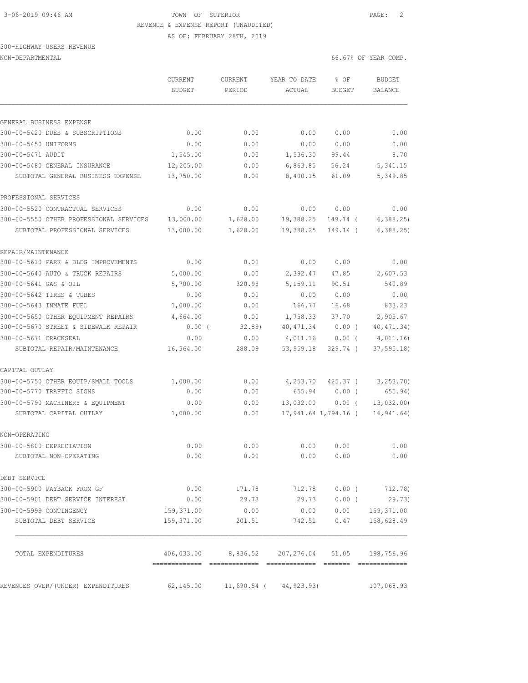# 3-06-2019 09:46 AM TOWN OF SUPERIOR PAGE: 2 REVENUE & EXPENSE REPORT (UNAUDITED)

AS OF: FEBRUARY 28TH, 2019

# 300-HIGHWAY USERS REVENUE

| NON-DEPARTMENTAL | 66.67% OF YEAR COMP. |
|------------------|----------------------|

|  |  |  | 66.67% OF YEAR COMP |  |  |
|--|--|--|---------------------|--|--|
|  |  |  |                     |  |  |

|                                         | <b>CURRENT</b><br><b>BUDGET</b> | CURRENT<br>PERIOD                    | YEAR TO DATE<br>ACTUAL      | % OF<br>BUDGET       | <b>BUDGET</b><br>BALANCE    |
|-----------------------------------------|---------------------------------|--------------------------------------|-----------------------------|----------------------|-----------------------------|
| GENERAL BUSINESS EXPENSE                |                                 |                                      |                             |                      |                             |
| 300-00-5420 DUES & SUBSCRIPTIONS        | 0.00                            | 0.00                                 | 0.00                        | 0.00                 | 0.00                        |
| 300-00-5450 UNIFORMS                    | 0.00                            | 0.00                                 | 0.00                        | 0.00                 | 0.00                        |
| 300-00-5471 AUDIT                       | 1,545.00                        | 0.00                                 | 1,536.30                    | 99.44                | 8.70                        |
| 300-00-5480 GENERAL INSURANCE           | 12,205.00                       | 0.00                                 | 6,863.85                    | 56.24                | 5, 341.15                   |
| SUBTOTAL GENERAL BUSINESS EXPENSE       | 13,750.00                       | 0.00                                 | 8,400.15                    | 61.09                | 5,349.85                    |
| PROFESSIONAL SERVICES                   |                                 |                                      |                             |                      |                             |
| 300-00-5520 CONTRACTUAL SERVICES        | 0.00                            | 0.00                                 | 0.00                        | 0.00                 | 0.00                        |
| 300-00-5550 OTHER PROFESSIONAL SERVICES | 13,000.00                       | 1,628.00                             | 19,388.25                   | 149.14 (             | 6,388.25                    |
| SUBTOTAL PROFESSIONAL SERVICES          | 13,000.00                       | 1,628.00                             | 19,388.25                   | 149.14 (             | 6, 388.25                   |
| REPAIR/MAINTENANCE                      |                                 |                                      |                             |                      |                             |
| 300-00-5610 PARK & BLDG IMPROVEMENTS    | 0.00                            | 0.00                                 | 0.00                        | 0.00                 | 0.00                        |
| 300-00-5640 AUTO & TRUCK REPAIRS        | 5,000.00                        | 0.00                                 | 2,392.47                    | 47.85                | 2,607.53                    |
| 300-00-5641 GAS & OIL                   | 5,700.00                        | 320.98                               | 5,159.11                    | 90.51                | 540.89                      |
| 300-00-5642 TIRES & TUBES               | 0.00                            | 0.00                                 | 0.00                        | 0.00                 | 0.00                        |
| 300-00-5643 INMATE FUEL                 | 1,000.00                        | 0.00                                 | 166.77                      | 16.68                | 833.23                      |
| 300-00-5650 OTHER EQUIPMENT REPAIRS     | 4,664.00                        | 0.00                                 | 1,758.33                    | 37.70                | 2,905.67                    |
| 300-00-5670 STREET & SIDEWALK REPAIR    | 0.00(                           | 32.89                                | 40, 471.34                  | $0.00$ (             | 40, 471.34)                 |
| 300-00-5671 CRACKSEAL                   | 0.00                            | 0.00                                 | 4,011.16                    | $0.00$ (             | 4,011.16                    |
| SUBTOTAL REPAIR/MAINTENANCE             | 16,364.00                       | 288.09                               | 53,959.18                   | $329.74$ (           | 37, 595.18                  |
| CAPITAL OUTLAY                          |                                 |                                      |                             |                      |                             |
| 300-00-5750 OTHER EQUIP/SMALL TOOLS     | 1,000.00                        | 0.00                                 | 4,253.70                    | $425.37$ (           | 3, 253.70                   |
| 300-00-5770 TRAFFIC SIGNS               | 0.00                            | 0.00                                 | 655.94                      | $0.00$ (             | 655.94)                     |
| 300-00-5790 MACHINERY & EQUIPMENT       | 0.00                            | 0.00                                 | 13,032.00                   | $0.00$ (             | 13,032.00                   |
| SUBTOTAL CAPITAL OUTLAY                 | 1,000.00                        | 0.00                                 |                             | 17,941.64 1,794.16 ( | 16, 941.64)                 |
| NON-OPERATING                           |                                 |                                      |                             |                      |                             |
| 300-00-5800 DEPRECIATION                | 0.00                            | 0.00                                 | 0.00                        | 0.00                 | 0.00                        |
| SUBTOTAL NON-OPERATING                  | 0.00                            | 0.00                                 | 0.00                        | 0.00                 | 0.00                        |
| DEBT SERVICE                            |                                 |                                      |                             |                      |                             |
| 300-00-5900 PAYBACK FROM GF             | 0.00                            | 171.78                               | 712.78                      | 0.00(                | 712.78)                     |
| 300-00-5901 DEBT SERVICE INTEREST       | 0.00                            | 29.73                                | 29.73                       | $0.00$ (             | 29.73)                      |
| 300-00-5999 CONTINGENCY                 | 159,371.00                      | 0.00                                 | 0.00                        | 0.00                 | 159,371.00                  |
| SUBTOTAL DEBT SERVICE                   | 159,371.00                      | 201.51                               | 742.51                      | 0.47                 | 158,628.49                  |
| TOTAL EXPENDITURES                      | ==============================  | 406,033.00 8,836.52 207,276.04 51.05 |                             |                      | 198,756.96<br>============= |
| REVENUES OVER/(UNDER) EXPENDITURES      | 62,145.00                       |                                      | $11,690.54$ ( $44,923.93$ ) |                      | 107,068.93                  |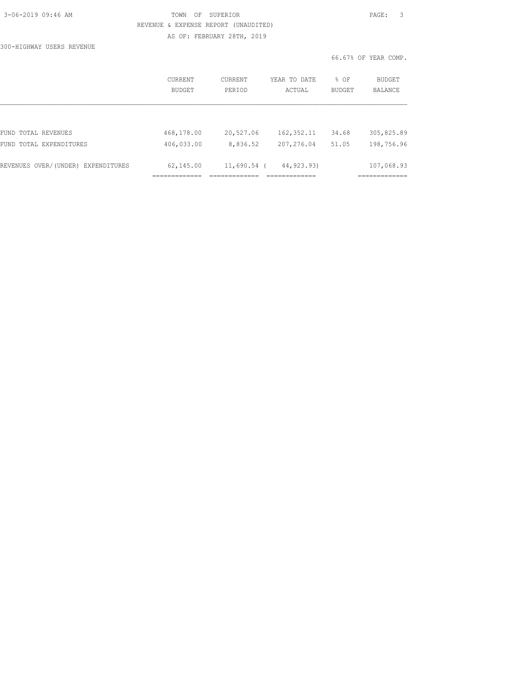| 3-06-2019 09:46 AM |  |
|--------------------|--|
|                    |  |

### TOWN OF SUPERIOR **PAGE:** 3 REVENUE & EXPENSE REPORT (UNAUDITED) AS OF: FEBRUARY 28TH, 2019

300-HIGHWAY USERS REVENUE

|                                    | CURRENT<br><b>BUDGET</b> | CURRENT<br>PERIOD | YEAR TO DATE<br>ACTUAL | % OF<br><b>BUDGET</b> | BUDGET<br><b>BALANCE</b> |
|------------------------------------|--------------------------|-------------------|------------------------|-----------------------|--------------------------|
|                                    |                          |                   |                        |                       |                          |
| FUND TOTAL REVENUES                | 468,178.00               | 20,527.06         | 162, 352.11            | 34.68                 | 305,825.89               |
| FUND TOTAL EXPENDITURES            | 406,033.00               | 8,836.52          | 207,276.04             | 51.05                 | 198,756.96               |
| REVENUES OVER/(UNDER) EXPENDITURES | 62,145.00                | $11,690.54$ (     | 44,923,93)             |                       | 107,068.93               |
|                                    |                          |                   |                        |                       |                          |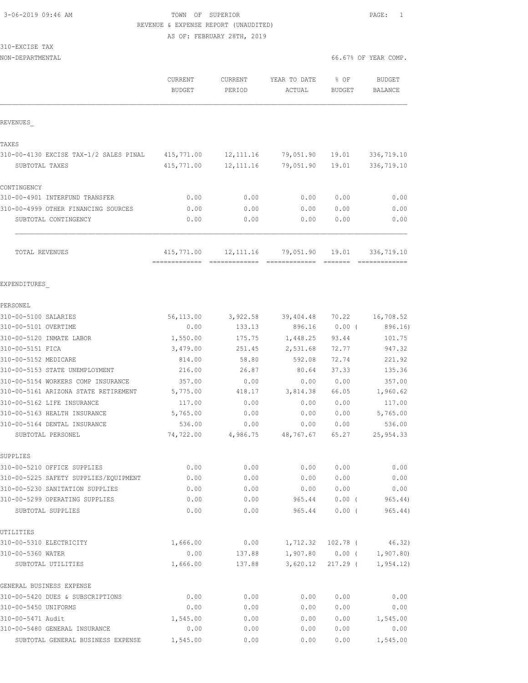3-06-2019 09:46 AM TOWN OF SUPERIOR PAGE: 1 REVENUE & EXPENSE REPORT (UNAUDITED)

AS OF: FEBRUARY 28TH, 2019

### 310-EXCISE TAX

| NON-DEPARTMENTAL                                   |                     | CURRENT          | YEAR TO DATE      | 66.67% OF YEAR COMP. |                      |
|----------------------------------------------------|---------------------|------------------|-------------------|----------------------|----------------------|
|                                                    | CURRENT             |                  |                   | % OF                 | <b>BUDGET</b>        |
|                                                    | <b>BUDGET</b>       | PERIOD           | ACTUAL            | <b>BUDGET</b>        | <b>BALANCE</b>       |
| REVENUES                                           |                     |                  |                   |                      |                      |
| TAXES                                              |                     |                  |                   |                      |                      |
| 310-00-4130 EXCISE TAX-1/2 SALES PINAL             | 415,771.00          | 12, 111.16       | 79,051.90         | 19.01                | 336,719.10           |
| SUBTOTAL TAXES                                     | 415,771.00          | 12, 111.16       | 79,051.90         | 19.01                | 336,719.10           |
| CONTINGENCY                                        |                     |                  |                   |                      |                      |
| 310-00-4901 INTERFUND TRANSFER                     | 0.00                | 0.00             | 0.00              | 0.00                 | 0.00                 |
| 310-00-4999 OTHER FINANCING SOURCES                | 0.00                | 0.00             | 0.00              | 0.00                 | 0.00                 |
| SUBTOTAL CONTINGENCY                               | 0.00                | 0.00             | 0.00              | 0.00                 | 0.00                 |
| TOTAL REVENUES                                     | 415,771.00          | 12, 111.16       | 79,051.90         | 19.01                | 336,719.10           |
|                                                    |                     |                  |                   |                      |                      |
| EXPENDITURES                                       |                     |                  |                   |                      |                      |
| PERSONEL                                           |                     |                  |                   |                      |                      |
| 310-00-5100 SALARIES                               | 56,113.00           | 3,922.58         | 39,404.48         | 70.22                | 16,708.52            |
| 310-00-5101 OVERTIME                               | 0.00                | 133.13           | 896.16            | $0.00$ (             | 896.16)              |
| 310-00-5120 INMATE LABOR                           | 1,550.00            | 175.75           | 1,448.25          | 93.44                | 101.75               |
| 310-00-5151 FICA                                   | 3,479.00            | 251.45           | 2,531.68          | 72.77                | 947.32               |
| 310-00-5152 MEDICARE                               | 814.00              | 58.80            | 592.08            | 72.74                | 221.92               |
| 310-00-5153 STATE UNEMPLOYMENT                     | 216.00              | 26.87            | 80.64             | 37.33                | 135.36               |
| 310-00-5154 WORKERS COMP INSURANCE                 | 357.00              | 0.00             | 0.00              | 0.00                 | 357.00               |
| 310-00-5161 ARIZONA STATE RETIREMENT               | 5,775.00            | 418.17           | 3,814.38          | 66.05                | 1,960.62             |
| 310-00-5162 LIFE INSURANCE                         | 117.00              | 0.00             | 0.00              | 0.00                 | 117.00               |
| 310-00-5163 HEALTH INSURANCE                       | 5,765.00            | 0.00             | 0.00              | 0.00                 | 5,765.00             |
| 310-00-5164 DENTAL INSURANCE<br>SUBTOTAL PERSONEL  | 536.00<br>74,722.00 | 0.00<br>4,986.75 | 0.00<br>48,767.67 | 0.00<br>65.27        | 536.00<br>25, 954.33 |
| SUPPLIES                                           |                     |                  |                   |                      |                      |
| 310-00-5210 OFFICE SUPPLIES                        | 0.00                | 0.00             | 0.00              | 0.00                 | 0.00                 |
| 310-00-5225 SAFETY SUPPLIES/EQUIPMENT              | 0.00                | 0.00             | 0.00              | 0.00                 | 0.00                 |
| 310-00-5230 SANITATION SUPPLIES                    | 0.00                | 0.00             | 0.00              | 0.00                 | 0.00                 |
| 310-00-5299 OPERATING SUPPLIES                     | 0.00                | 0.00             | 965.44            | $0.00$ (             | 965.44               |
| SUBTOTAL SUPPLIES                                  | 0.00                | 0.00             | 965.44            | $0.00$ (             | 965.44)              |
| UTILITIES                                          |                     |                  |                   |                      |                      |
| 310-00-5310 ELECTRICITY                            | 1,666.00            | 0.00             | 1,712.32          | $102.78$ (           | 46.32)               |
| 310-00-5360 WATER                                  | 0.00                | 137.88           |                   | $1,907.80$ 0.00 (    | 1,907.80)            |
| SUBTOTAL UTILITIES                                 | 1,666.00            | 137.88           | 3,620.12          | 217.29 (             | 1,954.12)            |
| GENERAL BUSINESS EXPENSE                           |                     |                  |                   |                      |                      |
| 310-00-5420 DUES & SUBSCRIPTIONS                   | 0.00                | 0.00             | 0.00              | 0.00                 | 0.00                 |
| 310-00-5450 UNIFORMS                               | 0.00                | 0.00             | 0.00              | 0.00                 | 0.00                 |
| 310-00-5471 Audit<br>310-00-5480 GENERAL INSURANCE | 1,545.00<br>0.00    | 0.00<br>0.00     | 0.00<br>0.00      | 0.00<br>0.00         | 1,545.00<br>0.00     |
|                                                    |                     |                  |                   |                      |                      |

SUBTOTAL GENERAL BUSINESS EXPENSE 1,545.00 0.00 0.00 0.00 1,545.00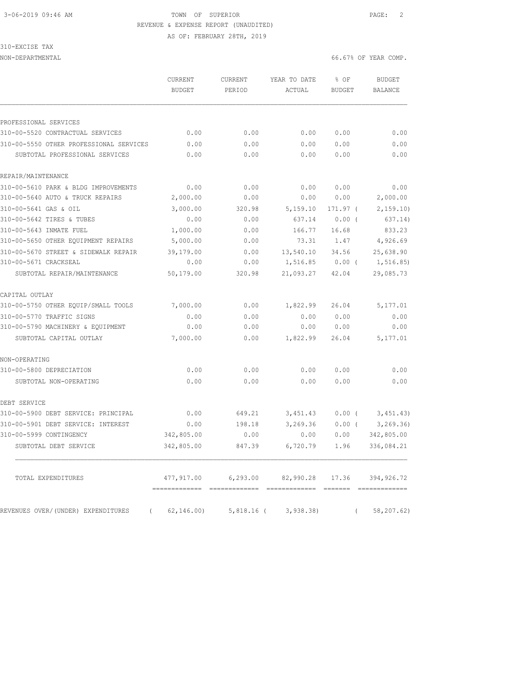# 3-06-2019 09:46 AM TOWN OF SUPERIOR PAGE: 2 REVENUE & EXPENSE REPORT (UNAUDITED)

AS OF: FEBRUARY 28TH, 2019

### 310-EXCISE TAX

| NON-DEPARTMENTAL | 66.67% OF YEAR COMP.<br>$\sim$ $\sim$ $\sim$ $\sim$ $\sim$ $\sim$ |
|------------------|-------------------------------------------------------------------|
|                  |                                                                   |

|                                                | CURRENT<br><b>BUDGET</b>    | CURRENT<br>PERIOD | YEAR TO DATE<br>ACTUAL | % OF<br><b>BUDGET</b> | <b>BUDGET</b><br>BALANCE |
|------------------------------------------------|-----------------------------|-------------------|------------------------|-----------------------|--------------------------|
| PROFESSIONAL SERVICES                          |                             |                   |                        |                       |                          |
| 310-00-5520 CONTRACTUAL SERVICES               | 0.00                        | 0.00              | 0.00                   | 0.00                  | 0.00                     |
| 310-00-5550 OTHER PROFESSIONAL SERVICES        | 0.00                        | 0.00              | 0.00                   | 0.00                  | 0.00                     |
| SUBTOTAL PROFESSIONAL SERVICES                 | 0.00                        | 0.00              | 0.00                   | 0.00                  | 0.00                     |
| REPAIR/MAINTENANCE                             |                             |                   |                        |                       |                          |
| 310-00-5610 PARK & BLDG IMPROVEMENTS           | 0.00                        | 0.00              | 0.00                   | 0.00                  | 0.00                     |
| 310-00-5640 AUTO & TRUCK REPAIRS               | 2,000.00                    | 0.00              | 0.00                   | 0.00                  | 2,000.00                 |
| 310-00-5641 GAS & OIL                          | 3,000.00                    | 320.98            | 5,159.10               | 171.97 (              | 2,159.10                 |
| 310-00-5642 TIRES & TUBES                      | 0.00                        | 0.00              | 637.14                 | 0.00(                 | 637.14)                  |
| 310-00-5643 INMATE FUEL                        | 1,000.00                    | 0.00              | 166.77                 | 16.68                 | 833.23                   |
| 310-00-5650 OTHER EQUIPMENT REPAIRS            | 5,000.00                    | 0.00              | 73.31                  | 1.47                  | 4,926.69                 |
| 310-00-5670 STREET & SIDEWALK REPAIR           | 39,179.00                   | 0.00              | 13,540.10              | 34.56                 | 25,638.90                |
| 310-00-5671 CRACKSEAL                          | 0.00                        | 0.00              | 1,516.85               | $0.00$ (              | 1, 516.85                |
| SUBTOTAL REPAIR/MAINTENANCE                    | 50,179.00                   | 320.98            | 21,093.27              | 42.04                 | 29,085.73                |
| CAPITAL OUTLAY                                 |                             |                   |                        |                       |                          |
| 310-00-5750 OTHER EQUIP/SMALL TOOLS            | 7,000.00                    | 0.00              | 1,822.99               | 26.04                 | 5,177.01                 |
| 310-00-5770 TRAFFIC SIGNS                      | 0.00                        | 0.00              | 0.00                   | 0.00                  | 0.00                     |
| 310-00-5790 MACHINERY & EQUIPMENT              | 0.00                        | 0.00              | 0.00                   | 0.00                  | 0.00                     |
| SUBTOTAL CAPITAL OUTLAY                        | 7,000.00                    | 0.00              | 1,822.99               | 26.04                 | 5,177.01                 |
| NON-OPERATING                                  |                             |                   |                        |                       |                          |
| 310-00-5800 DEPRECIATION                       | 0.00                        | 0.00              | 0.00                   | 0.00                  | 0.00                     |
| SUBTOTAL NON-OPERATING                         | 0.00                        | 0.00              | 0.00                   | 0.00                  | 0.00                     |
| DEBT SERVICE                                   |                             |                   |                        |                       |                          |
| 310-00-5900 DEBT SERVICE: PRINCIPAL            | 0.00                        | 649.21            | 3,451.43               | $0.00$ (              | 3,451.43)                |
| 310-00-5901 DEBT SERVICE: INTEREST             | 0.00                        | 198.18            | 3,269.36               | 0.00(                 | 3, 269.36                |
| 310-00-5999 CONTINGENCY                        | 342,805.00                  | 0.00              | 0.00                   | 0.00                  | 342,805.00               |
| SUBTOTAL DEBT SERVICE                          | 342,805.00                  | 847.39            | 6,720.79               | 1.96                  | 336,084.21               |
| TOTAL EXPENDITURES                             | 477,917.00<br>============= | 6,293.00          | 82,990.28              | 17.36                 | 394, 926.72              |
| REVENUES OVER/(UNDER) EXPENDITURES<br>$\left($ | 62, 146, 00)                | $5,818.16$ (      | 3,938.38)              | $\left($              | 58, 207.62               |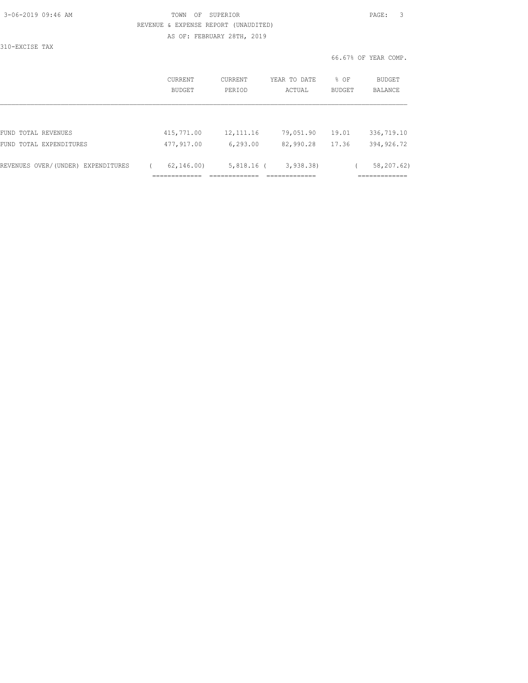| 3-06-2019 09:46 AM |  |
|--------------------|--|
|                    |  |

310-EXCISE TAX

### TOWN OF SUPERIOR **Example 2019** PAGE: 3 REVENUE & EXPENSE REPORT (UNAUDITED) AS OF: FEBRUARY 28TH, 2019

|                                    |                     | CURRENT<br><b>BUDGET</b> | <b>CURRENT</b><br>PERIOD            | YEAR TO DATE<br>ACTUAL                       | % OF<br><b>BUDGET</b> | BUDGET<br><b>BALANCE</b>                   |
|------------------------------------|---------------------|--------------------------|-------------------------------------|----------------------------------------------|-----------------------|--------------------------------------------|
|                                    |                     |                          |                                     |                                              |                       |                                            |
| FUND TOTAL REVENUES                |                     | 415,771.00               | 12, 111.16                          | 79,051.90                                    | 19.01                 | 336,719.10                                 |
| FUND TOTAL EXPENDITURES            |                     | 477,917.00               | 6, 293.00                           | 82,990.28                                    | 17.36                 | 394, 926.72                                |
| REVENUES OVER/(UNDER) EXPENDITURES | --------------<br>. | 62, 146, 00              | $5,818.16$ (<br>--------------<br>. | 3,938.38)<br>_____________<br>-------------- |                       | 58,207.62)<br>____________<br>------------ |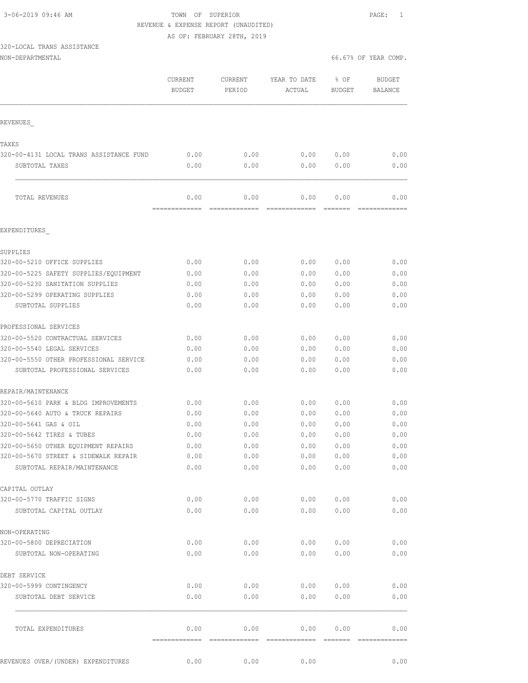3-06-2019 09:46 AM TOWN OF SUPERIOR PAGE: 1 REVENUE & EXPENSE REPORT (UNAUDITED)

AS OF: FEBRUARY 28TH, 2019

# 320-LOCAL TRANS ASSISTANCE

|                                         | CURRENT<br><b>BUDGET</b> | CURRENT<br>PERIOD                                                                                                                                                                                                                                                                                                                                                                                                                                                                      | YEAR TO DATE<br>ACTUAL | % OF<br><b>BUDGET</b> | <b>BUDGET</b><br>BALANCE |
|-----------------------------------------|--------------------------|----------------------------------------------------------------------------------------------------------------------------------------------------------------------------------------------------------------------------------------------------------------------------------------------------------------------------------------------------------------------------------------------------------------------------------------------------------------------------------------|------------------------|-----------------------|--------------------------|
| REVENUES                                |                          |                                                                                                                                                                                                                                                                                                                                                                                                                                                                                        |                        |                       |                          |
| TAXES                                   |                          |                                                                                                                                                                                                                                                                                                                                                                                                                                                                                        |                        |                       |                          |
| 320-00-4131 LOCAL TRANS ASSISTANCE FUND | 0.00                     | 0.00                                                                                                                                                                                                                                                                                                                                                                                                                                                                                   | 0.00                   | 0.00                  | 0.00                     |
| SUBTOTAL TAXES                          | 0.00                     | 0.00                                                                                                                                                                                                                                                                                                                                                                                                                                                                                   | 0.00                   | 0.00                  | 0.00                     |
| TOTAL REVENUES                          | 0.00                     | 0.00                                                                                                                                                                                                                                                                                                                                                                                                                                                                                   | 0.00                   | 0.00                  | 0.00                     |
| EXPENDITURES                            |                          |                                                                                                                                                                                                                                                                                                                                                                                                                                                                                        |                        |                       |                          |
|                                         |                          |                                                                                                                                                                                                                                                                                                                                                                                                                                                                                        |                        |                       |                          |
| SUPPLIES                                |                          |                                                                                                                                                                                                                                                                                                                                                                                                                                                                                        |                        |                       |                          |
| 320-00-5210 OFFICE SUPPLIES             | 0.00                     | 0.00                                                                                                                                                                                                                                                                                                                                                                                                                                                                                   | 0.00                   | 0.00                  | 0.00                     |
| 320-00-5225 SAFETY SUPPLIES/EQUIPMENT   | 0.00                     | 0.00                                                                                                                                                                                                                                                                                                                                                                                                                                                                                   | 0.00                   | 0.00                  | 0.00                     |
| 320-00-5230 SANITATION SUPPLIES         | 0.00                     | 0.00                                                                                                                                                                                                                                                                                                                                                                                                                                                                                   | 0.00                   | 0.00                  | 0.00                     |
| 320-00-5299 OPERATING SUPPLIES          | 0.00                     | 0.00                                                                                                                                                                                                                                                                                                                                                                                                                                                                                   | 0.00                   | 0.00                  | 0.00                     |
| SUBTOTAL SUPPLIES                       | 0.00                     | 0.00                                                                                                                                                                                                                                                                                                                                                                                                                                                                                   | 0.00                   | 0.00                  | 0.00                     |
| PROFESSIONAL SERVICES                   |                          |                                                                                                                                                                                                                                                                                                                                                                                                                                                                                        |                        |                       |                          |
| 320-00-5520 CONTRACTUAL SERVICES        | 0.00                     | 0.00                                                                                                                                                                                                                                                                                                                                                                                                                                                                                   | 0.00                   | 0.00                  | 0.00                     |
| 320-00-5540 LEGAL SERVICES              | 0.00                     | 0.00                                                                                                                                                                                                                                                                                                                                                                                                                                                                                   | 0.00                   | 0.00                  | 0.00                     |
| 320-00-5550 OTHER PROFESSIONAL SERVICE  | 0.00                     | 0.00                                                                                                                                                                                                                                                                                                                                                                                                                                                                                   | 0.00                   | 0.00                  | 0.00                     |
| SUBTOTAL PROFESSIONAL SERVICES          | 0.00                     | 0.00                                                                                                                                                                                                                                                                                                                                                                                                                                                                                   | 0.00                   | 0.00                  | 0.00                     |
| REPAIR/MAINTENANCE                      |                          |                                                                                                                                                                                                                                                                                                                                                                                                                                                                                        |                        |                       |                          |
| 320-00-5610 PARK & BLDG IMPROVEMENTS    | 0.00                     | 0.00                                                                                                                                                                                                                                                                                                                                                                                                                                                                                   | 0.00                   | 0.00                  | 0.00                     |
| 320-00-5640 AUTO & TRUCK REPAIRS        | 0.00                     | 0.00                                                                                                                                                                                                                                                                                                                                                                                                                                                                                   | 0.00                   | 0.00                  | 0.00                     |
| 320-00-5641 GAS & OIL                   | 0.00                     | 0.00                                                                                                                                                                                                                                                                                                                                                                                                                                                                                   | 0.00                   | 0.00                  | 0.00                     |
| 320-00-5642 TIRES & TUBES               | 0.00                     | 0.00                                                                                                                                                                                                                                                                                                                                                                                                                                                                                   | 0.00                   | 0.00                  | 0.00                     |
| 320-00-5650 OTHER EQUIPMENT REPAIRS     | 0.00                     | 0.00                                                                                                                                                                                                                                                                                                                                                                                                                                                                                   | 0.00                   | 0.00                  | 0.00                     |
| 320-00-5670 STREET & SIDEWALK REPAIR    | 0.00                     | 0.00                                                                                                                                                                                                                                                                                                                                                                                                                                                                                   | 0.00                   | 0.00                  | 0.00                     |
| SUBTOTAL REPAIR/MAINTENANCE             | 0.00                     | 0.00                                                                                                                                                                                                                                                                                                                                                                                                                                                                                   | 0.00                   | 0.00                  | 0.00                     |
| CAPITAL OUTLAY                          |                          |                                                                                                                                                                                                                                                                                                                                                                                                                                                                                        |                        |                       |                          |
| 320-00-5770 TRAFFIC SIGNS               | 0.00                     | 0.00                                                                                                                                                                                                                                                                                                                                                                                                                                                                                   | 0.00                   | 0.00                  | 0.00                     |
| SUBTOTAL CAPITAL OUTLAY                 | 0.00                     | 0.00                                                                                                                                                                                                                                                                                                                                                                                                                                                                                   | 0.00                   | 0.00                  | 0.00                     |
| NON-OPERATING                           |                          |                                                                                                                                                                                                                                                                                                                                                                                                                                                                                        |                        |                       |                          |
| 320-00-5800 DEPRECIATION                | 0.00                     | 0.00                                                                                                                                                                                                                                                                                                                                                                                                                                                                                   | 0.00                   | 0.00                  | 0.00                     |
| SUBTOTAL NON-OPERATING                  | 0.00                     | 0.00                                                                                                                                                                                                                                                                                                                                                                                                                                                                                   | 0.00                   | 0.00                  | 0.00                     |
|                                         |                          |                                                                                                                                                                                                                                                                                                                                                                                                                                                                                        |                        |                       |                          |
| DEBT SERVICE                            |                          |                                                                                                                                                                                                                                                                                                                                                                                                                                                                                        |                        |                       |                          |
| 320-00-5999 CONTINGENCY                 | 0.00                     | 0.00                                                                                                                                                                                                                                                                                                                                                                                                                                                                                   | 0.00                   | 0.00                  | 0.00                     |
| SUBTOTAL DEBT SERVICE                   | 0.00                     | 0.00                                                                                                                                                                                                                                                                                                                                                                                                                                                                                   | 0.00                   | 0.00                  | 0.00                     |
| TOTAL EXPENDITURES                      | 0.00                     | 0.00                                                                                                                                                                                                                                                                                                                                                                                                                                                                                   | 0.00                   | 0.00                  | 0.00                     |
|                                         | =============            | $\begin{array}{cccccccccc} \multicolumn{2}{c}{} & \multicolumn{2}{c}{} & \multicolumn{2}{c}{} & \multicolumn{2}{c}{} & \multicolumn{2}{c}{} & \multicolumn{2}{c}{} & \multicolumn{2}{c}{} & \multicolumn{2}{c}{} & \multicolumn{2}{c}{} & \multicolumn{2}{c}{} & \multicolumn{2}{c}{} & \multicolumn{2}{c}{} & \multicolumn{2}{c}{} & \multicolumn{2}{c}{} & \multicolumn{2}{c}{} & \multicolumn{2}{c}{} & \multicolumn{2}{c}{} & \multicolumn{2}{c}{} & \multicolumn{2}{c}{} & \mult$ |                        |                       | $222222222222222$        |
| REVENUES OVER/(UNDER) EXPENDITURES      | 0.00                     | 0.00                                                                                                                                                                                                                                                                                                                                                                                                                                                                                   | 0.00                   |                       | 0.00                     |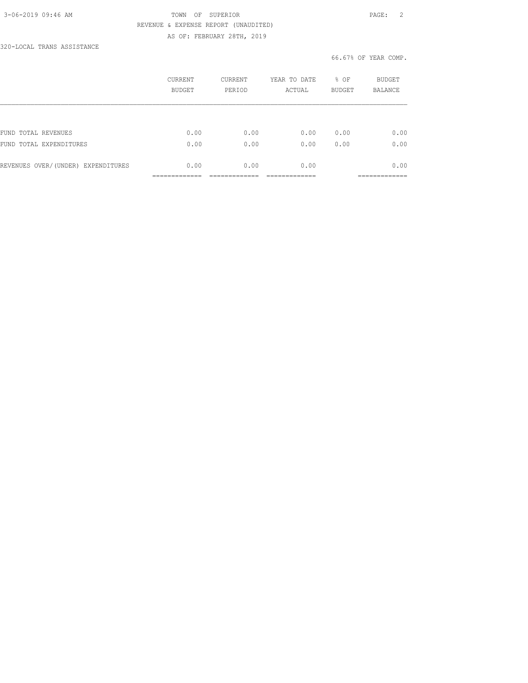### 3-06-2019 09:46 AM TOWN OF SUPERIOR PAGE: 2 REVENUE & EXPENSE REPORT (UNAUDITED) AS OF: FEBRUARY 28TH, 2019

320-LOCAL TRANS ASSISTANCE

|                                    | CURRENT<br>BUDGET | CURRENT<br>PERIOD | YEAR TO DATE<br>ACTUAL | % OF<br><b>BUDGET</b> | BUDGET<br><b>BALANCE</b> |
|------------------------------------|-------------------|-------------------|------------------------|-----------------------|--------------------------|
|                                    |                   |                   |                        |                       |                          |
| FUND TOTAL REVENUES                | 0.00              | 0.00              | 0.00                   | 0.00                  | 0.00                     |
| FUND TOTAL EXPENDITURES            | 0.00              | 0.00              | 0.00                   | 0.00                  | 0.00                     |
| REVENUES OVER/(UNDER) EXPENDITURES | 0.00              | 0.00              | 0.00                   |                       | 0.00                     |
|                                    |                   |                   |                        |                       |                          |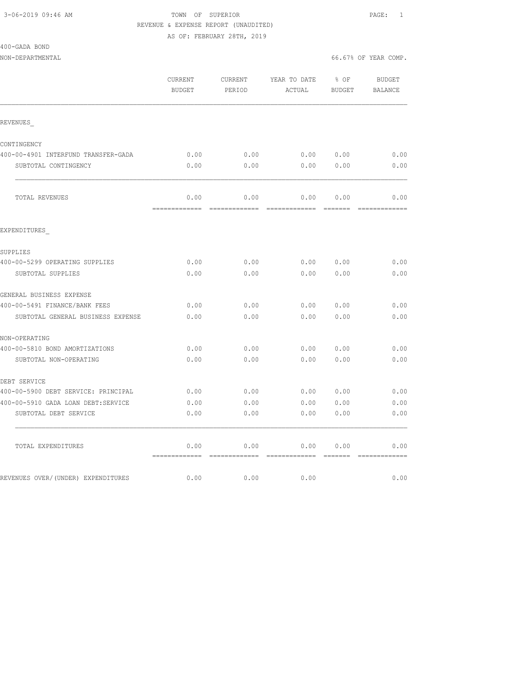# 3-06-2019 09:46 AM TOWN OF SUPERIOR PAGE: 1 REVENUE & EXPENSE REPORT (UNAUDITED)

AS OF: FEBRUARY 28TH, 2019

| 400-GADA BOND |  |
|---------------|--|
|               |  |
|               |  |

| NON-DEPARTMENTAL                    |                   |                   |                             |        | 66.67% OF YEAR COMP. |
|-------------------------------------|-------------------|-------------------|-----------------------------|--------|----------------------|
|                                     | CURRENT<br>BUDGET | CURRENT<br>PERIOD | YEAR TO DATE % OF<br>ACTUAL | BUDGET | BUDGET<br>BALANCE    |
| REVENUES                            |                   |                   |                             |        |                      |
| CONTINGENCY                         |                   |                   |                             |        |                      |
| 400-00-4901 INTERFUND TRANSFER-GADA | 0.00              | 0.00              | 0.00 0.00                   |        | 0.00                 |
| SUBTOTAL CONTINGENCY                | 0.00              | 0.00              | 0.00                        | 0.00   | 0.00                 |
| TOTAL REVENUES                      | 0.00              | 0.00              | 0.00                        | 0.00   | 0.00                 |
| EXPENDITURES                        |                   |                   |                             |        |                      |
| SUPPLIES                            |                   |                   |                             |        |                      |
| 400-00-5299 OPERATING SUPPLIES      | 0.00              | 0.00              | 0.00                        | 0.00   | 0.00                 |
| SUBTOTAL SUPPLIES                   | 0.00              | 0.00              | 0.00                        | 0.00   | 0.00                 |
| GENERAL BUSINESS EXPENSE            |                   |                   |                             |        |                      |
| 400-00-5491 FINANCE/BANK FEES       | 0.00              | 0.00              | 0.00                        | 0.00   | 0.00                 |
| SUBTOTAL GENERAL BUSINESS EXPENSE   | 0.00              | 0.00              | 0.00                        | 0.00   | 0.00                 |
| NON-OPERATING                       |                   |                   |                             |        |                      |
| 400-00-5810 BOND AMORTIZATIONS      | 0.00              | 0.00              | 0.00                        | 0.00   | 0.00                 |
| SUBTOTAL NON-OPERATING              | 0.00              | 0.00              | 0.00                        | 0.00   | 0.00                 |
| DEBT SERVICE                        |                   |                   |                             |        |                      |
| 400-00-5900 DEBT SERVICE: PRINCIPAL | 0.00              | 0.00              | 0.0000000                   |        | 0.00                 |
| 400-00-5910 GADA LOAN DEBT:SERVICE  | 0.00              | 0.00              | 0.00                        | 0.00   | 0.00                 |
| SUBTOTAL DEBT SERVICE               | 0.00              | 0.00              | 0.00                        | 0.00   | 0.00                 |
| TOTAL EXPENDITURES                  | 0.00              | 0.00              | 0.00                        | 0.00   | 0.00                 |

REVENUES OVER/(UNDER) EXPENDITURES 0.00 0.00 0.00 0.00 0.00 0.00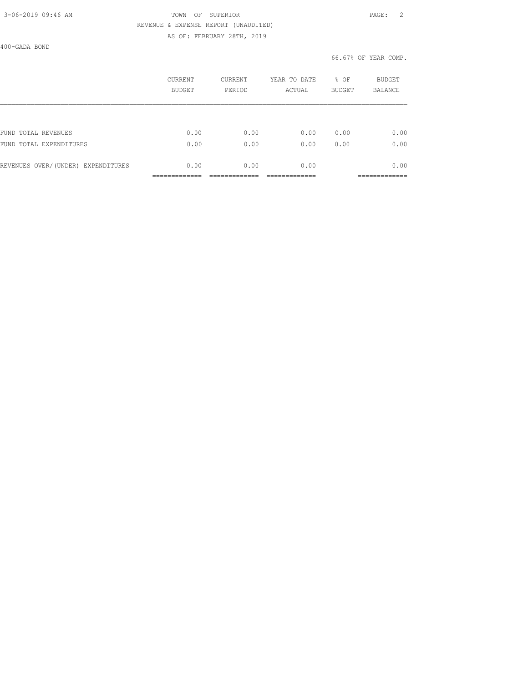### 3-06-2019 09:46 AM TOWN OF SUPERIOR PAGE: 2 REVENUE & EXPENSE REPORT (UNAUDITED) AS OF: FEBRUARY 28TH, 2019

400-GADA BOND

|                                    | <b>CURRENT</b><br>BUDGET | CURRENT<br>PERIOD | YEAR TO DATE<br>ACTUAL | % OF<br><b>BUDGET</b> | BUDGET<br><b>BALANCE</b> |
|------------------------------------|--------------------------|-------------------|------------------------|-----------------------|--------------------------|
|                                    |                          |                   |                        |                       |                          |
| FUND TOTAL REVENUES                | 0.00                     | 0.00              | 0.00                   | 0.00                  | 0.00                     |
| FUND TOTAL EXPENDITURES            | 0.00                     | 0.00              | 0.00                   | 0.00                  | 0.00                     |
| REVENUES OVER/(UNDER) EXPENDITURES | 0.00                     | 0.00              | 0.00                   |                       | 0.00                     |
|                                    |                          |                   |                        |                       | ------------             |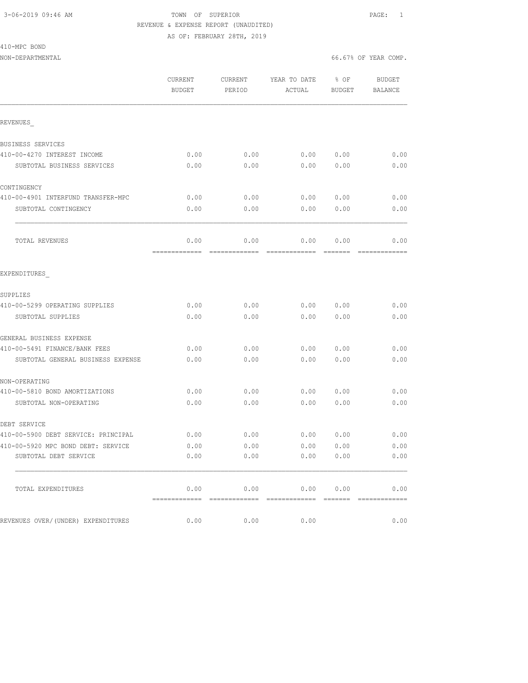### 3-06-2019 09:46 AM TOWN OF SUPERIOR PAGE: 1 REVENUE & EXPENSE REPORT (UNAUDITED) AS OF: FEBRUARY 28TH, 2019

NON-DEPARTMENTAL 66.67% OF YEAR COMP.

410-MPC BOND

|                                     | CURRENT         | CURRENT | YEAR TO DATE | % OF   | BUDGET                |
|-------------------------------------|-----------------|---------|--------------|--------|-----------------------|
|                                     | <b>BUDGET</b>   | PERIOD  | ACTUAL       | BUDGET | <b>BALANCE</b>        |
|                                     |                 |         |              |        |                       |
| REVENUES                            |                 |         |              |        |                       |
| BUSINESS SERVICES                   |                 |         |              |        |                       |
| 410-00-4270 INTEREST INCOME         | 0.00            | 0.00    | 0.00 0.00    |        | 0.00                  |
| SUBTOTAL BUSINESS SERVICES          | 0.00            | 0.00    | 0.00         | 0.00   | 0.00                  |
| CONTINGENCY                         |                 |         |              |        |                       |
| 410-00-4901 INTERFUND TRANSFER-MPC  | 0.00            | 0.00    | 0.00         | 0.00   | 0.00                  |
| SUBTOTAL CONTINGENCY                | 0.00            | 0.00    | 0.00         | 0.00   | 0.00                  |
| TOTAL REVENUES                      | 0.00<br>------- | 0.00    | 0.00         | 0.00   | 0.00                  |
| EXPENDITURES                        |                 |         |              |        |                       |
| SUPPLIES                            |                 |         |              |        |                       |
| 410-00-5299 OPERATING SUPPLIES      | 0.00            | 0.00    | 0.00         | 0.00   | 0.00                  |
| SUBTOTAL SUPPLIES                   | 0.00            | 0.00    | 0.00         | 0.00   | 0.00                  |
| GENERAL BUSINESS EXPENSE            |                 |         |              |        |                       |
| 410-00-5491 FINANCE/BANK FEES       | 0.00            | 0.00    | 0.00         | 0.00   | 0.00                  |
| SUBTOTAL GENERAL BUSINESS EXPENSE   | 0.00            | 0.00    | 0.00         | 0.00   | 0.00                  |
| NON-OPERATING                       |                 |         |              |        |                       |
| 410-00-5810 BOND AMORTIZATIONS      | 0.00            | 0.00    | 0.00         | 0.00   | 0.00                  |
| SUBTOTAL NON-OPERATING              | 0.00            | 0.00    | 0.00         | 0.00   | 0.00                  |
| DEBT SERVICE                        |                 |         |              |        |                       |
| 410-00-5900 DEBT SERVICE: PRINCIPAL | 0.00            | 0.00    | 0.00         | 0.00   | 0.00                  |
| 410-00-5920 MPC BOND DEBT: SERVICE  | 0.00            | 0.00    | 0.00         | 0.00   | 0.00                  |
| SUBTOTAL DEBT SERVICE               | 0.00            | 0.00    | 0.00         | 0.00   | 0.00                  |
| TOTAL EXPENDITURES                  | 0.00            | 0.00    | 0.00         | 0.00   | 0.00<br>============= |
| REVENUES OVER/(UNDER) EXPENDITURES  | 0.00            | 0.00    | 0.00         |        | 0.00                  |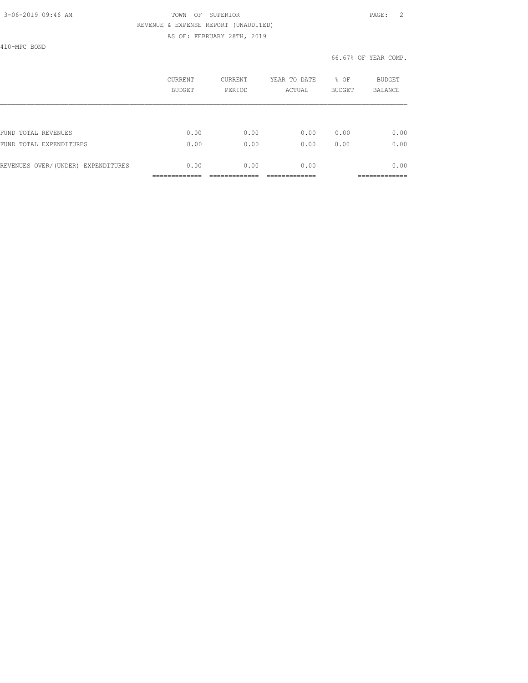### 3-06-2019 09:46 AM TOWN OF SUPERIOR PAGE: 2 REVENUE & EXPENSE REPORT (UNAUDITED) AS OF: FEBRUARY 28TH, 2019

410-MPC BOND

|                                    | CURRENT<br>BUDGET | CURRENT<br>PERIOD | YEAR TO DATE<br>ACTUAL | % OF<br><b>BUDGET</b> | <b>BUDGET</b><br><b>BALANCE</b> |
|------------------------------------|-------------------|-------------------|------------------------|-----------------------|---------------------------------|
|                                    |                   |                   |                        |                       |                                 |
| FUND TOTAL REVENUES                | 0.00              | 0.00              | 0.00                   | 0.00                  | 0.00                            |
| FUND<br>TOTAL EXPENDITURES         | 0.00              | 0.00              | 0.00                   | 0.00                  | 0.00                            |
| REVENUES OVER/(UNDER) EXPENDITURES | 0.00              | 0.00              | 0.00                   |                       | 0.00                            |
|                                    |                   |                   |                        |                       | __________                      |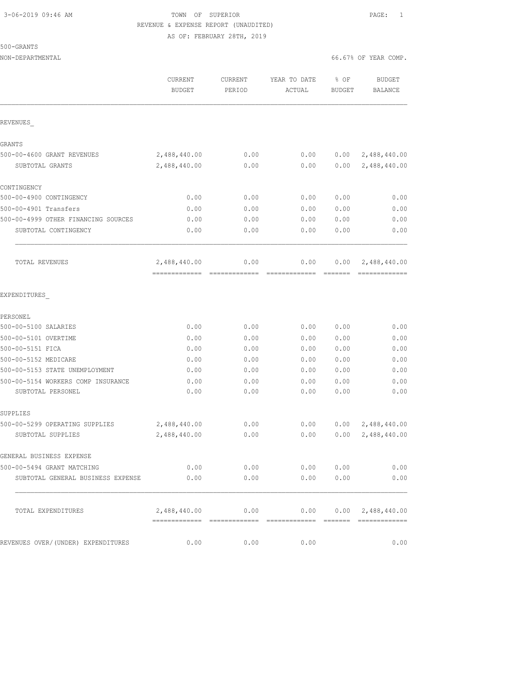### 3-06-2019 09:46 AM TOWN OF SUPERIOR PAGE: 1 REVENUE & EXPENSE REPORT (UNAUDITED) AS OF: FEBRUARY 28TH, 2019

NON-DEPARTMENTAL 66.67% OF YEAR COMP.

|                                     | CURRENT<br><b>BUDGET</b> | CURRENT<br>PERIOD | YEAR TO DATE<br>ACTUAL | % OF<br><b>BUDGET</b> | <b>BUDGET</b><br><b>BALANCE</b> |
|-------------------------------------|--------------------------|-------------------|------------------------|-----------------------|---------------------------------|
| REVENUES                            |                          |                   |                        |                       |                                 |
| GRANTS                              |                          |                   |                        |                       |                                 |
| 500-00-4600 GRANT REVENUES          | 2,488,440.00             | 0.00              | 0.00                   | 0.00                  | 2,488,440.00                    |
| SUBTOTAL GRANTS                     | 2,488,440.00             | 0.00              | 0.00                   | 0.00                  | 2,488,440.00                    |
| CONTINGENCY                         |                          |                   |                        |                       |                                 |
| 500-00-4900 CONTINGENCY             | 0.00                     | 0.00              | 0.00                   | 0.00                  | 0.00                            |
| 500-00-4901 Transfers               | 0.00                     | 0.00              | 0.00                   | 0.00                  | 0.00                            |
| 500-00-4999 OTHER FINANCING SOURCES | 0.00                     | 0.00              | 0.00                   | 0.00                  | 0.00                            |
| SUBTOTAL CONTINGENCY                | 0.00                     | 0.00              | 0.00                   | 0.00                  | 0.00                            |
| TOTAL REVENUES                      | 2,488,440.00             | 0.00              | 0.00                   | 0.00                  | 2,488,440.00                    |
| EXPENDITURES                        |                          |                   |                        |                       |                                 |
| PERSONEL                            |                          |                   |                        |                       |                                 |
| 500-00-5100 SALARIES                | 0.00                     | 0.00              | 0.00                   | 0.00                  | 0.00                            |
| 500-00-5101 OVERTIME                | 0.00                     | 0.00              | 0.00                   | 0.00                  | 0.00                            |
| 500-00-5151 FICA                    | 0.00                     | 0.00              | 0.00                   | 0.00                  | 0.00                            |
| 500-00-5152 MEDICARE                | 0.00                     | 0.00              | 0.00                   | 0.00                  | 0.00                            |
| 500-00-5153 STATE UNEMPLOYMENT      | 0.00                     | 0.00              | 0.00                   | 0.00                  | 0.00                            |
| 500-00-5154 WORKERS COMP INSURANCE  | 0.00                     | 0.00              | 0.00                   | 0.00                  | 0.00                            |
| SUBTOTAL PERSONEL                   | 0.00                     | 0.00              | 0.00                   | 0.00                  | 0.00                            |
| SUPPLIES                            |                          |                   |                        |                       |                                 |
| 500-00-5299 OPERATING SUPPLIES      | 2,488,440.00             | 0.00              | 0.00                   | 0.00                  | 2,488,440.00                    |
| SUBTOTAL SUPPLIES                   | 2,488,440.00             | 0.00              | 0.00                   | 0.00                  | 2,488,440.00                    |
| GENERAL BUSINESS EXPENSE            |                          |                   |                        |                       |                                 |
| 500-00-5494 GRANT MATCHING          | 0.00                     |                   | 0.00<br>0.00           | 0.00                  | 0.00                            |
| SUBTOTAL GENERAL BUSINESS EXPENSE   | 0.00                     | 0.00              | 0.00                   | 0.00                  | 0.00                            |
| TOTAL EXPENDITURES                  | 2,488,440.00             | 0.00              |                        |                       | $0.00$ $0.00$ $2,488,440.00$    |
| REVENUES OVER/(UNDER) EXPENDITURES  | 0.00                     | 0.00              | 0.00                   |                       | 0.00                            |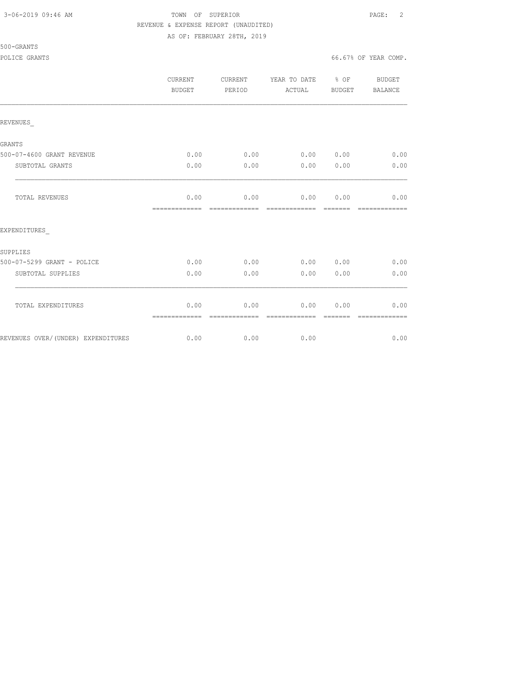### 3-06-2019 09:46 AM TOWN OF SUPERIOR PAGE: 2 REVENUE & EXPENSE REPORT (UNAUDITED) AS OF: FEBRUARY 28TH, 2019

500-GRANTS

|                                    | CURRENT<br><b>BUDGET</b> | CURRENT<br>PERIOD     | YEAR TO DATE % OF<br>ACTUAL | BUDGET | BUDGET<br><b>BALANCE</b> |
|------------------------------------|--------------------------|-----------------------|-----------------------------|--------|--------------------------|
| REVENUES                           |                          |                       |                             |        |                          |
| <b>GRANTS</b>                      |                          |                       |                             |        |                          |
| 500-07-4600 GRANT REVENUE          | 0.00                     | 0.00                  | 0.00 0.00                   |        | 0.00                     |
| SUBTOTAL GRANTS                    | 0.00                     | 0.00                  | 0.00                        | 0.00   | 0.00                     |
| TOTAL REVENUES                     | 0.00<br>=============    | 0.00<br>------------- | 0.00<br>-------------       | 0.00   | 0.00                     |
| EXPENDITURES                       |                          |                       |                             |        |                          |
| SUPPLIES                           |                          |                       |                             |        |                          |
| 500-07-5299 GRANT - POLICE         | 0.00                     | 0.00                  | 0.00 0.00                   |        | 0.00                     |
| SUBTOTAL SUPPLIES                  | 0.00                     | 0.00                  | 0.00                        | 0.00   | 0.00                     |
| TOTAL EXPENDITURES                 | 0.00<br>=============    | 0.00<br>------------- | 0.00<br>-------------       | 0.00   | 0.00                     |
| REVENUES OVER/(UNDER) EXPENDITURES | 0.00                     | 0.00                  | 0.00                        |        | 0.00                     |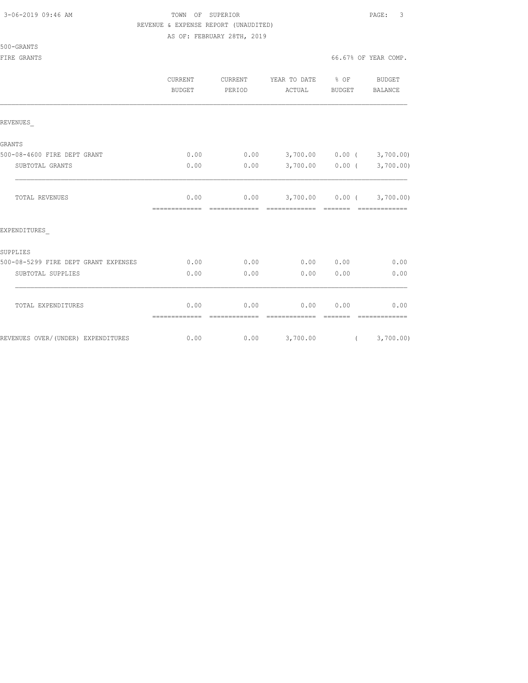# 3-06-2019 09:46 AM TOWN OF SUPERIOR PAGE: 3 REVENUE & EXPENSE REPORT (UNAUDITED)

AS OF: FEBRUARY 28TH, 2019

500-GRANTS

|                                      | CURRENT<br><b>BUDGET</b>               | CURRENT<br>PERIOD | YEAR TO DATE % OF<br>ACTUAL           | BUDGET            | <b>BUDGET</b><br>BALANCE |
|--------------------------------------|----------------------------------------|-------------------|---------------------------------------|-------------------|--------------------------|
| REVENUES                             |                                        |                   |                                       |                   |                          |
| GRANTS                               |                                        |                   |                                       |                   |                          |
| 500-08-4600 FIRE DEPT GRANT          | 0.00                                   | 0.00              | 3,700.00 0.00 (3,700.00)              |                   |                          |
| SUBTOTAL GRANTS                      | 0.00                                   | 0.00              |                                       | $3,700.00$ 0.00 ( | 3,700.00)                |
| TOTAL REVENUES                       | 0.00<br>============================== |                   | $0.00$ $3,700.00$ $0.00$ $(3,700.00)$ |                   | - cooccooccooc           |
| EXPENDITURES                         |                                        |                   |                                       |                   |                          |
| SUPPLIES                             |                                        |                   |                                       |                   |                          |
| 500-08-5299 FIRE DEPT GRANT EXPENSES | 0.00                                   | 0.00              |                                       | 0.00 0.00         | 0.00                     |
| SUBTOTAL SUPPLIES                    | 0.00                                   | 0.00              | 0.00                                  | 0.00              | 0.00                     |
| TOTAL EXPENDITURES                   | 0.00<br>=============                  | 0.00              | 0.00                                  | 0.00              | 0.00                     |
| REVENUES OVER/(UNDER) EXPENDITURES   | 0.00                                   |                   | $0.00$ 3,700.00 (3,700.00)            |                   |                          |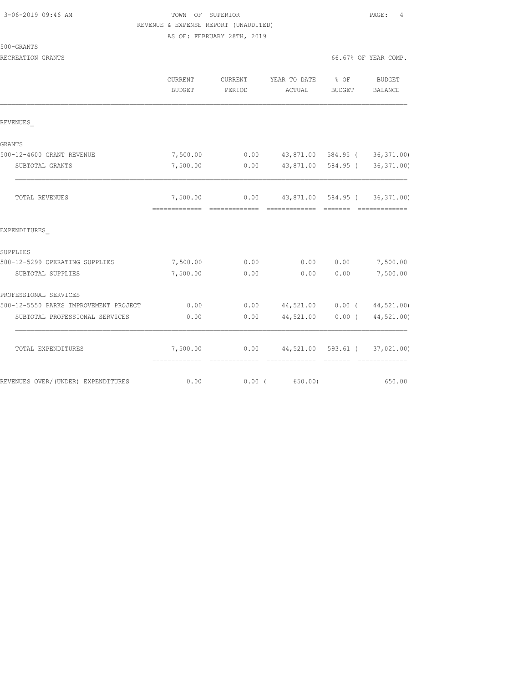500-GRANTS

### TOWN OF SUPERIOR **Example 2019** PAGE: 4 REVENUE & EXPENSE REPORT (UNAUDITED) AS OF: FEBRUARY 28TH, 2019

RECREATION GRANTS 66.67% OF YEAR COMP.

|                                       | <b>CURRENT</b><br><b>BUDGET</b> | CURRENT<br>PERIOD | YEAR TO DATE % OF<br>ACTUAL          | BUDGET           | BUDGET<br><b>BALANCE</b>     |
|---------------------------------------|---------------------------------|-------------------|--------------------------------------|------------------|------------------------------|
| REVENUES                              |                                 |                   |                                      |                  |                              |
| <b>GRANTS</b>                         |                                 |                   |                                      |                  |                              |
| 500-12-4600 GRANT REVENUE             | 7,500.00                        | 0.00              |                                      |                  | 43,871.00 584.95 (36,371.00) |
| SUBTOTAL GRANTS                       | 7,500.00                        | 0.00              | 43,871.00 584.95 (                   |                  | 36, 371.00                   |
| TOTAL REVENUES                        |                                 |                   |                                      |                  |                              |
| EXPENDITURES                          |                                 |                   |                                      |                  |                              |
| SUPPLIES                              |                                 |                   |                                      |                  |                              |
| 500-12-5299 OPERATING SUPPLIES        | 7,500.00                        | 0.00              | 0.00                                 | 0.00             | 7,500.00                     |
| SUBTOTAL SUPPLIES                     | 7,500.00                        | 0.00              | 0.00                                 | 0.00             | 7,500.00                     |
| PROFESSIONAL SERVICES                 |                                 |                   |                                      |                  |                              |
| 500-12-5550 PARKS IMPROVEMENT PROJECT | 0.00                            |                   | $0.00$ 44,521.00 0.00 ( 44,521.00)   |                  |                              |
| SUBTOTAL PROFESSIONAL SERVICES        | 0.00                            | 0.00              |                                      | 44,521.00 0.00 ( | 44,521.00)                   |
| TOTAL EXPENDITURES                    | 7,500.00                        |                   | $0.00$ 44,521.00 593.61 ( 37,021.00) |                  | --------------               |
| REVENUES OVER/(UNDER) EXPENDITURES    | 0.00                            |                   | $0.00$ ( 650.00)                     |                  | 650.00                       |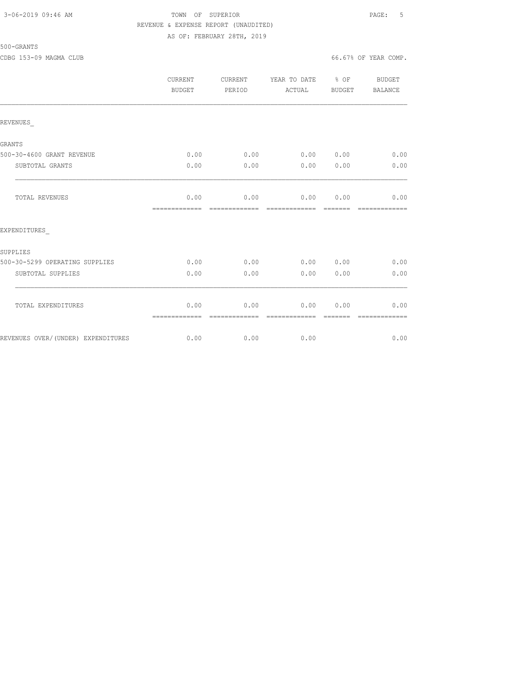### 3-06-2019 09:46 AM TOWN OF SUPERIOR PAGE: 5 REVENUE & EXPENSE REPORT (UNAUDITED) AS OF: FEBRUARY 28TH, 2019

500-GRANTS

CDBG 153-09 MAGMA CLUB 66.67% OF YEAR COMP.

|                                    | CURRENT<br><b>BUDGET</b> | CURRENT<br>PERIOD      | YEAR TO DATE % OF<br>ACTUAL | BUDGET           | <b>BUDGET</b><br>BALANCE |
|------------------------------------|--------------------------|------------------------|-----------------------------|------------------|--------------------------|
| REVENUES                           |                          |                        |                             |                  |                          |
| <b>GRANTS</b>                      |                          |                        |                             |                  |                          |
| 500-30-4600 GRANT REVENUE          | 0.00                     | 0.00                   | 0.00 0.00                   |                  | 0.00                     |
| SUBTOTAL GRANTS                    | 0.00                     | 0.00                   | 0.00                        | 0.00             | 0.00                     |
| TOTAL REVENUES                     | 0.00<br>=============    | 0.00<br>-------------- | 0.00 0.00<br>-------------- | --------         | 0.00<br>--------------   |
| EXPENDITURES                       |                          |                        |                             |                  |                          |
| SUPPLIES                           |                          |                        |                             |                  |                          |
| 500-30-5299 OPERATING SUPPLIES     | 0.00                     | 0.00                   | 0.00 0.00                   |                  | 0.00                     |
| SUBTOTAL SUPPLIES                  | 0.00                     | 0.00                   | 0.00                        | 0.00             | 0.00                     |
| TOTAL EXPENDITURES                 | 0.00                     | 0.00<br>-------------- | 0.00<br>=============       | 0.00<br>-------- | 0.00<br>-------------    |
| REVENUES OVER/(UNDER) EXPENDITURES | 0.00                     | 0.00                   | 0.00                        |                  | 0.00                     |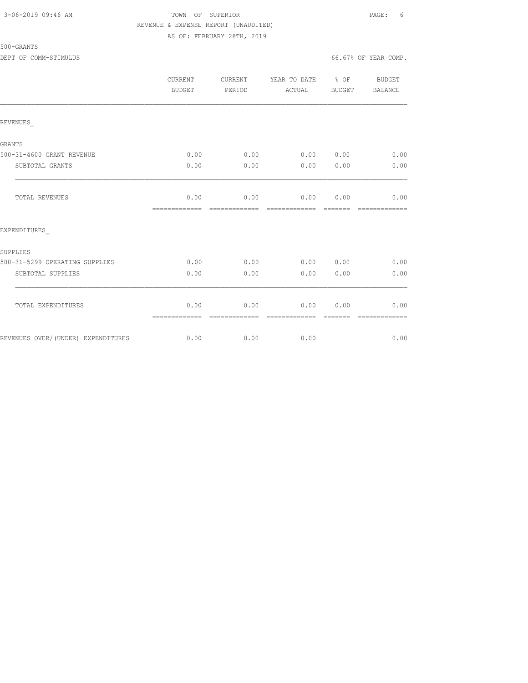### 3-06-2019 09:46 AM TOWN OF SUPERIOR PAGE: 6 REVENUE & EXPENSE REPORT (UNAUDITED) AS OF: FEBRUARY 28TH, 2019

#### 500-GRANTS

DEPT OF COMM-STIMULUS 66.67% OF YEAR COMP.

|                                    | CURRENT<br><b>BUDGET</b> | CURRENT<br>PERIOD      | YEAR TO DATE % OF<br>ACTUAL     | <b>BUDGET</b>                                                                                                                                                                                                                                                                                                                                                                                                                                                                        | <b>BUDGET</b><br>BALANCE |
|------------------------------------|--------------------------|------------------------|---------------------------------|--------------------------------------------------------------------------------------------------------------------------------------------------------------------------------------------------------------------------------------------------------------------------------------------------------------------------------------------------------------------------------------------------------------------------------------------------------------------------------------|--------------------------|
| REVENUES                           |                          |                        |                                 |                                                                                                                                                                                                                                                                                                                                                                                                                                                                                      |                          |
| <b>GRANTS</b>                      |                          |                        |                                 |                                                                                                                                                                                                                                                                                                                                                                                                                                                                                      |                          |
| 500-31-4600 GRANT REVENUE          | 0.00                     | 0.00                   | 0.00 0.00                       |                                                                                                                                                                                                                                                                                                                                                                                                                                                                                      | 0.00                     |
| SUBTOTAL GRANTS                    | 0.00                     | 0.00                   | 0.00                            | 0.00                                                                                                                                                                                                                                                                                                                                                                                                                                                                                 | 0.00                     |
| TOTAL REVENUES                     | 0.00<br>=============    | 0.00<br>-------------- | $0.00$ $0.00$<br>-------------- | $\begin{array}{cccccc} \multicolumn{2}{c}{} & \multicolumn{2}{c}{} & \multicolumn{2}{c}{} & \multicolumn{2}{c}{} & \multicolumn{2}{c}{} & \multicolumn{2}{c}{} & \multicolumn{2}{c}{} & \multicolumn{2}{c}{} & \multicolumn{2}{c}{} & \multicolumn{2}{c}{} & \multicolumn{2}{c}{} & \multicolumn{2}{c}{} & \multicolumn{2}{c}{} & \multicolumn{2}{c}{} & \multicolumn{2}{c}{} & \multicolumn{2}{c}{} & \multicolumn{2}{c}{} & \multicolumn{2}{c}{} & \multicolumn{2}{c}{} & \multic$ | 0.00<br>=============    |
| EXPENDITURES                       |                          |                        |                                 |                                                                                                                                                                                                                                                                                                                                                                                                                                                                                      |                          |
| SUPPLIES                           |                          |                        |                                 |                                                                                                                                                                                                                                                                                                                                                                                                                                                                                      |                          |
| 500-31-5299 OPERATING SUPPLIES     | 0.00                     | 0.00                   | 0.00 0.00                       |                                                                                                                                                                                                                                                                                                                                                                                                                                                                                      | 0.00                     |
| SUBTOTAL SUPPLIES                  | 0.00                     | 0.00                   | 0.00                            | 0.00                                                                                                                                                                                                                                                                                                                                                                                                                                                                                 | 0.00                     |
| TOTAL EXPENDITURES                 | 0.00<br>=============    | 0.00                   | 0.00<br>-------------           | 0.00                                                                                                                                                                                                                                                                                                                                                                                                                                                                                 | 0.00                     |
| REVENUES OVER/(UNDER) EXPENDITURES | 0.00                     | 0.00                   | 0.00                            |                                                                                                                                                                                                                                                                                                                                                                                                                                                                                      | 0.00                     |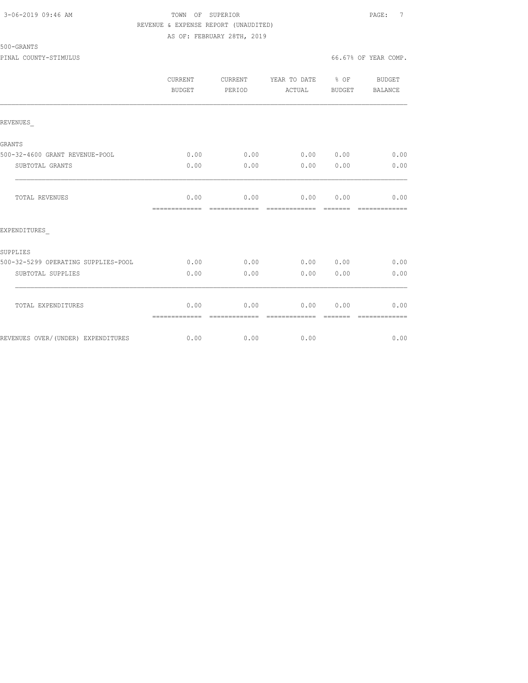### 3-06-2019 09:46 AM TOWN OF SUPERIOR PAGE: 7 REVENUE & EXPENSE REPORT (UNAUDITED) AS OF: FEBRUARY 28TH, 2019

500-GRANTS

PINAL COUNTY-STIMULUS 66.67% OF YEAR COMP.

|                                     | CURRENT<br>BUDGET     | CURRENT<br>PERIOD      | YEAR TO DATE % OF<br>ACTUAL | BUDGET                | BUDGET<br>BALANCE      |
|-------------------------------------|-----------------------|------------------------|-----------------------------|-----------------------|------------------------|
| REVENUES                            |                       |                        |                             |                       |                        |
| <b>GRANTS</b>                       |                       |                        |                             |                       |                        |
| 500-32-4600 GRANT REVENUE-POOL      | 0.00                  | 0.00                   | 0.00 0.00                   |                       | 0.00                   |
| SUBTOTAL GRANTS                     | 0.00                  | 0.00                   | 0.00                        | 0.00                  | 0.00                   |
| TOTAL REVENUES                      | 0.00<br>============= | 0.00<br>=============  | 0.00<br>=============       | 0.00<br><b>BEECEE</b> | 0.00<br>=============  |
| EXPENDITURES                        |                       |                        |                             |                       |                        |
| SUPPLIES                            |                       |                        |                             |                       |                        |
| 500-32-5299 OPERATING SUPPLIES-POOL | 0.00                  | 0.00                   | 0.00 0.00                   |                       | 0.00                   |
| SUBTOTAL SUPPLIES                   | 0.00                  | 0.00                   | 0.00                        | 0.00                  | 0.00                   |
| TOTAL EXPENDITURES                  | 0.00                  | 0.00                   | 0.00                        | 0.00                  | 0.00                   |
| REVENUES OVER/(UNDER) EXPENDITURES  | =============<br>0.00 | --------------<br>0.00 | --------------<br>0.00      | --------              | --------------<br>0.00 |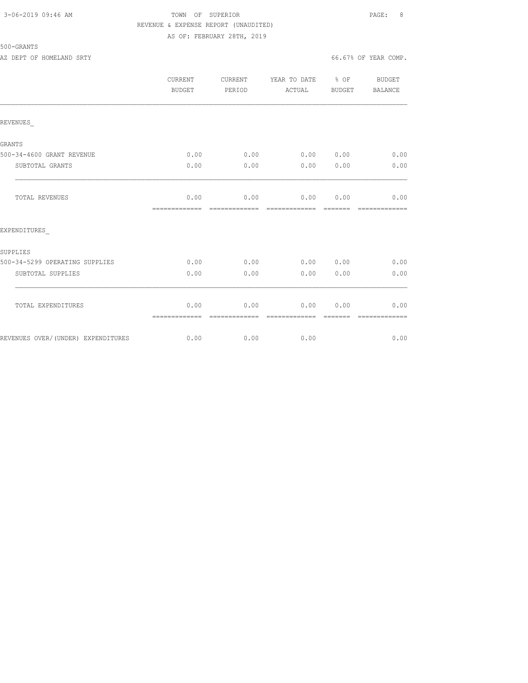### 3-06-2019 09:46 AM TOWN OF SUPERIOR PAGE: 8 REVENUE & EXPENSE REPORT (UNAUDITED) AS OF: FEBRUARY 28TH, 2019

500-GRANTS

AZ DEPT OF HOMELAND SRTY **EXECUTE:**  $66.67\%$  OF YEAR COMP.

|                                    | CURRENT<br><b>BUDGET</b> | CURRENT<br>PERIOD     | YEAR TO DATE<br>ACTUAL | $\frac{6}{6}$ OF<br>BUDGET | <b>BUDGET</b><br>BALANCE |
|------------------------------------|--------------------------|-----------------------|------------------------|----------------------------|--------------------------|
| REVENUES                           |                          |                       |                        |                            |                          |
| <b>GRANTS</b>                      |                          |                       |                        |                            |                          |
| 500-34-4600 GRANT REVENUE          | 0.00                     | 0.00                  | 0.00 0.00              |                            | 0.00                     |
| SUBTOTAL GRANTS                    | 0.00                     | 0.00                  | 0.00                   | 0.00                       | 0.00                     |
| <b>TOTAL REVENUES</b>              | 0.00<br>=============    | 0.00<br>------------- | 0.00<br>-------------- | 0.00<br>--------           | 0.00<br>=============    |
| EXPENDITURES                       |                          |                       |                        |                            |                          |
| SUPPLIES                           |                          |                       |                        |                            |                          |
| 500-34-5299 OPERATING SUPPLIES     | 0.00                     | 0.00                  | 0.00 0.00              |                            | 0.00                     |
| SUBTOTAL SUPPLIES                  | 0.00                     | 0.00                  | 0.00                   | 0.00                       | 0.00                     |
| TOTAL EXPENDITURES                 | 0.00<br>=============    | 0.00<br>------------- | 0.00<br>-------------  | 0.00                       | 0.00                     |
| REVENUES OVER/(UNDER) EXPENDITURES | 0.00                     | 0.00                  | 0.00                   |                            | 0.00                     |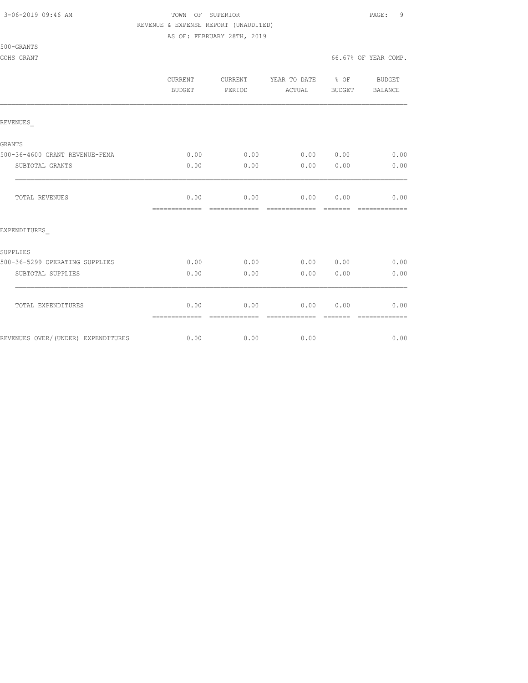## 3-06-2019 09:46 AM TOWN OF SUPERIOR PAGE: 9 REVENUE & EXPENSE REPORT (UNAUDITED)

AS OF: FEBRUARY 28TH, 2019

500-GRANTS

|                                    | <b>CURRENT</b><br>BUDGET | CURRENT<br>PERIOD     | YEAR TO DATE % OF<br>ACTUAL    | BUDGET | BUDGET<br>BALANCE |
|------------------------------------|--------------------------|-----------------------|--------------------------------|--------|-------------------|
| REVENUES                           |                          |                       |                                |        |                   |
| GRANTS                             |                          |                       |                                |        |                   |
| 500-36-4600 GRANT REVENUE-FEMA     | 0.00                     | 0.00                  | 0.00 0.00                      |        | 0.00              |
| SUBTOTAL GRANTS                    | 0.00                     | 0.00                  | 0.00                           | 0.00   | 0.00              |
| TOTAL REVENUES                     | 0.00<br>=============    | 0.00                  | $0.00$ $0.00$<br>============= |        | 0.00              |
| EXPENDITURES                       |                          |                       |                                |        |                   |
| SUPPLIES                           |                          |                       |                                |        |                   |
| 500-36-5299 OPERATING SUPPLIES     | 0.00                     | 0.00                  | 0.00 0.00                      |        | 0.00              |
| SUBTOTAL SUPPLIES                  | 0.00                     | 0.00                  | 0.00                           | 0.00   | 0.00              |
| TOTAL EXPENDITURES                 | 0.00<br>=============    | 0.00<br>------------- | 0.00<br>--------------         | 0.00   | 0.00              |
| REVENUES OVER/(UNDER) EXPENDITURES | 0.00                     | 0.00                  | 0.00                           |        | 0.00              |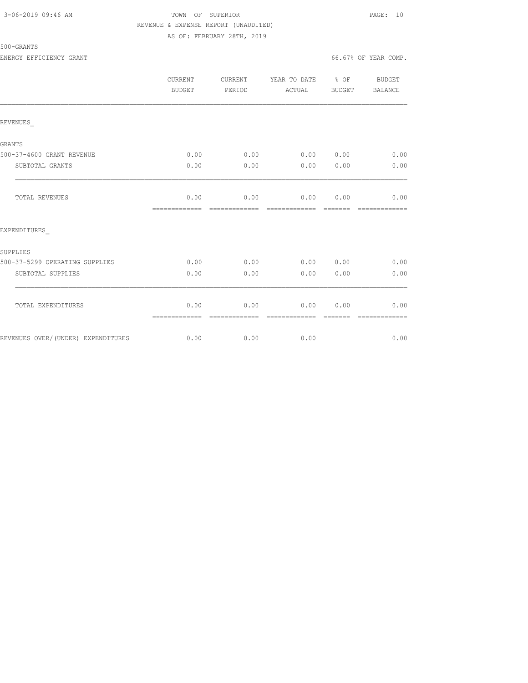### 3-06-2019 09:46 AM TOWN OF SUPERIOR PAGE: 10 REVENUE & EXPENSE REPORT (UNAUDITED) AS OF: FEBRUARY 28TH, 2019

ENERGY EFFICIENCY GRANT 66.67% OF YEAR COMP.

|                                    | CURRENT<br>BUDGET     | CURRENT<br>PERIOD      | YEAR TO DATE % OF<br>ACTUAL              | BUDGET           | BUDGET<br>BALANCE                                                                                                                                                                                                                                                                                                                                                                                                                                                                              |
|------------------------------------|-----------------------|------------------------|------------------------------------------|------------------|------------------------------------------------------------------------------------------------------------------------------------------------------------------------------------------------------------------------------------------------------------------------------------------------------------------------------------------------------------------------------------------------------------------------------------------------------------------------------------------------|
| REVENUES                           |                       |                        |                                          |                  |                                                                                                                                                                                                                                                                                                                                                                                                                                                                                                |
| <b>GRANTS</b>                      |                       |                        |                                          |                  |                                                                                                                                                                                                                                                                                                                                                                                                                                                                                                |
| 500-37-4600 GRANT REVENUE          | 0.00                  | 0.00                   | 0.00 0.00                                |                  | 0.00                                                                                                                                                                                                                                                                                                                                                                                                                                                                                           |
| SUBTOTAL GRANTS                    | 0.00                  | 0.00                   | 0.00                                     | 0.00             | 0.00                                                                                                                                                                                                                                                                                                                                                                                                                                                                                           |
| TOTAL REVENUES                     | 0.00<br>============= | 0.00<br>=============  | 0.00 0.00<br>- cooperation - cooperation |                  | 0.00<br>$\begin{array}{cccccccccc} \multicolumn{2}{c}{} & \multicolumn{2}{c}{} & \multicolumn{2}{c}{} & \multicolumn{2}{c}{} & \multicolumn{2}{c}{} & \multicolumn{2}{c}{} & \multicolumn{2}{c}{} & \multicolumn{2}{c}{} & \multicolumn{2}{c}{} & \multicolumn{2}{c}{} & \multicolumn{2}{c}{} & \multicolumn{2}{c}{} & \multicolumn{2}{c}{} & \multicolumn{2}{c}{} & \multicolumn{2}{c}{} & \multicolumn{2}{c}{} & \multicolumn{2}{c}{} & \multicolumn{2}{c}{} & \multicolumn{2}{c}{} & \mult$ |
| EXPENDITURES                       |                       |                        |                                          |                  |                                                                                                                                                                                                                                                                                                                                                                                                                                                                                                |
| SUPPLIES                           |                       |                        |                                          |                  |                                                                                                                                                                                                                                                                                                                                                                                                                                                                                                |
| 500-37-5299 OPERATING SUPPLIES     | 0.00                  | 0.00                   | 0.00 0.00                                |                  | 0.00                                                                                                                                                                                                                                                                                                                                                                                                                                                                                           |
| SUBTOTAL SUPPLIES                  | 0.00                  | 0.00                   | 0.00                                     | 0.00             | 0.00                                                                                                                                                                                                                                                                                                                                                                                                                                                                                           |
| TOTAL EXPENDITURES                 | 0.00                  | 0.00<br>-------------- | 0.00<br>=============                    | 0.00<br>-------- | 0.00<br>--------------                                                                                                                                                                                                                                                                                                                                                                                                                                                                         |
| REVENUES OVER/(UNDER) EXPENDITURES | 0.00                  | 0.00                   | 0.00                                     |                  | 0.00                                                                                                                                                                                                                                                                                                                                                                                                                                                                                           |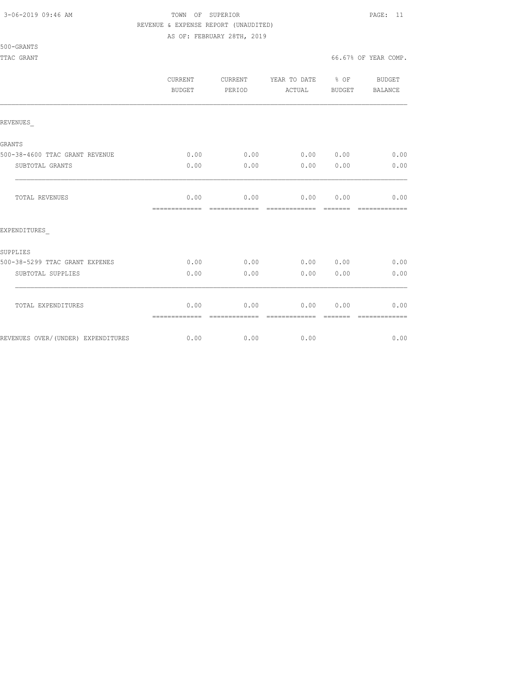## 3-06-2019 09:46 AM TOWN OF SUPERIOR PAGE: 11 REVENUE & EXPENSE REPORT (UNAUDITED)

AS OF: FEBRUARY 28TH, 2019

500-GRANTS

|                                    | <b>CURRENT</b><br><b>BUDGET</b> | CURRENT<br>PERIOD     | YEAR TO DATE % OF<br>ACTUAL | BUDGET | BUDGET<br>BALANCE |
|------------------------------------|---------------------------------|-----------------------|-----------------------------|--------|-------------------|
| REVENUES                           |                                 |                       |                             |        |                   |
| GRANTS                             |                                 |                       |                             |        |                   |
| 500-38-4600 TTAC GRANT REVENUE     | 0.00                            | 0.00                  | 0.00 0.00                   |        | 0.00              |
| SUBTOTAL GRANTS                    | 0.00                            | 0.00                  | 0.00                        | 0.00   | 0.00              |
| TOTAL REVENUES                     | 0.00<br>=============           | 0.00                  | 0.00 0.00<br>-------------  |        | 0.00              |
| EXPENDITURES                       |                                 |                       |                             |        |                   |
| SUPPLIES                           |                                 |                       |                             |        |                   |
| 500-38-5299 TTAC GRANT EXPENES     | 0.00                            | 0.00                  | 0.00 0.00                   |        | 0.00              |
| SUBTOTAL SUPPLIES                  | 0.00                            | 0.00                  | 0.00                        | 0.00   | 0.00              |
| TOTAL EXPENDITURES                 | 0.00<br>=============           | 0.00<br>------------- | 0.00<br>--------------      | 0.00   | 0.00              |
| REVENUES OVER/(UNDER) EXPENDITURES | 0.00                            | 0.00                  | 0.00                        |        | 0.00              |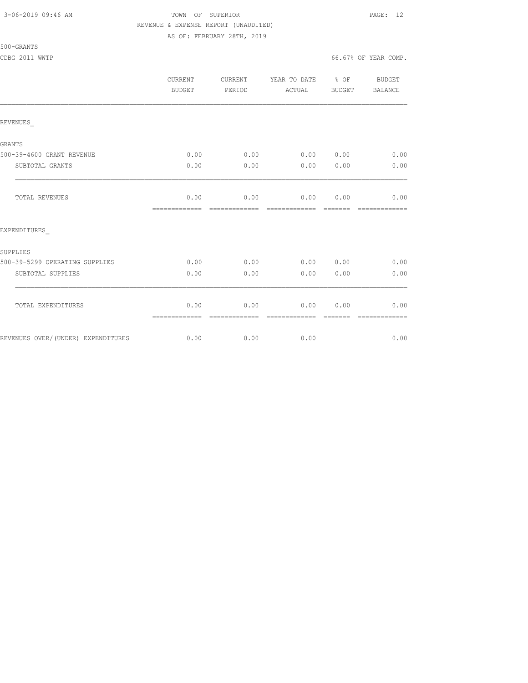## 3-06-2019 09:46 AM TOWN OF SUPERIOR PAGE: 12 REVENUE & EXPENSE REPORT (UNAUDITED)

AS OF: FEBRUARY 28TH, 2019

500-GRANTS

|                                    | <b>CURRENT</b><br><b>BUDGET</b> | CURRENT<br>PERIOD     | YEAR TO DATE % OF<br>ACTUAL | BUDGET | BUDGET<br>BALANCE |
|------------------------------------|---------------------------------|-----------------------|-----------------------------|--------|-------------------|
| REVENUES                           |                                 |                       |                             |        |                   |
| GRANTS                             |                                 |                       |                             |        |                   |
| 500-39-4600 GRANT REVENUE          | 0.00                            | 0.00                  | 0.00 0.00                   |        | 0.00              |
| SUBTOTAL GRANTS                    | 0.00                            | 0.00                  | 0.00                        | 0.00   | 0.00              |
| TOTAL REVENUES                     | 0.00<br>=============           | 0.00                  | 0.00<br>-------------       | 0.00   | 0.00              |
| EXPENDITURES                       |                                 |                       |                             |        |                   |
| SUPPLIES                           |                                 |                       |                             |        |                   |
| 500-39-5299 OPERATING SUPPLIES     | 0.00                            | 0.00                  | 0.00                        | 0.00   | 0.00              |
| SUBTOTAL SUPPLIES                  | 0.00                            | 0.00                  | 0.00                        | 0.00   | 0.00              |
| TOTAL EXPENDITURES                 | 0.00<br>=============           | 0.00<br>------------- | 0.00<br>--------------      | 0.00   | 0.00              |
| REVENUES OVER/(UNDER) EXPENDITURES | 0.00                            | 0.00                  | 0.00                        |        | 0.00              |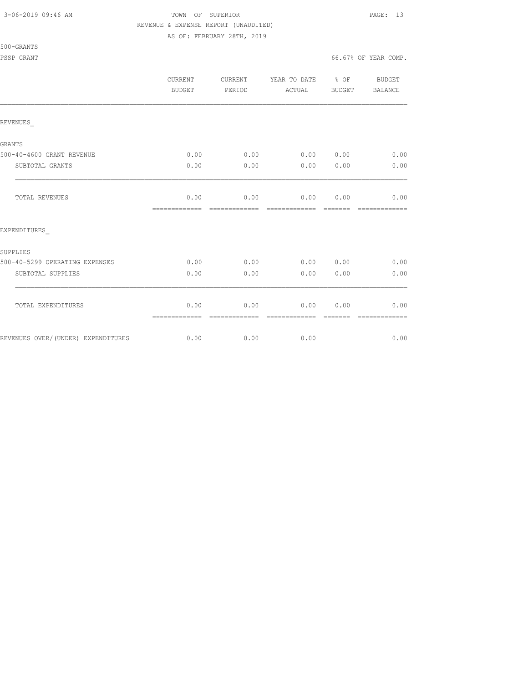500-GRANTS

## 3-06-2019 09:46 AM TOWN OF SUPERIOR PAGE: 13 REVENUE & EXPENSE REPORT (UNAUDITED)

AS OF: FEBRUARY 28TH, 2019

PSSP GRANT GONE COMP. THE SERVICE OF SERVICE SERVICE SERVICE OF SERVICE SERVICE SERVICE SERVICE SERVICE SERVICE SERVICE SERVICE SERVICE SERVICE SERVICE SERVICE SERVICE SERVICE SERVICE SERVICE SERVICE SERVICE SERVICE SERVIC

|                                    | <b>CURRENT</b><br>BUDGET | CURRENT<br>PERIOD     | YEAR TO DATE<br>ACTUAL | % OF<br><b>BUDGET</b> | <b>BUDGET</b><br><b>BALANCE</b> |
|------------------------------------|--------------------------|-----------------------|------------------------|-----------------------|---------------------------------|
| REVENUES                           |                          |                       |                        |                       |                                 |
| <b>GRANTS</b>                      |                          |                       |                        |                       |                                 |
| 500-40-4600 GRANT REVENUE          | 0.00                     | 0.00                  | 0.00                   | 0.00                  | 0.00                            |
| SUBTOTAL GRANTS                    | 0.00                     | 0.00                  | 0.00                   | 0.00                  | 0.00                            |
| TOTAL REVENUES                     | 0.00<br>=============    | 0.00<br>------------- | 0.00<br>-------------- | 0.00                  | 0.00                            |
| EXPENDITURES                       |                          |                       |                        |                       |                                 |
| SUPPLIES                           |                          |                       |                        |                       |                                 |
| 500-40-5299 OPERATING EXPENSES     | 0.00                     | 0.00                  | 0.00                   | 0.00                  | 0.00                            |
| SUBTOTAL SUPPLIES                  | 0.00                     | 0.00                  | 0.00                   | 0.00                  | 0.00                            |
| TOTAL EXPENDITURES                 | 0.00                     | 0.00<br>------------- | 0.00<br>-------------  | 0.00<br>-------       | 0.00<br>-------------           |
| REVENUES OVER/(UNDER) EXPENDITURES | 0.00                     | 0.00                  | 0.00                   |                       | 0.00                            |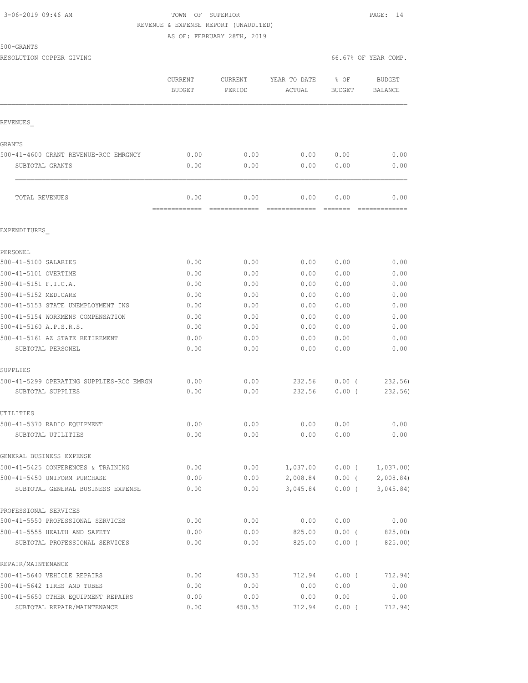## 3-06-2019 09:46 AM TOWN OF SUPERIOR PAGE: 14 REVENUE & EXPENSE REPORT (UNAUDITED)

AS OF: FEBRUARY 28TH, 2019

| 500-GRANT |
|-----------|
|-----------|

RESOLUTION COPPER GIVING **EXECUTE A** COMP. THE SOLUTION COPPER GIVING  $66.67$ % OF YEAR COMP.

|                                          | <b>CURRENT</b><br><b>BUDGET</b> | CURRENT<br>PERIOD | YEAR TO DATE<br>ACTUAL | % OF<br><b>BUDGET</b> | <b>BUDGET</b><br>BALANCE |
|------------------------------------------|---------------------------------|-------------------|------------------------|-----------------------|--------------------------|
| REVENUES                                 |                                 |                   |                        |                       |                          |
| GRANTS                                   |                                 |                   |                        |                       |                          |
| 500-41-4600 GRANT REVENUE-RCC EMRGNCY    | 0.00                            | 0.00              | 0.00                   | 0.00                  | 0.00                     |
| SUBTOTAL GRANTS                          | 0.00                            | 0.00              | 0.00                   | 0.00                  | 0.00                     |
| TOTAL REVENUES                           | 0.00<br>=============           | 0.00              | 0.00                   | 0.00<br><b>EEEEEE</b> | 0.00                     |
| EXPENDITURES                             |                                 |                   |                        |                       |                          |
| PERSONEL                                 |                                 |                   |                        |                       |                          |
| 500-41-5100 SALARIES                     | 0.00                            | 0.00              | 0.00                   | 0.00                  | 0.00                     |
| 500-41-5101 OVERTIME                     | 0.00                            | 0.00              | 0.00                   | 0.00                  | 0.00                     |
| 500-41-5151 F.I.C.A.                     | 0.00                            | 0.00              | 0.00                   | 0.00                  | 0.00                     |
| 500-41-5152 MEDICARE                     | 0.00                            | 0.00              | 0.00                   | 0.00                  | 0.00                     |
| 500-41-5153 STATE UNEMPLOYMENT INS       | 0.00                            | 0.00              | 0.00                   | 0.00                  | 0.00                     |
| 500-41-5154 WORKMENS COMPENSATION        | 0.00                            | 0.00              | 0.00                   | 0.00                  | 0.00                     |
| 500-41-5160 A.P.S.R.S.                   | 0.00                            | 0.00              | 0.00                   | 0.00                  | 0.00                     |
| 500-41-5161 AZ STATE RETIREMENT          | 0.00                            | 0.00              | 0.00                   | 0.00                  | 0.00                     |
| SUBTOTAL PERSONEL                        | 0.00                            | 0.00              | 0.00                   | 0.00                  | 0.00                     |
| SUPPLIES                                 |                                 |                   |                        |                       |                          |
| 500-41-5299 OPERATING SUPPLIES-RCC EMRGN | 0.00                            | 0.00              | 232.56                 | $0.00$ (              | 232.56)                  |
| SUBTOTAL SUPPLIES                        | 0.00                            | 0.00              | 232.56                 | 0.00(                 | 232.56)                  |
| UTILITIES                                |                                 |                   |                        |                       |                          |
| 500-41-5370 RADIO EQUIPMENT              | 0.00                            | 0.00              | 0.00                   | 0.00                  | 0.00                     |
| SUBTOTAL UTILITIES                       | 0.00                            | 0.00              | 0.00                   | 0.00                  | 0.00                     |
| GENERAL BUSINESS EXPENSE                 |                                 |                   |                        |                       |                          |
| 500-41-5425 CONFERENCES & TRAINING       | 0.00                            | 0.00              | 1,037.00               | $0.00$ (              | 1,037.00                 |
| 500-41-5450 UNIFORM PURCHASE             | 0.00                            | 0.00              | 2,008.84               | $0.00$ (              | 2,008.84                 |
| SUBTOTAL GENERAL BUSINESS EXPENSE        | 0.00                            | 0.00              | 3,045.84               | $0.00$ (              | 3,045.84                 |
| PROFESSIONAL SERVICES                    |                                 |                   |                        |                       |                          |
| 500-41-5550 PROFESSIONAL SERVICES        | 0.00                            | 0.00              | 0.00                   | 0.00                  | 0.00                     |
| 500-41-5555 HEALTH AND SAFETY            | 0.00                            | 0.00              | 825.00                 | $0.00$ (              | 825.00)                  |
| SUBTOTAL PROFESSIONAL SERVICES           | 0.00                            | 0.00              | 825.00                 | 0.00(                 | 825.00)                  |
| REPAIR/MAINTENANCE                       |                                 |                   |                        |                       |                          |
| 500-41-5640 VEHICLE REPAIRS              | 0.00                            | 450.35            | 712.94                 | $0.00$ (              | 712.94)                  |
| 500-41-5642 TIRES AND TUBES              | 0.00                            | 0.00              | 0.00                   | 0.00                  | 0.00                     |
| 500-41-5650 OTHER EQUIPMENT REPAIRS      | 0.00                            | 0.00              | 0.00                   | 0.00                  | 0.00                     |
| SUBTOTAL REPAIR/MAINTENANCE              | 0.00                            | 450.35            | 712.94                 | 0.00(                 | 712.94)                  |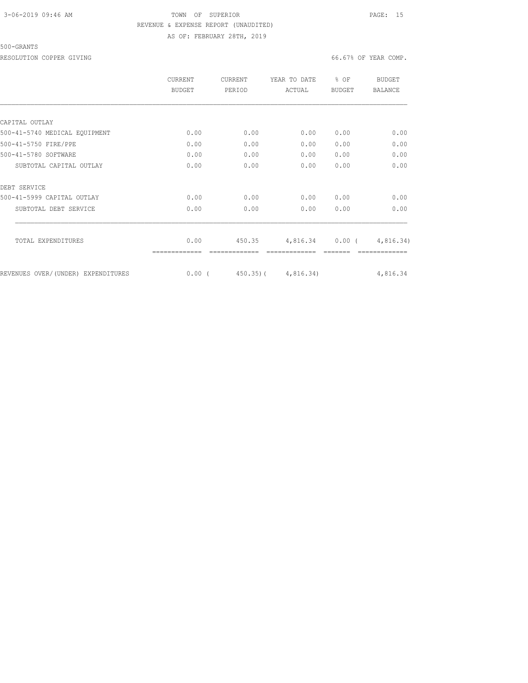### 3-06-2019 09:46 AM TOWN OF SUPERIOR PAGE: 15 REVENUE & EXPENSE REPORT (UNAUDITED) AS OF: FEBRUARY 28TH, 2019

500-GRANTS

RESOLUTION COPPER GIVING **EXECUTE A** COMP. THE SOLUTION COPPER GIVING  $66.67\%$  OF YEAR COMP.

|                                     | CURRENT<br>BUDGET | CURRENT<br>PERIOD | YEAR TO DATE<br>ACTUAL | $8$ OF<br><b>BUDGET</b> | BUDGET<br><b>BALANCE</b> |
|-------------------------------------|-------------------|-------------------|------------------------|-------------------------|--------------------------|
|                                     |                   |                   |                        |                         |                          |
| CAPITAL OUTLAY                      |                   |                   |                        |                         |                          |
| 500-41-5740 MEDICAL EQUIPMENT       | 0.00              | 0.00              | 0.00                   | 0.00                    | 0.00                     |
| 500-41-5750 FIRE/PPE                | 0.00              | 0.00              | 0.00                   | 0.00                    | 0.00                     |
| 500-41-5780 SOFTWARE                | 0.00              | 0.00              | 0.00                   | 0.00                    | 0.00                     |
| SUBTOTAL CAPITAL OUTLAY             | 0.00              | 0.00              | 0.00                   | 0.00                    | 0.00                     |
| DEBT SERVICE                        |                   |                   |                        |                         |                          |
| 500-41-5999 CAPITAL OUTLAY          | 0.00              | 0.00              | 0.00                   | 0.00                    | 0.00                     |
| SUBTOTAL DEBT SERVICE               | 0.00              | 0.00              | 0.00                   | 0.00                    | 0.00                     |
| TOTAL EXPENDITURES                  | 0.00              | 450.35            | 4,816.34               | $0.00$ (                | 4,816.34)                |
|                                     |                   |                   |                        |                         |                          |
| REVENUES OVER/ (UNDER) EXPENDITURES | $0.00$ (          | $450.35$ ) (      | 4,816.34)              |                         | 4,816.34                 |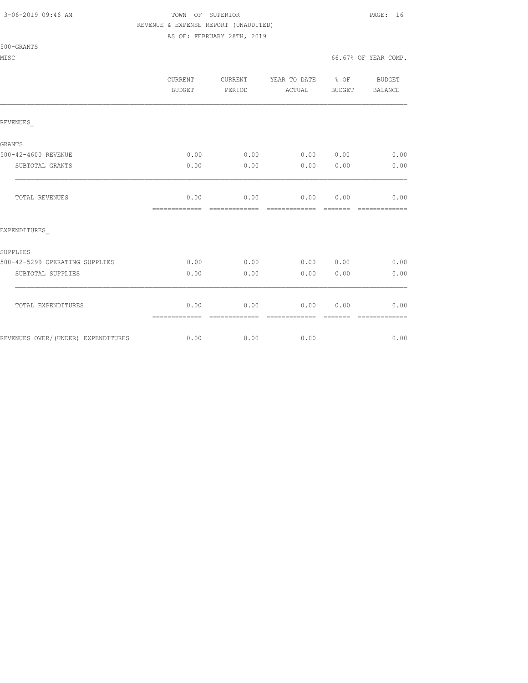500-GRANTS

### 3-06-2019 09:46 AM TOWN OF SUPERIOR PAGE: 16 REVENUE & EXPENSE REPORT (UNAUDITED)

AS OF: FEBRUARY 28TH, 2019

MISC 66.67% OF YEAR COMP.

|                 |                                    | CURRENT<br><b>BUDGET</b> | CURRENT<br>PERIOD | YEAR TO DATE % OF<br>ACTUAL | BUDGET   | <b>BUDGET</b><br>BALANCE |
|-----------------|------------------------------------|--------------------------|-------------------|-----------------------------|----------|--------------------------|
| REVENUES        |                                    |                          |                   |                             |          |                          |
|                 |                                    |                          |                   |                             |          |                          |
| GRANTS          | 500-42-4600 REVENUE                | 0.00                     | 0.00              | 0.00 0.00                   |          | 0.00                     |
|                 | SUBTOTAL GRANTS                    | 0.00                     | 0.00              | 0.00                        | 0.00     | 0.00                     |
|                 | TOTAL REVENUES                     | 0.00                     | 0.00              | 0.00                        | 0.00     | 0.00                     |
|                 |                                    | =============            | =============     | =============               | =======  | =============            |
|                 | EXPENDITURES                       |                          |                   |                             |          |                          |
| <b>SUPPLIES</b> |                                    |                          |                   |                             |          |                          |
|                 | 500-42-5299 OPERATING SUPPLIES     | 0.00                     | 0.00              | 0.00 0.00                   |          | 0.00                     |
|                 | SUBTOTAL SUPPLIES                  | 0.00                     | 0.00              | 0.00                        | 0.00     | 0.00                     |
|                 | TOTAL EXPENDITURES                 | 0.00                     | 0.00              | 0.00                        | 0.00     | 0.00                     |
|                 |                                    |                          | --------------    | --------------              | -------- | -------------            |
|                 | REVENUES OVER/(UNDER) EXPENDITURES | 0.00                     | 0.00              | 0.00                        |          | 0.00                     |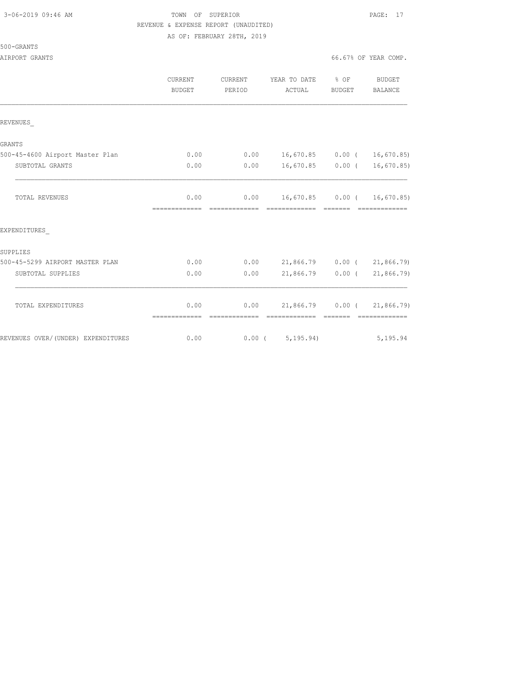## 3-06-2019 09:46 AM TOWN OF SUPERIOR PAGE: 17 REVENUE & EXPENSE REPORT (UNAUDITED)

AS OF: FEBRUARY 28TH, 2019

500-GRANTS

|                                    | <b>CURRENT</b><br><b>BUDGET</b> | <b>CURRENT</b><br>PERIOD | YEAR TO DATE % OF<br>ACTUAL                                    | BUDGET | BUDGET<br>BALANCE             |
|------------------------------------|---------------------------------|--------------------------|----------------------------------------------------------------|--------|-------------------------------|
| REVENUES                           |                                 |                          |                                                                |        |                               |
| <b>GRANTS</b>                      |                                 |                          |                                                                |        |                               |
| 500-45-4600 Airport Master Plan    | 0.00                            |                          | $0.00$ 16,670.85 0.00 ( 16,670.85)                             |        |                               |
| SUBTOTAL GRANTS                    | 0.00                            | 0.00                     |                                                                |        | $16,670.85$ 0.00 ( 16,670.85) |
| TOTAL REVENUES                     | 0.00<br>-------------           |                          | $0.00$ 16,670.85 0.00 ( 16,670.85)                             |        | <b>COORDINATION</b>           |
| EXPENDITURES                       |                                 |                          |                                                                |        |                               |
| SUPPLIES                           |                                 |                          |                                                                |        |                               |
| 500-45-5299 AIRPORT MASTER PLAN    | 0.00                            |                          | $0.00$ 21,866.79 0.00 ( 21,866.79)                             |        |                               |
| SUBTOTAL SUPPLIES                  | 0.00                            | 0.00                     | $21,866.79$ 0.00 (                                             |        | 21,866.79)                    |
| TOTAL EXPENDITURES                 | 0.00<br>=============           | -------------            | $0.00$ 21,866.79 $0.00$ ( 21,866.79)<br>============== ======= |        | - cocococococo                |
| REVENUES OVER/(UNDER) EXPENDITURES | 0.00                            |                          | 0.00(5, 195.94)                                                |        | 5, 195.94                     |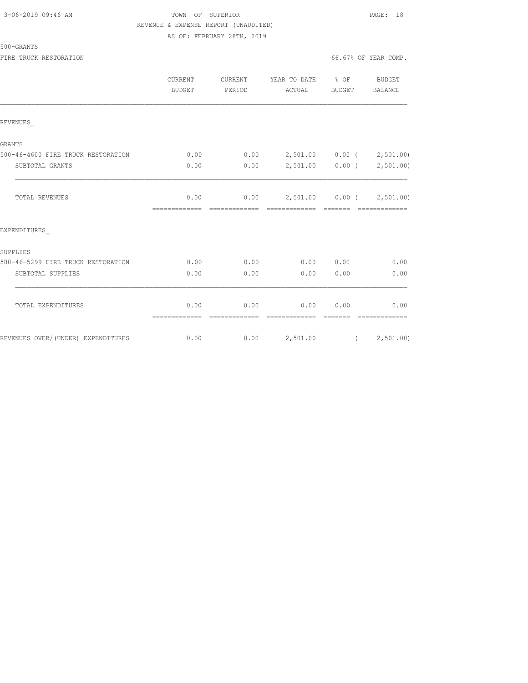### 3-06-2019 09:46 AM TOWN OF SUPERIOR PAGE: 18 REVENUE & EXPENSE REPORT (UNAUDITED) AS OF: FEBRUARY 28TH, 2019

#### 500-GRANTS

|                                    | <b>CURRENT</b><br><b>BUDGET</b> | <b>CURRENT</b><br>PERIOD | YEAR TO DATE % OF<br>ACTUAL                                                                                                                                                                                                                                                                                                                                                                                                                                                                                       | BUDGET           | <b>BUDGET</b><br>BALANCE    |
|------------------------------------|---------------------------------|--------------------------|-------------------------------------------------------------------------------------------------------------------------------------------------------------------------------------------------------------------------------------------------------------------------------------------------------------------------------------------------------------------------------------------------------------------------------------------------------------------------------------------------------------------|------------------|-----------------------------|
| REVENUES                           |                                 |                          |                                                                                                                                                                                                                                                                                                                                                                                                                                                                                                                   |                  |                             |
| GRANTS                             |                                 |                          |                                                                                                                                                                                                                                                                                                                                                                                                                                                                                                                   |                  |                             |
| 500-46-4600 FIRE TRUCK RESTORATION | 0.00                            |                          | $0.00$ 2,501.00 0.00 ( 2,501.00)                                                                                                                                                                                                                                                                                                                                                                                                                                                                                  |                  |                             |
| SUBTOTAL GRANTS                    | 0.00                            | 0.00                     |                                                                                                                                                                                                                                                                                                                                                                                                                                                                                                                   |                  | 2,501.00   0.00   2,501.00) |
| TOTAL REVENUES                     | 0.00<br>=============           | =============            | $0.00$ 2,501.00 0.00 ( 2,501.00)<br>$\begin{array}{cccccc} \multicolumn{2}{c}{{\color{red}c}} & \multicolumn{2}{c}{{\color{red}c}} & \multicolumn{2}{c}{{\color{red}c}} & \multicolumn{2}{c}{{\color{red}c}} & \multicolumn{2}{c}{{\color{red}c}} & \multicolumn{2}{c}{{\color{red}c}} & \multicolumn{2}{c}{{\color{red}c}} & \multicolumn{2}{c}{{\color{red}c}} & \multicolumn{2}{c}{{\color{red}c}} & \multicolumn{2}{c}{{\color{red}c}} & \multicolumn{2}{c}{{\color{red}c}} & \multicolumn{2}{c}{{\color{red$ |                  | - =============             |
| EXPENDITURES                       |                                 |                          |                                                                                                                                                                                                                                                                                                                                                                                                                                                                                                                   |                  |                             |
| SUPPLIES                           |                                 |                          |                                                                                                                                                                                                                                                                                                                                                                                                                                                                                                                   |                  |                             |
| 500-46-5299 FIRE TRUCK RESTORATION | 0.00                            | 0.00                     | $0.00$ $0.00$                                                                                                                                                                                                                                                                                                                                                                                                                                                                                                     |                  | 0.00                        |
| SUBTOTAL SUPPLIES                  | 0.00                            | 0.00                     | 0.00                                                                                                                                                                                                                                                                                                                                                                                                                                                                                                              | 0.00             | 0.00                        |
| TOTAL EXPENDITURES                 | 0.00<br>=============           | 0.00<br>--------------   | 0.00<br>--------------                                                                                                                                                                                                                                                                                                                                                                                                                                                                                            | 0.00<br>-------- | 0.00<br>--------------      |
| REVENUES OVER/(UNDER) EXPENDITURES | 0.00                            |                          | $0.00$ 2,501.00 ( 2,501.00)                                                                                                                                                                                                                                                                                                                                                                                                                                                                                       |                  |                             |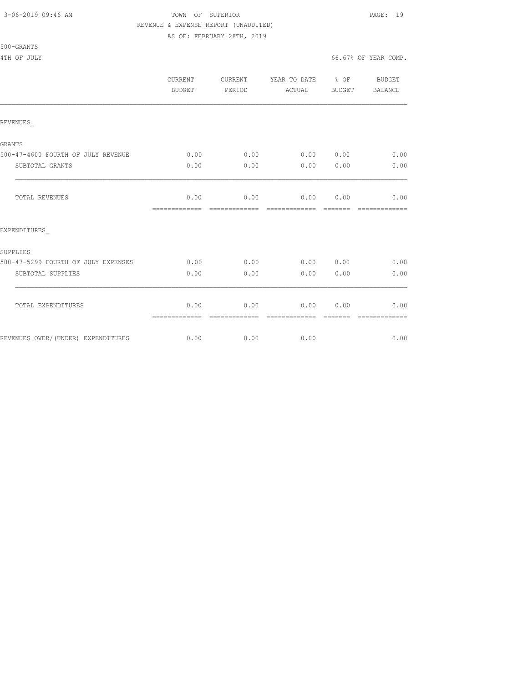500-GRANTS

## 3-06-2019 09:46 AM TOWN OF SUPERIOR PAGE: 19 REVENUE & EXPENSE REPORT (UNAUDITED)

AS OF: FEBRUARY 28TH, 2019

4TH OF JULY 66.67% OF YEAR COMP.

|                                     | CURRENT<br>BUDGET     | CURRENT<br>PERIOD     | YEAR TO DATE<br>ACTUAL | % OF<br>BUDGET  | BUDGET<br><b>BALANCE</b> |
|-------------------------------------|-----------------------|-----------------------|------------------------|-----------------|--------------------------|
| REVENUES                            |                       |                       |                        |                 |                          |
| <b>GRANTS</b>                       |                       |                       |                        |                 |                          |
| 500-47-4600 FOURTH OF JULY REVENUE  | 0.00                  | 0.00                  | 0.00                   | 0.00            | 0.00                     |
| SUBTOTAL GRANTS                     | 0.00                  | 0.00                  | 0.00                   | 0.00            | 0.00                     |
| TOTAL REVENUES                      | 0.00<br>============= | 0.00<br>============= | 0.00<br>=============  | 0.00<br>======= | 0.00<br>=============    |
| EXPENDITURES                        |                       |                       |                        |                 |                          |
| SUPPLIES                            |                       |                       |                        |                 |                          |
| 500-47-5299 FOURTH OF JULY EXPENSES | 0.00                  | 0.00                  | 0.00                   | 0.00            | 0.00                     |
| SUBTOTAL SUPPLIES                   | 0.00                  | 0.00                  | 0.00                   | 0.00            | 0.00                     |
| TOTAL EXPENDITURES                  | 0.00<br>============= | 0.00<br>============= | 0.00<br>=============  | 0.00<br>======= | 0.00<br>=============    |
| REVENUES OVER/(UNDER) EXPENDITURES  | 0.00                  | 0.00                  | 0.00                   |                 | 0.00                     |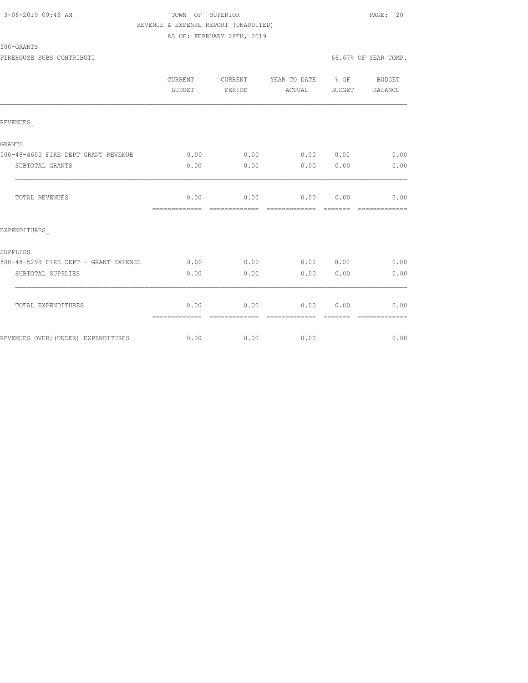### 3-06-2019 09:46 AM TOWN OF SUPERIOR PAGE: 20 REVENUE & EXPENSE REPORT (UNAUDITED) AS OF: FEBRUARY 28TH, 2019

500-GRANTS

FIREHOUSE SUBS CONTRIBUTI 66.67% OF YEAR COMP.

|                                       | CURRENT<br>BUDGET | CURRENT<br>PERIOD | YEAR TO DATE % OF<br>ACTUAL | BUDGET   | BUDGET<br>BALANCE                                                                                                                                                                                                                                                                                                                                                                                                                                                                      |
|---------------------------------------|-------------------|-------------------|-----------------------------|----------|----------------------------------------------------------------------------------------------------------------------------------------------------------------------------------------------------------------------------------------------------------------------------------------------------------------------------------------------------------------------------------------------------------------------------------------------------------------------------------------|
| REVENUES                              |                   |                   |                             |          |                                                                                                                                                                                                                                                                                                                                                                                                                                                                                        |
| GRANTS                                |                   |                   |                             |          |                                                                                                                                                                                                                                                                                                                                                                                                                                                                                        |
| 500-48-4600 FIRE DEPT GRANT REVENUE   | 0.00              | 0.00              | 0.00 0.00                   |          | 0.00                                                                                                                                                                                                                                                                                                                                                                                                                                                                                   |
| SUBTOTAL GRANTS                       | 0.00              | 0.00              | 0.00                        | 0.00     | 0.00                                                                                                                                                                                                                                                                                                                                                                                                                                                                                   |
| TOTAL REVENUES                        | 0.00              |                   | $0.00$ $0.00$ $0.00$ $0.00$ |          | 0.00                                                                                                                                                                                                                                                                                                                                                                                                                                                                                   |
| EXPENDITURES                          | =============     | =============     | - cooperate de cooperate    |          | $\begin{array}{cccccccccc} \multicolumn{2}{c}{} & \multicolumn{2}{c}{} & \multicolumn{2}{c}{} & \multicolumn{2}{c}{} & \multicolumn{2}{c}{} & \multicolumn{2}{c}{} & \multicolumn{2}{c}{} & \multicolumn{2}{c}{} & \multicolumn{2}{c}{} & \multicolumn{2}{c}{} & \multicolumn{2}{c}{} & \multicolumn{2}{c}{} & \multicolumn{2}{c}{} & \multicolumn{2}{c}{} & \multicolumn{2}{c}{} & \multicolumn{2}{c}{} & \multicolumn{2}{c}{} & \multicolumn{2}{c}{} & \multicolumn{2}{c}{} & \mult$ |
|                                       |                   |                   |                             |          |                                                                                                                                                                                                                                                                                                                                                                                                                                                                                        |
| SUPPLIES                              |                   |                   |                             |          |                                                                                                                                                                                                                                                                                                                                                                                                                                                                                        |
| 500-48-5299 FIRE DEPT - GRANT EXPENSE | 0.00              | 0.00              | 0.00 0.00                   |          | 0.00                                                                                                                                                                                                                                                                                                                                                                                                                                                                                   |
| SUBTOTAL SUPPLIES                     | 0.00              | 0.00              | 0.00                        | 0.00     | 0.00                                                                                                                                                                                                                                                                                                                                                                                                                                                                                   |
| TOTAL EXPENDITURES                    | 0.00              | 0.00              | 0.00 0.00                   |          | 0.00                                                                                                                                                                                                                                                                                                                                                                                                                                                                                   |
|                                       |                   | --------------    | =============               | -------- | --------------                                                                                                                                                                                                                                                                                                                                                                                                                                                                         |
| REVENUES OVER/(UNDER) EXPENDITURES    |                   | $0.00$ 0.00       | 0.00                        |          | 0.00                                                                                                                                                                                                                                                                                                                                                                                                                                                                                   |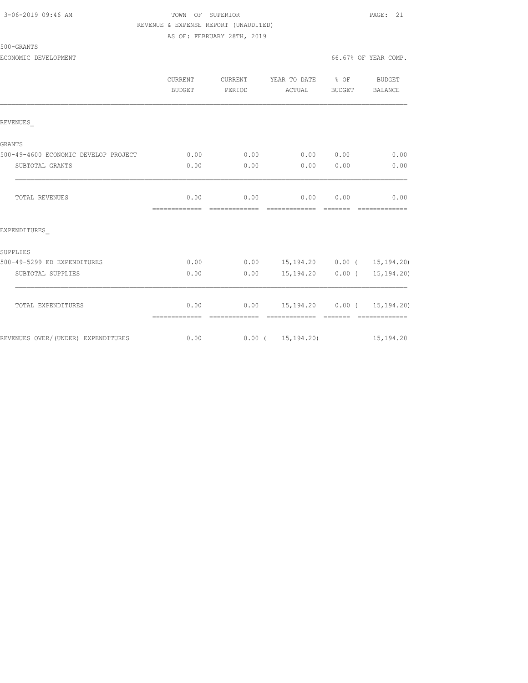## 3-06-2019 09:46 AM TOWN OF SUPERIOR PAGE: 21 REVENUE & EXPENSE REPORT (UNAUDITED)

AS OF: FEBRUARY 28TH, 2019

ECONOMIC DEVELOPMENT 66.67% OF YEAR COMP.

|                                      | <b>CURRENT</b><br><b>BUDGET</b> | CURRENT<br>PERIOD     | YEAR TO DATE % OF<br>ACTUAL        | BUDGET                                                                                                                                                                                                                                                                                                                                                                                                                                                                                 | BUDGET<br><b>BALANCE</b>                            |
|--------------------------------------|---------------------------------|-----------------------|------------------------------------|----------------------------------------------------------------------------------------------------------------------------------------------------------------------------------------------------------------------------------------------------------------------------------------------------------------------------------------------------------------------------------------------------------------------------------------------------------------------------------------|-----------------------------------------------------|
| REVENUES                             |                                 |                       |                                    |                                                                                                                                                                                                                                                                                                                                                                                                                                                                                        |                                                     |
| GRANTS                               |                                 |                       |                                    |                                                                                                                                                                                                                                                                                                                                                                                                                                                                                        |                                                     |
| 500-49-4600 ECONOMIC DEVELOP PROJECT | 0.00                            | 0.00                  | 0.00 0.00                          |                                                                                                                                                                                                                                                                                                                                                                                                                                                                                        | 0.00                                                |
| SUBTOTAL GRANTS                      | 0.00                            | 0.00                  | 0.00                               | 0.00                                                                                                                                                                                                                                                                                                                                                                                                                                                                                   | 0.00                                                |
| TOTAL REVENUES                       | 0.00                            | 0.00                  | 0.00                               | 0.00                                                                                                                                                                                                                                                                                                                                                                                                                                                                                   | 0.00                                                |
| EXPENDITURES                         |                                 |                       |                                    |                                                                                                                                                                                                                                                                                                                                                                                                                                                                                        |                                                     |
| SUPPLIES                             |                                 |                       |                                    |                                                                                                                                                                                                                                                                                                                                                                                                                                                                                        |                                                     |
| 500-49-5299 ED EXPENDITURES          | 0.00                            |                       | $0.00$ 15,194.20 0.00 ( 15,194.20) |                                                                                                                                                                                                                                                                                                                                                                                                                                                                                        |                                                     |
| SUBTOTAL SUPPLIES                    | 0.00                            | 0.00                  | 15,194.20 0.00 (                   |                                                                                                                                                                                                                                                                                                                                                                                                                                                                                        | 15, 194.20                                          |
| TOTAL EXPENDITURES                   | 0.00<br>=============           | 0.00<br>------------- | =============                      | $\begin{array}{cccccccccc} \multicolumn{2}{c}{} & \multicolumn{2}{c}{} & \multicolumn{2}{c}{} & \multicolumn{2}{c}{} & \multicolumn{2}{c}{} & \multicolumn{2}{c}{} & \multicolumn{2}{c}{} & \multicolumn{2}{c}{} & \multicolumn{2}{c}{} & \multicolumn{2}{c}{} & \multicolumn{2}{c}{} & \multicolumn{2}{c}{} & \multicolumn{2}{c}{} & \multicolumn{2}{c}{} & \multicolumn{2}{c}{} & \multicolumn{2}{c}{} & \multicolumn{2}{c}{} & \multicolumn{2}{c}{} & \multicolumn{2}{c}{} & \mult$ | 15, 194. 20   0.00   15, 194. 20)<br>-------------- |
| REVENUES OVER/(UNDER) EXPENDITURES   | 0.00                            |                       | $0.00$ ( $15,194.20$ )             |                                                                                                                                                                                                                                                                                                                                                                                                                                                                                        | 15, 194.20                                          |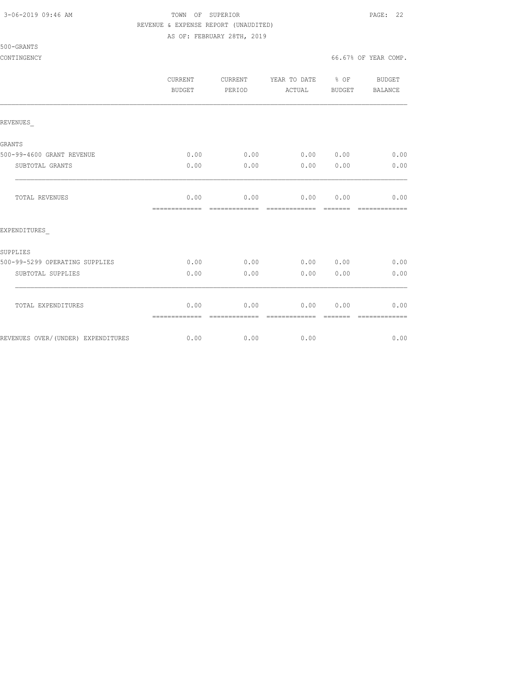500-GRANTS

## 3-06-2019 09:46 AM TOWN OF SUPERIOR PAGE: 22 REVENUE & EXPENSE REPORT (UNAUDITED)

AS OF: FEBRUARY 28TH, 2019

CONTINGENCY 66.67% OF YEAR COMP.

|                                    | CURRENT<br><b>BUDGET</b>                                                                                                                                                                                                                                                                                                                                                                                                                                                                       | CURRENT<br>PERIOD     | YEAR TO DATE<br>ACTUAL | % OF<br>BUDGET  | BUDGET<br>BALANCE     |
|------------------------------------|------------------------------------------------------------------------------------------------------------------------------------------------------------------------------------------------------------------------------------------------------------------------------------------------------------------------------------------------------------------------------------------------------------------------------------------------------------------------------------------------|-----------------------|------------------------|-----------------|-----------------------|
| REVENUES                           |                                                                                                                                                                                                                                                                                                                                                                                                                                                                                                |                       |                        |                 |                       |
| <b>GRANTS</b>                      |                                                                                                                                                                                                                                                                                                                                                                                                                                                                                                |                       |                        |                 |                       |
| 500-99-4600 GRANT REVENUE          | 0.00                                                                                                                                                                                                                                                                                                                                                                                                                                                                                           | 0.00                  | 0.00                   | 0.00            | 0.00                  |
| SUBTOTAL GRANTS                    | 0.00                                                                                                                                                                                                                                                                                                                                                                                                                                                                                           | 0.00                  | 0.00                   | 0.00            | 0.00                  |
| TOTAL REVENUES                     | 0.00<br>=============                                                                                                                                                                                                                                                                                                                                                                                                                                                                          | 0.00<br>============= | 0.00<br>=============  | 0.00<br>======= | 0.00<br>============= |
| EXPENDITURES                       |                                                                                                                                                                                                                                                                                                                                                                                                                                                                                                |                       |                        |                 |                       |
| SUPPLIES                           |                                                                                                                                                                                                                                                                                                                                                                                                                                                                                                |                       |                        |                 |                       |
| 500-99-5299 OPERATING SUPPLIES     | 0.00                                                                                                                                                                                                                                                                                                                                                                                                                                                                                           | 0.00                  | 0.00                   | 0.00            | 0.00                  |
| SUBTOTAL SUPPLIES                  | 0.00                                                                                                                                                                                                                                                                                                                                                                                                                                                                                           | 0.00                  | 0.00                   | 0.00            | 0.00                  |
| TOTAL EXPENDITURES                 | 0.00<br>$\begin{array}{cccccccccccccc} \multicolumn{2}{c}{} & \multicolumn{2}{c}{} & \multicolumn{2}{c}{} & \multicolumn{2}{c}{} & \multicolumn{2}{c}{} & \multicolumn{2}{c}{} & \multicolumn{2}{c}{} & \multicolumn{2}{c}{} & \multicolumn{2}{c}{} & \multicolumn{2}{c}{} & \multicolumn{2}{c}{} & \multicolumn{2}{c}{} & \multicolumn{2}{c}{} & \multicolumn{2}{c}{} & \multicolumn{2}{c}{} & \multicolumn{2}{c}{} & \multicolumn{2}{c}{} & \multicolumn{2}{c}{} & \multicolumn{2}{c}{} & \$ | 0.00<br>------------- | 0.00<br>-------------- | 0.00<br>------- | 0.00<br>------------- |
| REVENUES OVER/(UNDER) EXPENDITURES | 0.00                                                                                                                                                                                                                                                                                                                                                                                                                                                                                           | 0.00                  | 0.00                   |                 | 0.00                  |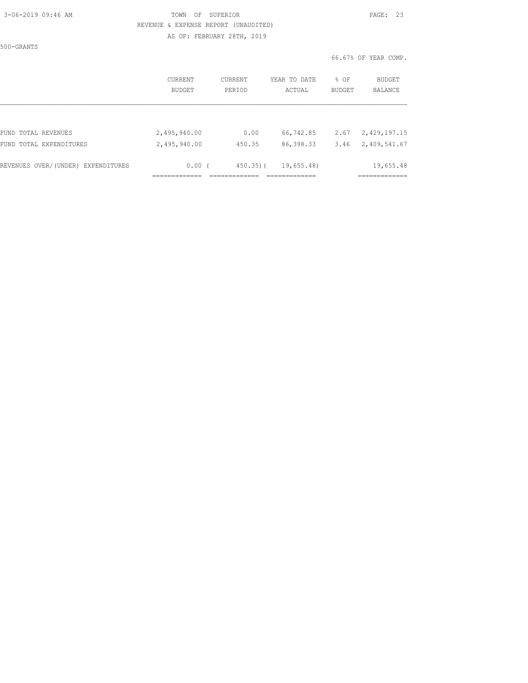### 3-06-2019 09:46 AM TOWN OF SUPERIOR PAGE: 23 REVENUE & EXPENSE REPORT (UNAUDITED) AS OF: FEBRUARY 28TH, 2019

500-GRANTS

|                                    | CURRENT<br><b>BUDGET</b> | CURRENT<br>PERIOD | YEAR TO DATE<br>ACTUAL | % OF<br><b>BUDGET</b> | BUDGET<br><b>BALANCE</b> |
|------------------------------------|--------------------------|-------------------|------------------------|-----------------------|--------------------------|
| FUND TOTAL REVENUES                | 2,495,940.00             | 0.00              | 66,742.85              | 2.67                  | 2,429,197.15             |
| FUND TOTAL EXPENDITURES            | 2,495,940.00             | 450.35            | 86, 398.33             | 3.46                  | 2,409,541.67             |
| REVENUES OVER/(UNDER) EXPENDITURES | 0.00(                    | $450.35$ ) (      | 19,655.48)             |                       | 19,655.48                |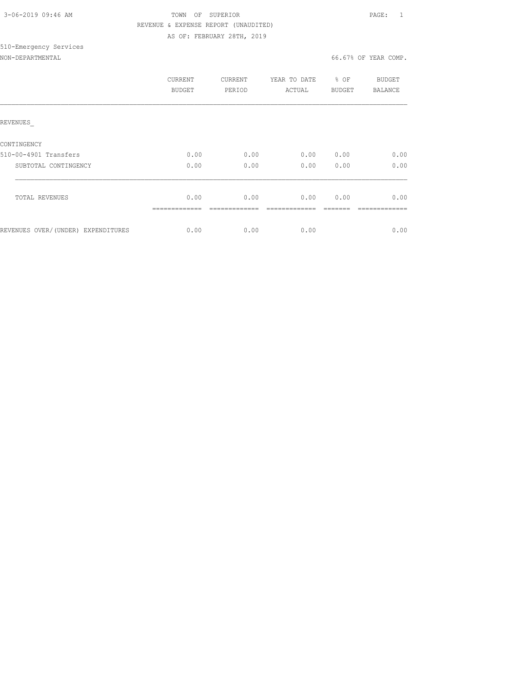|  | 3-06-2019 09:46 AM |  |
|--|--------------------|--|
|  |                    |  |

510-Emergency Services

### TOWN OF SUPERIOR **PAGE:** 1 REVENUE & EXPENSE REPORT (UNAUDITED) AS OF: FEBRUARY 28TH, 2019

NON-DEPARTMENTAL 66.67% OF YEAR COMP.

|                                    | <b>CURRENT</b><br><b>BUDGET</b> | CURRENT<br>PERIOD | YEAR TO DATE<br>ACTUAL | $8$ OF<br><b>BUDGET</b> | BUDGET<br><b>BALANCE</b> |
|------------------------------------|---------------------------------|-------------------|------------------------|-------------------------|--------------------------|
| REVENUES                           |                                 |                   |                        |                         |                          |
| CONTINGENCY                        |                                 |                   |                        |                         |                          |
| 510-00-4901 Transfers              | 0.00                            | 0.00              | 0.00                   | 0.00                    | 0.00                     |
| SUBTOTAL CONTINGENCY               | 0.00                            | 0.00              | 0.00                   | 0.00                    | 0.00                     |
| TOTAL REVENUES                     | 0.00                            | 0.00              | 0.00                   | 0.00                    | 0.00                     |
| REVENUES OVER/(UNDER) EXPENDITURES | 0.00                            | 0.00              | 0.00                   |                         | 0.00                     |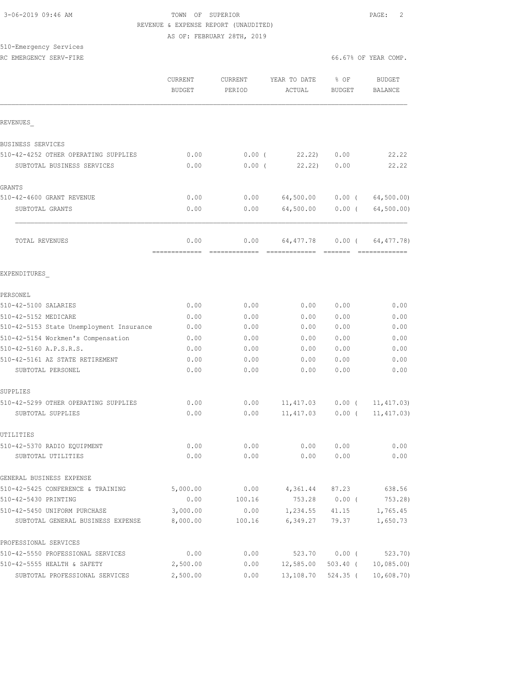### 3-06-2019 09:46 AM TOWN OF SUPERIOR PAGE: 2 REVENUE & EXPENSE REPORT (UNAUDITED) AS OF: FEBRUARY 28TH, 2019

### 510-Emergency Services RC EMERGENCY SERV-FIRE **First** comp. The set of the set of the set of the set of the set of the set of the set of the set of the set of the set of the set of the set of the set of the set of the set of the set of the set o

|                                                                                | CURRENT<br><b>BUDGET</b> | CURRENT<br>PERIOD | YEAR TO DATE<br>ACTUAL | % OF<br><b>BUDGET</b> | <b>BUDGET</b><br><b>BALANCE</b> |
|--------------------------------------------------------------------------------|--------------------------|-------------------|------------------------|-----------------------|---------------------------------|
| REVENUES                                                                       |                          |                   |                        |                       |                                 |
| <b>BUSINESS SERVICES</b>                                                       |                          |                   |                        |                       |                                 |
| 510-42-4252 OTHER OPERATING SUPPLIES                                           | 0.00                     | 0.00(             | 22.22                  | 0.00                  | 22.22                           |
| SUBTOTAL BUSINESS SERVICES                                                     | 0.00                     | $0.00$ (          | 22.22                  | 0.00                  | 22.22                           |
| GRANTS                                                                         |                          |                   |                        |                       |                                 |
| 510-42-4600 GRANT REVENUE                                                      | 0.00                     | 0.00              | 64,500.00              | $0.00$ (              | 64, 500.00)                     |
| SUBTOTAL GRANTS                                                                | 0.00                     | 0.00              | 64,500.00              | $0.00$ (              | 64, 500.00)                     |
| TOTAL REVENUES                                                                 | 0.00                     | 0.00              | 64, 477.78             | $0.00$ (              | 64, 477.78)                     |
|                                                                                | -------------            |                   | =============          | - =======             | -------------                   |
| EXPENDITURES                                                                   |                          |                   |                        |                       |                                 |
| PERSONEL                                                                       |                          |                   |                        |                       |                                 |
| 510-42-5100 SALARIES                                                           | 0.00                     | 0.00              | 0.00                   | 0.00                  | 0.00                            |
| 510-42-5152 MEDICARE                                                           | 0.00                     | 0.00              | 0.00                   | 0.00                  | 0.00                            |
| 510-42-5153 State Unemployment Insurance<br>510-42-5154 Workmen's Compensation | 0.00                     | 0.00              | 0.00<br>0.00           | 0.00<br>0.00          | 0.00<br>0.00                    |
| 510-42-5160 A.P.S.R.S.                                                         | 0.00<br>0.00             | 0.00<br>0.00      | 0.00                   | 0.00                  | 0.00                            |
| 510-42-5161 AZ STATE RETIREMENT                                                | 0.00                     | 0.00              | 0.00                   | 0.00                  | 0.00                            |
| SUBTOTAL PERSONEL                                                              | 0.00                     | 0.00              | 0.00                   | 0.00                  | 0.00                            |
| SUPPLIES                                                                       |                          |                   |                        |                       |                                 |
| 510-42-5299 OTHER OPERATING SUPPLIES                                           | 0.00                     | 0.00              | 11, 417.03             | $0.00$ (              | 11, 417.03)                     |
| SUBTOTAL SUPPLIES                                                              | 0.00                     | 0.00              | 11, 417.03             | $0.00$ (              | 11, 417.03)                     |
| UTILITIES                                                                      |                          |                   |                        |                       |                                 |
| 510-42-5370 RADIO EOUIPMENT                                                    | 0.00                     | 0.00              | 0.00                   | 0.00                  | 0.00                            |
| SUBTOTAL UTILITIES                                                             | 0.00                     | 0.00              | 0.00                   | 0.00                  | 0.00                            |
| GENERAL BUSINESS EXPENSE                                                       |                          |                   |                        |                       |                                 |
| 510-42-5425 CONFERENCE & TRAINING                                              | 5,000.00                 | 0.00              | 4,361.44               | 87.23                 | 638.56                          |
| 510-42-5430 PRINTING                                                           | 0.00                     | 100.16            | 753.28                 | $0.00$ (              | 753.28)                         |
| 510-42-5450 UNIFORM PURCHASE<br>SUBTOTAL GENERAL BUSINESS EXPENSE              | 3,000.00<br>8,000.00     | 0.00<br>100.16    | 1,234.55<br>6,349.27   | 41.15<br>79.37        | 1,765.45<br>1,650.73            |
|                                                                                |                          |                   |                        |                       |                                 |
| PROFESSIONAL SERVICES                                                          |                          |                   |                        |                       |                                 |
| 510-42-5550 PROFESSIONAL SERVICES                                              | 0.00                     | 0.00              | 523.70                 | $0.00$ (              | 523.70                          |
| 510-42-5555 HEALTH & SAFETY                                                    | 2,500.00                 | 0.00              | 12,585.00              | $503.40$ (            | 10,085.00                       |
| SUBTOTAL PROFESSIONAL SERVICES                                                 | 2,500.00                 | 0.00              | 13,108.70              | $524.35$ (            | 10,608.70                       |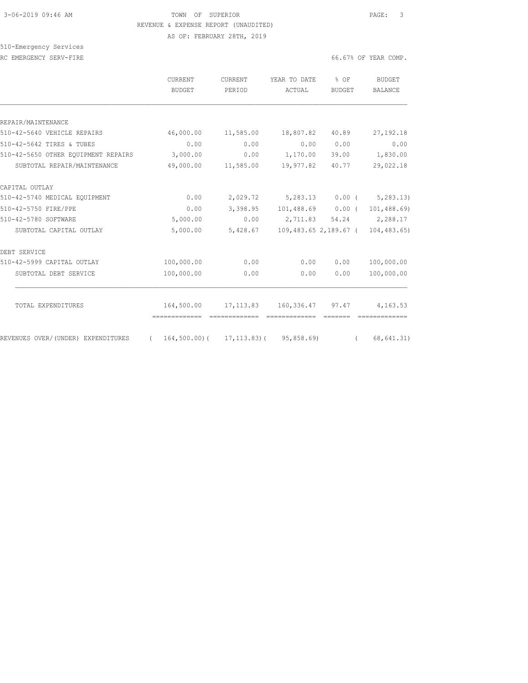## 3-06-2019 09:46 AM TOWN OF SUPERIOR PAGE: 3 REVENUE & EXPENSE REPORT (UNAUDITED)

AS OF: FEBRUARY 28TH, 2019

# 510-Emergency Services

|  | RC EMERGENCY SERV-FIRE | 66.67% OF YEAR COMP. |  |  |
|--|------------------------|----------------------|--|--|
|  |                        |                      |  |  |
|  |                        |                      |  |  |

| 6.67% OF YEAR COMP. |
|---------------------|
|---------------------|

|                                     | CURRENT<br><b>BUDGET</b> | <b>CURRENT</b><br>PERIOD                      | YEAR TO DATE<br>ACTUAL | $8$ OF<br>BUDGET | BUDGET<br><b>BALANCE</b>          |
|-------------------------------------|--------------------------|-----------------------------------------------|------------------------|------------------|-----------------------------------|
|                                     |                          |                                               |                        |                  |                                   |
| REPAIR/MAINTENANCE                  |                          |                                               |                        |                  |                                   |
| 510-42-5640 VEHICLE REPAIRS         | 46,000.00                | 11,585.00                                     | 18,807.82              | 40.89            | 27, 192. 18                       |
| 510-42-5642 TIRES & TUBES           | 0.00                     | 0.00                                          | 0.00                   | 0.00             | 0.00                              |
| 510-42-5650 OTHER EOUIPMENT REPAIRS | 3,000.00                 | 0.00                                          | 1,170.00               | 39.00            | 1,830.00                          |
| SUBTOTAL REPAIR/MAINTENANCE         | 49,000.00                | 11,585.00                                     | 19,977.82              | 40.77            | 29,022.18                         |
| CAPITAL OUTLAY                      |                          |                                               |                        |                  |                                   |
| 510-42-5740 MEDICAL EQUIPMENT       | 0.00                     | 2,029.72                                      |                        |                  | $5,283.13$ 0.00 ( $5,283.13$ )    |
| 510-42-5750 FIRE/PPE                | 0.00                     | 3,398.95                                      |                        |                  | 101,488.69   0.00 $(101, 488.69)$ |
| 510-42-5780 SOFTWARE                | 5,000.00                 | 0.00                                          | 2,711.83               |                  | 54.24 2,288.17                    |
| SUBTOTAL CAPITAL OUTLAY             | 5,000.00                 | 5,428.67                                      |                        |                  | 109,483.65 2,189.67 ( 104,483.65) |
| DEBT SERVICE                        |                          |                                               |                        |                  |                                   |
| 510-42-5999 CAPITAL OUTLAY          | 100,000.00               | 0.00                                          | 0.00                   | 0.00             | 100,000.00                        |
| SUBTOTAL DEBT SERVICE               | 100,000.00               | 0.00                                          | 0.00                   | 0.00             | 100,000.00                        |
| TOTAL EXPENDITURES                  | 164,500.00               | 17,113.83                                     | 160,336.47             | 97.47            | 4,163.53                          |
|                                     |                          |                                               |                        |                  |                                   |
| REVENUES OVER/(UNDER) EXPENDITURES  | $\sim$ $\sim$ $\sim$     | $164, 500.00$ ( $17, 113.83$ ( $95, 858.69$ ) |                        |                  | (68, 641.31)                      |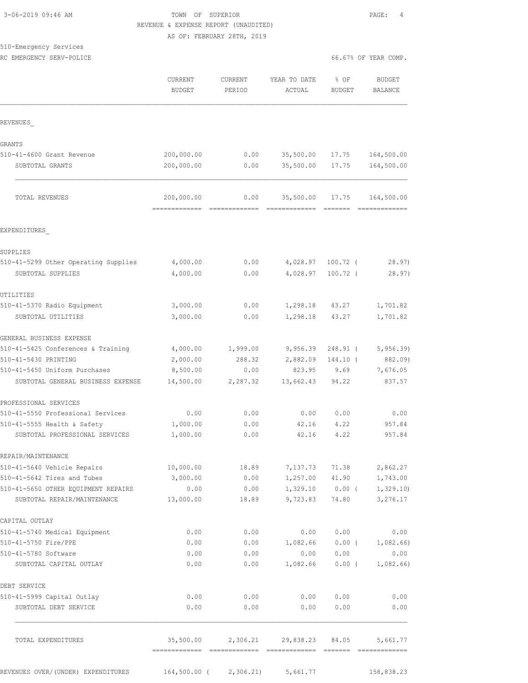### 3-06-2019 09:46 AM TOWN OF SUPERIOR PAGE: 4 REVENUE & EXPENSE REPORT (UNAUDITED) AS OF: FEBRUARY 28TH, 2019

### 510-Emergency Services

RC EMERGENCY SERV-POLICE **EXECUTE:** THE SERVICE OF THE SERVICE OF SERVICE SERVICE OF YEAR COMP.

|                                                                    | CURRENT<br><b>BUDGET</b>        | <b>CURRENT</b><br>PERIOD | YEAR TO DATE<br>ACTUAL                          | % OF<br><b>BUDGET</b>                                                                                                                                                                                                                                                                                                                                                                                                                                                                           | <b>BUDGET</b><br>BALANCE                      |
|--------------------------------------------------------------------|---------------------------------|--------------------------|-------------------------------------------------|-------------------------------------------------------------------------------------------------------------------------------------------------------------------------------------------------------------------------------------------------------------------------------------------------------------------------------------------------------------------------------------------------------------------------------------------------------------------------------------------------|-----------------------------------------------|
| REVENUES                                                           |                                 |                          |                                                 |                                                                                                                                                                                                                                                                                                                                                                                                                                                                                                 |                                               |
| GRANTS                                                             |                                 |                          |                                                 |                                                                                                                                                                                                                                                                                                                                                                                                                                                                                                 |                                               |
| 510-41-4600 Grant Revenue                                          | 200,000.00                      | 0.00                     | 35,500.00                                       | 17.75                                                                                                                                                                                                                                                                                                                                                                                                                                                                                           | 164,500.00                                    |
| SUBTOTAL GRANTS                                                    | 200,000.00                      | 0.00                     | 35,500.00                                       | 17.75                                                                                                                                                                                                                                                                                                                                                                                                                                                                                           | 164,500.00                                    |
| TOTAL REVENUES                                                     | 200,000.00<br>-------------     | 0.00<br>=============    | 35,500.00<br>=============                      | 17.75<br>$\begin{array}{cccccccccc} \multicolumn{2}{c}{} & \multicolumn{2}{c}{} & \multicolumn{2}{c}{} & \multicolumn{2}{c}{} & \multicolumn{2}{c}{} & \multicolumn{2}{c}{} & \multicolumn{2}{c}{} & \multicolumn{2}{c}{} & \multicolumn{2}{c}{} & \multicolumn{2}{c}{} & \multicolumn{2}{c}{} & \multicolumn{2}{c}{} & \multicolumn{2}{c}{} & \multicolumn{2}{c}{} & \multicolumn{2}{c}{} & \multicolumn{2}{c}{} & \multicolumn{2}{c}{} & \multicolumn{2}{c}{} & \multicolumn{2}{c}{} & \mult$ | 164,500.00<br>=============                   |
| EXPENDITURES                                                       |                                 |                          |                                                 |                                                                                                                                                                                                                                                                                                                                                                                                                                                                                                 |                                               |
| SUPPLIES                                                           |                                 |                          |                                                 |                                                                                                                                                                                                                                                                                                                                                                                                                                                                                                 |                                               |
| 510-41-5299 Other Operating Supplies                               | 4,000.00                        | 0.00                     | 4,028.97                                        | $100.72$ (                                                                                                                                                                                                                                                                                                                                                                                                                                                                                      | 28.97                                         |
| SUBTOTAL SUPPLIES                                                  | 4,000.00                        | 0.00                     | 4,028.97                                        | $100.72$ (                                                                                                                                                                                                                                                                                                                                                                                                                                                                                      | 28.97)                                        |
| UTILITIES                                                          |                                 |                          |                                                 |                                                                                                                                                                                                                                                                                                                                                                                                                                                                                                 |                                               |
| 510-41-5370 Radio Equipment                                        | 3,000.00                        | 0.00                     | 1,298.18                                        | 43.27                                                                                                                                                                                                                                                                                                                                                                                                                                                                                           | 1,701.82                                      |
| SUBTOTAL UTILITIES                                                 | 3,000.00                        | 0.00                     | 1,298.18                                        | 43.27                                                                                                                                                                                                                                                                                                                                                                                                                                                                                           | 1,701.82                                      |
| GENERAL BUSINESS EXPENSE                                           |                                 |                          |                                                 |                                                                                                                                                                                                                                                                                                                                                                                                                                                                                                 |                                               |
| 510-41-5425 Conferences & Training                                 | 4,000.00                        | 1,999.00                 | 9,956.39                                        | $248.91$ (                                                                                                                                                                                                                                                                                                                                                                                                                                                                                      | 5, 956.39                                     |
| 510-41-5430 PRINTING                                               | 2,000.00                        | 288.32                   | 2,882.09                                        | $144.10$ (                                                                                                                                                                                                                                                                                                                                                                                                                                                                                      | 882.09)                                       |
| 510-41-5450 Uniform Purchases                                      | 8,500.00                        | 0.00                     | 823.95                                          | 9.69                                                                                                                                                                                                                                                                                                                                                                                                                                                                                            | 7,676.05                                      |
| SUBTOTAL GENERAL BUSINESS EXPENSE                                  | 14,500.00                       | 2,287.32                 | 13,662.43                                       | 94.22                                                                                                                                                                                                                                                                                                                                                                                                                                                                                           | 837.57                                        |
| PROFESSIONAL SERVICES                                              |                                 |                          |                                                 |                                                                                                                                                                                                                                                                                                                                                                                                                                                                                                 |                                               |
| 510-41-5550 Professional Services                                  | 0.00                            | 0.00                     | 0.00                                            | 0.00                                                                                                                                                                                                                                                                                                                                                                                                                                                                                            | 0.00                                          |
| 510-41-5555 Health & Safety                                        | 1,000.00                        | 0.00                     | 42.16                                           | 4.22                                                                                                                                                                                                                                                                                                                                                                                                                                                                                            | 957.84                                        |
| SUBTOTAL PROFESSIONAL SERVICES                                     | 1,000.00                        | 0.00                     | 42.16                                           | 4.22                                                                                                                                                                                                                                                                                                                                                                                                                                                                                            | 957.84                                        |
| REPAIR/MAINTENANCE                                                 |                                 |                          |                                                 |                                                                                                                                                                                                                                                                                                                                                                                                                                                                                                 |                                               |
| 510-41-5640 Vehicle Repairs                                        | 10,000.00                       | 18.89                    |                                                 |                                                                                                                                                                                                                                                                                                                                                                                                                                                                                                 | 7,137.73 71.38 2,862.27                       |
| 510-41-5642 Tires and Tubes                                        | 3,000.00                        | 0.00                     |                                                 |                                                                                                                                                                                                                                                                                                                                                                                                                                                                                                 | 1,257.00 41.90 1,743.00                       |
| 510-41-5650 OTHER EQUIPMENT REPAIRS<br>SUBTOTAL REPAIR/MAINTENANCE | 0.00<br>13,000.00               | 0.00<br>18.89            | 9,723.83                                        |                                                                                                                                                                                                                                                                                                                                                                                                                                                                                                 | $1,329.10$ 0.00 ( 1,329.10)<br>74.80 3,276.17 |
| CAPITAL OUTLAY                                                     |                                 |                          |                                                 |                                                                                                                                                                                                                                                                                                                                                                                                                                                                                                 |                                               |
| 510-41-5740 Medical Equipment                                      | 0.00                            | 0.00                     | 0.00                                            | 0.00                                                                                                                                                                                                                                                                                                                                                                                                                                                                                            | 0.00                                          |
| 510-41-5750 Fire/PPE                                               | 0.00                            | 0.00                     |                                                 | $1,082.66$ 0.00 (                                                                                                                                                                                                                                                                                                                                                                                                                                                                               | 1,082.66)                                     |
| 510-41-5780 Software                                               | 0.00                            | 0.00                     | 0.00                                            | 0.00                                                                                                                                                                                                                                                                                                                                                                                                                                                                                            | 0.00                                          |
| SUBTOTAL CAPITAL OUTLAY                                            | 0.00                            | 0.00                     | 1,082.66                                        |                                                                                                                                                                                                                                                                                                                                                                                                                                                                                                 | $0.00$ ( $1,082.66$ )                         |
| DEBT SERVICE                                                       |                                 |                          |                                                 |                                                                                                                                                                                                                                                                                                                                                                                                                                                                                                 |                                               |
| 510-41-5999 Capital Outlay                                         | 0.00                            | 0.00                     | 0.00                                            | 0.00                                                                                                                                                                                                                                                                                                                                                                                                                                                                                            | 0.00                                          |
| SUBTOTAL DEBT SERVICE                                              | 0.00                            | 0.00                     | 0.00                                            | 0.00                                                                                                                                                                                                                                                                                                                                                                                                                                                                                            | 0.00                                          |
| TOTAL EXPENDITURES                                                 |                                 |                          | 35,500.00  2,306.21  29,838.23  84.05  5,661.77 |                                                                                                                                                                                                                                                                                                                                                                                                                                                                                                 |                                               |
| REVENUES OVER/(UNDER) EXPENDITURES                                 | 164,500.00 ( 2,306.21) 5,661.77 |                          |                                                 |                                                                                                                                                                                                                                                                                                                                                                                                                                                                                                 | 158,838.23                                    |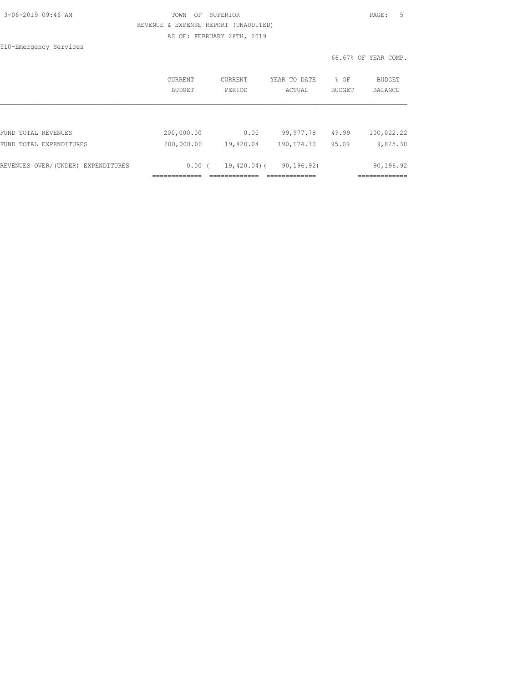| 3-06-2019 09:46 AM |  |
|--------------------|--|
|                    |  |

### TOWN OF SUPERIOR **Example 2019** PAGE: 5 REVENUE & EXPENSE REPORT (UNAUDITED) AS OF: FEBRUARY 28TH, 2019

510-Emergency Services

|                                    | <b>CURRENT</b><br><b>BUDGET</b> | CURRENT<br>PERIOD | YEAR TO DATE<br>ACTUAL | % OF<br><b>BUDGET</b> | BUDGET<br><b>BALANCE</b> |
|------------------------------------|---------------------------------|-------------------|------------------------|-----------------------|--------------------------|
|                                    |                                 |                   |                        |                       |                          |
| FUND TOTAL REVENUES                | 200,000.00                      | 0.00              | 99,977.78              | 49.99                 | 100,022.22               |
| FUND TOTAL EXPENDITURES            | 200,000.00                      | 19,420.04         | 190, 174.70            | 95.09                 | 9,825.30                 |
|                                    |                                 |                   |                        |                       |                          |
| REVENUES OVER/(UNDER) EXPENDITURES | 0.00(                           | $19,420.04$ ) (   | 90, 196, 92)           |                       | 90,196.92                |
|                                    |                                 |                   |                        |                       |                          |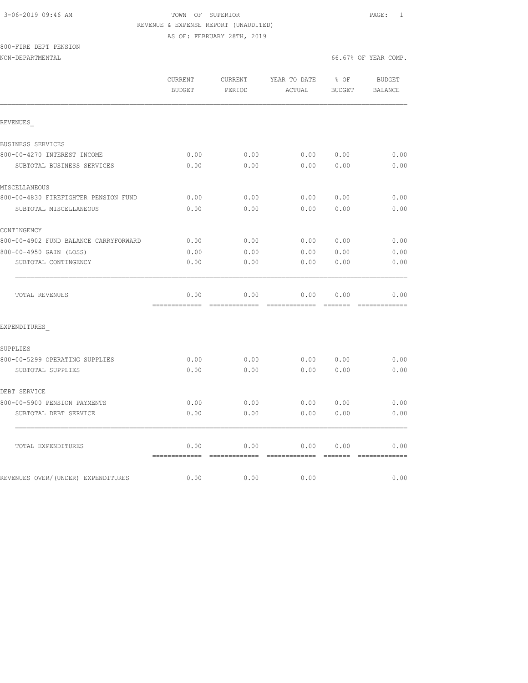### 3-06-2019 09:46 AM TOWN OF SUPERIOR PAGE: 1 REVENUE & EXPENSE REPORT (UNAUDITED) AS OF: FEBRUARY 28TH, 2019

800-FIRE DEPT PENSION

|                                       | CURRENT<br><b>BUDGET</b> | CURRENT<br>PERIOD     | YEAR TO DATE<br>ACTUAL | $8$ OF<br><b>BUDGET</b> | <b>BUDGET</b><br><b>BALANCE</b> |
|---------------------------------------|--------------------------|-----------------------|------------------------|-------------------------|---------------------------------|
| REVENUES                              |                          |                       |                        |                         |                                 |
| BUSINESS SERVICES                     |                          |                       |                        |                         |                                 |
| 800-00-4270 INTEREST INCOME           | 0.00                     | 0.00                  | 0.00                   | 0.00                    | 0.00                            |
| SUBTOTAL BUSINESS SERVICES            | 0.00                     | 0.00                  | 0.00                   | 0.00                    | 0.00                            |
| MISCELLANEOUS                         |                          |                       |                        |                         |                                 |
| 800-00-4830 FIREFIGHTER PENSION FUND  | 0.00                     | 0.00                  | 0.00                   | 0.00                    | 0.00                            |
| SUBTOTAL MISCELLANEOUS                | 0.00                     | 0.00                  | 0.00                   | 0.00                    | 0.00                            |
| CONTINGENCY                           |                          |                       |                        |                         |                                 |
| 800-00-4902 FUND BALANCE CARRYFORWARD | 0.00                     | 0.00                  | 0.00                   | 0.00                    | 0.00                            |
| 800-00-4950 GAIN (LOSS)               | 0.00                     | 0.00                  | 0.00                   | 0.00                    | 0.00                            |
| SUBTOTAL CONTINGENCY                  | 0.00                     | 0.00                  | 0.00                   | 0.00                    | 0.00                            |
| TOTAL REVENUES                        | 0.00                     | 0.00                  | 0.00                   | 0.00                    | 0.00                            |
| EXPENDITURES                          |                          |                       |                        |                         |                                 |
| SUPPLIES                              |                          |                       |                        |                         |                                 |
| 800-00-5299 OPERATING SUPPLIES        | 0.00                     | 0.00                  | 0.00                   | 0.00                    | 0.00                            |
| SUBTOTAL SUPPLIES                     | 0.00                     | 0.00                  | 0.00                   | 0.00                    | 0.00                            |
| DEBT SERVICE                          |                          |                       |                        |                         |                                 |
| 800-00-5900 PENSION PAYMENTS          | 0.00                     | 0.00                  | 0.00                   | 0.00                    | 0.00                            |
| SUBTOTAL DEBT SERVICE                 | 0.00                     | 0.00                  | 0.00                   | 0.00                    | 0.00                            |
| TOTAL EXPENDITURES                    | 0.00                     | 0.00                  | 0.00                   | 0.00                    | 0.00                            |
| REVENUES OVER/(UNDER) EXPENDITURES    | =============<br>0.00    | =============<br>0.00 | =============<br>0.00  | <b>BEECEE</b>           | =============<br>0.00           |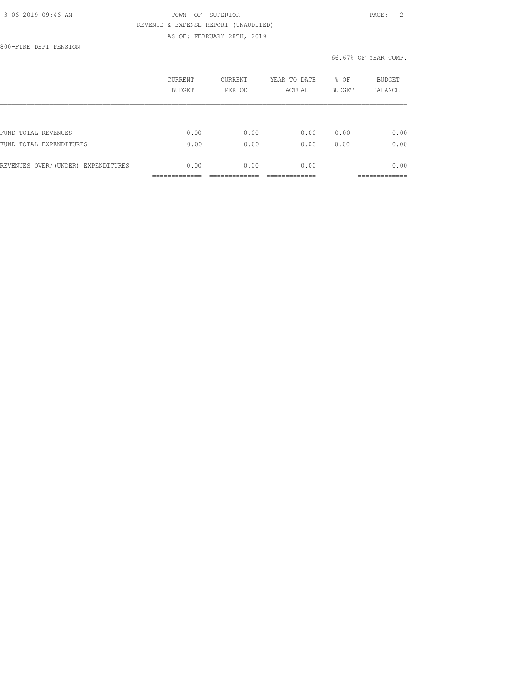### 3-06-2019 09:46 AM TOWN OF SUPERIOR PAGE: 2 REVENUE & EXPENSE REPORT (UNAUDITED) AS OF: FEBRUARY 28TH, 2019

800-FIRE DEPT PENSION

|                                    | CURRENT<br><b>BUDGET</b> | <b>CURRENT</b><br>PERIOD | YEAR TO DATE<br>ACTUAL | % OF<br><b>BUDGET</b> | BUDGET<br><b>BALANCE</b> |
|------------------------------------|--------------------------|--------------------------|------------------------|-----------------------|--------------------------|
|                                    |                          |                          |                        |                       |                          |
| FUND TOTAL REVENUES                | 0.00                     | 0.00                     | 0.00                   | 0.00                  | 0.00                     |
| FUND TOTAL EXPENDITURES            | 0.00                     | 0.00                     | 0.00                   | 0.00                  | 0.00                     |
| REVENUES OVER/(UNDER) EXPENDITURES | 0.00                     | 0.00                     | 0.00                   |                       | 0.00                     |
|                                    |                          |                          |                        |                       |                          |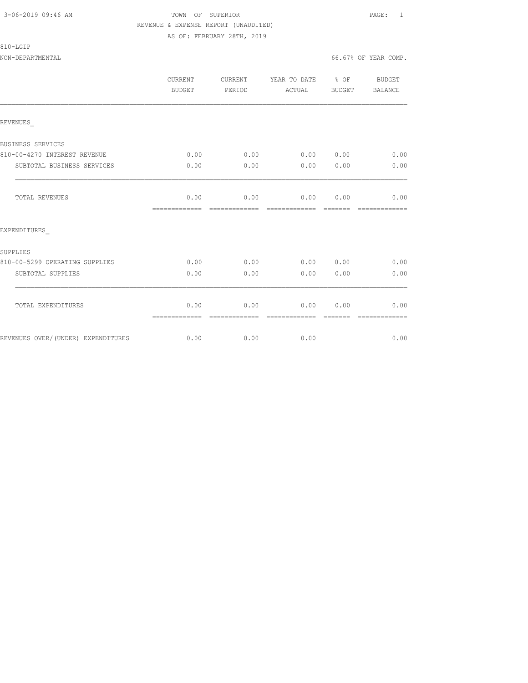### 3-06-2019 09:46 AM TOWN OF SUPERIOR PAGE: 1 REVENUE & EXPENSE REPORT (UNAUDITED) AS OF: FEBRUARY 28TH, 2019

810-LGIP

NON-DEPARTMENTAL 66.67% OF YEAR COMP.

|                                    | CURRENT<br><b>BUDGET</b> | CURRENT<br>PERIOD     | YEAR TO DATE % OF<br>ACTUAL | BUDGET | BUDGET<br><b>BALANCE</b> |
|------------------------------------|--------------------------|-----------------------|-----------------------------|--------|--------------------------|
| REVENUES                           |                          |                       |                             |        |                          |
| BUSINESS SERVICES                  |                          |                       |                             |        |                          |
| 810-00-4270 INTEREST REVENUE       | 0.00                     | 0.00                  | 0.00 0.00                   |        | 0.00                     |
| SUBTOTAL BUSINESS SERVICES         | 0.00                     | 0.00                  | 0.00                        | 0.00   | 0.00                     |
| TOTAL REVENUES                     | 0.00<br>=============    | 0.00<br>------------- | 0.00000000<br>------------- |        | 0.00                     |
| EXPENDITURES                       |                          |                       |                             |        |                          |
| SUPPLIES                           |                          |                       |                             |        |                          |
| 810-00-5299 OPERATING SUPPLIES     | 0.00                     | 0.00                  | 0.00 0.00                   |        | 0.00                     |
| SUBTOTAL SUPPLIES                  | 0.00                     | 0.00                  | 0.00                        | 0.00   | 0.00                     |
| TOTAL EXPENDITURES                 | 0.00<br>=============    | 0.00<br>------------- | 0.00<br>--------------      | 0.00   | 0.00                     |
| REVENUES OVER/(UNDER) EXPENDITURES | 0.00                     | 0.00                  | 0.00                        |        | 0.00                     |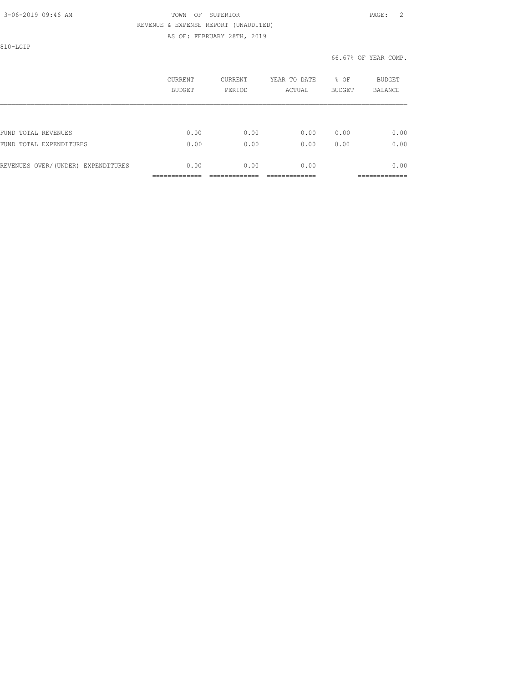## 3-06-2019 09:46 AM TOWN OF SUPERIOR PAGE: 2 REVENUE & EXPENSE REPORT (UNAUDITED)

AS OF: FEBRUARY 28TH, 2019

810-LGIP

|                                    | <b>CURRENT</b><br><b>BUDGET</b> | CURRENT<br>PERIOD | YEAR TO DATE<br>ACTUAL | % OF<br><b>BUDGET</b> | BUDGET<br><b>BALANCE</b> |
|------------------------------------|---------------------------------|-------------------|------------------------|-----------------------|--------------------------|
|                                    |                                 |                   |                        |                       |                          |
| FUND TOTAL REVENUES                | 0.00                            | 0.00              | 0.00                   | 0.00                  | 0.00                     |
| FUND TOTAL EXPENDITURES            | 0.00                            | 0.00              | 0.00                   | 0.00                  | 0.00                     |
| REVENUES OVER/(UNDER) EXPENDITURES | 0.00                            | 0.00              | 0.00                   |                       | 0.00                     |
|                                    |                                 |                   |                        |                       | ------------             |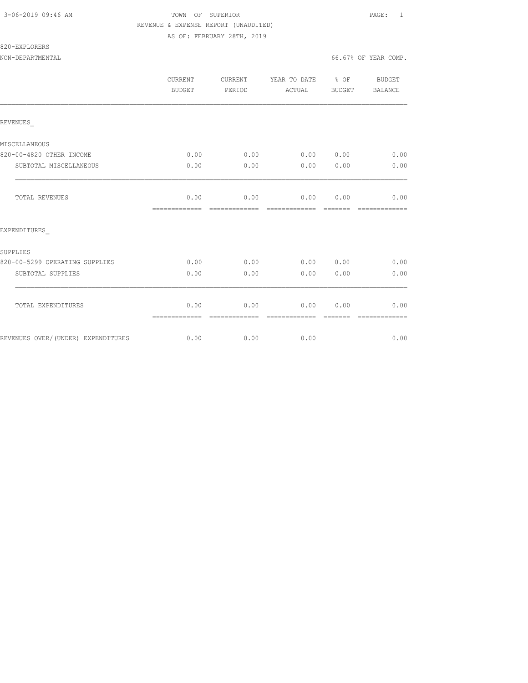### 3-06-2019 09:46 AM TOWN OF SUPERIOR PAGE: 1 REVENUE & EXPENSE REPORT (UNAUDITED) AS OF: FEBRUARY 28TH, 2019

820-EXPLORERS

|                                    | CURRENT<br><b>BUDGET</b> | CURRENT<br>PERIOD     | YEAR TO DATE % OF<br>ACTUAL  | BUDGET | BUDGET<br><b>BALANCE</b> |
|------------------------------------|--------------------------|-----------------------|------------------------------|--------|--------------------------|
| REVENUES                           |                          |                       |                              |        |                          |
| MISCELLANEOUS                      |                          |                       |                              |        |                          |
| 820-00-4820 OTHER INCOME           | 0.00                     | 0.00                  | 0.00 0.00                    |        | 0.00                     |
| SUBTOTAL MISCELLANEOUS             | 0.00                     | 0.00                  | 0.00                         | 0.00   | 0.00                     |
| TOTAL REVENUES                     | 0.00<br>=============    | 0.00<br>------------- | 0.00000000<br>-------------- |        | 0.00                     |
| EXPENDITURES                       |                          |                       |                              |        |                          |
| SUPPLIES                           |                          |                       |                              |        |                          |
| 820-00-5299 OPERATING SUPPLIES     | 0.00                     | 0.00                  | 0.00 0.00                    |        | 0.00                     |
| SUBTOTAL SUPPLIES                  | 0.00                     | 0.00                  | 0.00                         | 0.00   | 0.00                     |
| TOTAL EXPENDITURES                 | 0.00<br>=============    | 0.00<br>------------- | 0.00<br>--------------       | 0.00   | 0.00                     |
| REVENUES OVER/(UNDER) EXPENDITURES | 0.00                     | 0.00                  | 0.00                         |        | 0.00                     |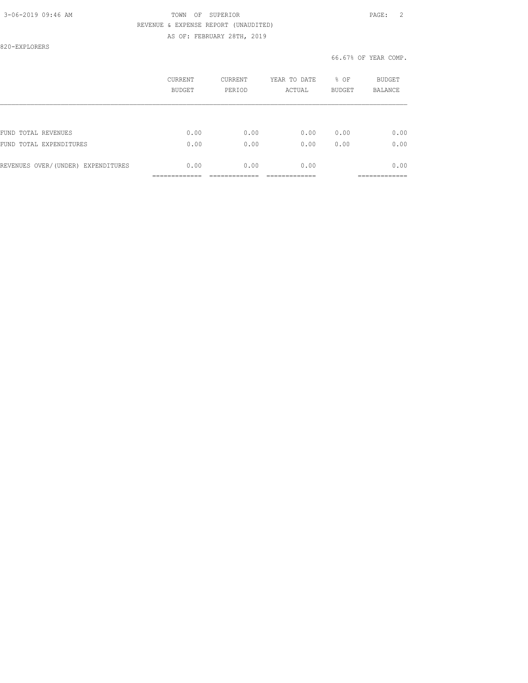### 3-06-2019 09:46 AM TOWN OF SUPERIOR PAGE: 2 REVENUE & EXPENSE REPORT (UNAUDITED) AS OF: FEBRUARY 28TH, 2019

820-EXPLORERS

|                                    | CURRENT<br><b>BUDGET</b> | <b>CURRENT</b><br>PERIOD | YEAR TO DATE<br>ACTUAL | % OF<br><b>BUDGET</b> | BUDGET<br><b>BALANCE</b> |
|------------------------------------|--------------------------|--------------------------|------------------------|-----------------------|--------------------------|
|                                    |                          |                          |                        |                       |                          |
| FUND TOTAL REVENUES                | 0.00                     | 0.00                     | 0.00                   | 0.00                  | 0.00                     |
| FUND<br>TOTAL EXPENDITURES         | 0.00                     | 0.00                     | 0.00                   | 0.00                  | 0.00                     |
| REVENUES OVER/(UNDER) EXPENDITURES | 0.00                     | 0.00                     | 0.00                   |                       | 0.00                     |
|                                    |                          |                          |                        |                       | __________               |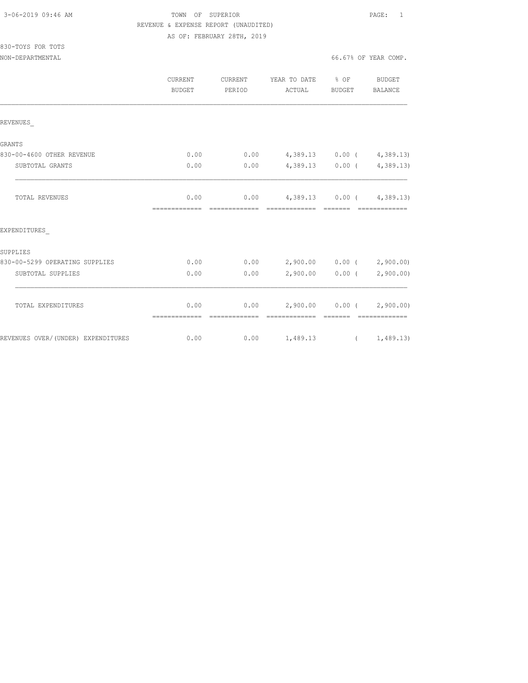830-TOYS FOR TOTS

### TOWN OF SUPERIOR **Example 2019** PAGE: 1 REVENUE & EXPENSE REPORT (UNAUDITED) AS OF: FEBRUARY 28TH, 2019

NON-DEPARTMENTAL 66.67% OF YEAR COMP.

|                                    | <b>CURRENT</b><br>BUDGET | CURRENT<br>PERIOD | YEAR TO DATE % OF<br>ACTUAL                        | BUDGET            | BUDGET<br>BALANCE                                                                                                                                                                                                                                                                                                                                                                                                                                                                                         |
|------------------------------------|--------------------------|-------------------|----------------------------------------------------|-------------------|-----------------------------------------------------------------------------------------------------------------------------------------------------------------------------------------------------------------------------------------------------------------------------------------------------------------------------------------------------------------------------------------------------------------------------------------------------------------------------------------------------------|
| REVENUES                           |                          |                   |                                                    |                   |                                                                                                                                                                                                                                                                                                                                                                                                                                                                                                           |
| GRANTS                             |                          |                   |                                                    |                   |                                                                                                                                                                                                                                                                                                                                                                                                                                                                                                           |
| 830-00-4600 OTHER REVENUE          | 0.00                     |                   | $0.00$ 4,389.13 0.00 ( 4,389.13)                   |                   |                                                                                                                                                                                                                                                                                                                                                                                                                                                                                                           |
| SUBTOTAL GRANTS                    | 0.00                     | 0.00              | $4,389.13$ 0.00 ( $4,389.13$ )                     |                   |                                                                                                                                                                                                                                                                                                                                                                                                                                                                                                           |
| TOTAL REVENUES                     | 0.00<br>=============    | --------------    | $0.00$ 4,389.13 0.00 ( 4,389.13)<br>-------------- | --------          | --------------                                                                                                                                                                                                                                                                                                                                                                                                                                                                                            |
| EXPENDITURES                       |                          |                   |                                                    |                   |                                                                                                                                                                                                                                                                                                                                                                                                                                                                                                           |
| SUPPLIES                           |                          |                   |                                                    |                   |                                                                                                                                                                                                                                                                                                                                                                                                                                                                                                           |
| 830-00-5299 OPERATING SUPPLIES     | 0.00                     |                   | $0.00$ 2,900.00 0.00 ( 2,900.00)                   |                   |                                                                                                                                                                                                                                                                                                                                                                                                                                                                                                           |
| SUBTOTAL SUPPLIES                  | 0.00                     | 0.00              |                                                    | $2,900.00$ 0.00 ( | 2,900.00)                                                                                                                                                                                                                                                                                                                                                                                                                                                                                                 |
| TOTAL EXPENDITURES                 | 0.00<br>=============    | --------------    | $0.00$ 2,900.00 0.00 ( 2,900.00)<br>-------------- |                   | $\begin{minipage}{0.03\textwidth} \begin{tabular}{ll} \multicolumn{2}{l} {\textbf{0.03\textwidth} \begin{tabular}{ll} \multicolumn{2}{l} {\textbf{0.03\textwidth} \begin{tabular}{ll} \multicolumn{2}{l} {\textbf{0.03\textwidth} \begin{tabular}{ll} \multicolumn{2}{l} {\textbf{0.03\textwidth} \begin{tabular}{ll} \multicolumn{2}{l} {\textbf{0.03\textwidth} \begin{tabular}{ll} \multicolumn{2}{l} {\textbf{0.03\textwidth} \begin{tabular}{ll} \multicolumn{2}{l} {\textbf{0.03\textwidth} \begin$ |
| REVENUES OVER/(UNDER) EXPENDITURES | 0.00                     |                   | $0.00$ 1,489.13 ( 1,489.13)                        |                   |                                                                                                                                                                                                                                                                                                                                                                                                                                                                                                           |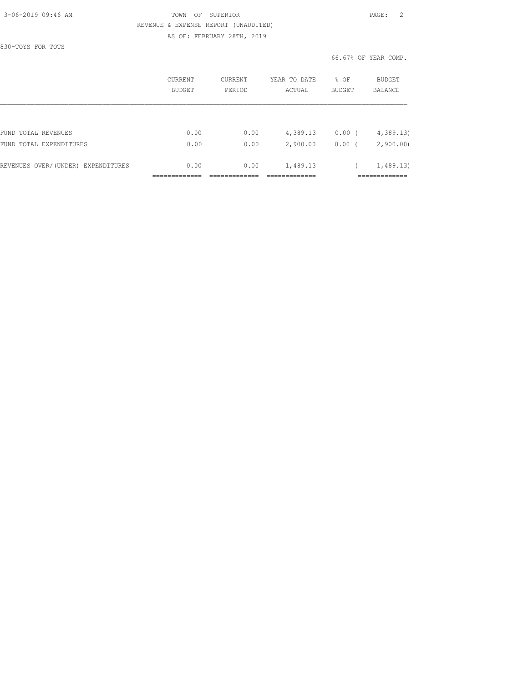### 3-06-2019 09:46 AM TOWN OF SUPERIOR PAGE: 2 REVENUE & EXPENSE REPORT (UNAUDITED) AS OF: FEBRUARY 28TH, 2019

830-TOYS FOR TOTS

|                                    | CURRENT<br>BUDGET | CURRENT<br>PERIOD | YEAR TO DATE<br>ACTUAL | % OF<br><b>BUDGET</b> | <b>BUDGET</b><br><b>BALANCE</b> |
|------------------------------------|-------------------|-------------------|------------------------|-----------------------|---------------------------------|
|                                    |                   |                   |                        |                       |                                 |
| FUND TOTAL REVENUES                | 0.00              | 0.00              | 4,389.13               | 0.00(                 | 4,389.13                        |
| FUND TOTAL EXPENDITURES            | 0.00              | 0.00              | 2,900.00               | $0.00$ (              | 2,900.00                        |
| REVENUES OVER/(UNDER) EXPENDITURES | 0.00              | 0.00              | 1,489.13               |                       | 1,489.13)                       |
|                                    |                   |                   |                        |                       |                                 |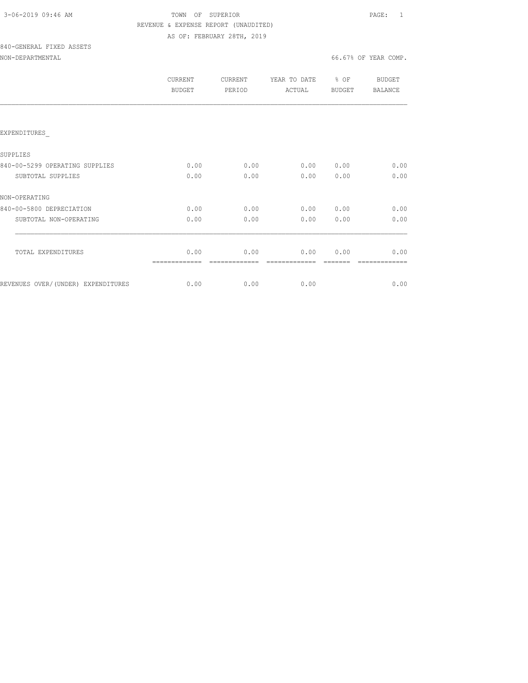| 3-06-2019 09:46 AM |  |
|--------------------|--|
|                    |  |

### TOWN OF SUPERIOR **Example 2019** PAGE: 1 REVENUE & EXPENSE REPORT (UNAUDITED) AS OF: FEBRUARY 28TH, 2019

# 840-GENERAL FIXED ASSETS

### NON-DEPARTMENTAL 66.67% OF YEAR COMP.

|                                    | <b>CURRENT</b><br><b>BUDGET</b> | <b>CURRENT</b><br>PERIOD | YEAR TO DATE<br>ACTUAL | % OF<br><b>BUDGET</b> | BUDGET<br><b>BALANCE</b> |
|------------------------------------|---------------------------------|--------------------------|------------------------|-----------------------|--------------------------|
|                                    |                                 |                          |                        |                       |                          |
| EXPENDITURES                       |                                 |                          |                        |                       |                          |
| SUPPLIES                           |                                 |                          |                        |                       |                          |
| 840-00-5299 OPERATING SUPPLIES     | 0.00                            | 0.00                     | 0.00                   | 0.00                  | 0.00                     |
| SUBTOTAL SUPPLIES                  | 0.00                            | 0.00                     | 0.00                   | 0.00                  | 0.00                     |
| NON-OPERATING                      |                                 |                          |                        |                       |                          |
| 840-00-5800 DEPRECIATION           | 0.00                            | 0.00                     | 0.00                   | 0.00                  | 0.00                     |
| SUBTOTAL NON-OPERATING             | 0.00                            | 0.00                     | 0.00                   | 0.00                  | 0.00                     |
|                                    |                                 |                          |                        |                       |                          |
| TOTAL EXPENDITURES                 | 0.00<br>----                    | 0.00                     | 0.00                   | 0.00                  | 0.00                     |
| REVENUES OVER/(UNDER) EXPENDITURES | 0.00                            | 0.00                     | 0.00                   |                       | 0.00                     |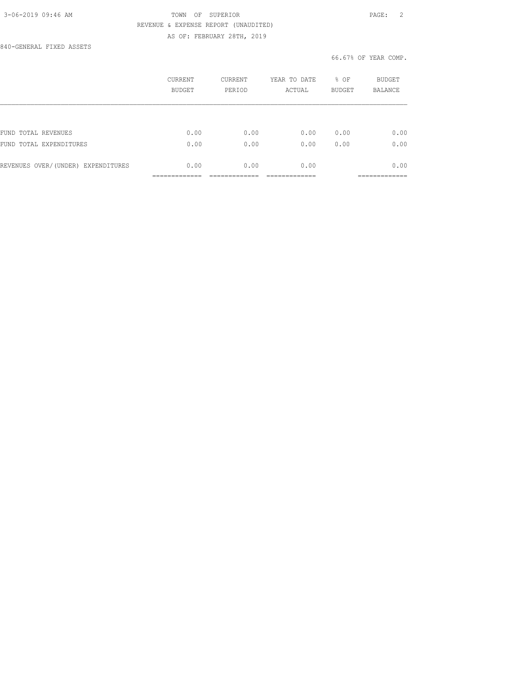### 3-06-2019 09:46 AM TOWN OF SUPERIOR PAGE: 2 REVENUE & EXPENSE REPORT (UNAUDITED) AS OF: FEBRUARY 28TH, 2019

840-GENERAL FIXED ASSETS

|                                    | CURRENT<br><b>BUDGET</b> | <b>CURRENT</b><br>PERIOD | YEAR TO DATE<br>ACTUAL | % OF<br><b>BUDGET</b> | <b>BUDGET</b><br><b>BALANCE</b> |
|------------------------------------|--------------------------|--------------------------|------------------------|-----------------------|---------------------------------|
|                                    |                          |                          |                        |                       |                                 |
| FUND TOTAL REVENUES                | 0.00                     | 0.00                     | 0.00                   | 0.00                  | 0.00                            |
| FUND TOTAL EXPENDITURES            | 0.00                     | 0.00                     | 0.00                   | 0.00                  | 0.00                            |
| REVENUES OVER/(UNDER) EXPENDITURES | 0.00                     | 0.00                     | 0.00                   |                       | 0.00                            |
|                                    |                          |                          |                        |                       |                                 |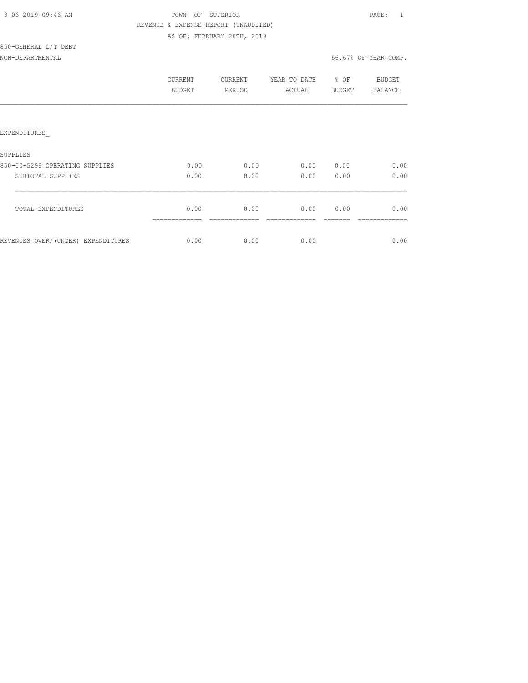| 3-06-2019 09:46 AM |  |
|--------------------|--|
|                    |  |

850-GENERAL L/T DEBT

### TOWN OF SUPERIOR **PAGE:** 1 REVENUE & EXPENSE REPORT (UNAUDITED) AS OF: FEBRUARY 28TH, 2019

NON-DEPARTMENTAL 66.67% OF YEAR COMP.

|                                    | CURRENT<br><b>BUDGET</b> | CURRENT<br>PERIOD | YEAR TO DATE<br>ACTUAL | % OF<br>BUDGET | BUDGET<br>BALANCE |
|------------------------------------|--------------------------|-------------------|------------------------|----------------|-------------------|
|                                    |                          |                   |                        |                |                   |
| EXPENDITURES                       |                          |                   |                        |                |                   |
| SUPPLIES                           |                          |                   |                        |                |                   |
| 850-00-5299 OPERATING SUPPLIES     | 0.00                     | 0.00              | 0.00                   | 0.00           | 0.00              |
| SUBTOTAL SUPPLIES                  | 0.00                     | 0.00              | 0.00                   | 0.00           | 0.00              |
| TOTAL EXPENDITURES                 | 0.00                     | 0.00              | 0.00                   | 0.00           | 0.00              |
| REVENUES OVER/(UNDER) EXPENDITURES | 0.00                     | 0.00              | 0.00                   |                | 0.00              |